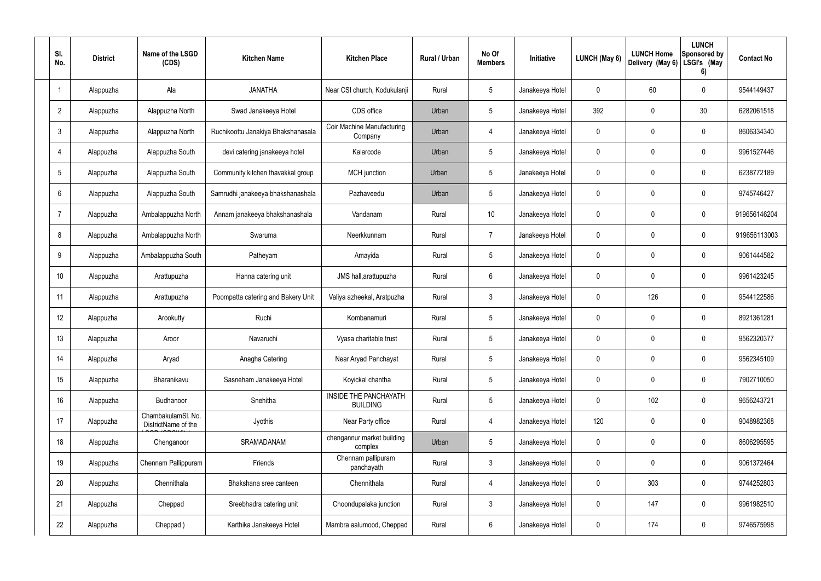| SI.<br>No.      | <b>District</b> | Name of the LSGD<br>(CDS)                 | <b>Kitchen Name</b>                | <b>Kitchen Place</b>                            | Rural / Urban | No Of<br><b>Members</b> | Initiative      | <b>LUNCH (May 6)</b> | <b>LUNCH Home</b><br>Delivery (May 6) | <b>LUNCH</b><br>Sponsored by<br>LSGI's (May<br>6) | <b>Contact No</b> |
|-----------------|-----------------|-------------------------------------------|------------------------------------|-------------------------------------------------|---------------|-------------------------|-----------------|----------------------|---------------------------------------|---------------------------------------------------|-------------------|
|                 | Alappuzha       | Ala                                       | <b>JANATHA</b>                     | Near CSI church, Kodukulanji                    | Rural         | $5\phantom{.0}$         | Janakeeya Hotel | $\mathbf 0$          | 60                                    | $\mathbf 0$                                       | 9544149437        |
| $\overline{2}$  | Alappuzha       | Alappuzha North                           | Swad Janakeeya Hotel               | CDS office                                      | Urban         | $5\phantom{.0}$         | Janakeeya Hotel | 392                  | 0                                     | 30                                                | 6282061518        |
| $\mathbf{3}$    | Alappuzha       | Alappuzha North                           | Ruchikoottu Janakiya Bhakshanasala | Coir Machine Manufacturing<br>Company           | Urban         | $\overline{4}$          | Janakeeya Hotel | $\mathbf 0$          | 0                                     | $\mathbf 0$                                       | 8606334340        |
| $\overline{4}$  | Alappuzha       | Alappuzha South                           | devi catering janakeeya hotel      | Kalarcode                                       | Urban         | $5\phantom{.0}$         | Janakeeya Hotel | $\mathbf 0$          | 0                                     | $\mathbf 0$                                       | 9961527446        |
| $5\overline{)}$ | Alappuzha       | Alappuzha South                           | Community kitchen thavakkal group  | MCH junction                                    | Urban         | $5\phantom{.0}$         | Janakeeya Hotel | $\mathbf 0$          | 0                                     | $\mathbf 0$                                       | 6238772189        |
| $6\overline{6}$ | Alappuzha       | Alappuzha South                           | Samrudhi janakeeya bhakshanashala  | Pazhaveedu                                      | Urban         | $5\phantom{.0}$         | Janakeeya Hotel | $\mathbf 0$          | 0                                     | $\mathbf 0$                                       | 9745746427        |
| $\overline{7}$  | Alappuzha       | Ambalappuzha North                        | Annam janakeeya bhakshanashala     | Vandanam                                        | Rural         | 10 <sup>°</sup>         | Janakeeya Hotel | $\mathbf 0$          | 0                                     | $\mathbf 0$                                       | 919656146204      |
| 8               | Alappuzha       | Ambalappuzha North                        | Swaruma                            | Neerkkunnam                                     | Rural         | $\overline{7}$          | Janakeeya Hotel | $\mathbf 0$          | 0                                     | $\mathbf 0$                                       | 919656113003      |
| 9               | Alappuzha       | Ambalappuzha South                        | Patheyam                           | Amayida                                         | Rural         | $5\,$                   | Janakeeya Hotel | $\mathbf 0$          | 0                                     | $\mathbf 0$                                       | 9061444582        |
| 10              | Alappuzha       | Arattupuzha                               | Hanna catering unit                | JMS hall, arattupuzha                           | Rural         | $6\phantom{.}6$         | Janakeeya Hotel | $\mathbf 0$          | 0                                     | $\mathbf 0$                                       | 9961423245        |
| 11              | Alappuzha       | Arattupuzha                               | Poompatta catering and Bakery Unit | Valiya azheekal, Aratpuzha                      | Rural         | $\mathfrak{Z}$          | Janakeeya Hotel | $\mathbf 0$          | 126                                   | $\mathbf 0$                                       | 9544122586        |
| 12              | Alappuzha       | Arookutty                                 | Ruchi                              | Kombanamuri                                     | Rural         | $5\,$                   | Janakeeya Hotel | $\mathbf 0$          | 0                                     | $\mathbf 0$                                       | 8921361281        |
| 13              | Alappuzha       | Aroor                                     | Navaruchi                          | Vyasa charitable trust                          | Rural         | $5\phantom{.0}$         | Janakeeya Hotel | 0                    | 0                                     | 0                                                 | 9562320377        |
| 14              | Alappuzha       | Aryad                                     | Anagha Catering                    | Near Aryad Panchayat                            | Rural         | $5\phantom{.0}$         | Janakeeya Hotel | $\mathbf 0$          | 0                                     | $\mathbf 0$                                       | 9562345109        |
| 15              | Alappuzha       | Bharanikavu                               | Sasneham Janakeeya Hotel           | Koyickal chantha                                | Rural         | $5\phantom{.0}$         | Janakeeya Hotel | $\mathbf 0$          | 0                                     | $\mathbf 0$                                       | 7902710050        |
| 16              | Alappuzha       | Budhanoor                                 | Snehitha                           | <b>INSIDE THE PANCHAYATH</b><br><b>BUILDING</b> | Rural         | $5\phantom{.0}$         | Janakeeya Hotel | $\mathbf 0$          | 102                                   | $\mathbf 0$                                       | 9656243721        |
| 17              | Alappuzha       | ChambakulamSl. No.<br>DistrictName of the | Jyothis                            | Near Party office                               | Rural         | $\overline{4}$          | Janakeeya Hotel | 120                  | 0                                     | $\mathbf 0$                                       | 9048982368        |
| 18              | Alappuzha       | Chenganoor                                | SRAMADANAM                         | chengannur market building<br>complex           | Urban         | $5\phantom{.0}$         | Janakeeya Hotel | $\mathbf 0$          | $\mathbf 0$                           | $\mathbf 0$                                       | 8606295595        |
| 19              | Alappuzha       | Chennam Pallippuram                       | Friends                            | Chennam pallipuram<br>panchayath                | Rural         | $\mathbf{3}$            | Janakeeya Hotel | $\mathbf 0$          | $\mathbf 0$                           | $\mathbf 0$                                       | 9061372464        |
| 20              | Alappuzha       | Chennithala                               | Bhakshana sree canteen             | Chennithala                                     | Rural         | $\overline{4}$          | Janakeeya Hotel | $\mathbf 0$          | 303                                   | $\mathbf 0$                                       | 9744252803        |
| 21              | Alappuzha       | Cheppad                                   | Sreebhadra catering unit           | Choondupalaka junction                          | Rural         | $\mathbf{3}$            | Janakeeya Hotel | $\mathbf 0$          | 147                                   | $\mathbf 0$                                       | 9961982510        |
| 22              | Alappuzha       | Cheppad)                                  | Karthika Janakeeya Hotel           | Mambra aalumood, Cheppad                        | Rural         | $6\,$                   | Janakeeya Hotel | 0                    | 174                                   | $\mathbf 0$                                       | 9746575998        |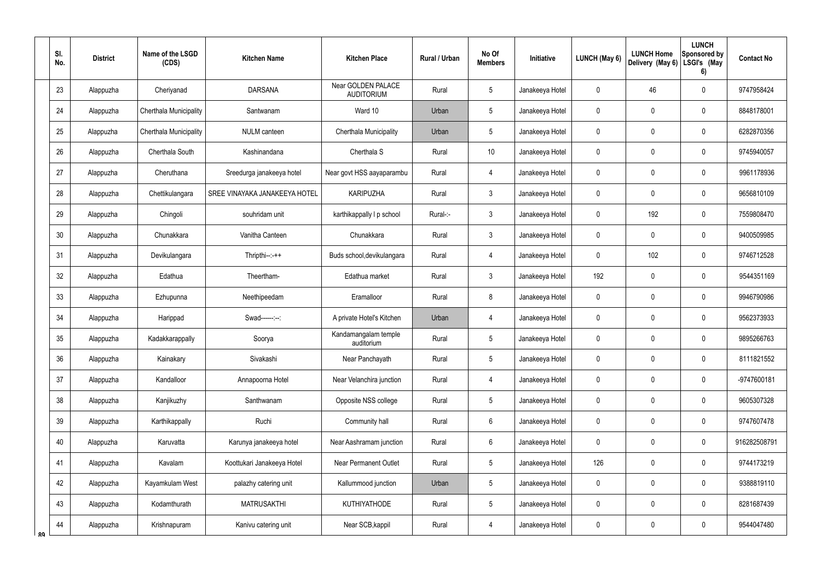|    | SI.<br>No.      | <b>District</b> | Name of the LSGD<br>(CDS) | <b>Kitchen Name</b>           | <b>Kitchen Place</b>                    | <b>Rural / Urban</b> | No Of<br><b>Members</b> | Initiative      | LUNCH (May 6)  | <b>LUNCH Home</b><br>Delivery (May 6) | <b>LUNCH</b><br>Sponsored by<br>LSGI's (May<br>6) | <b>Contact No</b> |
|----|-----------------|-----------------|---------------------------|-------------------------------|-----------------------------------------|----------------------|-------------------------|-----------------|----------------|---------------------------------------|---------------------------------------------------|-------------------|
|    | 23              | Alappuzha       | Cheriyanad                | <b>DARSANA</b>                | Near GOLDEN PALACE<br><b>AUDITORIUM</b> | Rural                | 5                       | Janakeeya Hotel | 0              | 46                                    | $\pmb{0}$                                         | 9747958424        |
|    | 24              | Alappuzha       | Cherthala Municipality    | Santwanam                     | Ward 10                                 | Urban                | $5\phantom{.0}$         | Janakeeya Hotel | $\mathbf 0$    | 0                                     | $\pmb{0}$                                         | 8848178001        |
|    | 25              | Alappuzha       | Cherthala Municipality    | NULM canteen                  | Cherthala Municipality                  | Urban                | $5\phantom{.0}$         | Janakeeya Hotel | 0              | 0                                     | $\pmb{0}$                                         | 6282870356        |
|    | 26              | Alappuzha       | Cherthala South           | Kashinandana                  | Cherthala <sub>S</sub>                  | Rural                | 10                      | Janakeeya Hotel | $\mathbf 0$    | 0                                     | $\pmb{0}$                                         | 9745940057        |
|    | 27              | Alappuzha       | Cheruthana                | Sreedurga janakeeya hotel     | Near govt HSS aayaparambu               | Rural                | $\overline{4}$          | Janakeeya Hotel | 0              | 0                                     | $\pmb{0}$                                         | 9961178936        |
|    | 28              | Alappuzha       | Chettikulangara           | SREE VINAYAKA JANAKEEYA HOTEL | <b>KARIPUZHA</b>                        | Rural                | $\mathbf{3}$            | Janakeeya Hotel | $\mathbf 0$    | 0                                     | 0                                                 | 9656810109        |
|    | 29              | Alappuzha       | Chingoli                  | souhridam unit                | karthikappally I p school               | Rural-:-             | $\mathbf{3}$            | Janakeeya Hotel | $\mathbf 0$    | 192                                   | $\pmb{0}$                                         | 7559808470        |
|    | 30 <sup>°</sup> | Alappuzha       | Chunakkara                | Vanitha Canteen               | Chunakkara                              | Rural                | $\mathbf{3}$            | Janakeeya Hotel | $\mathbf 0$    | 0                                     | 0                                                 | 9400509985        |
|    | 31              | Alappuzha       | Devikulangara             | $Thripthi--++$                | Buds school, devikulangara              | Rural                | $\overline{4}$          | Janakeeya Hotel | 0              | 102                                   | $\pmb{0}$                                         | 9746712528        |
|    | 32              | Alappuzha       | Edathua                   | Theertham-                    | Edathua market                          | Rural                | $\mathbf{3}$            | Janakeeya Hotel | 192            | $\mathbf 0$                           | $\pmb{0}$                                         | 9544351169        |
|    | 33              | Alappuzha       | Ezhupunna                 | Neethipeedam                  | Eramalloor                              | Rural                | 8                       | Janakeeya Hotel | $\mathbf 0$    | $\mathbf 0$                           | $\pmb{0}$                                         | 9946790986        |
|    | 34              | Alappuzha       | Harippad                  | Swad------:--:                | A private Hotel's Kitchen               | Urban                | $\overline{4}$          | Janakeeya Hotel | $\mathbf 0$    | $\boldsymbol{0}$                      | $\pmb{0}$                                         | 9562373933        |
|    | 35              | Alappuzha       | Kadakkarappally           | Soorya                        | Kandamangalam temple<br>auditorium      | Rural                | 5                       | Janakeeya Hotel | $\mathbf 0$    | $\mathbf 0$                           | $\mathbf 0$                                       | 9895266763        |
|    | 36              | Alappuzha       | Kainakary                 | Sivakashi                     | Near Panchayath                         | Rural                | $\overline{5}$          | Janakeeya Hotel | $\mathbf 0$    | $\mathbf 0$                           | $\pmb{0}$                                         | 8111821552        |
|    | 37              | Alappuzha       | Kandalloor                | Annapoorna Hotel              | Near Velanchira junction                | Rural                | $\overline{4}$          | Janakeeya Hotel | $\mathbf 0$    | $\mathbf 0$                           | $\pmb{0}$                                         | -9747600181       |
|    | 38              | Alappuzha       | Kanjikuzhy                | Santhwanam                    | Opposite NSS college                    | Rural                | $5\phantom{.0}$         | Janakeeya Hotel | $\pmb{0}$      | $\mathbf 0$                           | $\pmb{0}$                                         | 9605307328        |
|    | 39              | Alappuzha       | Karthikappally            | Ruchi                         | Community hall                          | Rural                | $6\overline{6}$         | Janakeeya Hotel | $\mathbf 0$    | $\mathbf 0$                           | $\pmb{0}$                                         | 9747607478        |
|    | 40              | Alappuzha       | Karuvatta                 | Karunya janakeeya hotel       | Near Aashramam junction                 | Rural                | $6\overline{6}$         | Janakeeya Hotel | $\overline{0}$ | $\mathbf 0$                           | $\pmb{0}$                                         | 916282508791      |
|    | 41              | Alappuzha       | Kavalam                   | Koottukari Janakeeya Hotel    | <b>Near Permanent Outlet</b>            | Rural                | $5\phantom{.0}$         | Janakeeya Hotel | 126            | $\mathbf 0$                           | $\pmb{0}$                                         | 9744173219        |
|    | 42              | Alappuzha       | Kayamkulam West           | palazhy catering unit         | Kallummood junction                     | Urban                | $\overline{5}$          | Janakeeya Hotel | $\mathbf 0$    | $\mathbf 0$                           | $\pmb{0}$                                         | 9388819110        |
|    | 43              | Alappuzha       | Kodamthurath              | <b>MATRUSAKTHI</b>            | <b>KUTHIYATHODE</b>                     | Rural                | $5\phantom{.0}$         | Janakeeya Hotel | $\pmb{0}$      | $\mathbf 0$                           | $\pmb{0}$                                         | 8281687439        |
| ۵۵ | 44              | Alappuzha       | Krishnapuram              | Kanivu catering unit          | Near SCB, kappil                        | Rural                | 4                       | Janakeeya Hotel | $\pmb{0}$      | $\mathbf 0$                           | $\pmb{0}$                                         | 9544047480        |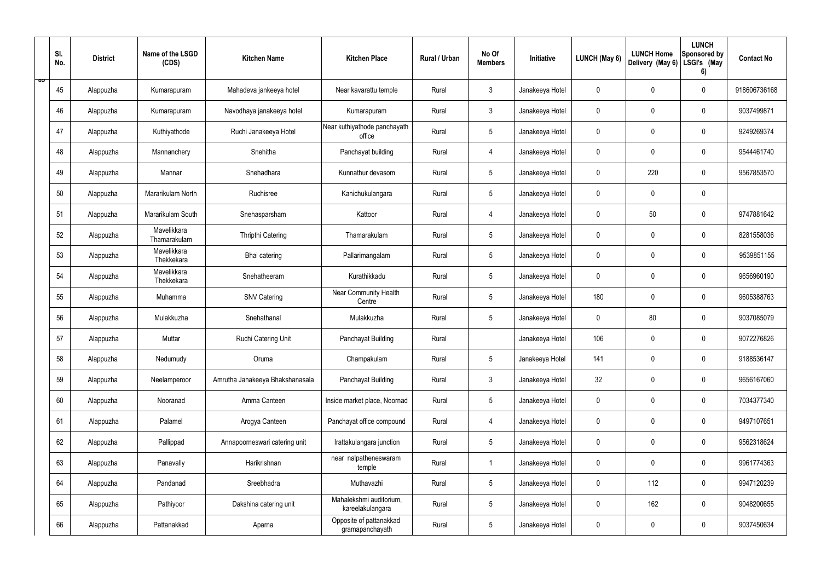|   | SI.<br>No. | <b>District</b> | Name of the LSGD<br>(CDS)   | <b>Kitchen Name</b>             | <b>Kitchen Place</b>                        | Rural / Urban | No Of<br><b>Members</b> | Initiative      | <b>LUNCH (May 6)</b> | <b>LUNCH Home</b><br>Delivery (May 6) | <b>LUNCH</b><br>Sponsored by<br>LSGI's (May<br>6) | <b>Contact No</b> |
|---|------------|-----------------|-----------------------------|---------------------------------|---------------------------------------------|---------------|-------------------------|-----------------|----------------------|---------------------------------------|---------------------------------------------------|-------------------|
| ಾ | 45         | Alappuzha       | Kumarapuram                 | Mahadeva jankeeya hotel         | Near kavarattu temple                       | Rural         | $\mathbf{3}$            | Janakeeya Hotel | $\mathbf 0$          | $\mathbf 0$                           | $\mathbf 0$                                       | 918606736168      |
|   | 46         | Alappuzha       | Kumarapuram                 | Navodhaya janakeeya hotel       | Kumarapuram                                 | Rural         | $\mathbf{3}$            | Janakeeya Hotel | $\mathbf 0$          | $\mathbf 0$                           | $\mathbf 0$                                       | 9037499871        |
|   | 47         | Alappuzha       | Kuthiyathode                | Ruchi Janakeeya Hotel           | Near kuthiyathode panchayath<br>office      | Rural         | $5\phantom{.0}$         | Janakeeya Hotel | $\mathbf 0$          | $\mathbf 0$                           | $\mathbf 0$                                       | 9249269374        |
|   | 48         | Alappuzha       | Mannanchery                 | Snehitha                        | Panchayat building                          | Rural         | $\overline{4}$          | Janakeeya Hotel | $\mathbf 0$          | $\mathbf 0$                           | $\mathbf 0$                                       | 9544461740        |
|   | 49         | Alappuzha       | Mannar                      | Snehadhara                      | Kunnathur devasom                           | Rural         | $5\phantom{.0}$         | Janakeeya Hotel | $\mathbf 0$          | 220                                   | $\mathbf 0$                                       | 9567853570        |
|   | 50         | Alappuzha       | Mararikulam North           | Ruchisree                       | Kanichukulangara                            | Rural         | $5\overline{)}$         | Janakeeya Hotel | $\mathbf 0$          | $\mathbf 0$                           | $\mathbf 0$                                       |                   |
|   | 51         | Alappuzha       | Mararikulam South           | Snehasparsham                   | Kattoor                                     | Rural         | $\overline{4}$          | Janakeeya Hotel | $\mathbf 0$          | 50                                    | $\mathbf 0$                                       | 9747881642        |
|   | 52         | Alappuzha       | Mavelikkara<br>Thamarakulam | Thripthi Catering               | Thamarakulam                                | Rural         | $5\phantom{.0}$         | Janakeeya Hotel | $\mathbf 0$          | $\mathbf 0$                           | $\mathbf 0$                                       | 8281558036        |
|   | 53         | Alappuzha       | Mavelikkara<br>Thekkekara   | Bhai catering                   | Pallarimangalam                             | Rural         | $5\phantom{.0}$         | Janakeeya Hotel | $\mathbf 0$          | $\mathbf 0$                           | $\mathbf 0$                                       | 9539851155        |
|   | 54         | Alappuzha       | Mavelikkara<br>Thekkekara   | Snehatheeram                    | Kurathikkadu                                | Rural         | $5\overline{)}$         | Janakeeya Hotel | $\mathbf 0$          | $\mathbf 0$                           | $\mathbf 0$                                       | 9656960190        |
|   | 55         | Alappuzha       | Muhamma                     | <b>SNV Catering</b>             | <b>Near Community Health</b><br>Centre      | Rural         | $5\phantom{.0}$         | Janakeeya Hotel | 180                  | $\mathbf 0$                           | $\mathbf 0$                                       | 9605388763        |
|   | 56         | Alappuzha       | Mulakkuzha                  | Snehathanal                     | Mulakkuzha                                  | Rural         | $5\phantom{.0}$         | Janakeeya Hotel | $\mathbf 0$          | 80                                    | $\mathbf 0$                                       | 9037085079        |
|   | 57         | Alappuzha       | Muttar                      | Ruchi Catering Unit             | Panchayat Building                          | Rural         |                         | Janakeeya Hotel | 106                  | 0                                     | $\mathbf 0$                                       | 9072276826        |
|   | 58         | Alappuzha       | Nedumudy                    | Oruma                           | Champakulam                                 | Rural         | $5\phantom{.0}$         | Janakeeya Hotel | 141                  | $\mathbf 0$                           | $\mathbf 0$                                       | 9188536147        |
|   | 59         | Alappuzha       | Neelamperoor                | Amrutha Janakeeya Bhakshanasala | Panchayat Building                          | Rural         | $\mathbf{3}$            | Janakeeya Hotel | 32                   | $\pmb{0}$                             | $\mathbf 0$                                       | 9656167060        |
|   | 60         | Alappuzha       | Nooranad                    | Amma Canteen                    | Inside market place, Noornad                | Rural         | $5\overline{)}$         | Janakeeya Hotel | $\pmb{0}$            | $\mathbf 0$                           | $\mathbf 0$                                       | 7034377340        |
|   | 61         | Alappuzha       | Palamel                     | Arogya Canteen                  | Panchayat office compound                   | Rural         | $\overline{4}$          | Janakeeya Hotel | $\pmb{0}$            | $\mathbf 0$                           | $\mathbf 0$                                       | 9497107651        |
|   | 62         | Alappuzha       | Pallippad                   | Annapoorneswari catering unit   | Irattakulangara junction                    | Rural         | 5 <sup>5</sup>          | Janakeeya Hotel | $\pmb{0}$            | $\mathbf 0$                           | $\mathbf 0$                                       | 9562318624        |
|   | 63         | Alappuzha       | Panavally                   | Harikrishnan                    | near nalpatheneswaram<br>temple             | Rural         | -1                      | Janakeeya Hotel | $\pmb{0}$            | $\pmb{0}$                             | $\mathbf 0$                                       | 9961774363        |
|   | 64         | Alappuzha       | Pandanad                    | Sreebhadra                      | Muthavazhi                                  | Rural         | $5\phantom{.0}$         | Janakeeya Hotel | $\pmb{0}$            | 112                                   | $\mathbf 0$                                       | 9947120239        |
|   | 65         | Alappuzha       | Pathiyoor                   | Dakshina catering unit          | Mahalekshmi auditorium,<br>kareelakulangara | Rural         | 5 <sup>5</sup>          | Janakeeya Hotel | $\pmb{0}$            | 162                                   | $\mathbf 0$                                       | 9048200655        |
|   | 66         | Alappuzha       | Pattanakkad                 | Aparna                          | Opposite of pattanakkad<br>gramapanchayath  | Rural         | $5\phantom{.0}$         | Janakeeya Hotel | 0                    | $\pmb{0}$                             | $\boldsymbol{0}$                                  | 9037450634        |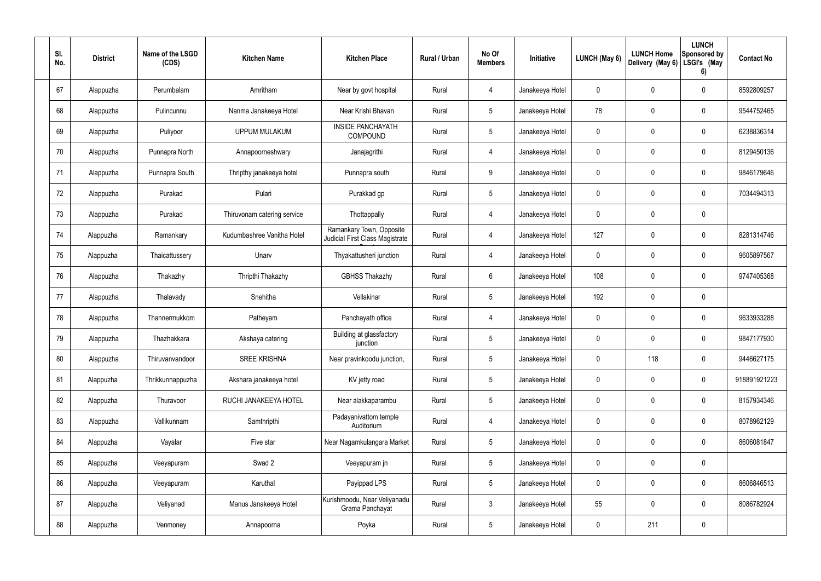| SI.<br>No. | <b>District</b> | Name of the LSGD<br>(CDS) | <b>Kitchen Name</b>         | <b>Kitchen Place</b>                                        | Rural / Urban | No Of<br><b>Members</b> | Initiative      | LUNCH (May 6) | <b>LUNCH Home</b><br>Delivery (May 6) | <b>LUNCH</b><br>Sponsored by<br>LSGI's (May<br>6) | <b>Contact No</b> |
|------------|-----------------|---------------------------|-----------------------------|-------------------------------------------------------------|---------------|-------------------------|-----------------|---------------|---------------------------------------|---------------------------------------------------|-------------------|
| 67         | Alappuzha       | Perumbalam                | Amritham                    | Near by govt hospital                                       | Rural         | $\overline{4}$          | Janakeeya Hotel | $\mathbf 0$   | 0                                     | $\mathbf 0$                                       | 8592809257        |
| 68         | Alappuzha       | Pulincunnu                | Nanma Janakeeya Hotel       | Near Krishi Bhavan                                          | Rural         | $5\phantom{.0}$         | Janakeeya Hotel | 78            | 0                                     | $\mathbf 0$                                       | 9544752465        |
| 69         | Alappuzha       | Puliyoor                  | <b>UPPUM MULAKUM</b>        | <b>INSIDE PANCHAYATH</b><br><b>COMPOUND</b>                 | Rural         | $5\phantom{.0}$         | Janakeeya Hotel | $\mathbf 0$   | 0                                     | $\mathbf 0$                                       | 6238836314        |
| 70         | Alappuzha       | Punnapra North            | Annapoorneshwary            | Janajagrithi                                                | Rural         | $\overline{4}$          | Janakeeya Hotel | $\mathbf 0$   | 0                                     | $\mathbf 0$                                       | 8129450136        |
| 71         | Alappuzha       | Punnapra South            | Thripthy janakeeya hotel    | Punnapra south                                              | Rural         | 9                       | Janakeeya Hotel | $\mathbf 0$   | 0                                     | $\mathbf 0$                                       | 9846179646        |
| 72         | Alappuzha       | Purakad                   | Pulari                      | Purakkad gp                                                 | Rural         | $5\phantom{.0}$         | Janakeeya Hotel | $\mathbf 0$   | 0                                     | $\mathbf 0$                                       | 7034494313        |
| 73         | Alappuzha       | Purakad                   | Thiruvonam catering service | Thottappally                                                | Rural         | $\overline{4}$          | Janakeeya Hotel | $\mathbf 0$   | 0                                     | $\mathbf 0$                                       |                   |
| 74         | Alappuzha       | Ramankary                 | Kudumbashree Vanitha Hotel  | Ramankary Town, Opposite<br>Judicial First Class Magistrate | Rural         | $\overline{4}$          | Janakeeya Hotel | 127           | 0                                     | $\mathbf 0$                                       | 8281314746        |
| 75         | Alappuzha       | Thaicattussery            | Unarv                       | Thyakattusheri junction                                     | Rural         | $\overline{4}$          | Janakeeya Hotel | $\mathbf 0$   | 0                                     | $\mathbf 0$                                       | 9605897567        |
| 76         | Alappuzha       | Thakazhy                  | Thripthi Thakazhy           | <b>GBHSS Thakazhy</b>                                       | Rural         | $6\overline{6}$         | Janakeeya Hotel | 108           | 0                                     | $\mathbf 0$                                       | 9747405368        |
| 77         | Alappuzha       | Thalavady                 | Snehitha                    | Vellakinar                                                  | Rural         | $5\phantom{.0}$         | Janakeeya Hotel | 192           | $\pmb{0}$                             | $\mathbf 0$                                       |                   |
| 78         | Alappuzha       | Thannermukkom             | Patheyam                    | Panchayath office                                           | Rural         | 4                       | Janakeeya Hotel | $\mathbf 0$   | 0                                     | $\mathbf 0$                                       | 9633933288        |
| 79         | Alappuzha       | Thazhakkara               | Akshaya catering            | Building at glassfactory<br>junction                        | Rural         | $5\phantom{.0}$         | Janakeeya Hotel | $\mathbf 0$   | $\mathbf 0$                           | $\mathbf 0$                                       | 9847177930        |
| 80         | Alappuzha       | Thiruvanvandoor           | <b>SREE KRISHNA</b>         | Near pravinkoodu junction,                                  | Rural         | $5\phantom{.0}$         | Janakeeya Hotel | $\mathbf 0$   | 118                                   | $\mathbf 0$                                       | 9446627175        |
| 81         | Alappuzha       | Thrikkunnappuzha          | Akshara janakeeya hotel     | KV jetty road                                               | Rural         | $5\phantom{.0}$         | Janakeeya Hotel | $\mathbf 0$   | $\pmb{0}$                             | $\boldsymbol{0}$                                  | 918891921223      |
| 82         | Alappuzha       | Thuravoor                 | RUCHI JANAKEEYA HOTEL       | Near alakkaparambu                                          | Rural         | $5\overline{)}$         | Janakeeya Hotel | $\pmb{0}$     | $\pmb{0}$                             | $\mathbf 0$                                       | 8157934346        |
| 83         | Alappuzha       | Vallikunnam               | Samthripthi                 | Padayanivattom temple<br>Auditorium                         | Rural         | $\overline{4}$          | Janakeeya Hotel | $\mathbf 0$   | $\pmb{0}$                             | $\mathbf 0$                                       | 8078962129        |
| 84         | Alappuzha       | Vayalar                   | Five star                   | Near Nagamkulangara Market                                  | Rural         | $5\overline{)}$         | Janakeeya Hotel | $\pmb{0}$     | $\pmb{0}$                             | $\mathbf 0$                                       | 8606081847        |
| 85         | Alappuzha       | Veeyapuram                | Swad 2                      | Veeyapuram jn                                               | Rural         | $5\phantom{.0}$         | Janakeeya Hotel | $\mathbf 0$   | $\pmb{0}$                             | $\mathbf 0$                                       |                   |
| 86         | Alappuzha       | Veeyapuram                | Karuthal                    | Payippad LPS                                                | Rural         | $5\overline{)}$         | Janakeeya Hotel | $\pmb{0}$     | $\pmb{0}$                             | $\mathbf 0$                                       | 8606846513        |
| 87         | Alappuzha       | Veliyanad                 | Manus Janakeeya Hotel       | Kurishmoodu, Near Veliyanadu<br>Grama Panchayat             | Rural         | $\mathbf{3}$            | Janakeeya Hotel | 55            | 0                                     | $\mathbf 0$                                       | 8086782924        |
| 88         | Alappuzha       | Venmoney                  | Annapoorna                  | Poyka                                                       | Rural         | $5\phantom{.0}$         | Janakeeya Hotel | $\pmb{0}$     | 211                                   | $\boldsymbol{0}$                                  |                   |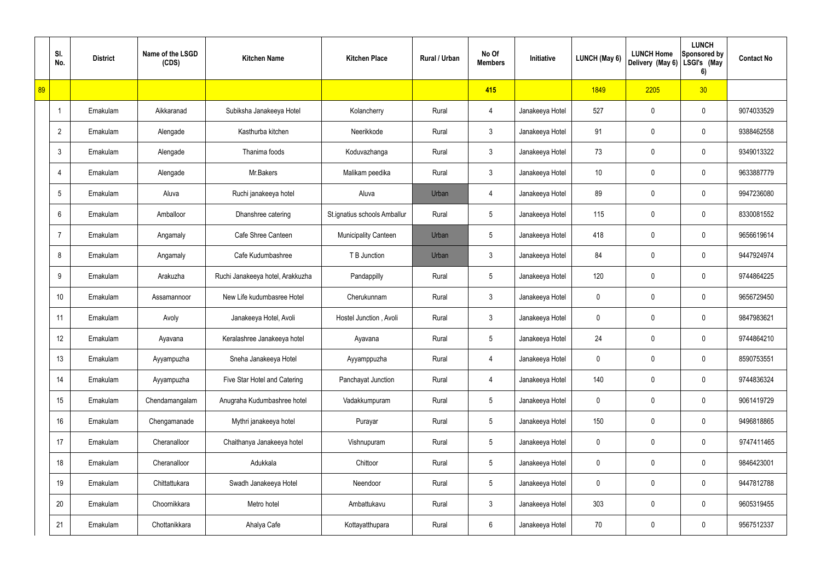|    | SI.<br>No.      | <b>District</b> | Name of the LSGD<br>(CDS) | <b>Kitchen Name</b>              | <b>Kitchen Place</b>         | Rural / Urban | No Of<br><b>Members</b> | Initiative      | LUNCH (May 6)   | <b>LUNCH Home</b><br>Delivery (May 6) | <b>LUNCH</b><br><b>Sponsored by</b><br>LSGI's (May<br>6) | <b>Contact No</b> |
|----|-----------------|-----------------|---------------------------|----------------------------------|------------------------------|---------------|-------------------------|-----------------|-----------------|---------------------------------------|----------------------------------------------------------|-------------------|
| 89 |                 |                 |                           |                                  |                              |               | 415                     |                 | 1849            | 2205                                  | 30 <sub>2</sub>                                          |                   |
|    | -1              | Ernakulam       | Aikkaranad                | Subiksha Janakeeya Hotel         | Kolancherry                  | Rural         | 4                       | Janakeeya Hotel | 527             | 0                                     | $\mathbf 0$                                              | 9074033529        |
|    | $\overline{2}$  | Ernakulam       | Alengade                  | Kasthurba kitchen                | Neerikkode                   | Rural         | $\mathfrak{Z}$          | Janakeeya Hotel | 91              | 0                                     | $\mathbf 0$                                              | 9388462558        |
|    | $\mathbf{3}$    | Ernakulam       | Alengade                  | Thanima foods                    | Koduvazhanga                 | Rural         | $\mathbf{3}$            | Janakeeya Hotel | 73              | 0                                     | $\mathbf 0$                                              | 9349013322        |
|    | $\overline{4}$  | Ernakulam       | Alengade                  | Mr.Bakers                        | Malikam peedika              | Rural         | $\mathfrak{Z}$          | Janakeeya Hotel | 10 <sup>°</sup> | 0                                     | $\pmb{0}$                                                | 9633887779        |
|    | 5               | Ernakulam       | Aluva                     | Ruchi janakeeya hotel            | Aluva                        | Urban         | 4                       | Janakeeya Hotel | 89              | 0                                     | $\mathbf 0$                                              | 9947236080        |
|    | 6               | Ernakulam       | Amballoor                 | Dhanshree catering               | St.ignatius schools Amballur | Rural         | $5\phantom{.0}$         | Janakeeya Hotel | 115             | 0                                     | $\mathbf 0$                                              | 8330081552        |
|    | $\overline{7}$  | Ernakulam       | Angamaly                  | Cafe Shree Canteen               | <b>Municipality Canteen</b>  | Urban         | $5\phantom{.0}$         | Janakeeya Hotel | 418             | 0                                     | 0                                                        | 9656619614        |
|    | 8               | Ernakulam       | Angamaly                  | Cafe Kudumbashree                | T B Junction                 | Urban         | $\mathfrak{Z}$          | Janakeeya Hotel | 84              | 0                                     | $\mathbf 0$                                              | 9447924974        |
|    | 9               | Ernakulam       | Arakuzha                  | Ruchi Janakeeya hotel, Arakkuzha | Pandappilly                  | Rural         | $5\phantom{.0}$         | Janakeeya Hotel | 120             | $\mathbf 0$                           | $\pmb{0}$                                                | 9744864225        |
|    | 10 <sup>1</sup> | Ernakulam       | Assamannoor               | New Life kudumbasree Hotel       | Cherukunnam                  | Rural         | $\mathfrak{Z}$          | Janakeeya Hotel | 0               | $\mathbf 0$                           | $\pmb{0}$                                                | 9656729450        |
|    | 11              | Ernakulam       | Avoly                     | Janakeeya Hotel, Avoli           | Hostel Junction, Avoli       | Rural         | $\mathfrak{Z}$          | Janakeeya Hotel | 0               | 0                                     | $\pmb{0}$                                                | 9847983621        |
|    | 12              | Ernakulam       | Ayavana                   | Keralashree Janakeeya hotel      | Ayavana                      | Rural         | $5\phantom{.0}$         | Janakeeya Hotel | 24              | 0                                     | $\mathbf 0$                                              | 9744864210        |
|    | 13              | Ernakulam       | Ayyampuzha                | Sneha Janakeeya Hotel            | Ayyamppuzha                  | Rural         | 4                       | Janakeeya Hotel | $\pmb{0}$       | $\mathbf 0$                           | $\mathbf 0$                                              | 8590753551        |
|    | 14              | Ernakulam       | Ayyampuzha                | Five Star Hotel and Catering     | Panchayat Junction           | Rural         | $\overline{4}$          | Janakeeya Hotel | 140             | $\mathbf 0$                           | $\mathsf{0}$                                             | 9744836324        |
|    | 15              | Ernakulam       | Chendamangalam            | Anugraha Kudumbashree hotel      | Vadakkumpuram                | Rural         | $\overline{5}$          | Janakeeya Hotel | $\mathbf 0$     | $\mathbf 0$                           | $\mathsf{0}$                                             | 9061419729        |
|    | 16              | Ernakulam       | Chengamanade              | Mythri janakeeya hotel           | Purayar                      | Rural         | $5\phantom{.0}$         | Janakeeya Hotel | 150             | $\mathbf 0$                           | $\mathsf{0}$                                             | 9496818865        |
|    | 17              | Ernakulam       | Cheranalloor              | Chaithanya Janakeeya hotel       | Vishnupuram                  | Rural         | $\overline{5}$          | Janakeeya Hotel | $\mathbf 0$     | $\mathbf 0$                           | $\mathsf{0}$                                             | 9747411465        |
|    | 18              | Ernakulam       | Cheranalloor              | Adukkala                         | Chittoor                     | Rural         | $5\phantom{.0}$         | Janakeeya Hotel | $\pmb{0}$       | $\mathbf 0$                           | $\mathsf{0}$                                             | 9846423001        |
|    | 19              | Ernakulam       | Chittattukara             | Swadh Janakeeya Hotel            | Neendoor                     | Rural         | $\overline{5}$          | Janakeeya Hotel | $\mathbf 0$     | $\mathbf 0$                           | $\mathsf{0}$                                             | 9447812788        |
|    | 20              | Ernakulam       | Choornikkara              | Metro hotel                      | Ambattukavu                  | Rural         | $\mathfrak{Z}$          | Janakeeya Hotel | 303             | $\mathbf 0$                           | $\mathbf 0$                                              | 9605319455        |
|    | 21              | Ernakulam       | Chottanikkara             | Ahalya Cafe                      | Kottayatthupara              | Rural         | $6\,$                   | Janakeeya Hotel | 70              | $\pmb{0}$                             | $\mathsf{0}$                                             | 9567512337        |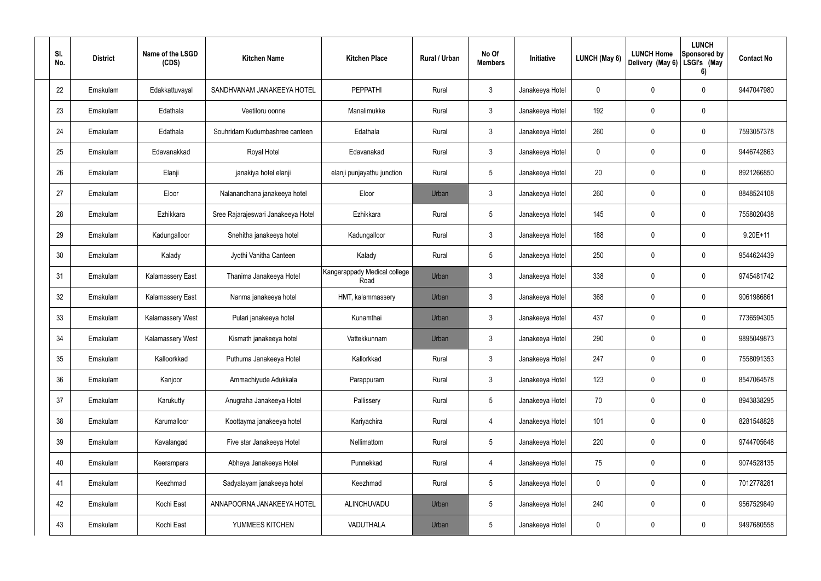| SI.<br>No. | <b>District</b> | Name of the LSGD<br>(CDS) | <b>Kitchen Name</b>                | <b>Kitchen Place</b>                 | Rural / Urban | No Of<br><b>Members</b> | Initiative      | LUNCH (May 6) | <b>LUNCH Home</b><br>Delivery (May 6) | <b>LUNCH</b><br><b>Sponsored by</b><br>LSGI's (May<br>6) | <b>Contact No</b> |
|------------|-----------------|---------------------------|------------------------------------|--------------------------------------|---------------|-------------------------|-----------------|---------------|---------------------------------------|----------------------------------------------------------|-------------------|
| 22         | Ernakulam       | Edakkattuvayal            | SANDHVANAM JANAKEEYA HOTEL         | <b>PEPPATHI</b>                      | Rural         | 3                       | Janakeeya Hotel | 0             | 0                                     | $\mathbf 0$                                              | 9447047980        |
| 23         | Ernakulam       | Edathala                  | Veetiloru oonne                    | Manalimukke                          | Rural         | $\mathfrak{Z}$          | Janakeeya Hotel | 192           | 0                                     | 0                                                        |                   |
| 24         | Ernakulam       | Edathala                  | Souhridam Kudumbashree canteen     | Edathala                             | Rural         | $\mathbf{3}$            | Janakeeya Hotel | 260           | 0                                     | $\mathbf 0$                                              | 7593057378        |
| 25         | Ernakulam       | Edavanakkad               | Royal Hotel                        | Edavanakad                           | Rural         | $\mathfrak{Z}$          | Janakeeya Hotel | 0             | 0                                     | $\mathbf 0$                                              | 9446742863        |
| 26         | Ernakulam       | Elanji                    | janakiya hotel elanji              | elanji punjayathu junction           | Rural         | $5\phantom{.0}$         | Janakeeya Hotel | 20            | 0                                     | $\mathbf 0$                                              | 8921266850        |
| 27         | Ernakulam       | Eloor                     | Nalanandhana janakeeya hotel       | Eloor                                | Urban         | 3                       | Janakeeya Hotel | 260           | 0                                     | $\mathbf 0$                                              | 8848524108        |
| 28         | Ernakulam       | Ezhikkara                 | Sree Rajarajeswari Janakeeya Hotel | Ezhikkara                            | Rural         | $\overline{5}$          | Janakeeya Hotel | 145           | 0                                     | $\mathbf 0$                                              | 7558020438        |
| 29         | Ernakulam       | Kadungalloor              | Snehitha janakeeya hotel           | Kadungalloor                         | Rural         | 3                       | Janakeeya Hotel | 188           | 0                                     | $\mathbf 0$                                              | $9.20E + 11$      |
| 30         | Ernakulam       | Kalady                    | Jyothi Vanitha Canteen             | Kalady                               | Rural         | $\overline{5}$          | Janakeeya Hotel | 250           | 0                                     | $\mathbf 0$                                              | 9544624439        |
| 31         | Ernakulam       | <b>Kalamassery East</b>   | Thanima Janakeeya Hotel            | Kangarappady Medical college<br>Road | Urban         | 3                       | Janakeeya Hotel | 338           | 0                                     | 0                                                        | 9745481742        |
| 32         | Ernakulam       | <b>Kalamassery East</b>   | Nanma janakeeya hotel              | HMT, kalammassery                    | Urban         | 3                       | Janakeeya Hotel | 368           | 0                                     | $\mathbf 0$                                              | 9061986861        |
| 33         | Ernakulam       | <b>Kalamassery West</b>   | Pulari janakeeya hotel             | Kunamthai                            | Urban         | 3                       | Janakeeya Hotel | 437           | 0                                     | $\mathbf 0$                                              | 7736594305        |
| 34         | Ernakulam       | Kalamassery West          | Kismath janakeeya hotel            | Vattekkunnam                         | Urban         | 3                       | Janakeeya Hotel | 290           | 0                                     | $\mathbf 0$                                              | 9895049873        |
| 35         | Ernakulam       | Kalloorkkad               | Puthuma Janakeeya Hotel            | Kallorkkad                           | Rural         | $\mathbf{3}$            | Janakeeya Hotel | 247           | 0                                     | $\mathbf 0$                                              | 7558091353        |
| 36         | Ernakulam       | Kanjoor                   | Ammachiyude Adukkala               | Parappuram                           | Rural         | $\mathbf{3}$            | Janakeeya Hotel | 123           | $\mathbf 0$                           | $\mathsf{0}$                                             | 8547064578        |
| 37         | Ernakulam       | Karukutty                 | Anugraha Janakeeya Hotel           | Pallissery                           | Rural         | $5\phantom{.0}$         | Janakeeya Hotel | 70            | $\pmb{0}$                             | $\mathbf 0$                                              | 8943838295        |
| 38         | Ernakulam       | Karumalloor               | Koottayma janakeeya hotel          | Kariyachira                          | Rural         | 4                       | Janakeeya Hotel | 101           | $\mathbf 0$                           | $\mathsf{0}$                                             | 8281548828        |
| 39         | Ernakulam       | Kavalangad                | Five star Janakeeya Hotel          | Nellimattom                          | Rural         | $5\phantom{.0}$         | Janakeeya Hotel | 220           | $\pmb{0}$                             | $\mathsf{0}$                                             | 9744705648        |
| 40         | Ernakulam       | Keerampara                | Abhaya Janakeeya Hotel             | Punnekkad                            | Rural         | 4                       | Janakeeya Hotel | 75            | $\mathbf 0$                           | $\mathsf{0}$                                             | 9074528135        |
| 41         | Ernakulam       | Keezhmad                  | Sadyalayam janakeeya hotel         | Keezhmad                             | Rural         | $5\phantom{.0}$         | Janakeeya Hotel | 0             | $\pmb{0}$                             | $\mathsf{0}$                                             | 7012778281        |
| 42         | Ernakulam       | Kochi East                | ANNAPOORNA JANAKEEYA HOTEL         | ALINCHUVADU                          | Urban         | 5                       | Janakeeya Hotel | 240           | $\mathbf 0$                           | $\mathsf{0}$                                             | 9567529849        |
| 43         | Ernakulam       | Kochi East                | YUMMEES KITCHEN                    | VADUTHALA                            | Urban         | $\sqrt{5}$              | Janakeeya Hotel | 0             | $\pmb{0}$                             | $\pmb{0}$                                                | 9497680558        |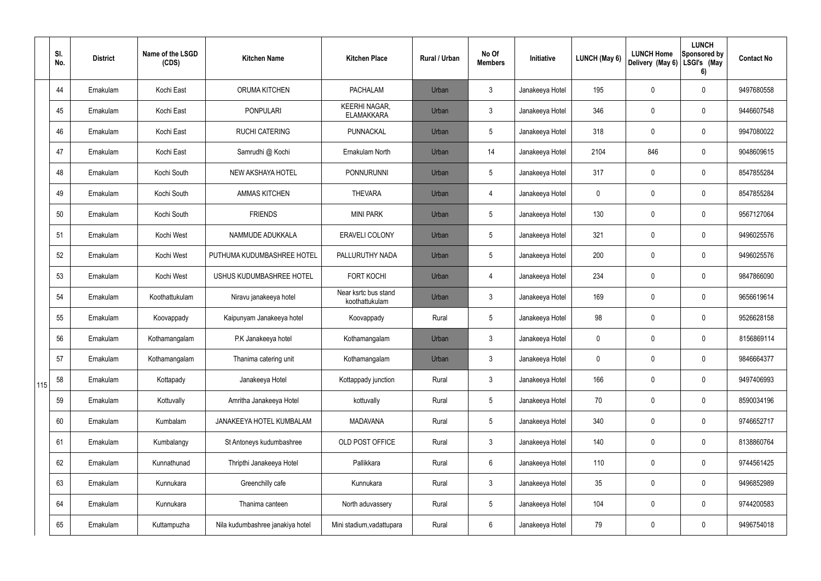|     | SI.<br>No. | <b>District</b> | Name of the LSGD<br>(CDS) | <b>Kitchen Name</b>              | <b>Kitchen Place</b>                      | <b>Rural / Urban</b> | No Of<br><b>Members</b> | Initiative      | LUNCH (May 6) | <b>LUNCH Home</b><br>Delivery (May 6) | <b>LUNCH</b><br>Sponsored by<br>LSGI's (May<br>6) | <b>Contact No</b> |
|-----|------------|-----------------|---------------------------|----------------------------------|-------------------------------------------|----------------------|-------------------------|-----------------|---------------|---------------------------------------|---------------------------------------------------|-------------------|
|     | 44         | Ernakulam       | Kochi East                | ORUMA KITCHEN                    | <b>PACHALAM</b>                           | Urban                | $\mathfrak{Z}$          | Janakeeya Hotel | 195           | $\mathbf 0$                           | $\boldsymbol{0}$                                  | 9497680558        |
|     | 45         | Ernakulam       | Kochi East                | <b>PONPULARI</b>                 | <b>KEERHI NAGAR,</b><br><b>ELAMAKKARA</b> | Urban                | $\mathfrak{Z}$          | Janakeeya Hotel | 346           | $\pmb{0}$                             | $\pmb{0}$                                         | 9446607548        |
|     | 46         | Ernakulam       | Kochi East                | <b>RUCHI CATERING</b>            | PUNNACKAL                                 | Urban                | $5\overline{)}$         | Janakeeya Hotel | 318           | $\pmb{0}$                             | $\pmb{0}$                                         | 9947080022        |
|     | 47         | Ernakulam       | Kochi East                | Samrudhi @ Kochi                 | Ernakulam North                           | Urban                | 14                      | Janakeeya Hotel | 2104          | 846                                   | $\pmb{0}$                                         | 9048609615        |
|     | 48         | Ernakulam       | Kochi South               | NEW AKSHAYA HOTEL                | PONNURUNNI                                | Urban                | $5\phantom{.0}$         | Janakeeya Hotel | 317           | $\mathbf 0$                           | $\pmb{0}$                                         | 8547855284        |
|     | 49         | Ernakulam       | Kochi South               | <b>AMMAS KITCHEN</b>             | <b>THEVARA</b>                            | Urban                | $\overline{4}$          | Janakeeya Hotel | $\mathbf 0$   | $\pmb{0}$                             | $\mathbf 0$                                       | 8547855284        |
|     | 50         | Ernakulam       | Kochi South               | <b>FRIENDS</b>                   | <b>MINI PARK</b>                          | Urban                | $5\phantom{.0}$         | Janakeeya Hotel | 130           | $\mathbf 0$                           | $\mathbf 0$                                       | 9567127064        |
|     | 51         | Ernakulam       | Kochi West                | NAMMUDE ADUKKALA                 | <b>ERAVELI COLONY</b>                     | Urban                | $5\phantom{.0}$         | Janakeeya Hotel | 321           | $\pmb{0}$                             | $\mathbf 0$                                       | 9496025576        |
|     | 52         | Ernakulam       | Kochi West                | PUTHUMA KUDUMBASHREE HOTEL       | PALLURUTHY NADA                           | Urban                | $5\phantom{.0}$         | Janakeeya Hotel | 200           | $\mathbf 0$                           | $\mathbf 0$                                       | 9496025576        |
|     | 53         | Ernakulam       | Kochi West                | USHUS KUDUMBASHREE HOTEL         | <b>FORT KOCHI</b>                         | Urban                | 4                       | Janakeeya Hotel | 234           | $\mathbf 0$                           | $\mathbf 0$                                       | 9847866090        |
|     | 54         | Ernakulam       | Koothattukulam            | Niravu janakeeya hotel           | Near ksrtc bus stand<br>koothattukulam    | Urban                | $\mathfrak{Z}$          | Janakeeya Hotel | 169           | $\mathbf 0$                           | $\pmb{0}$                                         | 9656619614        |
|     | 55         | Ernakulam       | Koovappady                | Kaipunyam Janakeeya hotel        | Koovappady                                | Rural                | $5\overline{)}$         | Janakeeya Hotel | 98            | $\mathbf 0$                           | $\mathbf 0$                                       | 9526628158        |
|     | 56         | Ernakulam       | Kothamangalam             | P.K Janakeeya hotel              | Kothamangalam                             | Urban                | 3                       | Janakeeya Hotel | 0             | 0                                     | $\mathbf 0$                                       | 8156869114        |
|     | 57         | Ernakulam       | Kothamangalam             | Thanima catering unit            | Kothamangalam                             | Urban                | $\mathfrak{Z}$          | Janakeeya Hotel | 0             | $\mathbf 0$                           | $\mathbf 0$                                       | 9846664377        |
| 115 | 58         | Ernakulam       | Kottapady                 | Janakeeya Hotel                  | Kottappady junction                       | Rural                | $\mathfrak{Z}$          | Janakeeya Hotel | 166           | $\pmb{0}$                             | $\mathbf 0$                                       | 9497406993        |
|     | 59         | Ernakulam       | Kottuvally                | Amritha Janakeeya Hotel          | kottuvally                                | Rural                | $5\overline{)}$         | Janakeeya Hotel | 70            | $\overline{0}$                        | $\mathbf 0$                                       | 8590034196        |
|     | 60         | Ernakulam       | Kumbalam                  | JANAKEEYA HOTEL KUMBALAM         | <b>MADAVANA</b>                           | Rural                | $5\overline{)}$         | Janakeeya Hotel | 340           | $\pmb{0}$                             | $\mathbf 0$                                       | 9746652717        |
|     | 61         | Ernakulam       | Kumbalangy                | St Antoneys kudumbashree         | OLD POST OFFICE                           | Rural                | $\mathbf{3}$            | Janakeeya Hotel | 140           | $\mathbf 0$                           | $\mathbf 0$                                       | 8138860764        |
|     | 62         | Ernakulam       | Kunnathunad               | Thripthi Janakeeya Hotel         | Pallikkara                                | Rural                | 6                       | Janakeeya Hotel | 110           | $\pmb{0}$                             | $\mathbf 0$                                       | 9744561425        |
|     | 63         | Ernakulam       | Kunnukara                 | Greenchilly cafe                 | Kunnukara                                 | Rural                | $\mathbf{3}$            | Janakeeya Hotel | 35            | $\mathbf 0$                           | $\mathbf 0$                                       | 9496852989        |
|     | 64         | Ernakulam       | Kunnukara                 | Thanima canteen                  | North aduvassery                          | Rural                | $5\overline{)}$         | Janakeeya Hotel | 104           | $\boldsymbol{0}$                      | $\mathbf 0$                                       | 9744200583        |
|     | 65         | Ernakulam       | Kuttampuzha               | Nila kudumbashree janakiya hotel | Mini stadium, vadattupara                 | Rural                | 6                       | Janakeeya Hotel | 79            | $\mathbf 0$                           | $\pmb{0}$                                         | 9496754018        |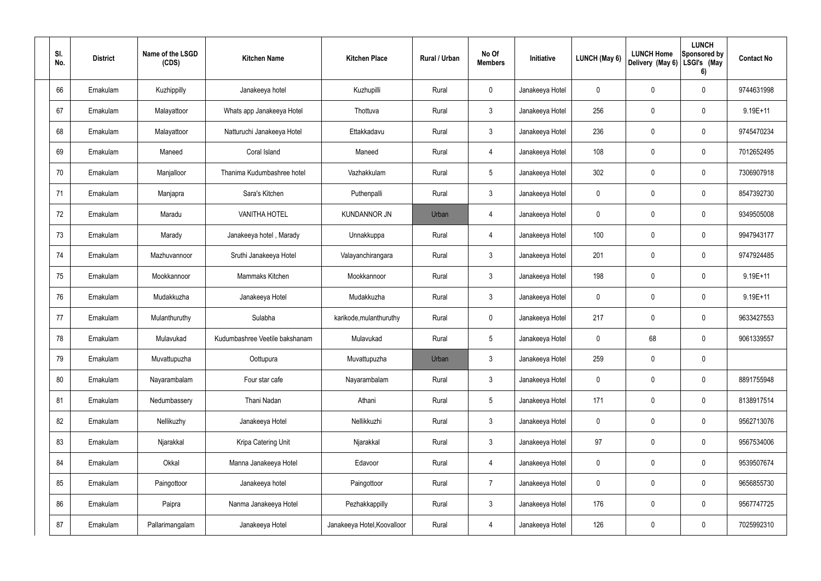| SI.<br>No. | <b>District</b> | Name of the LSGD<br>(CDS) | <b>Kitchen Name</b>            | <b>Kitchen Place</b>        | Rural / Urban | No Of<br><b>Members</b> | Initiative      | LUNCH (May 6) | <b>LUNCH Home</b><br>Delivery (May 6) | <b>LUNCH</b><br>Sponsored by<br>LSGI's (May<br>6) | <b>Contact No</b> |
|------------|-----------------|---------------------------|--------------------------------|-----------------------------|---------------|-------------------------|-----------------|---------------|---------------------------------------|---------------------------------------------------|-------------------|
| 66         | Ernakulam       | Kuzhippilly               | Janakeeya hotel                | Kuzhupilli                  | Rural         | $\mathbf 0$             | Janakeeya Hotel | 0             | 0                                     | $\mathbf 0$                                       | 9744631998        |
| 67         | Ernakulam       | Malayattoor               | Whats app Janakeeya Hotel      | Thottuva                    | Rural         | $\mathbf{3}$            | Janakeeya Hotel | 256           | 0                                     | $\mathbf 0$                                       | 9.19E+11          |
| 68         | Ernakulam       | Malayattoor               | Natturuchi Janakeeya Hotel     | Ettakkadavu                 | Rural         | $\mathbf{3}$            | Janakeeya Hotel | 236           | 0                                     | $\mathbf 0$                                       | 9745470234        |
| 69         | Ernakulam       | Maneed                    | Coral Island                   | Maneed                      | Rural         | 4                       | Janakeeya Hotel | 108           | $\mathbf 0$                           | $\mathbf 0$                                       | 7012652495        |
| 70         | Ernakulam       | Manjalloor                | Thanima Kudumbashree hotel     | Vazhakkulam                 | Rural         | $5\phantom{.0}$         | Janakeeya Hotel | 302           | 0                                     | $\mathbf 0$                                       | 7306907918        |
| 71         | Ernakulam       | Manjapra                  | Sara's Kitchen                 | Puthenpalli                 | Rural         | $\mathbf{3}$            | Janakeeya Hotel | 0             | 0                                     | $\mathbf 0$                                       | 8547392730        |
| 72         | Ernakulam       | Maradu                    | <b>VANITHA HOTEL</b>           | <b>KUNDANNOR JN</b>         | Urban         | 4                       | Janakeeya Hotel | 0             | 0                                     | $\mathbf 0$                                       | 9349505008        |
| 73         | Ernakulam       | Marady                    | Janakeeya hotel, Marady        | Unnakkuppa                  | Rural         | 4                       | Janakeeya Hotel | 100           | $\mathbf 0$                           | $\mathbf 0$                                       | 9947943177        |
| 74         | Ernakulam       | Mazhuvannoor              | Sruthi Janakeeya Hotel         | Valayanchirangara           | Rural         | $\mathfrak{Z}$          | Janakeeya Hotel | 201           | 0                                     | $\mathbf 0$                                       | 9747924485        |
| 75         | Ernakulam       | Mookkannoor               | Mammaks Kitchen                | Mookkannoor                 | Rural         | $\mathbf{3}$            | Janakeeya Hotel | 198           | 0                                     | $\mathbf 0$                                       | 9.19E+11          |
| 76         | Ernakulam       | Mudakkuzha                | Janakeeya Hotel                | Mudakkuzha                  | Rural         | $\mathfrak{Z}$          | Janakeeya Hotel | 0             | $\mathbf 0$                           | $\mathbf 0$                                       | 9.19E+11          |
| 77         | Ernakulam       | Mulanthuruthy             | Sulabha                        | karikode, mulanthuruthy     | Rural         | $\mathbf 0$             | Janakeeya Hotel | 217           | $\mathbf 0$                           | $\mathbf 0$                                       | 9633427553        |
| 78         | Ernakulam       | Mulavukad                 | Kudumbashree Veetile bakshanam | Mulavukad                   | Rural         | $5\phantom{.0}$         | Janakeeya Hotel | $\mathbf 0$   | 68                                    | $\mathbf 0$                                       | 9061339557        |
| 79         | Ernakulam       | Muvattupuzha              | Oottupura                      | Muvattupuzha                | Urban         | 3                       | Janakeeya Hotel | 259           | 0                                     | $\pmb{0}$                                         |                   |
| 80         | Ernakulam       | Nayarambalam              | Four star cafe                 | Nayarambalam                | Rural         | $\mathfrak{Z}$          | Janakeeya Hotel | $\pmb{0}$     | $\mathbf 0$                           | $\pmb{0}$                                         | 8891755948        |
| 81         | Ernakulam       | Nedumbassery              | Thani Nadan                    | Athani                      | Rural         | $5\phantom{.0}$         | Janakeeya Hotel | 171           | 0                                     | $\pmb{0}$                                         | 8138917514        |
| 82         | Ernakulam       | Nellikuzhy                | Janakeeya Hotel                | Nellikkuzhi                 | Rural         | $\mathfrak{Z}$          | Janakeeya Hotel | $\pmb{0}$     | $\mathbf 0$                           | $\pmb{0}$                                         | 9562713076        |
| 83         | Ernakulam       | Njarakkal                 | Kripa Catering Unit            | Njarakkal                   | Rural         | $\mathfrak{Z}$          | Janakeeya Hotel | 97            | 0                                     | $\pmb{0}$                                         | 9567534006        |
| 84         | Ernakulam       | Okkal                     | Manna Janakeeya Hotel          | Edavoor                     | Rural         | 4                       | Janakeeya Hotel | $\pmb{0}$     | $\mathbf 0$                           | $\pmb{0}$                                         | 9539507674        |
| 85         | Ernakulam       | Paingottoor               | Janakeeya hotel                | Paingottoor                 | Rural         | $\overline{7}$          | Janakeeya Hotel | $\pmb{0}$     | 0                                     | $\pmb{0}$                                         | 9656855730        |
| 86         | Ernakulam       | Paipra                    | Nanma Janakeeya Hotel          | Pezhakkappilly              | Rural         | $\mathfrak{Z}$          | Janakeeya Hotel | 176           | $\mathbf 0$                           | $\pmb{0}$                                         | 9567747725        |
| 87         | Ernakulam       | Pallarimangalam           | Janakeeya Hotel                | Janakeeya Hotel, Koovalloor | Rural         | 4                       | Janakeeya Hotel | 126           | 0                                     | $\pmb{0}$                                         | 7025992310        |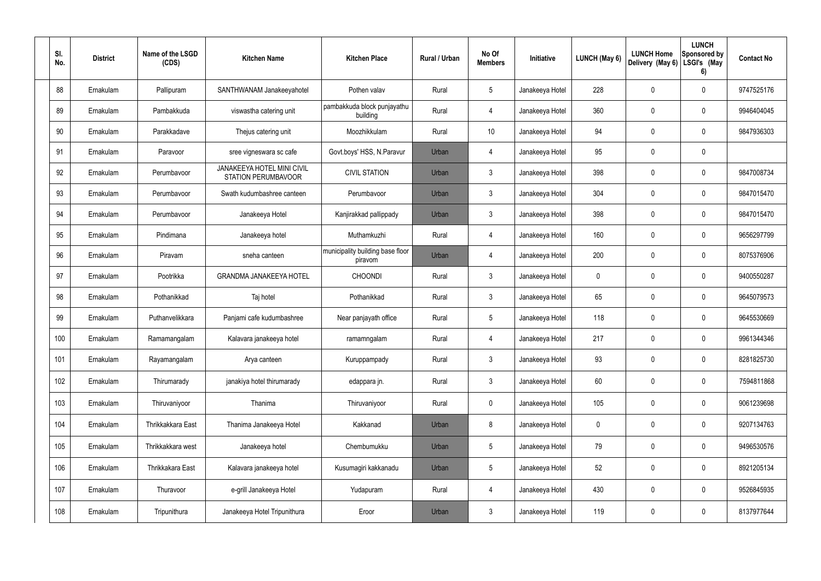| SI.<br>No. | <b>District</b> | Name of the LSGD<br>(CDS) | <b>Kitchen Name</b>                                      | <b>Kitchen Place</b>                        | Rural / Urban | No Of<br><b>Members</b> | Initiative      | <b>LUNCH (May 6)</b> | <b>LUNCH Home</b><br>Delivery (May 6) | <b>LUNCH</b><br>Sponsored by<br>LSGI's (May<br>6) | <b>Contact No</b> |
|------------|-----------------|---------------------------|----------------------------------------------------------|---------------------------------------------|---------------|-------------------------|-----------------|----------------------|---------------------------------------|---------------------------------------------------|-------------------|
| 88         | Ernakulam       | Pallipuram                | SANTHWANAM Janakeeyahotel                                | Pothen valav                                | Rural         | $5\phantom{.0}$         | Janakeeya Hotel | 228                  | 0                                     | $\mathbf 0$                                       | 9747525176        |
| 89         | Ernakulam       | Pambakkuda                | viswastha catering unit                                  | pambakkuda block punjayathu<br>building     | Rural         | $\overline{4}$          | Janakeeya Hotel | 360                  | 0                                     | $\mathbf 0$                                       | 9946404045        |
| 90         | Ernakulam       | Parakkadave               | Thejus catering unit                                     | Moozhikkulam                                | Rural         | 10                      | Janakeeya Hotel | 94                   | 0                                     | $\mathbf 0$                                       | 9847936303        |
| 91         | Ernakulam       | Paravoor                  | sree vigneswara sc cafe                                  | Govt.boys' HSS, N.Paravur                   | Urban         | 4                       | Janakeeya Hotel | 95                   | 0                                     | $\mathbf 0$                                       |                   |
| 92         | Ernakulam       | Perumbavoor               | <b>JANAKEEYA HOTEL MINI CIVIL</b><br>STATION PERUMBAVOOR | <b>CIVIL STATION</b>                        | Urban         | $\mathbf{3}$            | Janakeeya Hotel | 398                  | 0                                     | $\mathbf 0$                                       | 9847008734        |
| 93         | Ernakulam       | Perumbayoor               | Swath kudumbashree canteen                               | Perumbayoor                                 | Urban         | $\mathbf{3}$            | Janakeeya Hotel | 304                  | 0                                     | $\mathbf 0$                                       | 9847015470        |
| 94         | Ernakulam       | Perumbavoor               | Janakeeya Hotel                                          | Kanjirakkad pallippady                      | Urban         | $\mathbf{3}$            | Janakeeya Hotel | 398                  | 0                                     | $\mathbf 0$                                       | 9847015470        |
| 95         | Ernakulam       | Pindimana                 | Janakeeya hotel                                          | Muthamkuzhi                                 | Rural         | $\overline{4}$          | Janakeeya Hotel | 160                  | 0                                     | $\mathbf 0$                                       | 9656297799        |
| 96         | Ernakulam       | Piravam                   | sneha canteen                                            | municipality building base floor<br>piravom | Urban         | 4                       | Janakeeya Hotel | 200                  | 0                                     | $\mathbf 0$                                       | 8075376906        |
| 97         | Ernakulam       | Pootrikka                 | <b>GRANDMA JANAKEEYA HOTEL</b>                           | <b>CHOONDI</b>                              | Rural         | $\mathbf{3}$            | Janakeeya Hotel | 0                    | 0                                     | $\mathbf 0$                                       | 9400550287        |
| 98         | Ernakulam       | Pothanikkad               | Taj hotel                                                | Pothanikkad                                 | Rural         | $\mathbf{3}$            | Janakeeya Hotel | 65                   | 0                                     | $\mathbf 0$                                       | 9645079573        |
| 99         | Ernakulam       | Puthanvelikkara           | Panjami cafe kudumbashree                                | Near panjayath office                       | Rural         | $5\phantom{.0}$         | Janakeeya Hotel | 118                  | 0                                     | $\mathbf 0$                                       | 9645530669        |
| 100        | Ernakulam       | Ramamangalam              | Kalavara janakeeya hotel                                 | ramamngalam                                 | Rural         | 4                       | Janakeeya Hotel | 217                  | 0                                     | $\mathbf 0$                                       | 9961344346        |
| 101        | Ernakulam       | Rayamangalam              | Arya canteen                                             | Kuruppampady                                | Rural         | $\mathbf{3}$            | Janakeeya Hotel | 93                   | $\mathbf 0$                           | $\pmb{0}$                                         | 8281825730        |
| 102        | Ernakulam       | Thirumarady               | janakiya hotel thirumarady                               | edappara jn.                                | Rural         | $\mathbf{3}$            | Janakeeya Hotel | 60                   | 0                                     | $\pmb{0}$                                         | 7594811868        |
| 103        | Ernakulam       | Thiruvaniyoor             | Thanima                                                  | Thiruvaniyoor                               | Rural         | $\mathbf 0$             | Janakeeya Hotel | 105                  | 0                                     | $\pmb{0}$                                         | 9061239698        |
| 104        | Ernakulam       | Thrikkakkara East         | Thanima Janakeeya Hotel                                  | Kakkanad                                    | Urban         | 8                       | Janakeeya Hotel | 0                    | 0                                     | $\pmb{0}$                                         | 9207134763        |
| 105        | Ernakulam       | Thrikkakkara west         | Janakeeya hotel                                          | Chembumukku                                 | Urban         | $5\phantom{.0}$         | Janakeeya Hotel | 79                   | $\mathbf 0$                           | $\pmb{0}$                                         | 9496530576        |
| 106        | Ernakulam       | Thrikkakara East          | Kalavara janakeeya hotel                                 | Kusumagiri kakkanadu                        | Urban         | $5\phantom{.0}$         | Janakeeya Hotel | 52                   | $\mathbf 0$                           | $\mathbf 0$                                       | 8921205134        |
| 107        | Ernakulam       | Thuravoor                 | e-grill Janakeeya Hotel                                  | Yudapuram                                   | Rural         | $\overline{4}$          | Janakeeya Hotel | 430                  | $\pmb{0}$                             | $\pmb{0}$                                         | 9526845935        |
| 108        | Ernakulam       | Tripunithura              | Janakeeya Hotel Tripunithura                             | Eroor                                       | Urban         | $\mathfrak{Z}$          | Janakeeya Hotel | 119                  | 0                                     | $\pmb{0}$                                         | 8137977644        |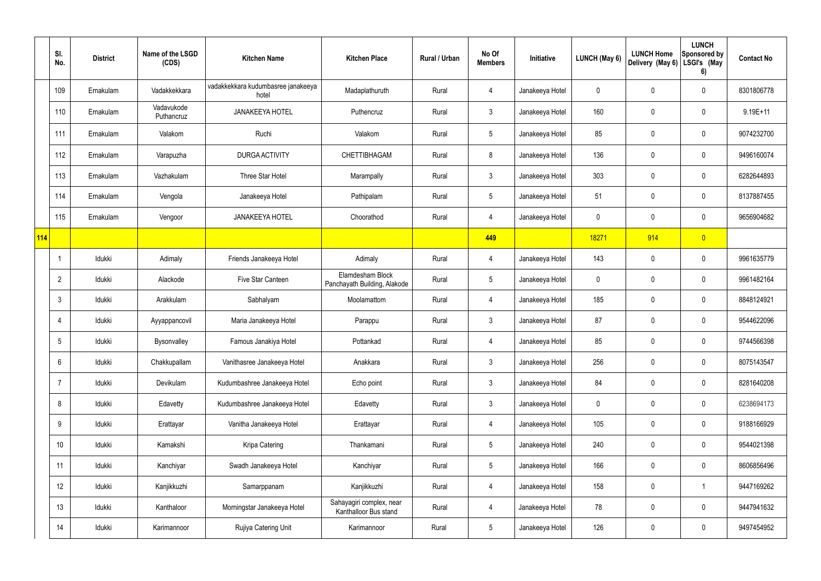|            | SI.<br>No.      | <b>District</b> | Name of the LSGD<br>(CDS) | <b>Kitchen Name</b>                         | <b>Kitchen Place</b>                              | <b>Rural / Urban</b> | No Of<br><b>Members</b> | Initiative      | LUNCH (May 6) | <b>LUNCH Home</b><br>Delivery (May 6) | <b>LUNCH</b><br><b>Sponsored by</b><br>LSGI's (May<br>6) | <b>Contact No</b> |
|------------|-----------------|-----------------|---------------------------|---------------------------------------------|---------------------------------------------------|----------------------|-------------------------|-----------------|---------------|---------------------------------------|----------------------------------------------------------|-------------------|
|            | 109             | Ernakulam       | Vadakkekkara              | vadakkekkara kudumbasree janakeeya<br>hotel | Madaplathuruth                                    | Rural                | 4                       | Janakeeya Hotel | 0             | 0                                     | $\pmb{0}$                                                | 8301806778        |
|            | 110             | Ernakulam       | Vadavukode<br>Puthancruz  | <b>JANAKEEYA HOTEL</b>                      | Puthencruz                                        | Rural                | $\mathbf{3}$            | Janakeeya Hotel | 160           | 0                                     | $\pmb{0}$                                                | $9.19E + 11$      |
|            | 111             | Ernakulam       | Valakom                   | Ruchi                                       | Valakom                                           | Rural                | $5\phantom{.0}$         | Janakeeya Hotel | 85            | 0                                     | $\pmb{0}$                                                | 9074232700        |
|            | 112             | Ernakulam       | Varapuzha                 | <b>DURGA ACTIVITY</b>                       | <b>CHETTIBHAGAM</b>                               | Rural                | 8                       | Janakeeya Hotel | 136           | 0                                     | $\pmb{0}$                                                | 9496160074        |
|            | 113             | Ernakulam       | Vazhakulam                | Three Star Hotel                            | Marampally                                        | Rural                | $\mathfrak{Z}$          | Janakeeya Hotel | 303           | 0                                     | $\pmb{0}$                                                | 6282644893        |
|            | 114             | Ernakulam       | Vengola                   | Janakeeya Hotel                             | Pathipalam                                        | Rural                | $5\phantom{.0}$         | Janakeeya Hotel | 51            | 0                                     | $\pmb{0}$                                                | 8137887455        |
|            | 115             | Ernakulam       | Vengoor                   | <b>JANAKEEYA HOTEL</b>                      | Choorathod                                        | Rural                | 4                       | Janakeeya Hotel | $\mathbf 0$   | 0                                     | $\pmb{0}$                                                | 9656904682        |
| <b>114</b> |                 |                 |                           |                                             |                                                   |                      | 449                     |                 | 18271         | 914                                   | $\overline{0}$                                           |                   |
|            | J,              | Idukki          | Adimaly                   | Friends Janakeeya Hotel                     | Adimaly                                           | Rural                | 4                       | Janakeeya Hotel | 143           | 0                                     | $\pmb{0}$                                                | 9961635779        |
|            | $\overline{2}$  | Idukki          | Alackode                  | Five Star Canteen                           | Elamdesham Block<br>Panchayath Building, Alakode  | Rural                | $5\phantom{.0}$         | Janakeeya Hotel | $\mathbf 0$   | 0                                     | $\pmb{0}$                                                | 9961482164        |
|            | 3               | Idukki          | Arakkulam                 | Sabhalyam                                   | Moolamattom                                       | Rural                | 4                       | Janakeeya Hotel | 185           | 0                                     | $\pmb{0}$                                                | 8848124921        |
|            | $\overline{4}$  | Idukki          | Ayyappancovil             | Maria Janakeeya Hotel                       | Parappu                                           | Rural                | $\mathfrak{Z}$          | Janakeeya Hotel | 87            | 0                                     | $\pmb{0}$                                                | 9544622096        |
|            | 5               | Idukki          | Bysonvalley               | Famous Janakiya Hotel                       | Pottankad                                         | Rural                |                         | Janakeeya Hotel | 85            | 0                                     | $\mathbf 0$                                              | 9744566398        |
|            | $6\phantom{.}6$ | Idukki          | Chakkupallam              | Vanithasree Janakeeya Hotel                 | Anakkara                                          | Rural                | $\mathfrak{Z}$          | Janakeeya Hotel | 256           | 0                                     | $\pmb{0}$                                                | 8075143547        |
|            | $\overline{7}$  | Idukki          | Devikulam                 | Kudumbashree Janakeeya Hotel                | Echo point                                        | Rural                | $\mathfrak{Z}$          | Janakeeya Hotel | 84            | 0                                     | $\pmb{0}$                                                | 8281640208        |
|            | 8               | Idukki          | Edavetty                  | Kudumbashree Janakeeya Hotel                | Edavetty                                          | Rural                | $\mathbf{3}$            | Janakeeya Hotel | $\mathbf 0$   | 0                                     | $\pmb{0}$                                                | 6238694173        |
|            | 9               | Idukki          | Erattayar                 | Vanitha Janakeeya Hotel                     | Erattayar                                         | Rural                | 4                       | Janakeeya Hotel | 105           | 0                                     | $\mathbf 0$                                              | 9188166929        |
|            | 10              | Idukki          | Kamakshi                  | Kripa Catering                              | Thankamani                                        | Rural                | $5\phantom{.0}$         | Janakeeya Hotel | 240           | 0                                     | $\pmb{0}$                                                | 9544021398        |
|            | 11              | Idukki          | Kanchiyar                 | Swadh Janakeeya Hotel                       | Kanchiyar                                         | Rural                | $5\phantom{.0}$         | Janakeeya Hotel | 166           | 0                                     | $\mathbf 0$                                              | 8606856496        |
|            | 12              | Idukki          | Kanjikkuzhi               | Samarppanam                                 | Kanjikkuzhi                                       | Rural                | 4                       | Janakeeya Hotel | 158           | 0                                     | $\mathbf{1}$                                             | 9447169262        |
|            | 13              | Idukki          | Kanthaloor                | Morningstar Janakeeya Hotel                 | Sahayagiri complex, near<br>Kanthalloor Bus stand | Rural                | 4                       | Janakeeya Hotel | 78            | 0                                     | $\mathbf 0$                                              | 9447941632        |
|            | 14              | Idukki          | Karimannoor               | Rujiya Catering Unit                        | Karimannoor                                       | Rural                | $5\phantom{.0}$         | Janakeeya Hotel | 126           | 0                                     | $\mathsf{0}$                                             | 9497454952        |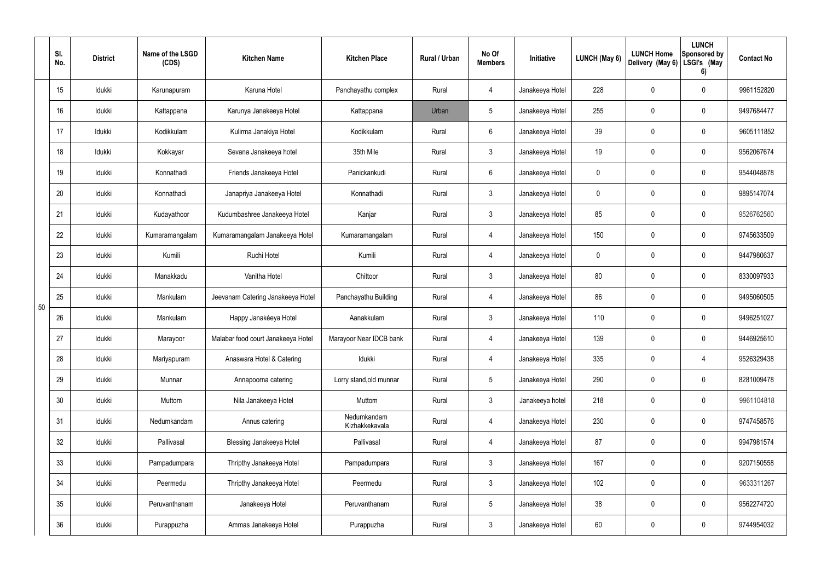|    | SI.<br>No.      | <b>District</b> | Name of the LSGD<br>(CDS) | <b>Kitchen Name</b>                | <b>Kitchen Place</b>          | <b>Rural / Urban</b> | No Of<br><b>Members</b> | Initiative      | LUNCH (May 6) | <b>LUNCH Home</b><br>Delivery (May 6) | <b>LUNCH</b><br>Sponsored by<br>LSGI's (May<br>6) | <b>Contact No</b> |
|----|-----------------|-----------------|---------------------------|------------------------------------|-------------------------------|----------------------|-------------------------|-----------------|---------------|---------------------------------------|---------------------------------------------------|-------------------|
|    | 15              | Idukki          | Karunapuram               | Karuna Hotel                       | Panchayathu complex           | Rural                | $\overline{4}$          | Janakeeya Hotel | 228           | 0                                     | 0                                                 | 9961152820        |
|    | 16              | Idukki          | Kattappana                | Karunya Janakeeya Hotel            | Kattappana                    | Urban                | $5\phantom{.0}$         | Janakeeya Hotel | 255           | $\mathbf 0$                           | 0                                                 | 9497684477        |
|    | 17              | Idukki          | Kodikkulam                | Kulirma Janakiya Hotel             | Kodikkulam                    | Rural                | 6                       | Janakeeya Hotel | 39            | $\mathbf 0$                           | 0                                                 | 9605111852        |
|    | 18              | Idukki          | Kokkayar                  | Sevana Janakeeya hotel             | 35th Mile                     | Rural                | $\mathfrak{Z}$          | Janakeeya Hotel | 19            | $\mathbf 0$                           | 0                                                 | 9562067674        |
|    | 19              | Idukki          | Konnathadi                | Friends Janakeeya Hotel            | Panickankudi                  | Rural                | 6                       | Janakeeya Hotel | 0             | 0                                     | 0                                                 | 9544048878        |
|    | 20              | Idukki          | Konnathadi                | Janapriya Janakeeya Hotel          | Konnathadi                    | Rural                | $\mathbf{3}$            | Janakeeya Hotel | $\mathbf 0$   | $\mathbf 0$                           | 0                                                 | 9895147074        |
|    | 21              | Idukki          | Kudayathoor               | Kudumbashree Janakeeya Hotel       | Kanjar                        | Rural                | $\mathbf{3}$            | Janakeeya Hotel | 85            | $\boldsymbol{0}$                      | 0                                                 | 9526762560        |
|    | 22              | Idukki          | Kumaramangalam            | Kumaramangalam Janakeeya Hotel     | Kumaramangalam                | Rural                | $\overline{4}$          | Janakeeya Hotel | 150           | 0                                     | 0                                                 | 9745633509        |
|    | 23              | Idukki          | Kumili                    | Ruchi Hotel                        | Kumili                        | Rural                | $\overline{4}$          | Janakeeya Hotel | 0             | 0                                     | 0                                                 | 9447980637        |
|    | 24              | Idukki          | Manakkadu                 | Vanitha Hotel                      | Chittoor                      | Rural                | $\mathfrak{Z}$          | Janakeeya Hotel | 80            | 0                                     | 0                                                 | 8330097933        |
|    | 25              | Idukki          | Mankulam                  | Jeevanam Catering Janakeeya Hotel  | Panchayathu Building          | Rural                | $\overline{4}$          | Janakeeya Hotel | 86            | $\boldsymbol{0}$                      | 0                                                 | 9495060505        |
| 50 | 26              | Idukki          | Mankulam                  | Happy Janakéeya Hotel              | Aanakkulam                    | Rural                | 3                       | Janakeeya Hotel | 110           | 0                                     | 0                                                 | 9496251027        |
|    | 27              | Idukki          | Marayoor                  | Malabar food court Janakeeya Hotel | Marayoor Near IDCB bank       | Rural                | 4                       | Janakeeya Hotel | 139           | 0                                     | 0                                                 | 9446925610        |
|    | 28              | Idukki          | Mariyapuram               | Anaswara Hotel & Catering          | Idukki                        | Rural                | $\overline{4}$          | Janakeeya Hotel | 335           | $\mathbf 0$                           | $\overline{4}$                                    | 9526329438        |
|    | 29              | Idukki          | Munnar                    | Annapoorna catering                | Lorry stand, old munnar       | Rural                | $5\phantom{.0}$         | Janakeeya Hotel | 290           | $\mathbf 0$                           | $\mathbf 0$                                       | 8281009478        |
|    | 30 <sub>o</sub> | Idukki          | Muttom                    | Nila Janakeeya Hotel               | Muttom                        | Rural                | $\mathfrak{Z}$          | Janakeeya hotel | 218           | $\pmb{0}$                             | 0                                                 | 9961104818        |
|    | 31              | Idukki          | Nedumkandam               | Annus catering                     | Nedumkandam<br>Kizhakkekavala | Rural                | $\overline{4}$          | Janakeeya Hotel | 230           | $\overline{0}$                        | 0                                                 | 9747458576        |
|    | 32              | Idukki          | Pallivasal                | <b>Blessing Janakeeya Hotel</b>    | Pallivasal                    | Rural                | $\overline{4}$          | Janakeeya Hotel | 87            | $\pmb{0}$                             | 0                                                 | 9947981574        |
|    | 33              | Idukki          | Pampadumpara              | Thripthy Janakeeya Hotel           | Pampadumpara                  | Rural                | $\mathbf{3}$            | Janakeeya Hotel | 167           | $\overline{0}$                        | 0                                                 | 9207150558        |
|    | 34              | Idukki          | Peermedu                  | Thripthy Janakeeya Hotel           | Peermedu                      | Rural                | $\mathfrak{Z}$          | Janakeeya Hotel | 102           | $\pmb{0}$                             | 0                                                 | 9633311267        |
|    | 35              | Idukki          | Peruvanthanam             | Janakeeya Hotel                    | Peruvanthanam                 | Rural                | $5\phantom{.0}$         | Janakeeya Hotel | 38            | $\pmb{0}$                             | 0                                                 | 9562274720        |
|    | 36              | Idukki          | Purappuzha                | Ammas Janakeeya Hotel              | Purappuzha                    | Rural                | $\mathfrak{Z}$          | Janakeeya Hotel | 60            | $\pmb{0}$                             | 0                                                 | 9744954032        |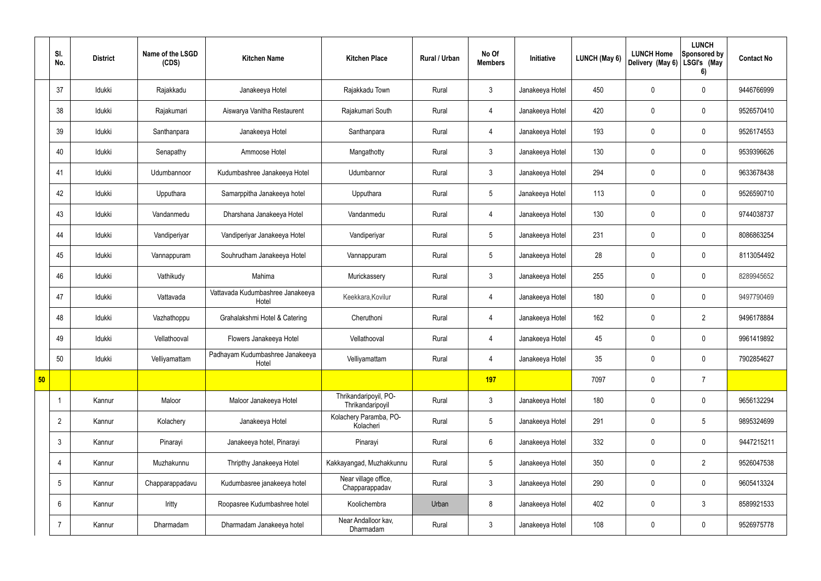|    | SI.<br>No.      | <b>District</b> | Name of the LSGD<br>(CDS) | <b>Kitchen Name</b>                       | <b>Kitchen Place</b>                      | Rural / Urban | No Of<br><b>Members</b> | Initiative      | LUNCH (May 6) | <b>LUNCH Home</b><br>Delivery (May 6) | <b>LUNCH</b><br>Sponsored by<br>LSGI's (May<br>6) | <b>Contact No</b> |
|----|-----------------|-----------------|---------------------------|-------------------------------------------|-------------------------------------------|---------------|-------------------------|-----------------|---------------|---------------------------------------|---------------------------------------------------|-------------------|
|    | 37              | Idukki          | Rajakkadu                 | Janakeeya Hotel                           | Rajakkadu Town                            | Rural         | $\mathbf{3}$            | Janakeeya Hotel | 450           | $\mathbf 0$                           | $\mathbf 0$                                       | 9446766999        |
|    | 38              | Idukki          | Rajakumari                | Aiswarya Vanitha Restaurent               | Rajakumari South                          | Rural         | $\overline{4}$          | Janakeeya Hotel | 420           | $\mathbf 0$                           | $\mathbf 0$                                       | 9526570410        |
|    | 39              | Idukki          | Santhanpara               | Janakeeya Hotel                           | Santhanpara                               | Rural         | $\overline{4}$          | Janakeeya Hotel | 193           | $\mathbf 0$                           | $\mathbf 0$                                       | 9526174553        |
|    | 40              | Idukki          | Senapathy                 | Ammoose Hotel                             | Mangathotty                               | Rural         | $\mathbf{3}$            | Janakeeya Hotel | 130           | $\mathbf 0$                           | $\mathbf 0$                                       | 9539396626        |
|    | 41              | Idukki          | Udumbannoor               | Kudumbashree Janakeeya Hotel              | Udumbannor                                | Rural         | $\mathbf{3}$            | Janakeeya Hotel | 294           | 0                                     | $\mathbf 0$                                       | 9633678438        |
|    | 42              | Idukki          | Upputhara                 | Samarppitha Janakeeya hotel               | Upputhara                                 | Rural         | $5\phantom{.0}$         | Janakeeya Hotel | 113           | $\mathbf 0$                           | $\mathbf 0$                                       | 9526590710        |
|    | 43              | Idukki          | Vandanmedu                | Dharshana Janakeeya Hotel                 | Vandanmedu                                | Rural         | $\overline{4}$          | Janakeeya Hotel | 130           | 0                                     | $\mathbf 0$                                       | 9744038737        |
|    | 44              | Idukki          | Vandiperiyar              | Vandiperiyar Janakeeya Hotel              | Vandiperiyar                              | Rural         | $5\overline{)}$         | Janakeeya Hotel | 231           | $\mathbf 0$                           | $\mathbf 0$                                       | 8086863254        |
|    | 45              | Idukki          | Vannappuram               | Souhrudham Janakeeya Hotel                | Vannappuram                               | Rural         | $5\phantom{.0}$         | Janakeeya Hotel | 28            | $\mathbf 0$                           | $\mathbf 0$                                       | 8113054492        |
|    | 46              | Idukki          | Vathikudy                 | Mahima                                    | Murickassery                              | Rural         | $\mathbf{3}$            | Janakeeya Hotel | 255           | $\mathbf 0$                           | $\mathbf 0$                                       | 8289945652        |
|    | 47              | Idukki          | Vattavada                 | Vattavada Kudumbashree Janakeeya<br>Hotel | Keekkara, Kovilur                         | Rural         | $\overline{4}$          | Janakeeya Hotel | 180           | 0                                     | $\mathbf 0$                                       | 9497790469        |
|    | 48              | Idukki          | Vazhathoppu               | Grahalakshmi Hotel & Catering             | Cheruthoni                                | Rural         | $\overline{4}$          | Janakeeya Hotel | 162           | $\mathbf 0$                           | $\overline{2}$                                    | 9496178884        |
|    | 49              | Idukki          | Vellathooval              | Flowers Janakeeya Hotel                   | Vellathooval                              | Rural         | 4                       | Janakeeya Hotel | 45            | $\mathbf 0$                           | $\mathbf 0$                                       | 9961419892        |
|    | 50              | Idukki          | Velliyamattam             | Padhayam Kudumbashree Janakeeya<br>Hotel  | Velliyamattam                             | Rural         | 4                       | Janakeeya Hotel | 35            | $\mathbf 0$                           | $\mathbf 0$                                       | 7902854627        |
| 50 |                 |                 |                           |                                           |                                           |               | 197                     |                 | 7097          | $\pmb{0}$                             | $\overline{7}$                                    |                   |
|    |                 | Kannur          | Maloor                    | Maloor Janakeeya Hotel                    | Thrikandaripoyil, PO-<br>Thrikandaripoyil | Rural         | $\mathbf{3}$            | Janakeeya Hotel | 180           | $\pmb{0}$                             | $\mathbf 0$                                       | 9656132294        |
|    | $\overline{2}$  | Kannur          | Kolachery                 | Janakeeya Hotel                           | Kolachery Paramba, PO-<br>Kolacheri       | Rural         | $5\overline{)}$         | Janakeeya Hotel | 291           | $\pmb{0}$                             | $5\phantom{.0}$                                   | 9895324699        |
|    | $\mathbf{3}$    | Kannur          | Pinarayi                  | Janakeeya hotel, Pinarayi                 | Pinarayi                                  | Rural         | $6\overline{6}$         | Janakeeya Hotel | 332           | 0                                     | $\mathbf 0$                                       | 9447215211        |
|    | $\overline{4}$  | Kannur          | Muzhakunnu                | Thripthy Janakeeya Hotel                  | Kakkayangad, Muzhakkunnu                  | Rural         | $5\overline{)}$         | Janakeeya Hotel | 350           | 0                                     | $\overline{2}$                                    | 9526047538        |
|    | $5\phantom{.0}$ | Kannur          | Chapparappadavu           | Kudumbasree janakeeya hotel               | Near village office,<br>Chapparappadav    | Rural         | $\mathbf{3}$            | Janakeeya Hotel | 290           | 0                                     | $\mathbf 0$                                       | 9605413324        |
|    | 6               | Kannur          | Iritty                    | Roopasree Kudumbashree hotel              | Koolichembra                              | Urban         | 8                       | Janakeeya Hotel | 402           | $\pmb{0}$                             | $\mathbf{3}$                                      | 8589921533        |
|    | $\overline{7}$  | Kannur          | Dharmadam                 | Dharmadam Janakeeya hotel                 | Near Andalloor kav,<br>Dharmadam          | Rural         | $\mathbf{3}$            | Janakeeya Hotel | 108           | 0                                     | $\mathbf 0$                                       | 9526975778        |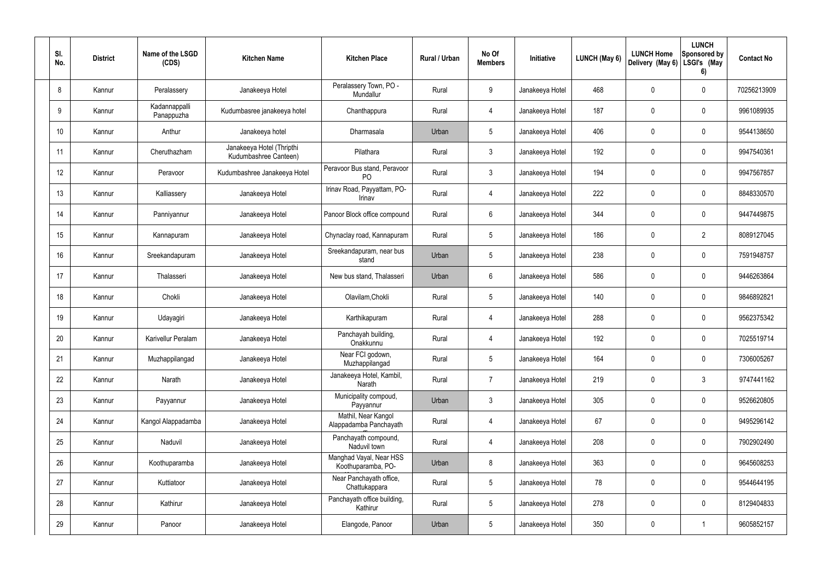| SI.<br>No. | <b>District</b> | Name of the LSGD<br>(CDS)   | <b>Kitchen Name</b>                                | <b>Kitchen Place</b>                           | Rural / Urban | No Of<br><b>Members</b> | Initiative      | LUNCH (May 6) | <b>LUNCH Home</b><br>Delivery (May 6) | <b>LUNCH</b><br>Sponsored by<br>LSGI's (May<br>6) | <b>Contact No</b> |
|------------|-----------------|-----------------------------|----------------------------------------------------|------------------------------------------------|---------------|-------------------------|-----------------|---------------|---------------------------------------|---------------------------------------------------|-------------------|
| 8          | Kannur          | Peralassery                 | Janakeeya Hotel                                    | Peralassery Town, PO -<br>Mundallur            | Rural         | 9                       | Janakeeya Hotel | 468           | 0                                     | $\pmb{0}$                                         | 70256213909       |
| 9          | Kannur          | Kadannappalli<br>Panappuzha | Kudumbasree janakeeya hotel                        | Chanthappura                                   | Rural         | $\overline{4}$          | Janakeeya Hotel | 187           | 0                                     | $\pmb{0}$                                         | 9961089935        |
| 10         | Kannur          | Anthur                      | Janakeeya hotel                                    | Dharmasala                                     | Urban         | $5\phantom{.0}$         | Janakeeya Hotel | 406           | 0                                     | $\pmb{0}$                                         | 9544138650        |
| 11         | Kannur          | Cheruthazham                | Janakeeya Hotel (Thripthi<br>Kudumbashree Canteen) | Pilathara                                      | Rural         | $\mathfrak{Z}$          | Janakeeya Hotel | 192           | $\mathbf 0$                           | $\pmb{0}$                                         | 9947540361        |
| 12         | Kannur          | Peravoor                    | Kudumbashree Janakeeya Hotel                       | Peravoor Bus stand, Peravoor<br>P <sub>O</sub> | Rural         | $\mathbf{3}$            | Janakeeya Hotel | 194           | 0                                     | $\pmb{0}$                                         | 9947567857        |
| 13         | Kannur          | Kalliassery                 | Janakeeya Hotel                                    | Irinav Road, Payyattam, PO-<br>Irinav          | Rural         | $\overline{4}$          | Janakeeya Hotel | 222           | 0                                     | $\pmb{0}$                                         | 8848330570        |
| 14         | Kannur          | Panniyannur                 | Janakeeya Hotel                                    | Panoor Block office compound                   | Rural         | $6\phantom{.}$          | Janakeeya Hotel | 344           | 0                                     | $\pmb{0}$                                         | 9447449875        |
| 15         | Kannur          | Kannapuram                  | Janakeeya Hotel                                    | Chynaclay road, Kannapuram                     | Rural         | $5\phantom{.0}$         | Janakeeya Hotel | 186           | 0                                     | $\overline{2}$                                    | 8089127045        |
| 16         | Kannur          | Sreekandapuram              | Janakeeya Hotel                                    | Sreekandapuram, near bus<br>stand              | Urban         | $5\phantom{.0}$         | Janakeeya Hotel | 238           | 0                                     | $\mathbf 0$                                       | 7591948757        |
| 17         | Kannur          | Thalasseri                  | Janakeeya Hotel                                    | New bus stand, Thalasseri                      | Urban         | 6                       | Janakeeya Hotel | 586           | 0                                     | $\pmb{0}$                                         | 9446263864        |
| 18         | Kannur          | Chokli                      | Janakeeya Hotel                                    | Olavilam, Chokli                               | Rural         | $5\phantom{.0}$         | Janakeeya Hotel | 140           | $\mathbf 0$                           | $\pmb{0}$                                         | 9846892821        |
| 19         | Kannur          | Udayagiri                   | Janakeeya Hotel                                    | Karthikapuram                                  | Rural         | $\overline{4}$          | Janakeeya Hotel | 288           | 0                                     | $\pmb{0}$                                         | 9562375342        |
| 20         | Kannur          | Karivellur Peralam          | Janakeeya Hotel                                    | Panchayah building,<br>Onakkunnu               | Rural         | 4                       | Janakeeya Hotel | 192           | $\mathbf 0$                           | 0                                                 | 7025519714        |
| 21         | Kannur          | Muzhappilangad              | Janakeeya Hotel                                    | Near FCI godown,<br>Muzhappilangad             | Rural         | $5\phantom{.0}$         | Janakeeya Hotel | 164           | 0                                     | $\pmb{0}$                                         | 7306005267        |
| 22         | Kannur          | Narath                      | Janakeeya Hotel                                    | Janakeeya Hotel, Kambil,<br>Narath             | Rural         | $\overline{7}$          | Janakeeya Hotel | 219           | 0                                     | $\mathfrak{Z}$                                    | 9747441162        |
| 23         | Kannur          | Payyannur                   | Janakeeya Hotel                                    | Municipality compoud,<br>Payyannur             | Urban         | 3 <sup>1</sup>          | Janakeeya Hotel | 305           | 0                                     | $\pmb{0}$                                         | 9526620805        |
| 24         | Kannur          | Kangol Alappadamba          | Janakeeya Hotel                                    | Mathil, Near Kangol<br>Alappadamba Panchayath  | Rural         | $\overline{4}$          | Janakeeya Hotel | 67            | 0                                     | $\pmb{0}$                                         | 9495296142        |
| 25         | Kannur          | Naduvil                     | Janakeeya Hotel                                    | Panchayath compound,<br>Naduvil town           | Rural         | $\overline{4}$          | Janakeeya Hotel | 208           | 0                                     | $\mathbf 0$                                       | 7902902490        |
| 26         | Kannur          | Koothuparamba               | Janakeeya Hotel                                    | Manghad Vayal, Near HSS<br>Koothuparamba, PO-  | Urban         | 8                       | Janakeeya Hotel | 363           | 0                                     | $\pmb{0}$                                         | 9645608253        |
| 27         | Kannur          | Kuttiatoor                  | Janakeeya Hotel                                    | Near Panchayath office,<br>Chattukappara       | Rural         | $5\phantom{.0}$         | Janakeeya Hotel | 78            | $\pmb{0}$                             | $\pmb{0}$                                         | 9544644195        |
| 28         | Kannur          | Kathirur                    | Janakeeya Hotel                                    | Panchayath office building,<br>Kathirur        | Rural         | $5\,$                   | Janakeeya Hotel | 278           | $\pmb{0}$                             | $\pmb{0}$                                         | 8129404833        |
| 29         | Kannur          | Panoor                      | Janakeeya Hotel                                    | Elangode, Panoor                               | Urban         | $\sqrt{5}$              | Janakeeya Hotel | 350           | 0                                     | $\mathbf{1}$                                      | 9605852157        |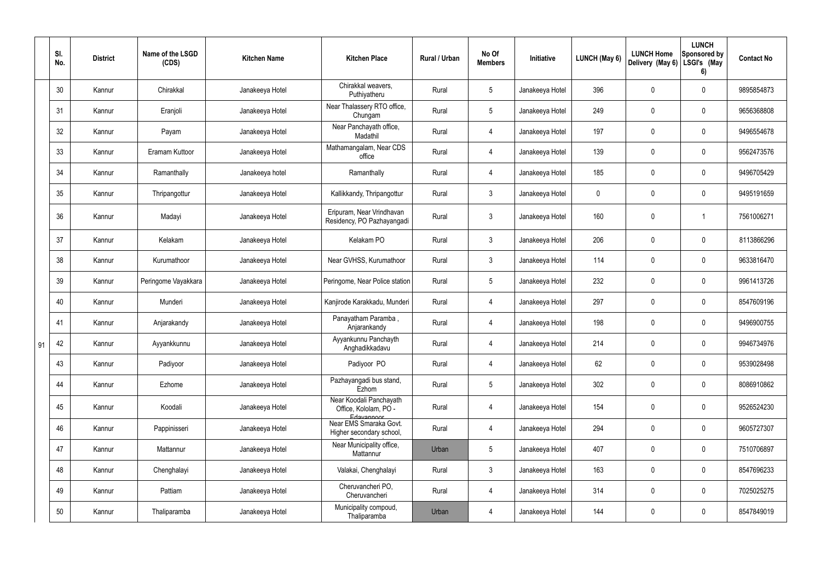|    | SI.<br>No. | <b>District</b> | Name of the LSGD<br>(CDS) | <b>Kitchen Name</b> | <b>Kitchen Place</b>                                           | Rural / Urban | No Of<br><b>Members</b> | Initiative      | LUNCH (May 6) | <b>LUNCH Home</b><br>Delivery (May 6) | <b>LUNCH</b><br>Sponsored by<br>LSGI's (May<br>6) | <b>Contact No</b> |
|----|------------|-----------------|---------------------------|---------------------|----------------------------------------------------------------|---------------|-------------------------|-----------------|---------------|---------------------------------------|---------------------------------------------------|-------------------|
|    | 30         | Kannur          | Chirakkal                 | Janakeeya Hotel     | Chirakkal weavers,<br>Puthiyatheru                             | Rural         | $5\phantom{.0}$         | Janakeeya Hotel | 396           | 0                                     | $\boldsymbol{0}$                                  | 9895854873        |
|    | 31         | Kannur          | Eranjoli                  | Janakeeya Hotel     | Near Thalassery RTO office,<br>Chungam                         | Rural         | $5\phantom{.0}$         | Janakeeya Hotel | 249           | 0                                     | $\boldsymbol{0}$                                  | 9656368808        |
|    | 32         | Kannur          | Payam                     | Janakeeya Hotel     | Near Panchayath office,<br>Madathil                            | Rural         | 4                       | Janakeeya Hotel | 197           | 0                                     | $\boldsymbol{0}$                                  | 9496554678        |
|    | 33         | Kannur          | Eramam Kuttoor            | Janakeeya Hotel     | Mathamangalam, Near CDS<br>office                              | Rural         | 4                       | Janakeeya Hotel | 139           | 0                                     | $\boldsymbol{0}$                                  | 9562473576        |
|    | 34         | Kannur          | Ramanthally               | Janakeeya hotel     | Ramanthally                                                    | Rural         | 4                       | Janakeeya Hotel | 185           | 0                                     | $\mathbf 0$                                       | 9496705429        |
|    | 35         | Kannur          | Thripangottur             | Janakeeya Hotel     | Kallikkandy, Thripangottur                                     | Rural         | $\mathbf{3}$            | Janakeeya Hotel | $\mathbf 0$   | 0                                     | $\boldsymbol{0}$                                  | 9495191659        |
|    | 36         | Kannur          | Madayi                    | Janakeeya Hotel     | Eripuram, Near Vrindhavan<br>Residency, PO Pazhayangadi        | Rural         | $\mathbf{3}$            | Janakeeya Hotel | 160           | $\mathbf 0$                           | $\mathbf 1$                                       | 7561006271        |
|    | 37         | Kannur          | Kelakam                   | Janakeeya Hotel     | Kelakam PO                                                     | Rural         | $\mathbf{3}$            | Janakeeya Hotel | 206           | 0                                     | $\pmb{0}$                                         | 8113866296        |
|    | 38         | Kannur          | Kurumathoor               | Janakeeya Hotel     | Near GVHSS, Kurumathoor                                        | Rural         | $\mathbf{3}$            | Janakeeya Hotel | 114           | 0                                     | $\mathbf 0$                                       | 9633816470        |
|    | 39         | Kannur          | Peringome Vayakkara       | Janakeeya Hotel     | Peringome, Near Police station                                 | Rural         | $5\phantom{.0}$         | Janakeeya Hotel | 232           | 0                                     | $\boldsymbol{0}$                                  | 9961413726        |
|    | 40         | Kannur          | Munderi                   | Janakeeya Hotel     | Kanjirode Karakkadu, Munderi                                   | Rural         | 4                       | Janakeeya Hotel | 297           | 0                                     | $\pmb{0}$                                         | 8547609196        |
|    | 41         | Kannur          | Anjarakandy               | Janakeeya Hotel     | Panayatham Paramba,<br>Anjarankandy                            | Rural         | $\overline{4}$          | Janakeeya Hotel | 198           | 0                                     | $\pmb{0}$                                         | 9496900755        |
| 91 | 42         | Kannur          | Ayyankkunnu               | Janakeeya Hotel     | Ayyankunnu Panchayth<br>Anghadikkadavu                         | Rural         |                         | Janakeeya Hotel | 214           | 0                                     | 0                                                 | 9946734976        |
|    | 43         | Kannur          | Padiyoor                  | Janakeeya Hotel     | Padiyoor PO                                                    | Rural         | $\overline{4}$          | Janakeeya Hotel | 62            | 0                                     | $\mathbf 0$                                       | 9539028498        |
|    | 44         | Kannur          | Ezhome                    | Janakeeya Hotel     | Pazhayangadi bus stand,<br>Ezhom                               | Rural         | $5\phantom{.0}$         | Janakeeya Hotel | 302           | 0                                     | $\mathbf 0$                                       | 8086910862        |
|    | 45         | Kannur          | Koodali                   | Janakeeya Hotel     | Near Koodali Panchayath<br>Office, Kololam, PO -<br>Edavannoor | Rural         | $\overline{4}$          | Janakeeya Hotel | 154           | $\mathbf 0$                           | $\pmb{0}$                                         | 9526524230        |
|    | 46         | Kannur          | Pappinisseri              | Janakeeya Hotel     | Near EMS Smaraka Govt.<br>Higher secondary school,             | Rural         | $\overline{4}$          | Janakeeya Hotel | 294           | 0                                     | $\pmb{0}$                                         | 9605727307        |
|    | 47         | Kannur          | Mattannur                 | Janakeeya Hotel     | Near Municipality office,<br>Mattannur                         | Urban         | $5\phantom{.0}$         | Janakeeya Hotel | 407           | 0                                     | $\mathbf 0$                                       | 7510706897        |
|    | 48         | Kannur          | Chenghalayi               | Janakeeya Hotel     | Valakai, Chenghalayi                                           | Rural         | $\mathbf{3}$            | Janakeeya Hotel | 163           | 0                                     | $\pmb{0}$                                         | 8547696233        |
|    | 49         | Kannur          | Pattiam                   | Janakeeya Hotel     | Cheruvancheri PO,<br>Cheruvancheri                             | Rural         | $\overline{4}$          | Janakeeya Hotel | 314           | 0                                     | $\pmb{0}$                                         | 7025025275        |
|    | 50         | Kannur          | Thaliparamba              | Janakeeya Hotel     | Municipality compoud,<br>Thaliparamba                          | Urban         | 4                       | Janakeeya Hotel | 144           | 0                                     | $\pmb{0}$                                         | 8547849019        |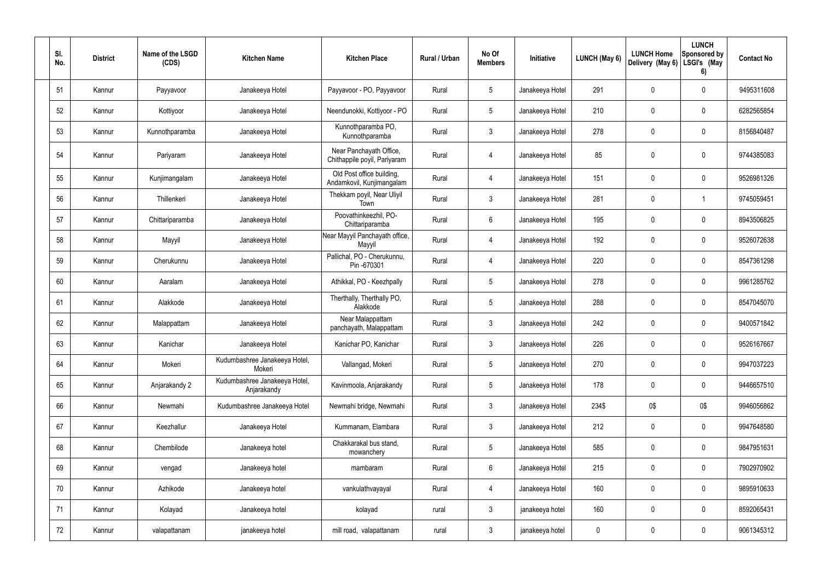| SI.<br>No. | <b>District</b> | Name of the LSGD<br>(CDS) | <b>Kitchen Name</b>                          | <b>Kitchen Place</b>                                    | Rural / Urban | No Of<br><b>Members</b> | Initiative      | LUNCH (May 6) | <b>LUNCH Home</b><br>Delivery (May 6) | <b>LUNCH</b><br>Sponsored by<br>LSGI's (May<br>6) | <b>Contact No</b> |
|------------|-----------------|---------------------------|----------------------------------------------|---------------------------------------------------------|---------------|-------------------------|-----------------|---------------|---------------------------------------|---------------------------------------------------|-------------------|
| 51         | Kannur          | Payyavoor                 | Janakeeya Hotel                              | Payyavoor - PO, Payyavoor                               | Rural         | $5\phantom{.0}$         | Janakeeya Hotel | 291           | 0                                     | $\boldsymbol{0}$                                  | 9495311608        |
| 52         | Kannur          | Kottiyoor                 | Janakeeya Hotel                              | Neendunokki, Kottiyoor - PO                             | Rural         | $5\phantom{.0}$         | Janakeeya Hotel | 210           | 0                                     | $\boldsymbol{0}$                                  | 6282565854        |
| 53         | Kannur          | Kunnothparamba            | Janakeeya Hotel                              | Kunnothparamba PO,<br>Kunnothparamba                    | Rural         | $\mathbf{3}$            | Janakeeya Hotel | 278           | 0                                     | $\boldsymbol{0}$                                  | 8156840487        |
| 54         | Kannur          | Pariyaram                 | Janakeeya Hotel                              | Near Panchayath Office,<br>Chithappile poyil, Pariyaram | Rural         | 4                       | Janakeeya Hotel | 85            | 0                                     | $\pmb{0}$                                         | 9744385083        |
| 55         | Kannur          | Kunjimangalam             | Janakeeya Hotel                              | Old Post office building,<br>Andamkovil, Kunjimangalam  | Rural         | 4                       | Janakeeya Hotel | 151           | 0                                     | $\pmb{0}$                                         | 9526981326        |
| 56         | Kannur          | Thillenkeri               | Janakeeya Hotel                              | Thekkam poyil, Near Uliyil<br>Town                      | Rural         | $\mathbf{3}$            | Janakeeya Hotel | 281           | $\mathbf 0$                           | $\mathbf 1$                                       | 9745059451        |
| 57         | Kannur          | Chittariparamba           | Janakeeya Hotel                              | Poovathinkeezhil, PO-<br>Chittariparamba                | Rural         | $6\phantom{.}6$         | Janakeeya Hotel | 195           | 0                                     | $\pmb{0}$                                         | 8943506825        |
| 58         | Kannur          | Mayyil                    | Janakeeya Hotel                              | Near Mayyil Panchayath office,<br>Mayyil                | Rural         | $\overline{4}$          | Janakeeya Hotel | 192           | $\mathbf 0$                           | $\pmb{0}$                                         | 9526072638        |
| 59         | Kannur          | Cherukunnu                | Janakeeya Hotel                              | Pallichal, PO - Cherukunnu,<br>Pin -670301              | Rural         | 4                       | Janakeeya Hotel | 220           | 0                                     | $\pmb{0}$                                         | 8547361298        |
| 60         | Kannur          | Aaralam                   | Janakeeya Hotel                              | Athikkal, PO - Keezhpally                               | Rural         | $5\phantom{.0}$         | Janakeeya Hotel | 278           | 0                                     | $\pmb{0}$                                         | 9961285762        |
| 61         | Kannur          | Alakkode                  | Janakeeya Hotel                              | Therthally, Therthally PO,<br>Alakkode                  | Rural         | $5\overline{)}$         | Janakeeya Hotel | 288           | 0                                     | $\mathbf 0$                                       | 8547045070        |
| 62         | Kannur          | Malappattam               | Janakeeya Hotel                              | Near Malappattam<br>panchayath, Malappattam             | Rural         | $\mathbf{3}$            | Janakeeya Hotel | 242           | 0                                     | $\pmb{0}$                                         | 9400571842        |
| 63         | Kannur          | Kanichar                  | Janakeeya Hotel                              | Kanichar PO, Kanichar                                   | Rural         | 3                       | Janakeeya Hotel | 226           | 0                                     | 0                                                 | 9526167667        |
| 64         | Kannur          | Mokeri                    | Kudumbashree Janakeeya Hotel,<br>Mokeri      | Vallangad, Mokeri                                       | Rural         | $5\overline{)}$         | Janakeeya Hotel | 270           | 0                                     | $\mathbf 0$                                       | 9947037223        |
| 65         | Kannur          | Anjarakandy 2             | Kudumbashree Janakeeya Hotel,<br>Anjarakandy | Kavinmoola, Anjarakandy                                 | Rural         | $5\overline{)}$         | Janakeeya Hotel | 178           | 0                                     | $\pmb{0}$                                         | 9446657510        |
| 66         | Kannur          | Newmahi                   | Kudumbashree Janakeeya Hotel                 | Newmahi bridge, Newmahi                                 | Rural         | $\mathbf{3}$            | Janakeeya Hotel | 234\$         | 0\$                                   | 0\$                                               | 9946056862        |
| 67         | Kannur          | Keezhallur                | Janakeeya Hotel                              | Kummanam, Elambara                                      | Rural         | $\mathbf{3}$            | Janakeeya Hotel | 212           | 0                                     | $\boldsymbol{0}$                                  | 9947648580        |
| 68         | Kannur          | Chembilode                | Janakeeya hotel                              | Chakkarakal bus stand,<br>mowanchery                    | Rural         | $5\overline{)}$         | Janakeeya Hotel | 585           | 0                                     | $\pmb{0}$                                         | 9847951631        |
| 69         | Kannur          | vengad                    | Janakeeya hotel                              | mambaram                                                | Rural         | 6                       | Janakeeya Hotel | 215           | 0                                     | $\pmb{0}$                                         | 7902970902        |
| 70         | Kannur          | Azhikode                  | Janakeeya hotel                              | vankulathvayayal                                        | Rural         | $\overline{4}$          | Janakeeya Hotel | 160           | 0                                     | $\pmb{0}$                                         | 9895910633        |
| 71         | Kannur          | Kolayad                   | Janakeeya hotel                              | kolayad                                                 | rural         | 3 <sup>1</sup>          | janakeeya hotel | 160           | 0                                     | $\pmb{0}$                                         | 8592065431        |
| 72         | Kannur          | valapattanam              | janakeeya hotel                              | mill road, valapattanam                                 | rural         | $\mathfrak{Z}$          | janakeeya hotel | 0             | 0                                     | $\pmb{0}$                                         | 9061345312        |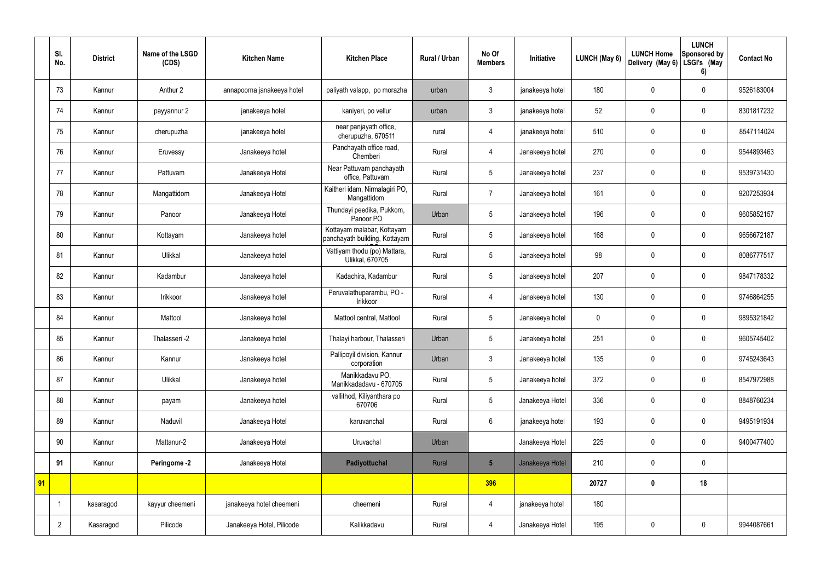|    | SI.<br>No.     | <b>District</b> | Name of the LSGD<br>(CDS) | <b>Kitchen Name</b>        | <b>Kitchen Place</b>                                        | Rural / Urban | No Of<br><b>Members</b> | Initiative      | LUNCH (May 6) | <b>LUNCH Home</b><br>Delivery (May 6) | <b>LUNCH</b><br>Sponsored by<br>LSGI's (May<br>6) | <b>Contact No</b> |
|----|----------------|-----------------|---------------------------|----------------------------|-------------------------------------------------------------|---------------|-------------------------|-----------------|---------------|---------------------------------------|---------------------------------------------------|-------------------|
|    | 73             | Kannur          | Anthur 2                  | annapoorna janakeeya hotel | paliyath valapp, po morazha                                 | urban         | $\mathfrak{Z}$          | janakeeya hotel | 180           | $\pmb{0}$                             | $\mathbf 0$                                       | 9526183004        |
|    | 74             | Kannur          | payyannur 2               | janakeeya hotel            | kaniyeri, po vellur                                         | urban         | $\mathfrak{Z}$          | janakeeya hotel | 52            | $\mathbf 0$                           | $\mathbf 0$                                       | 8301817232        |
|    | 75             | Kannur          | cherupuzha                | janakeeya hotel            | near panjayath office,<br>cherupuzha, 670511                | rural         | 4                       | janakeeya hotel | 510           | $\pmb{0}$                             | $\mathbf 0$                                       | 8547114024        |
|    | 76             | Kannur          | Eruvessy                  | Janakeeya hotel            | Panchayath office road,<br>Chemberi                         | Rural         | 4                       | Janakeeya hotel | 270           | $\mathbf 0$                           | $\mathbf 0$                                       | 9544893463        |
|    | 77             | Kannur          | Pattuvam                  | Janakeeya Hotel            | Near Pattuvam panchayath<br>office, Pattuvam                | Rural         | 5                       | Janakeeya hotel | 237           | $\mathbf 0$                           | $\mathbf 0$                                       | 9539731430        |
|    | 78             | Kannur          | Mangattidom               | Janakeeya Hotel            | Kaitheri idam, Nirmalagiri PO,<br>Mangattidom               | Rural         | $\overline{7}$          | Janakeeya hotel | 161           | $\mathbf 0$                           | $\mathbf 0$                                       | 9207253934        |
|    | 79             | Kannur          | Panoor                    | Janakeeya Hotel            | Thundayi peedika, Pukkom,<br>Panoor PO                      | Urban         | 5                       | Janakeeya hotel | 196           | $\pmb{0}$                             | $\mathbf 0$                                       | 9605852157        |
|    | 80             | Kannur          | Kottayam                  | Janakeeya hotel            | Kottayam malabar, Kottayam<br>panchayath building, Kottayam | Rural         | 5                       | Janakeeya hotel | 168           | $\mathbf 0$                           | $\mathbf 0$                                       | 9656672187        |
|    | 81             | Kannur          | Ulikkal                   | Janakeeya hotel            | Vattiyam thodu (po) Mattara,<br>Ulikkal, 670705             | Rural         | 5                       | Janakeeya hotel | 98            | $\pmb{0}$                             | $\mathbf 0$                                       | 8086777517        |
|    | 82             | Kannur          | Kadambur                  | Janakeeya hotel            | Kadachira, Kadambur                                         | Rural         | 5                       | Janakeeya hotel | 207           | $\mathbf 0$                           | $\mathbf 0$                                       | 9847178332        |
|    | 83             | Kannur          | Irikkoor                  | Janakeeya hotel            | Peruvalathuparambu, PO -<br>Irikkoor                        | Rural         | $\overline{4}$          | Janakeeya hotel | 130           | $\pmb{0}$                             | $\mathbf 0$                                       | 9746864255        |
|    | 84             | Kannur          | Mattool                   | Janakeeya hotel            | Mattool central, Mattool                                    | Rural         | 5                       | Janakeeya hotel | $\mathbf 0$   | $\mathbf 0$                           | $\mathbf 0$                                       | 9895321842        |
|    | 85             | Kannur          | Thalasseri -2             | Janakeeya hotel            | Thalayi harbour, Thalasseri                                 | Urban         | 5                       | Janakeeya hotel | 251           | $\mathbf 0$                           | $\mathbf 0$                                       | 9605745402        |
|    | 86             | Kannur          | Kannur                    | Janakeeya hotel            | Pallipoyil division, Kannur<br>corporation                  | Urban         | $\mathbf{3}$            | Janakeeya hotel | 135           | $\pmb{0}$                             | $\mathbf 0$                                       | 9745243643        |
|    | 87             | Kannur          | Ulikkal                   | Janakeeya hotel            | Manikkadavu PO,<br>Manikkadadavu - 670705                   | Rural         | 5                       | Janakeeya hotel | 372           | $\pmb{0}$                             | $\mathbf 0$                                       | 8547972988        |
|    | 88             | Kannur          | payam                     | Janakeeya hotel            | vallithod, Kiliyanthara po<br>670706                        | Rural         | $5\overline{)}$         | Janakeeya Hotel | 336           | $\pmb{0}$                             | $\mathbf 0$                                       | 8848760234        |
|    | 89             | Kannur          | Naduvil                   | Janakeeya Hotel            | karuvanchal                                                 | Rural         | $6\overline{6}$         | janakeeya hotel | 193           | $\pmb{0}$                             | $\mathbf 0$                                       | 9495191934        |
|    | 90             | Kannur          | Mattanur-2                | Janakeeya Hotel            | Uruvachal                                                   | Urban         |                         | Janakeeya Hotel | 225           | $\pmb{0}$                             | $\mathbf 0$                                       | 9400477400        |
|    | 91             | Kannur          | Peringome -2              | Janakeeya Hotel            | Padiyottuchal                                               | Rural         | $5\phantom{.0}$         | Janakeeya Hotel | 210           | $\pmb{0}$                             | $\mathbf 0$                                       |                   |
| 91 |                |                 |                           |                            |                                                             |               | 396                     |                 | 20727         | $\pmb{0}$                             | 18                                                |                   |
|    |                | kasaragod       | kayyur cheemeni           | janakeeya hotel cheemeni   | cheemeni                                                    | Rural         | $\overline{4}$          | janakeeya hotel | 180           |                                       |                                                   |                   |
|    | $\overline{2}$ | Kasaragod       | Pilicode                  | Janakeeya Hotel, Pilicode  | Kalikkadavu                                                 | Rural         | $\overline{4}$          | Janakeeya Hotel | 195           | $\pmb{0}$                             | $\mathbf 0$                                       | 9944087661        |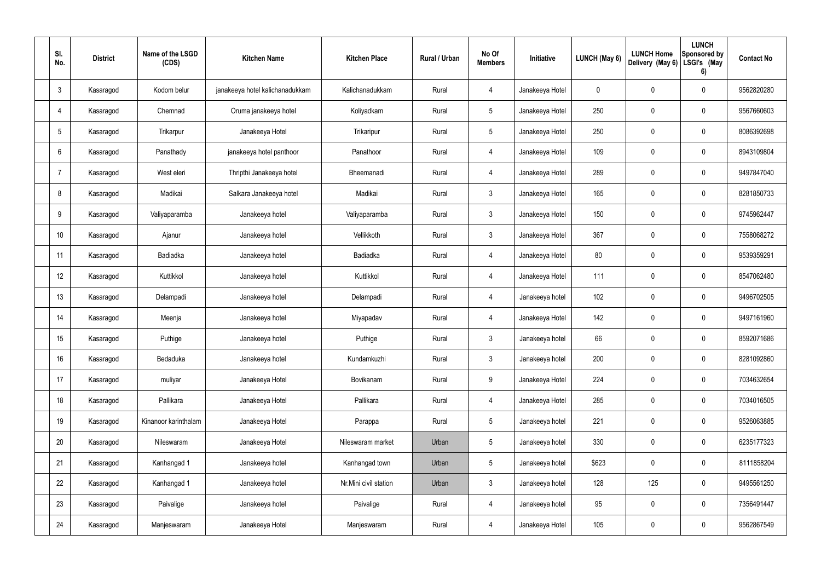| SI.<br>No.      | <b>District</b> | Name of the LSGD<br>(CDS) | <b>Kitchen Name</b>             | <b>Kitchen Place</b>  | <b>Rural / Urban</b> | No Of<br><b>Members</b> | Initiative      | <b>LUNCH (May 6)</b> | <b>LUNCH Home</b><br>Delivery (May 6) | <b>LUNCH</b><br>Sponsored by<br>LSGI's (May<br>6) | <b>Contact No</b> |
|-----------------|-----------------|---------------------------|---------------------------------|-----------------------|----------------------|-------------------------|-----------------|----------------------|---------------------------------------|---------------------------------------------------|-------------------|
| $\mathbf{3}$    | Kasaragod       | Kodom belur               | janakeeya hotel kalichanadukkam | Kalichanadukkam       | Rural                | 4                       | Janakeeya Hotel | $\mathbf 0$          | $\mathbf 0$                           | $\mathbf 0$                                       | 9562820280        |
| 4               | Kasaragod       | Chemnad                   | Oruma janakeeya hotel           | Koliyadkam            | Rural                | $5\overline{)}$         | Janakeeya Hotel | 250                  | $\mathbf 0$                           | $\mathbf 0$                                       | 9567660603        |
| $5\phantom{.0}$ | Kasaragod       | Trikarpur                 | Janakeeya Hotel                 | Trikaripur            | Rural                | $5\overline{)}$         | Janakeeya Hotel | 250                  | $\mathbf 0$                           | $\mathbf 0$                                       | 8086392698        |
| 6               | Kasaragod       | Panathady                 | janakeeya hotel panthoor        | Panathoor             | Rural                | $\overline{4}$          | Janakeeya Hotel | 109                  | $\mathbf 0$                           | $\mathbf 0$                                       | 8943109804        |
| 7               | Kasaragod       | West eleri                | Thripthi Janakeeya hotel        | Bheemanadi            | Rural                | $\overline{4}$          | Janakeeya Hotel | 289                  | $\mathbf 0$                           | $\mathbf 0$                                       | 9497847040        |
| 8               | Kasaragod       | Madikai                   | Salkara Janakeeya hotel         | Madikai               | Rural                | $\mathbf{3}$            | Janakeeya Hotel | 165                  | $\mathbf 0$                           | $\mathbf 0$                                       | 8281850733        |
| 9               | Kasaragod       | Valiyaparamba             | Janakeeya hotel                 | Valiyaparamba         | Rural                | $\mathbf{3}$            | Janakeeya Hotel | 150                  | $\mathbf 0$                           | $\mathbf 0$                                       | 9745962447        |
| 10              | Kasaragod       | Ajanur                    | Janakeeya hotel                 | Vellikkoth            | Rural                | $\mathbf{3}$            | Janakeeya Hotel | 367                  | $\mathbf 0$                           | $\mathbf 0$                                       | 7558068272        |
| 11              | Kasaragod       | Badiadka                  | Janakeeya hotel                 | Badiadka              | Rural                | $\overline{4}$          | Janakeeya Hotel | 80                   | $\mathbf 0$                           | $\mathbf 0$                                       | 9539359291        |
| 12              | Kasaragod       | Kuttikkol                 | Janakeeya hotel                 | Kuttikkol             | Rural                | $\overline{4}$          | Janakeeya Hotel | 111                  | $\mathbf 0$                           | $\mathbf 0$                                       | 8547062480        |
| 13              | Kasaragod       | Delampadi                 | Janakeeya hotel                 | Delampadi             | Rural                | $\overline{4}$          | Janakeeya hotel | 102                  | $\mathbf 0$                           | $\pmb{0}$                                         | 9496702505        |
| 14              | Kasaragod       | Meenja                    | Janakeeya hotel                 | Miyapadav             | Rural                | 4                       | Janakeeya Hotel | 142                  | $\mathbf 0$                           | $\mathbf 0$                                       | 9497161960        |
| 15              | Kasaragod       | Puthige                   | Janakeeya hotel                 | Puthige               | Rural                | $\mathbf{3}$            | Janakeeya hotel | 66                   | $\mathbf 0$                           | $\mathbf 0$                                       | 8592071686        |
| 16              | Kasaragod       | Bedaduka                  | Janakeeya hotel                 | Kundamkuzhi           | Rural                | $\mathfrak{Z}$          | Janakeeya hotel | 200                  | $\pmb{0}$                             | $\mathbf 0$                                       | 8281092860        |
| 17              | Kasaragod       | muliyar                   | Janakeeya Hotel                 | Bovikanam             | Rural                | 9                       | Janakeeya Hotel | 224                  | $\pmb{0}$                             | $\mathbf 0$                                       | 7034632654        |
| 18              | Kasaragod       | Pallikara                 | Janakeeya Hotel                 | Pallikara             | Rural                | $\overline{4}$          | Janakeeya Hotel | 285                  | $\pmb{0}$                             | $\mathbf 0$                                       | 7034016505        |
| 19              | Kasaragod       | Kinanoor karinthalam      | Janakeeya Hotel                 | Parappa               | Rural                | $5\phantom{.0}$         | Janakeeya hotel | 221                  | $\pmb{0}$                             | $\mathbf 0$                                       | 9526063885        |
| 20              | Kasaragod       | Nileswaram                | Janakeeya Hotel                 | Nileswaram market     | Urban                | $5\phantom{.0}$         | Janakeeya hotel | 330                  | $\pmb{0}$                             | $\mathbf 0$                                       | 6235177323        |
| 21              | Kasaragod       | Kanhangad 1               | Janakeeya hotel                 | Kanhangad town        | Urban                | $5\phantom{.0}$         | Janakeeya hotel | \$623                | $\pmb{0}$                             | $\mathbf 0$                                       | 8111858204        |
| 22              | Kasaragod       | Kanhangad 1               | Janakeeya hotel                 | Nr.Mini civil station | Urban                | $\mathfrak{Z}$          | Janakeeya hotel | 128                  | 125                                   | $\mathbf 0$                                       | 9495561250        |
| 23              | Kasaragod       | Paivalige                 | Janakeeya hotel                 | Paivalige             | Rural                | $\overline{4}$          | Janakeeya hotel | 95                   | $\pmb{0}$                             | $\mathbf 0$                                       | 7356491447        |
| 24              | Kasaragod       | Manjeswaram               | Janakeeya Hotel                 | Manjeswaram           | Rural                | 4                       | Janakeeya Hotel | 105                  | $\pmb{0}$                             | $\mathbf 0$                                       | 9562867549        |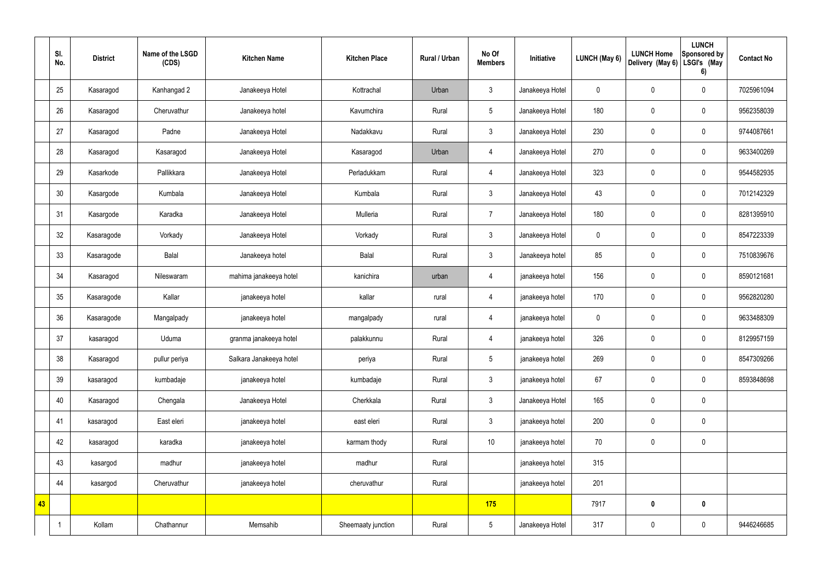|    | SI.<br>No. | <b>District</b> | Name of the LSGD<br>(CDS) | <b>Kitchen Name</b>     | <b>Kitchen Place</b> | Rural / Urban | No Of<br><b>Members</b> | Initiative      | <b>LUNCH (May 6)</b> | <b>LUNCH Home</b><br>Delivery (May 6) | <b>LUNCH</b><br>Sponsored by<br>LSGI's (May<br>6) | <b>Contact No</b> |
|----|------------|-----------------|---------------------------|-------------------------|----------------------|---------------|-------------------------|-----------------|----------------------|---------------------------------------|---------------------------------------------------|-------------------|
|    | 25         | Kasaragod       | Kanhangad 2               | Janakeeya Hotel         | Kottrachal           | Urban         | $\mathfrak{Z}$          | Janakeeya Hotel | $\mathbf 0$          | $\pmb{0}$                             | $\mathbf 0$                                       | 7025961094        |
|    | 26         | Kasaragod       | Cheruvathur               | Janakeeya hotel         | Kavumchira           | Rural         | $5\phantom{.0}$         | Janakeeya Hotel | 180                  | $\pmb{0}$                             | $\mathbf 0$                                       | 9562358039        |
|    | 27         | Kasaragod       | Padne                     | Janakeeya Hotel         | Nadakkavu            | Rural         | $\mathfrak{Z}$          | Janakeeya Hotel | 230                  | $\pmb{0}$                             | $\mathbf 0$                                       | 9744087661        |
|    | 28         | Kasaragod       | Kasaragod                 | Janakeeya Hotel         | Kasaragod            | Urban         | 4                       | Janakeeya Hotel | 270                  | $\pmb{0}$                             | $\mathbf 0$                                       | 9633400269        |
|    | 29         | Kasarkode       | Pallikkara                | Janakeeya Hotel         | Perladukkam          | Rural         | $\overline{4}$          | Janakeeya Hotel | 323                  | $\pmb{0}$                             | $\mathbf 0$                                       | 9544582935        |
|    | 30         | Kasargode       | Kumbala                   | Janakeeya Hotel         | Kumbala              | Rural         | $\mathbf{3}$            | Janakeeya Hotel | 43                   | $\pmb{0}$                             | $\mathbf 0$                                       | 7012142329        |
|    | 31         | Kasargode       | Karadka                   | Janakeeya Hotel         | Mulleria             | Rural         | $\overline{7}$          | Janakeeya Hotel | 180                  | $\pmb{0}$                             | $\mathbf 0$                                       | 8281395910        |
|    | 32         | Kasaragode      | Vorkady                   | Janakeeya Hotel         | Vorkady              | Rural         | $\mathfrak{Z}$          | Janakeeya Hotel | $\mathbf 0$          | $\pmb{0}$                             | $\mathbf 0$                                       | 8547223339        |
|    | 33         | Kasaragode      | Balal                     | Janakeeya hotel         | Balal                | Rural         | $\mathfrak{Z}$          | Janakeeya hotel | 85                   | $\pmb{0}$                             | $\mathbf 0$                                       | 7510839676        |
|    | 34         | Kasaragod       | Nileswaram                | mahima janakeeya hotel  | kanichira            | urban         | $\overline{4}$          | janakeeya hotel | 156                  | $\pmb{0}$                             | $\mathbf 0$                                       | 8590121681        |
|    | 35         | Kasaragode      | Kallar                    | janakeeya hotel         | kallar               | rural         | $\overline{4}$          | janakeeya hotel | 170                  | $\pmb{0}$                             | $\mathbf 0$                                       | 9562820280        |
|    | 36         | Kasaragode      | Mangalpady                | janakeeya hotel         | mangalpady           | rural         | 4                       | janakeeya hotel | $\mathbf 0$          | $\pmb{0}$                             | $\mathbf 0$                                       | 9633488309        |
|    | 37         | kasaragod       | Uduma                     | granma janakeeya hotel  | palakkunnu           | Rural         | 4                       | janakeeya hotel | 326                  | $\pmb{0}$                             | $\mathbf 0$                                       | 8129957159        |
|    | 38         | Kasaragod       | pullur periya             | Salkara Janakeeya hotel | periya               | Rural         | $5\phantom{.0}$         | janakeeya hotel | 269                  | $\pmb{0}$                             | $\mathbf 0$                                       | 8547309266        |
|    | 39         | kasaragod       | kumbadaje                 | janakeeya hotel         | kumbadaje            | Rural         | $\mathbf{3}$            | janakeeya hotel | 67                   | $\pmb{0}$                             | $\mathbf 0$                                       | 8593848698        |
|    | 40         | Kasaragod       | Chengala                  | Janakeeya Hotel         | Cherkkala            | Rural         | $\mathbf{3}$            | Janakeeya Hotel | 165                  | $\pmb{0}$                             | $\mathbf 0$                                       |                   |
|    | 41         | kasaragod       | East eleri                | janakeeya hotel         | east eleri           | Rural         | $\mathbf{3}$            | janakeeya hotel | 200                  | $\pmb{0}$                             | $\mathbf 0$                                       |                   |
|    | 42         | kasaragod       | karadka                   | janakeeya hotel         | karmam thody         | Rural         | $10$                    | janakeeya hotel | 70                   | $\pmb{0}$                             | $\mathbf 0$                                       |                   |
|    | 43         | kasargod        | madhur                    | janakeeya hotel         | madhur               | Rural         |                         | janakeeya hotel | 315                  |                                       |                                                   |                   |
|    | 44         | kasargod        | Cheruvathur               | janakeeya hotel         | cheruvathur          | Rural         |                         | janakeeya hotel | 201                  |                                       |                                                   |                   |
| 43 |            |                 |                           |                         |                      |               | 175                     |                 | 7917                 | $\bm{0}$                              | $\mathbf 0$                                       |                   |
|    |            | Kollam          | Chathannur                | Memsahib                | Sheemaaty junction   | Rural         | $5\phantom{.0}$         | Janakeeya Hotel | 317                  | $\pmb{0}$                             | $\pmb{0}$                                         | 9446246685        |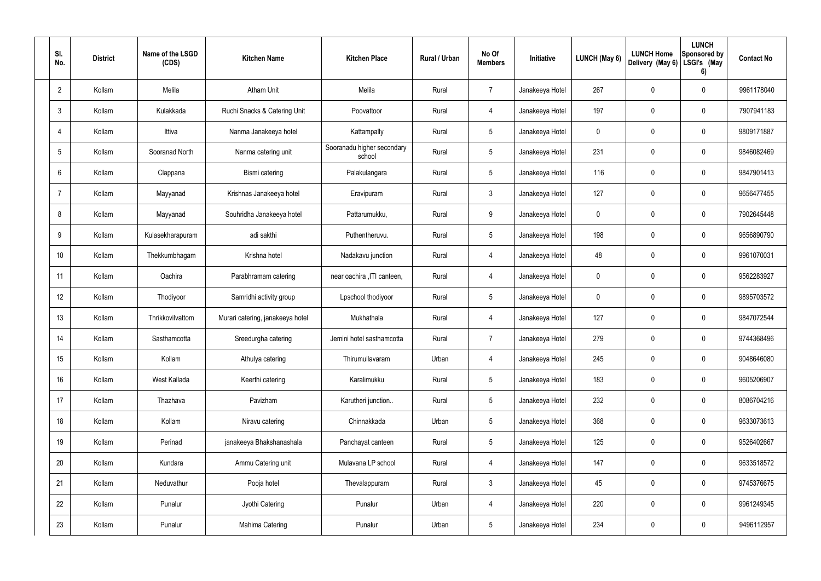| SI.<br>No.      | <b>District</b> | Name of the LSGD<br>(CDS) | <b>Kitchen Name</b>              | <b>Kitchen Place</b>                 | Rural / Urban | No Of<br><b>Members</b> | Initiative      | <b>LUNCH (May 6)</b> | <b>LUNCH Home</b><br>Delivery (May 6) | <b>LUNCH</b><br>Sponsored by<br>LSGI's (May<br>6) | <b>Contact No</b> |
|-----------------|-----------------|---------------------------|----------------------------------|--------------------------------------|---------------|-------------------------|-----------------|----------------------|---------------------------------------|---------------------------------------------------|-------------------|
| $\overline{2}$  | Kollam          | Melila                    | <b>Atham Unit</b>                | Melila                               | Rural         | $\overline{7}$          | Janakeeya Hotel | 267                  | 0                                     | $\mathbf 0$                                       | 9961178040        |
| $\mathbf{3}$    | Kollam          | Kulakkada                 | Ruchi Snacks & Catering Unit     | Poovattoor                           | Rural         | $\overline{4}$          | Janakeeya Hotel | 197                  | 0                                     | $\boldsymbol{0}$                                  | 7907941183        |
| $\overline{4}$  | Kollam          | Ittiva                    | Nanma Janakeeya hotel            | Kattampally                          | Rural         | $5\phantom{.0}$         | Janakeeya Hotel | 0                    | 0                                     | $\mathbf 0$                                       | 9809171887        |
| $5\phantom{.0}$ | Kollam          | Sooranad North            | Nanma catering unit              | Sooranadu higher secondary<br>school | Rural         | $5\phantom{.0}$         | Janakeeya Hotel | 231                  | 0                                     | $\mathbf 0$                                       | 9846082469        |
| 6               | Kollam          | Clappana                  | Bismi catering                   | Palakulangara                        | Rural         | $5\phantom{.0}$         | Janakeeya Hotel | 116                  | 0                                     | $\mathbf 0$                                       | 9847901413        |
| -7              | Kollam          | Mayyanad                  | Krishnas Janakeeya hotel         | Eravipuram                           | Rural         | $\mathbf{3}$            | Janakeeya Hotel | 127                  | 0                                     | $\mathbf 0$                                       | 9656477455        |
| 8               | Kollam          | Mayyanad                  | Souhridha Janakeeya hotel        | Pattarumukku,                        | Rural         | 9                       | Janakeeya Hotel | 0                    | 0                                     | $\mathbf 0$                                       | 7902645448        |
| 9               | Kollam          | Kulasekharapuram          | adi sakthi                       | Puthentheruvu.                       | Rural         | $5\phantom{.0}$         | Janakeeya Hotel | 198                  | 0                                     | $\mathbf 0$                                       | 9656890790        |
| 10              | Kollam          | Thekkumbhagam             | Krishna hotel                    | Nadakavu junction                    | Rural         | 4                       | Janakeeya Hotel | 48                   | 0                                     | $\mathbf 0$                                       | 9961070031        |
| 11              | Kollam          | Oachira                   | Parabhramam catering             | near oachira , ITI canteen,          | Rural         | $\overline{4}$          | Janakeeya Hotel | 0                    | 0                                     | $\mathbf 0$                                       | 9562283927        |
| 12              | Kollam          | Thodiyoor                 | Samridhi activity group          | Lpschool thodiyoor                   | Rural         | $5\,$                   | Janakeeya Hotel | 0                    | 0                                     | $\mathbf 0$                                       | 9895703572        |
| 13              | Kollam          | Thrikkovilvattom          | Murari catering, janakeeya hotel | Mukhathala                           | Rural         | 4                       | Janakeeya Hotel | 127                  | 0                                     | $\mathbf 0$                                       | 9847072544        |
| 14              | Kollam          | Sasthamcotta              | Sreedurgha catering              | Jemini hotel sasthamcotta            | Rural         | $\overline{7}$          | Janakeeya Hotel | 279                  | 0                                     | $\mathbf 0$                                       | 9744368496        |
| 15              | Kollam          | Kollam                    | Athulya catering                 | Thirumullavaram                      | Urban         | $\overline{4}$          | Janakeeya Hotel | 245                  | 0                                     | $\mathbf 0$                                       | 9048646080        |
| 16              | Kollam          | West Kallada              | Keerthi catering                 | Karalimukku                          | Rural         | $5\phantom{.0}$         | Janakeeya Hotel | 183                  | 0                                     | $\pmb{0}$                                         | 9605206907        |
| 17              | Kollam          | Thazhava                  | Pavizham                         | Karutheri junction                   | Rural         | $5\phantom{.0}$         | Janakeeya Hotel | 232                  | 0                                     | $\pmb{0}$                                         | 8086704216        |
| 18              | Kollam          | Kollam                    | Niravu catering                  | Chinnakkada                          | Urban         | $5\phantom{.0}$         | Janakeeya Hotel | 368                  | 0                                     | $\pmb{0}$                                         | 9633073613        |
| 19              | Kollam          | Perinad                   | janakeeya Bhakshanashala         | Panchayat canteen                    | Rural         | $5\phantom{.0}$         | Janakeeya Hotel | 125                  | 0                                     | $\pmb{0}$                                         | 9526402667        |
| 20              | Kollam          | Kundara                   | Ammu Catering unit               | Mulavana LP school                   | Rural         | $\overline{4}$          | Janakeeya Hotel | 147                  | 0                                     | $\pmb{0}$                                         | 9633518572        |
| 21              | Kollam          | Neduvathur                | Pooja hotel                      | Thevalappuram                        | Rural         | $\mathbf{3}$            | Janakeeya Hotel | 45                   | 0                                     | $\pmb{0}$                                         | 9745376675        |
| 22              | Kollam          | Punalur                   | Jyothi Catering                  | Punalur                              | Urban         | $\overline{4}$          | Janakeeya Hotel | 220                  | $\mathbf 0$                           | $\pmb{0}$                                         | 9961249345        |
| 23              | Kollam          | Punalur                   | Mahima Catering                  | Punalur                              | Urban         | $5\phantom{.0}$         | Janakeeya Hotel | 234                  | 0                                     | $\pmb{0}$                                         | 9496112957        |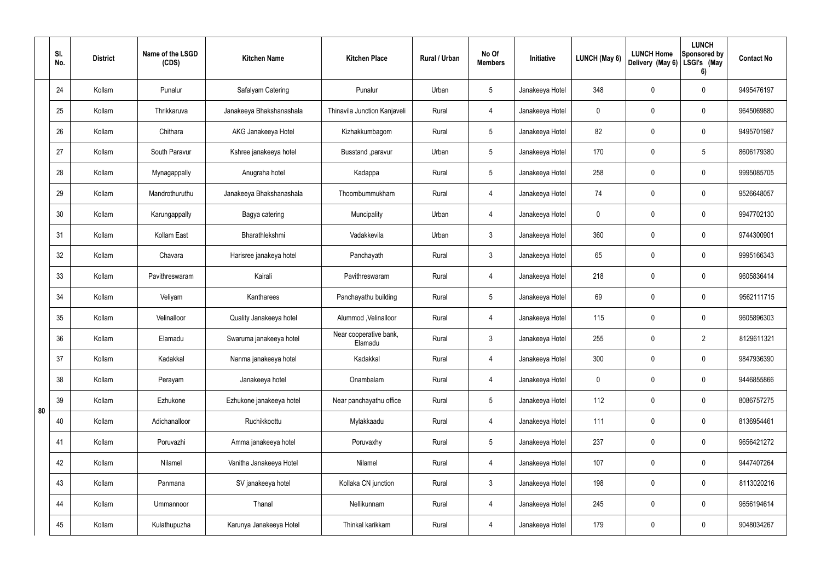|    | SI.<br>No. | <b>District</b> | Name of the LSGD<br>(CDS) | <b>Kitchen Name</b>      | <b>Kitchen Place</b>              | Rural / Urban | No Of<br><b>Members</b> | Initiative      | LUNCH (May 6) | <b>LUNCH Home</b><br>Delivery (May 6) | <b>LUNCH</b><br>Sponsored by<br>LSGI's (May<br>6) | <b>Contact No</b> |
|----|------------|-----------------|---------------------------|--------------------------|-----------------------------------|---------------|-------------------------|-----------------|---------------|---------------------------------------|---------------------------------------------------|-------------------|
|    | 24         | Kollam          | Punalur                   | Safalyam Catering        | Punalur                           | Urban         | $5\phantom{.0}$         | Janakeeya Hotel | 348           | 0                                     | $\mathbf 0$                                       | 9495476197        |
|    | 25         | Kollam          | Thrikkaruva               | Janakeeya Bhakshanashala | Thinavila Junction Kanjaveli      | Rural         | 4                       | Janakeeya Hotel | $\mathbf 0$   | 0                                     | $\pmb{0}$                                         | 9645069880        |
|    | 26         | Kollam          | Chithara                  | AKG Janakeeya Hotel      | Kizhakkumbagom                    | Rural         | $5\phantom{.0}$         | Janakeeya Hotel | 82            | 0                                     | $\mathbf 0$                                       | 9495701987        |
|    | 27         | Kollam          | South Paravur             | Kshree janakeeya hotel   | Busstand ,paravur                 | Urban         | $5\phantom{.0}$         | Janakeeya Hotel | 170           | 0                                     | $5\phantom{.0}$                                   | 8606179380        |
|    | 28         | Kollam          | Mynagappally              | Anugraha hotel           | Kadappa                           | Rural         | $5\phantom{.0}$         | Janakeeya Hotel | 258           | 0                                     | $\mathbf 0$                                       | 9995085705        |
|    | 29         | Kollam          | Mandrothuruthu            | Janakeeya Bhakshanashala | Thoombummukham                    | Rural         | $\overline{4}$          | Janakeeya Hotel | 74            | 0                                     | $\pmb{0}$                                         | 9526648057        |
|    | 30         | Kollam          | Karungappally             | Bagya catering           | Muncipality                       | Urban         | $\overline{4}$          | Janakeeya Hotel | $\mathbf 0$   | 0                                     | $\mathbf 0$                                       | 9947702130        |
|    | 31         | Kollam          | Kollam East               | Bharathlekshmi           | Vadakkevila                       | Urban         | $\mathbf{3}$            | Janakeeya Hotel | 360           | 0                                     | $\mathbf 0$                                       | 9744300901        |
|    | 32         | Kollam          | Chavara                   | Harisree janakeya hotel  | Panchayath                        | Rural         | 3 <sup>1</sup>          | Janakeeya Hotel | 65            | 0                                     | $\mathbf 0$                                       | 9995166343        |
|    | 33         | Kollam          | Pavithreswaram            | Kairali                  | Pavithreswaram                    | Rural         | 4                       | Janakeeya Hotel | 218           | 0                                     | $\pmb{0}$                                         | 9605836414        |
|    | 34         | Kollam          | Veliyam                   | Kantharees               | Panchayathu building              | Rural         | $5\phantom{.0}$         | Janakeeya Hotel | 69            | 0                                     | $\mathbf 0$                                       | 9562111715        |
|    | 35         | Kollam          | Velinalloor               | Quality Janakeeya hotel  | Alummod, Velinalloor              | Rural         | 4                       | Janakeeya Hotel | 115           | 0                                     | $\pmb{0}$                                         | 9605896303        |
|    | 36         | Kollam          | Elamadu                   | Swaruma janakeeya hotel  | Near cooperative bank,<br>Elamadu | Rural         | $\mathbf{3}$            | Janakeeya Hotel | 255           | 0                                     | $\overline{2}$                                    | 8129611321        |
|    | 37         | Kollam          | Kadakkal                  | Nanma janakeeya hotel    | Kadakkal                          | Rural         | $\overline{4}$          | Janakeeya Hotel | 300           | 0                                     | $\mathbf 0$                                       | 9847936390        |
|    | 38         | Kollam          | Perayam                   | Janakeeya hotel          | Onambalam                         | Rural         | $\overline{4}$          | Janakeeya Hotel | $\mathbf 0$   | 0                                     | $\mathbf 0$                                       | 9446855866        |
| 80 | 39         | Kollam          | Ezhukone                  | Ezhukone janakeeya hotel | Near panchayathu office           | Rural         | $5\phantom{.0}$         | Janakeeya Hotel | 112           | 0                                     | $\mathbf 0$                                       | 8086757275        |
|    | 40         | Kollam          | Adichanalloor             | Ruchikkoottu             | Mylakkaadu                        | Rural         | $\overline{4}$          | Janakeeya Hotel | 111           | 0                                     | $\mathbf 0$                                       | 8136954461        |
|    | 41         | Kollam          | Poruvazhi                 | Amma janakeeya hotel     | Poruvaxhy                         | Rural         | $5\phantom{.0}$         | Janakeeya Hotel | 237           | 0                                     | $\mathbf 0$                                       | 9656421272        |
|    | 42         | Kollam          | Nilamel                   | Vanitha Janakeeya Hotel  | Nilamel                           | Rural         | $\overline{4}$          | Janakeeya Hotel | 107           | 0                                     | $\mathbf 0$                                       | 9447407264        |
|    | 43         | Kollam          | Panmana                   | SV janakeeya hotel       | Kollaka CN junction               | Rural         | $\mathfrak{Z}$          | Janakeeya Hotel | 198           | 0                                     | $\mathbf 0$                                       | 8113020216        |
|    | 44         | Kollam          | Ummannoor                 | Thanal                   | Nellikunnam                       | Rural         | $\overline{4}$          | Janakeeya Hotel | 245           | 0                                     | $\mathbf 0$                                       | 9656194614        |
|    | 45         | Kollam          | Kulathupuzha              | Karunya Janakeeya Hotel  | Thinkal karikkam                  | Rural         | 4                       | Janakeeya Hotel | 179           | 0                                     | $\boldsymbol{0}$                                  | 9048034267        |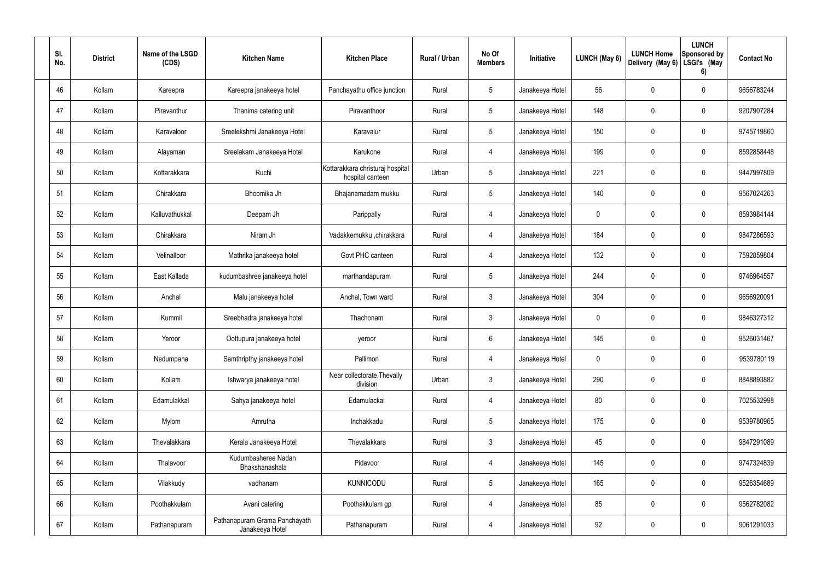| SI.<br>No. | <b>District</b> | Name of the LSGD<br>(CDS) | <b>Kitchen Name</b>                              | <b>Kitchen Place</b>                                 | Rural / Urban | No Of<br><b>Members</b> | Initiative      | LUNCH (May 6) | <b>LUNCH Home</b><br>Delivery (May 6) | <b>LUNCH</b><br><b>Sponsored by</b><br>LSGI's (May<br>6) | <b>Contact No</b> |
|------------|-----------------|---------------------------|--------------------------------------------------|------------------------------------------------------|---------------|-------------------------|-----------------|---------------|---------------------------------------|----------------------------------------------------------|-------------------|
| 46         | Kollam          | Kareepra                  | Kareepra janakeeya hotel                         | Panchayathu office junction                          | Rural         | $5\phantom{.0}$         | Janakeeya Hotel | 56            | 0                                     | 0                                                        | 9656783244        |
| 47         | Kollam          | Piravanthur               | Thanima catering unit                            | Piravanthoor                                         | Rural         | $5\phantom{.0}$         | Janakeeya Hotel | 148           | 0                                     | 0                                                        | 9207907284        |
| 48         | Kollam          | Karavaloor                | Sreelekshmi Janakeeya Hotel                      | Karavalur                                            | Rural         | $5\phantom{.0}$         | Janakeeya Hotel | 150           | 0                                     | 0                                                        | 9745719860        |
| 49         | Kollam          | Alayaman                  | Sreelakam Janakeeya Hotel                        | Karukone                                             | Rural         | 4                       | Janakeeya Hotel | 199           | 0                                     | 0                                                        | 8592858448        |
| 50         | Kollam          | Kottarakkara              | Ruchi                                            | Kottarakkara christuraj hospital<br>hospital canteen | Urban         | $5\phantom{.0}$         | Janakeeya Hotel | 221           | 0                                     | 0                                                        | 9447997809        |
| 51         | Kollam          | Chirakkara                | Bhoomika Jh                                      | Bhajanamadam mukku                                   | Rural         | $5\phantom{.0}$         | Janakeeya Hotel | 140           | 0                                     | 0                                                        | 9567024263        |
| 52         | Kollam          | Kalluvathukkal            | Deepam Jh                                        | Parippally                                           | Rural         | 4                       | Janakeeya Hotel | 0             | 0                                     | 0                                                        | 8593984144        |
| 53         | Kollam          | Chirakkara                | Niram Jh                                         | Vadakkemukku ,chirakkara                             | Rural         | 4                       | Janakeeya Hotel | 184           | 0                                     | 0                                                        | 9847286593        |
| 54         | Kollam          | Velinalloor               | Mathrika janakeeya hotel                         | Govt PHC canteen                                     | Rural         | 4                       | Janakeeya Hotel | 132           | 0                                     | 0                                                        | 7592859804        |
| 55         | Kollam          | East Kallada              | kudumbashree janakeeya hotel                     | marthandapuram                                       | Rural         | 5                       | Janakeeya Hotel | 244           | 0                                     | $\mathbf 0$                                              | 9746964557        |
| 56         | Kollam          | Anchal                    | Malu janakeeya hotel                             | Anchal, Town ward                                    | Rural         | 3                       | Janakeeya Hotel | 304           | 0                                     | 0                                                        | 9656920091        |
| 57         | Kollam          | Kummil                    | Sreebhadra janakeeya hotel                       | Thachonam                                            | Rural         | 3                       | Janakeeya Hotel | 0             | 0                                     | 0                                                        | 9846327312        |
| 58         | Kollam          | Yeroor                    | Oottupura janakeeya hotel                        | yeroor                                               | Rural         | 6                       | Janakeeya Hotel | 145           | 0                                     | 0                                                        | 9526031467        |
| 59         | Kollam          | Nedumpana                 | Samthripthy janakeeya hotel                      | Pallimon                                             | Rural         | $\overline{4}$          | Janakeeya Hotel | 0             | 0                                     | $\pmb{0}$                                                | 9539780119        |
| 60         | Kollam          | Kollam                    | Ishwarya janakeeya hotel                         | Near collectorate, Thevally<br>division              | Urban         | $\mathfrak{Z}$          | Janakeeya Hotel | 290           | $\mathbf 0$                           | $\mathbf 0$                                              | 8848893882        |
| 61         | Kollam          | Edamulakkal               | Sahya janakeeya hotel                            | Edamulackal                                          | Rural         | 4                       | Janakeeya Hotel | 80            | 0                                     | $\mathbf 0$                                              | 7025532998        |
| 62         | Kollam          | Mylom                     | Amrutha                                          | Inchakkadu                                           | Rural         | $\overline{5}$          | Janakeeya Hotel | 175           | $\mathbf 0$                           | $\mathsf{0}$                                             | 9539780965        |
| 63         | Kollam          | Thevalakkara              | Kerala Janakeeya Hotel                           | Thevalakkara                                         | Rural         | $\mathbf{3}$            | Janakeeya Hotel | 45            | $\mathbf 0$                           | $\mathsf{0}$                                             | 9847291089        |
| 64         | Kollam          | Thalavoor                 | Kudumbasheree Nadan<br>Bhakshanashala            | Pidavoor                                             | Rural         | 4                       | Janakeeya Hotel | 145           | $\mathbf 0$                           | $\mathsf{0}$                                             | 9747324839        |
| 65         | Kollam          | Vilakkudy                 | vadhanam                                         | <b>KUNNICODU</b>                                     | Rural         | $5\,$                   | Janakeeya Hotel | 165           | $\pmb{0}$                             | $\mathsf{0}$                                             | 9526354689        |
| 66         | Kollam          | Poothakkulam              | Avani catering                                   | Poothakkulam gp                                      | Rural         | 4                       | Janakeeya Hotel | 85            | $\mathbf 0$                           | $\mathbf 0$                                              | 9562782082        |
| 67         | Kollam          | Pathanapuram              | Pathanapuram Grama Panchayath<br>Janakeeya Hotel | Pathanapuram                                         | Rural         | $\overline{4}$          | Janakeeya Hotel | 92            | $\pmb{0}$                             | $\mathsf{0}$                                             | 9061291033        |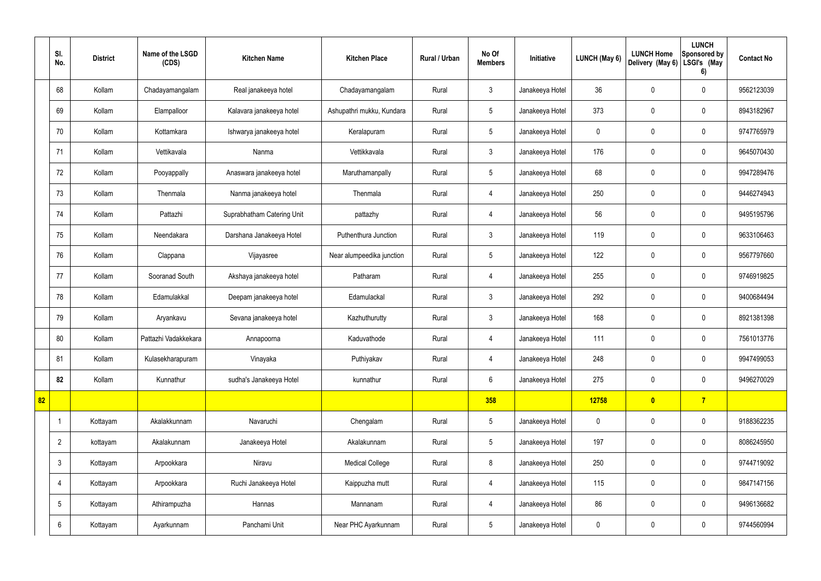|    | SI.<br>No.      | <b>District</b> | Name of the LSGD<br>(CDS) | <b>Kitchen Name</b>        | <b>Kitchen Place</b>      | <b>Rural / Urban</b> | No Of<br><b>Members</b> | Initiative      | <b>LUNCH (May 6)</b> | <b>LUNCH Home</b><br>Delivery (May 6) | <b>LUNCH</b><br>Sponsored by<br>LSGI's (May<br>6) | <b>Contact No</b> |
|----|-----------------|-----------------|---------------------------|----------------------------|---------------------------|----------------------|-------------------------|-----------------|----------------------|---------------------------------------|---------------------------------------------------|-------------------|
|    | 68              | Kollam          | Chadayamangalam           | Real janakeeya hotel       | Chadayamangalam           | Rural                | $\mathfrak{Z}$          | Janakeeya Hotel | 36                   | 0                                     | $\pmb{0}$                                         | 9562123039        |
|    | 69              | Kollam          | Elampalloor               | Kalavara janakeeya hotel   | Ashupathri mukku, Kundara | Rural                | $5\phantom{.0}$         | Janakeeya Hotel | 373                  | 0                                     | $\mathbf 0$                                       | 8943182967        |
|    | 70              | Kollam          | Kottamkara                | Ishwarya janakeeya hotel   | Keralapuram               | Rural                | $5\phantom{.0}$         | Janakeeya Hotel | $\mathbf 0$          | 0                                     | $\pmb{0}$                                         | 9747765979        |
|    | 71              | Kollam          | Vettikavala               | Nanma                      | Vettikkavala              | Rural                | $\mathbf{3}$            | Janakeeya Hotel | 176                  | 0                                     | $\mathbf 0$                                       | 9645070430        |
|    | 72              | Kollam          | Pooyappally               | Anaswara janakeeya hotel   | Maruthamanpally           | Rural                | $5\phantom{.0}$         | Janakeeya Hotel | 68                   | 0                                     | $\boldsymbol{0}$                                  | 9947289476        |
|    | 73              | Kollam          | Thenmala                  | Nanma janakeeya hotel      | Thenmala                  | Rural                | $\overline{4}$          | Janakeeya Hotel | 250                  | 0                                     | $\mathbf 0$                                       | 9446274943        |
|    | 74              | Kollam          | Pattazhi                  | Suprabhatham Catering Unit | pattazhy                  | Rural                | $\overline{4}$          | Janakeeya Hotel | 56                   | 0                                     | $\pmb{0}$                                         | 9495195796        |
|    | 75              | Kollam          | Neendakara                | Darshana Janakeeya Hotel   | Puthenthura Junction      | Rural                | $\mathbf{3}$            | Janakeeya Hotel | 119                  | 0                                     | $\pmb{0}$                                         | 9633106463        |
|    | 76              | Kollam          | Clappana                  | Vijayasree                 | Near alumpeedika junction | Rural                | $5\phantom{.0}$         | Janakeeya Hotel | 122                  | 0                                     | $\pmb{0}$                                         | 9567797660        |
|    | 77              | Kollam          | Sooranad South            | Akshaya janakeeya hotel    | Patharam                  | Rural                | 4                       | Janakeeya Hotel | 255                  | 0                                     | $\mathbf 0$                                       | 9746919825        |
|    | 78              | Kollam          | Edamulakkal               | Deepam janakeeya hotel     | Edamulackal               | Rural                | $\mathbf{3}$            | Janakeeya Hotel | 292                  | 0                                     | $\pmb{0}$                                         | 9400684494        |
|    | 79              | Kollam          | Aryankavu                 | Sevana janakeeya hotel     | Kazhuthurutty             | Rural                | $\mathbf{3}$            | Janakeeya Hotel | 168                  | 0                                     | $\pmb{0}$                                         | 8921381398        |
|    | 80              | Kollam          | Pattazhi Vadakkekara      | Annapoorna                 | Kaduvathode               | Rural                | 4                       | Janakeeya Hotel | 111                  | 0                                     | 0                                                 | 7561013776        |
|    | 81              | Kollam          | Kulasekharapuram          | Vinayaka                   | Puthiyakav                | Rural                | $\overline{4}$          | Janakeeya Hotel | 248                  | 0                                     | $\mathbf 0$                                       | 9947499053        |
|    | 82              | Kollam          | Kunnathur                 | sudha's Janakeeya Hotel    | kunnathur                 | Rural                | $6\overline{6}$         | Janakeeya Hotel | 275                  | 0                                     | $\mathbf 0$                                       | 9496270029        |
| 82 |                 |                 |                           |                            |                           |                      | 358                     |                 | 12758                | $\bullet$                             | $\overline{7}$                                    |                   |
|    |                 | Kottayam        | Akalakkunnam              | Navaruchi                  | Chengalam                 | Rural                | $5\overline{)}$         | Janakeeya Hotel | $\mathbf 0$          | 0                                     | $\mathbf 0$                                       | 9188362235        |
|    | $\overline{2}$  | kottayam        | Akalakunnam               | Janakeeya Hotel            | Akalakunnam               | Rural                | $5\overline{)}$         | Janakeeya Hotel | 197                  | $\pmb{0}$                             | $\mathbf 0$                                       | 8086245950        |
|    | $\mathfrak{Z}$  | Kottayam        | Arpookkara                | Niravu                     | <b>Medical College</b>    | Rural                | 8                       | Janakeeya Hotel | 250                  | $\pmb{0}$                             | $\pmb{0}$                                         | 9744719092        |
|    | 4               | Kottayam        | Arpookkara                | Ruchi Janakeeya Hotel      | Kaippuzha mutt            | Rural                | $\overline{4}$          | Janakeeya Hotel | 115                  | $\pmb{0}$                             | $\pmb{0}$                                         | 9847147156        |
|    | $5\phantom{.0}$ | Kottayam        | Athirampuzha              | Hannas                     | Mannanam                  | Rural                | $\overline{4}$          | Janakeeya Hotel | 86                   | 0                                     | $\mathbf 0$                                       | 9496136682        |
|    | 6               | Kottayam        | Ayarkunnam                | Panchami Unit              | Near PHC Ayarkunnam       | Rural                | $5\overline{)}$         | Janakeeya Hotel | $\pmb{0}$            | 0                                     | $\pmb{0}$                                         | 9744560994        |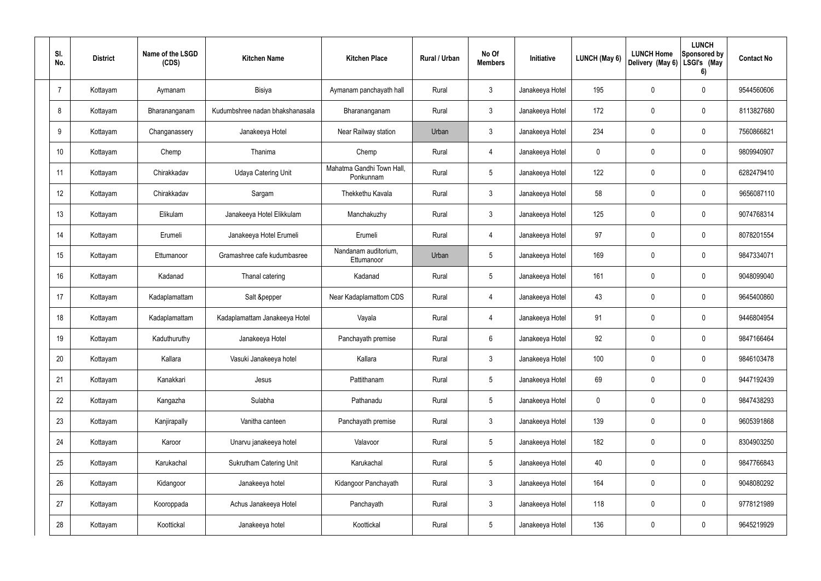| SI.<br>No.     | <b>District</b> | Name of the LSGD<br>(CDS) | <b>Kitchen Name</b>             | <b>Kitchen Place</b>                   | Rural / Urban | No Of<br><b>Members</b> | Initiative      | <b>LUNCH (May 6)</b> | <b>LUNCH Home</b><br>Delivery (May 6) | <b>LUNCH</b><br>Sponsored by<br>LSGI's (May<br>6) | <b>Contact No</b> |
|----------------|-----------------|---------------------------|---------------------------------|----------------------------------------|---------------|-------------------------|-----------------|----------------------|---------------------------------------|---------------------------------------------------|-------------------|
| $\overline{7}$ | Kottayam        | Aymanam                   | Bisiya                          | Aymanam panchayath hall                | Rural         | $\mathbf{3}$            | Janakeeya Hotel | 195                  | 0                                     | $\mathbf 0$                                       | 9544560606        |
| 8              | Kottayam        | Bharananganam             | Kudumbshree nadan bhakshanasala | Bharananganam                          | Rural         | $\mathbf{3}$            | Janakeeya Hotel | 172                  | 0                                     | $\boldsymbol{0}$                                  | 8113827680        |
| 9              | Kottayam        | Changanassery             | Janakeeya Hotel                 | Near Railway station                   | Urban         | $\mathbf{3}$            | Janakeeya Hotel | 234                  | 0                                     | $\mathbf 0$                                       | 7560866821        |
| 10             | Kottayam        | Chemp                     | Thanima                         | Chemp                                  | Rural         | $\overline{4}$          | Janakeeya Hotel | 0                    | 0                                     | $\mathbf 0$                                       | 9809940907        |
| 11             | Kottayam        | Chirakkadav               | <b>Udaya Catering Unit</b>      | Mahatma Gandhi Town Hall,<br>Ponkunnam | Rural         | $5\phantom{.0}$         | Janakeeya Hotel | 122                  | 0                                     | $\mathbf 0$                                       | 6282479410        |
| 12             | Kottayam        | Chirakkadav               | Sargam                          | Thekkethu Kavala                       | Rural         | $\mathbf{3}$            | Janakeeya Hotel | 58                   | 0                                     | $\mathbf 0$                                       | 9656087110        |
| 13             | Kottayam        | Elikulam                  | Janakeeya Hotel Elikkulam       | Manchakuzhy                            | Rural         | $\mathbf{3}$            | Janakeeya Hotel | 125                  | 0                                     | $\mathbf 0$                                       | 9074768314        |
| 14             | Kottayam        | Erumeli                   | Janakeeya Hotel Erumeli         | Erumeli                                | Rural         | $\overline{4}$          | Janakeeya Hotel | 97                   | 0                                     | $\mathbf 0$                                       | 8078201554        |
| 15             | Kottayam        | Ettumanoor                | Gramashree cafe kudumbasree     | Nandanam auditorium,<br>Ettumanoor     | Urban         | $\sqrt{5}$              | Janakeeya Hotel | 169                  | 0                                     | $\mathbf 0$                                       | 9847334071        |
| 16             | Kottayam        | Kadanad                   | Thanal catering                 | Kadanad                                | Rural         | $5\phantom{.0}$         | Janakeeya Hotel | 161                  | 0                                     | $\mathbf 0$                                       | 9048099040        |
| 17             | Kottayam        | Kadaplamattam             | Salt &pepper                    | Near Kadaplamattom CDS                 | Rural         | 4                       | Janakeeya Hotel | 43                   | 0                                     | $\mathbf 0$                                       | 9645400860        |
| 18             | Kottayam        | Kadaplamattam             | Kadaplamattam Janakeeya Hotel   | Vayala                                 | Rural         | $\overline{4}$          | Janakeeya Hotel | 91                   | 0                                     | $\mathbf 0$                                       | 9446804954        |
| 19             | Kottayam        | Kaduthuruthy              | Janakeeya Hotel                 | Panchayath premise                     | Rural         | 6                       | Janakeeya Hotel | 92                   | 0                                     | $\mathbf 0$                                       | 9847166464        |
| 20             | Kottayam        | Kallara                   | Vasuki Janakeeya hotel          | Kallara                                | Rural         | $\mathbf{3}$            | Janakeeya Hotel | 100                  | 0                                     | $\mathbf 0$                                       | 9846103478        |
| 21             | Kottayam        | Kanakkari                 | Jesus                           | Pattithanam                            | Rural         | $5\phantom{.0}$         | Janakeeya Hotel | 69                   | 0                                     | $\pmb{0}$                                         | 9447192439        |
| 22             | Kottayam        | Kangazha                  | Sulabha                         | Pathanadu                              | Rural         | $5\phantom{.0}$         | Janakeeya Hotel | 0                    | 0                                     | $\pmb{0}$                                         | 9847438293        |
| 23             | Kottayam        | Kanjirapally              | Vanitha canteen                 | Panchayath premise                     | Rural         | $\mathfrak{Z}$          | Janakeeya Hotel | 139                  | 0                                     | $\pmb{0}$                                         | 9605391868        |
| 24             | Kottayam        | Karoor                    | Unarvu janakeeya hotel          | Valavoor                               | Rural         | $5\phantom{.0}$         | Janakeeya Hotel | 182                  | 0                                     | $\pmb{0}$                                         | 8304903250        |
| 25             | Kottayam        | Karukachal                | <b>Sukrutham Catering Unit</b>  | Karukachal                             | Rural         | $5\,$                   | Janakeeya Hotel | 40                   | 0                                     | $\pmb{0}$                                         | 9847766843        |
| 26             | Kottayam        | Kidangoor                 | Janakeeya hotel                 | Kidangoor Panchayath                   | Rural         | $\mathfrak{Z}$          | Janakeeya Hotel | 164                  | 0                                     | $\pmb{0}$                                         | 9048080292        |
| 27             | Kottayam        | Kooroppada                | Achus Janakeeya Hotel           | Panchayath                             | Rural         | $\mathbf{3}$            | Janakeeya Hotel | 118                  | $\mathbf 0$                           | $\pmb{0}$                                         | 9778121989        |
| 28             | Kottayam        | Koottickal                | Janakeeya hotel                 | Koottickal                             | Rural         | $5\phantom{.0}$         | Janakeeya Hotel | 136                  | 0                                     | $\pmb{0}$                                         | 9645219929        |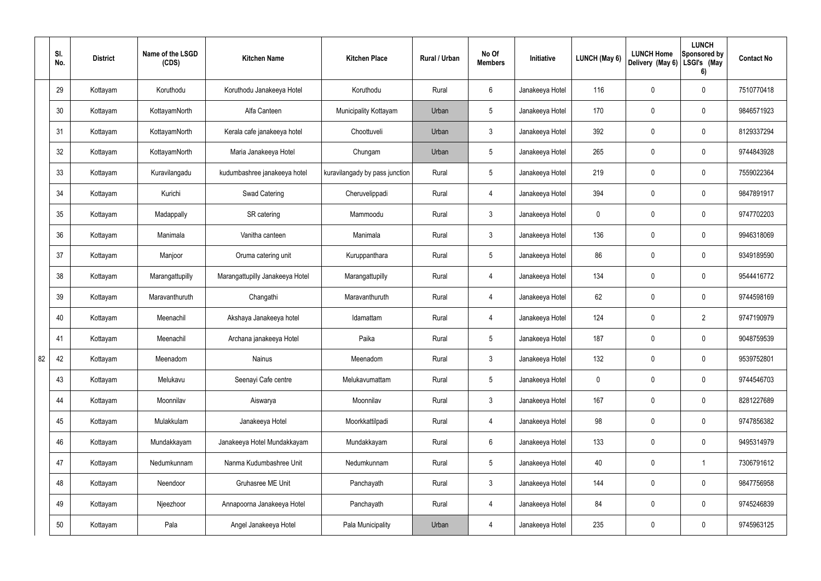|    | SI.<br>No. | <b>District</b> | Name of the LSGD<br>(CDS) | <b>Kitchen Name</b>             | <b>Kitchen Place</b>           | Rural / Urban | No Of<br><b>Members</b> | Initiative      | LUNCH (May 6) | <b>LUNCH Home</b><br>Delivery (May 6) | <b>LUNCH</b><br>Sponsored by<br>LSGI's (May<br>6) | <b>Contact No</b> |
|----|------------|-----------------|---------------------------|---------------------------------|--------------------------------|---------------|-------------------------|-----------------|---------------|---------------------------------------|---------------------------------------------------|-------------------|
|    | 29         | Kottayam        | Koruthodu                 | Koruthodu Janakeeya Hotel       | Koruthodu                      | Rural         | $6\phantom{.}6$         | Janakeeya Hotel | 116           | 0                                     | $\mathbf 0$                                       | 7510770418        |
|    | 30         | Kottayam        | KottayamNorth             | Alfa Canteen                    | Municipality Kottayam          | Urban         | $5\phantom{.0}$         | Janakeeya Hotel | 170           | 0                                     | $\pmb{0}$                                         | 9846571923        |
|    | 31         | Kottayam        | KottayamNorth             | Kerala cafe janakeeya hotel     | Choottuveli                    | Urban         | $\mathbf{3}$            | Janakeeya Hotel | 392           | 0                                     | $\mathbf 0$                                       | 8129337294        |
|    | 32         | Kottayam        | KottayamNorth             | Maria Janakeeya Hotel           | Chungam                        | Urban         | $5\phantom{.0}$         | Janakeeya Hotel | 265           | 0                                     | $\pmb{0}$                                         | 9744843928        |
|    | 33         | Kottayam        | Kuravilangadu             | kudumbashree janakeeya hotel    | kuravilangady by pass junction | Rural         | $5\phantom{.0}$         | Janakeeya Hotel | 219           | 0                                     | $\mathbf 0$                                       | 7559022364        |
|    | 34         | Kottayam        | Kurichi                   | <b>Swad Catering</b>            | Cheruvelippadi                 | Rural         | $\overline{4}$          | Janakeeya Hotel | 394           | 0                                     | $\pmb{0}$                                         | 9847891917        |
|    | 35         | Kottayam        | Madappally                | SR catering                     | Mammoodu                       | Rural         | $\mathfrak{Z}$          | Janakeeya Hotel | $\mathbf 0$   | 0                                     | $\mathbf 0$                                       | 9747702203        |
|    | 36         | Kottayam        | Manimala                  | Vanitha canteen                 | Manimala                       | Rural         | $\mathbf{3}$            | Janakeeya Hotel | 136           | 0                                     | $\pmb{0}$                                         | 9946318069        |
|    | 37         | Kottayam        | Manjoor                   | Oruma catering unit             | Kuruppanthara                  | Rural         | $5\phantom{.0}$         | Janakeeya Hotel | 86            | 0                                     | $\mathbf 0$                                       | 9349189590        |
|    | 38         | Kottayam        | Marangattupilly           | Marangattupilly Janakeeya Hotel | Marangattupilly                | Rural         | $\overline{4}$          | Janakeeya Hotel | 134           | 0                                     | $\mathbf 0$                                       | 9544416772        |
|    | 39         | Kottayam        | Maravanthuruth            | Changathi                       | Maravanthuruth                 | Rural         | 4                       | Janakeeya Hotel | 62            | 0                                     | $\mathbf 0$                                       | 9744598169        |
|    | 40         | Kottayam        | Meenachil                 | Akshaya Janakeeya hotel         | Idamattam                      | Rural         | 4                       | Janakeeya Hotel | 124           | 0                                     | $\overline{2}$                                    | 9747190979        |
|    | 41         | Kottayam        | Meenachil                 | Archana janakeeya Hotel         | Paika                          | Rural         | $5\phantom{.0}$         | Janakeeya Hotel | 187           | 0                                     | $\mathbf 0$                                       | 9048759539        |
| 82 | 42         | Kottayam        | Meenadom                  | Nainus                          | Meenadom                       | Rural         | $\mathbf{3}$            | Janakeeya Hotel | 132           | 0                                     | $\pmb{0}$                                         | 9539752801        |
|    | 43         | Kottayam        | Melukavu                  | Seenayi Cafe centre             | Melukavumattam                 | Rural         | $5\phantom{.0}$         | Janakeeya Hotel | $\pmb{0}$     | 0                                     | $\pmb{0}$                                         | 9744546703        |
|    | 44         | Kottayam        | Moonnilav                 | Aiswarya                        | Moonnilav                      | Rural         | $\mathbf{3}$            | Janakeeya Hotel | 167           | 0                                     | $\mathbf 0$                                       | 8281227689        |
|    | 45         | Kottayam        | Mulakkulam                | Janakeeya Hotel                 | Moorkkattilpadi                | Rural         | $\overline{4}$          | Janakeeya Hotel | 98            | 0                                     | $\mathbf 0$                                       | 9747856382        |
|    | 46         | Kottayam        | Mundakkayam               | Janakeeya Hotel Mundakkayam     | Mundakkayam                    | Rural         | $6\overline{6}$         | Janakeeya Hotel | 133           | 0                                     | $\mathbf 0$                                       | 9495314979        |
|    | 47         | Kottayam        | Nedumkunnam               | Nanma Kudumbashree Unit         | Nedumkunnam                    | Rural         | $5\phantom{.0}$         | Janakeeya Hotel | 40            | 0                                     | $\mathbf{1}$                                      | 7306791612        |
|    | 48         | Kottayam        | Neendoor                  | Gruhasree ME Unit               | Panchayath                     | Rural         | $\mathbf{3}$            | Janakeeya Hotel | 144           | 0                                     | $\mathbf 0$                                       | 9847756958        |
|    | 49         | Kottayam        | Njeezhoor                 | Annapoorna Janakeeya Hotel      | Panchayath                     | Rural         | $\overline{4}$          | Janakeeya Hotel | 84            | 0                                     | $\pmb{0}$                                         | 9745246839        |
|    | 50         | Kottayam        | Pala                      | Angel Janakeeya Hotel           | Pala Municipality              | Urban         | 4                       | Janakeeya Hotel | 235           | 0                                     | $\pmb{0}$                                         | 9745963125        |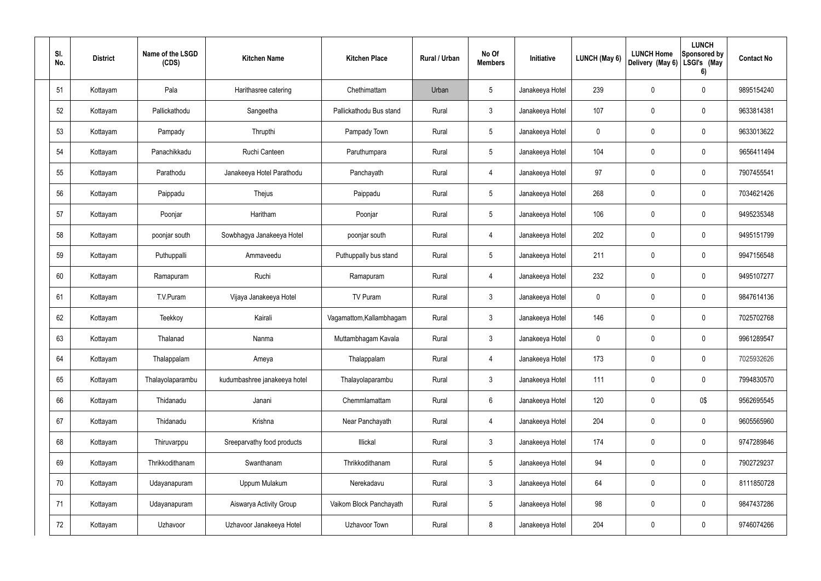| SI.<br>No. | <b>District</b> | Name of the LSGD<br>(CDS) | <b>Kitchen Name</b>          | <b>Kitchen Place</b>     | <b>Rural / Urban</b> | No Of<br><b>Members</b> | Initiative      | LUNCH (May 6) | <b>LUNCH Home</b><br>Delivery (May 6) | <b>LUNCH</b><br>Sponsored by<br>LSGI's (May<br>6) | <b>Contact No</b> |
|------------|-----------------|---------------------------|------------------------------|--------------------------|----------------------|-------------------------|-----------------|---------------|---------------------------------------|---------------------------------------------------|-------------------|
| 51         | Kottayam        | Pala                      | Harithasree catering         | Chethimattam             | Urban                | $5\phantom{.0}$         | Janakeeya Hotel | 239           | 0                                     | $\mathbf 0$                                       | 9895154240        |
| 52         | Kottayam        | Pallickathodu             | Sangeetha                    | Pallickathodu Bus stand  | Rural                | $\mathbf{3}$            | Janakeeya Hotel | 107           | $\mathbf 0$                           | 0                                                 | 9633814381        |
| 53         | Kottayam        | Pampady                   | Thrupthi                     | Pampady Town             | Rural                | $5\phantom{.0}$         | Janakeeya Hotel | 0             | 0                                     | $\mathbf 0$                                       | 9633013622        |
| 54         | Kottayam        | Panachikkadu              | Ruchi Canteen                | Paruthumpara             | Rural                | $5\phantom{.0}$         | Janakeeya Hotel | 104           | 0                                     | 0                                                 | 9656411494        |
| 55         | Kottayam        | Parathodu                 | Janakeeya Hotel Parathodu    | Panchayath               | Rural                | $\overline{4}$          | Janakeeya Hotel | 97            | 0                                     | 0                                                 | 7907455541        |
| 56         | Kottayam        | Paippadu                  | Thejus                       | Paippadu                 | Rural                | $5\phantom{.0}$         | Janakeeya Hotel | 268           | $\mathbf 0$                           | $\pmb{0}$                                         | 7034621426        |
| 57         | Kottayam        | Poonjar                   | Haritham                     | Poonjar                  | Rural                | $5\phantom{.0}$         | Janakeeya Hotel | 106           | 0                                     | $\pmb{0}$                                         | 9495235348        |
| 58         | Kottayam        | poonjar south             | Sowbhagya Janakeeya Hotel    | poonjar south            | Rural                | $\overline{4}$          | Janakeeya Hotel | 202           | $\mathbf 0$                           | 0                                                 | 9495151799        |
| 59         | Kottayam        | Puthuppalli               | Ammaveedu                    | Puthuppally bus stand    | Rural                | $5\phantom{.0}$         | Janakeeya Hotel | 211           | $\mathbf 0$                           | $\mathbf 0$                                       | 9947156548        |
| 60         | Kottayam        | Ramapuram                 | Ruchi                        | Ramapuram                | Rural                | $\overline{4}$          | Janakeeya Hotel | 232           | $\mathbf 0$                           | $\pmb{0}$                                         | 9495107277        |
| 61         | Kottayam        | T.V.Puram                 | Vijaya Janakeeya Hotel       | TV Puram                 | Rural                | $\mathbf{3}$            | Janakeeya Hotel | 0             | $\mathbf 0$                           | $\pmb{0}$                                         | 9847614136        |
| 62         | Kottayam        | Teekkoy                   | Kairali                      | Vagamattom, Kallambhagam | Rural                | $\mathbf{3}$            | Janakeeya Hotel | 146           | $\bm{0}$                              | $\pmb{0}$                                         | 7025702768        |
| 63         | Kottayam        | Thalanad                  | Nanma                        | Muttambhagam Kavala      | Rural                | $\mathbf{3}$            | Janakeeya Hotel | 0             | $\mathbf 0$                           | $\mathbf 0$                                       | 9961289547        |
| 64         | Kottayam        | Thalappalam               | Ameya                        | Thalappalam              | Rural                | $\overline{4}$          | Janakeeya Hotel | 173           | $\mathbf 0$                           | $\pmb{0}$                                         | 7025932626        |
| 65         | Kottayam        | Thalayolaparambu          | kudumbashree janakeeya hotel | Thalayolaparambu         | Rural                | $\mathbf{3}$            | Janakeeya Hotel | 111           | $\mathbf 0$                           | $\pmb{0}$                                         | 7994830570        |
| 66         | Kottayam        | Thidanadu                 | Janani                       | Chemmlamattam            | Rural                | $6\phantom{.}6$         | Janakeeya Hotel | 120           | $\mathbf 0$                           | 0\$                                               | 9562695545        |
| 67         | Kottayam        | Thidanadu                 | Krishna                      | Near Panchayath          | Rural                | $\overline{4}$          | Janakeeya Hotel | 204           | $\pmb{0}$                             | $\pmb{0}$                                         | 9605565960        |
| 68         | Kottayam        | Thiruvarppu               | Sreeparvathy food products   | Illickal                 | Rural                | $\mathbf{3}$            | Janakeeya Hotel | 174           | $\pmb{0}$                             | $\pmb{0}$                                         | 9747289846        |
| 69         | Kottayam        | Thrikkodithanam           | Swanthanam                   | Thrikkodithanam          | Rural                | $5\phantom{.0}$         | Janakeeya Hotel | 94            | $\pmb{0}$                             | $\pmb{0}$                                         | 7902729237        |
| 70         | Kottayam        | Udayanapuram              | Uppum Mulakum                | Nerekadavu               | Rural                | $\mathbf{3}$            | Janakeeya Hotel | 64            | $\pmb{0}$                             | $\pmb{0}$                                         | 8111850728        |
| 71         | Kottayam        | Udayanapuram              | Aiswarya Activity Group      | Vaikom Block Panchayath  | Rural                | $5\phantom{.0}$         | Janakeeya Hotel | 98            | $\pmb{0}$                             | $\pmb{0}$                                         | 9847437286        |
| 72         | Kottayam        | Uzhavoor                  | Uzhavoor Janakeeya Hotel     | Uzhavoor Town            | Rural                | 8                       | Janakeeya Hotel | 204           | $\pmb{0}$                             | $\pmb{0}$                                         | 9746074266        |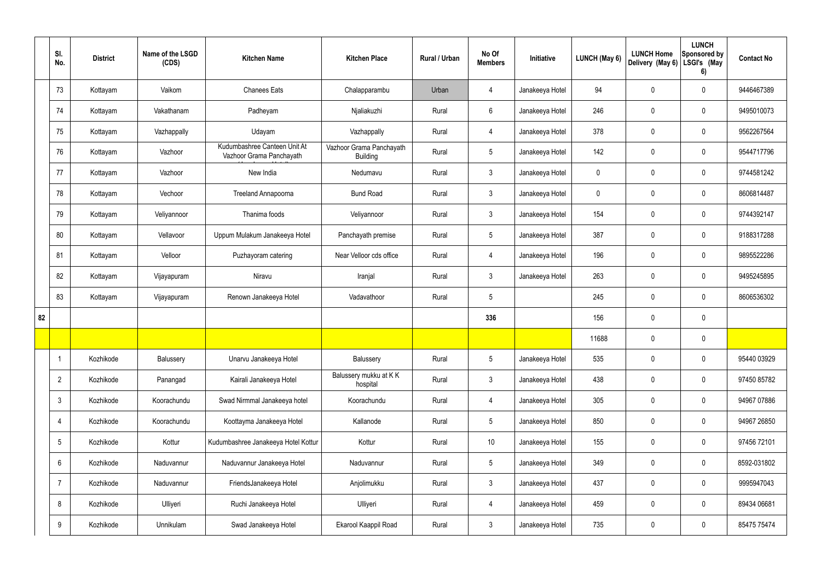|    | SI.<br>No.     | <b>District</b> | Name of the LSGD<br>(CDS) | <b>Kitchen Name</b>                                      | <b>Kitchen Place</b>                        | Rural / Urban | No Of<br><b>Members</b> | Initiative      | LUNCH (May 6) | <b>LUNCH Home</b><br>Delivery (May 6) | <b>LUNCH</b><br>Sponsored by<br>LSGI's (May<br>6) | <b>Contact No</b> |
|----|----------------|-----------------|---------------------------|----------------------------------------------------------|---------------------------------------------|---------------|-------------------------|-----------------|---------------|---------------------------------------|---------------------------------------------------|-------------------|
|    | 73             | Kottayam        | Vaikom                    | <b>Chanees Eats</b>                                      | Chalapparambu                               | Urban         | 4                       | Janakeeya Hotel | 94            | 0                                     | $\pmb{0}$                                         | 9446467389        |
|    | 74             | Kottayam        | Vakathanam                | Padheyam                                                 | Njaliakuzhi                                 | Rural         | $6\overline{6}$         | Janakeeya Hotel | 246           | 0                                     | $\pmb{0}$                                         | 9495010073        |
|    | 75             | Kottayam        | Vazhappally               | Udayam                                                   | Vazhappally                                 | Rural         | $\overline{4}$          | Janakeeya Hotel | 378           | 0                                     | $\mathbf 0$                                       | 9562267564        |
|    | 76             | Kottayam        | Vazhoor                   | Kudumbashree Canteen Unit At<br>Vazhoor Grama Panchayath | Vazhoor Grama Panchayath<br><b>Building</b> | Rural         | $5\phantom{.0}$         | Janakeeya Hotel | 142           | $\mathbf 0$                           | $\boldsymbol{0}$                                  | 9544717796        |
|    | 77             | Kottayam        | Vazhoor                   | New India                                                | Nedumavu                                    | Rural         | $\mathbf{3}$            | Janakeeya Hotel | 0             | $\mathbf 0$                           | $\mathbf 0$                                       | 9744581242        |
|    | 78             | Kottayam        | Vechoor                   | Treeland Annapoorna                                      | <b>Bund Road</b>                            | Rural         | $\mathbf{3}$            | Janakeeya Hotel | 0             | 0                                     | $\pmb{0}$                                         | 8606814487        |
|    | 79             | Kottayam        | Veliyannoor               | Thanima foods                                            | Veliyannoor                                 | Rural         | $\mathbf{3}$            | Janakeeya Hotel | 154           | 0                                     | $\mathbf 0$                                       | 9744392147        |
|    | 80             | Kottayam        | Vellavoor                 | Uppum Mulakum Janakeeya Hotel                            | Panchayath premise                          | Rural         | $5\overline{)}$         | Janakeeya Hotel | 387           | $\boldsymbol{0}$                      | $\pmb{0}$                                         | 9188317288        |
|    | 81             | Kottayam        | Velloor                   | Puzhayoram catering                                      | Near Velloor cds office                     | Rural         | $\overline{4}$          | Janakeeya Hotel | 196           | $\pmb{0}$                             | $\pmb{0}$                                         | 9895522286        |
|    | 82             | Kottayam        | Vijayapuram               | Niravu                                                   | Iranjal                                     | Rural         | $\mathbf{3}$            | Janakeeya Hotel | 263           | $\boldsymbol{0}$                      | $\pmb{0}$                                         | 9495245895        |
|    | 83             | Kottayam        | Vijayapuram               | Renown Janakeeya Hotel                                   | Vadavathoor                                 | Rural         | $5\overline{)}$         |                 | 245           | 0                                     | $\pmb{0}$                                         | 8606536302        |
| 82 |                |                 |                           |                                                          |                                             |               | 336                     |                 | 156           | $\boldsymbol{0}$                      | $\pmb{0}$                                         |                   |
|    |                |                 |                           |                                                          |                                             |               |                         |                 | 11688         | 0                                     | $\pmb{0}$                                         |                   |
|    | -1             | Kozhikode       | Balussery                 | Unarvu Janakeeya Hotel                                   | Balussery                                   | Rural         | $5\phantom{.0}$         | Janakeeya Hotel | 535           | 0                                     | $\mathbf 0$                                       | 95440 03929       |
|    | $\overline{2}$ | Kozhikode       | Panangad                  | Kairali Janakeeya Hotel                                  | Balussery mukku at KK<br>hospital           | Rural         | 3                       | Janakeeya Hotel | 438           | 0                                     | $\mathbf 0$                                       | 97450 85782       |
|    | 3              | Kozhikode       | Koorachundu               | Swad Nirmmal Janakeeya hotel                             | Koorachundu                                 | Rural         | $\overline{4}$          | Janakeeya Hotel | 305           | 0                                     | $\mathbf 0$                                       | 94967 07886       |
|    | 4              | Kozhikode       | Koorachundu               | Koottayma Janakeeya Hotel                                | Kallanode                                   | Rural         | $5\overline{)}$         | Janakeeya Hotel | 850           | 0                                     | $\mathbf 0$                                       | 94967 26850       |
|    | 5              | Kozhikode       | Kottur                    | Kudumbashree Janakeeya Hotel Kottur                      | Kottur                                      | Rural         | 10 <sup>°</sup>         | Janakeeya Hotel | 155           | $\pmb{0}$                             | $\mathbf 0$                                       | 97456 72101       |
|    | 6              | Kozhikode       | Naduvannur                | Naduvannur Janakeeya Hotel                               | Naduvannur                                  | Rural         | $5\phantom{.0}$         | Janakeeya Hotel | 349           | $\pmb{0}$                             | $\pmb{0}$                                         | 8592-031802       |
|    | $\overline{7}$ | Kozhikode       | Naduvannur                | FriendsJanakeeya Hotel                                   | Anjolimukku                                 | Rural         | $3\phantom{.0}$         | Janakeeya Hotel | 437           | $\pmb{0}$                             | $\mathbf 0$                                       | 9995947043        |
|    | 8              | Kozhikode       | Ulliyeri                  | Ruchi Janakeeya Hotel                                    | Ulliyeri                                    | Rural         | $\overline{4}$          | Janakeeya Hotel | 459           | $\mathbf 0$                           | $\mathbf 0$                                       | 89434 06681       |
|    | 9              | Kozhikode       | Unnikulam                 | Swad Janakeeya Hotel                                     | Ekarool Kaappil Road                        | Rural         | $\mathbf{3}$            | Janakeeya Hotel | 735           | $\pmb{0}$                             | $\pmb{0}$                                         | 85475 75474       |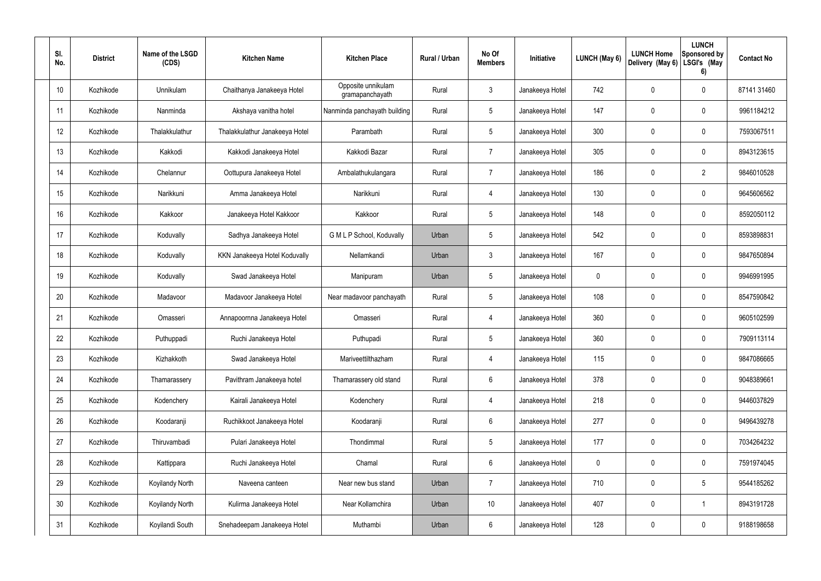| SI.<br>No. | <b>District</b> | Name of the LSGD<br>(CDS) | <b>Kitchen Name</b>            | <b>Kitchen Place</b>                  | <b>Rural / Urban</b> | No Of<br><b>Members</b> | Initiative      | LUNCH (May 6) | <b>LUNCH Home</b><br>Delivery (May 6) | <b>LUNCH</b><br>Sponsored by<br>LSGI's (May<br>6) | <b>Contact No</b> |
|------------|-----------------|---------------------------|--------------------------------|---------------------------------------|----------------------|-------------------------|-----------------|---------------|---------------------------------------|---------------------------------------------------|-------------------|
| 10         | Kozhikode       | Unnikulam                 | Chaithanya Janakeeya Hotel     | Opposite unnikulam<br>gramapanchayath | Rural                | $\mathbf{3}$            | Janakeeya Hotel | 742           | 0                                     | $\mathbf 0$                                       | 87141 31460       |
| 11         | Kozhikode       | Nanminda                  | Akshaya vanitha hotel          | Nanminda panchayath building          | Rural                | $5\phantom{.0}$         | Janakeeya Hotel | 147           | 0                                     | $\mathbf 0$                                       | 9961184212        |
| 12         | Kozhikode       | Thalakkulathur            | Thalakkulathur Janakeeya Hotel | Parambath                             | Rural                | $5\phantom{.0}$         | Janakeeya Hotel | 300           | 0                                     | $\mathbf 0$                                       | 7593067511        |
| 13         | Kozhikode       | Kakkodi                   | Kakkodi Janakeeya Hotel        | Kakkodi Bazar                         | Rural                | $\overline{7}$          | Janakeeya Hotel | 305           | 0                                     | $\mathbf 0$                                       | 8943123615        |
| 14         | Kozhikode       | Chelannur                 | Oottupura Janakeeya Hotel      | Ambalathukulangara                    | Rural                | $\overline{7}$          | Janakeeya Hotel | 186           | 0                                     | $\overline{2}$                                    | 9846010528        |
| 15         | Kozhikode       | Narikkuni                 | Amma Janakeeya Hotel           | Narikkuni                             | Rural                | $\overline{4}$          | Janakeeya Hotel | 130           | 0                                     | $\mathbf 0$                                       | 9645606562        |
| 16         | Kozhikode       | Kakkoor                   | Janakeeya Hotel Kakkoor        | Kakkoor                               | Rural                | $5\phantom{.0}$         | Janakeeya Hotel | 148           | 0                                     | $\mathbf 0$                                       | 8592050112        |
| 17         | Kozhikode       | Koduvally                 | Sadhya Janakeeya Hotel         | G M L P School, Koduvally             | Urban                | $5\phantom{.0}$         | Janakeeya Hotel | 542           | 0                                     | $\mathbf 0$                                       | 8593898831        |
| 18         | Kozhikode       | Koduvally                 | KKN Janakeeya Hotel Koduvally  | Nellamkandi                           | Urban                | $\mathfrak{Z}$          | Janakeeya Hotel | 167           | 0                                     | $\mathbf 0$                                       | 9847650894        |
| 19         | Kozhikode       | Koduvally                 | Swad Janakeeya Hotel           | Manipuram                             | Urban                | $5\phantom{.0}$         | Janakeeya Hotel | 0             | 0                                     | $\mathbf 0$                                       | 9946991995        |
| 20         | Kozhikode       | Madavoor                  | Madavoor Janakeeya Hotel       | Near madavoor panchayath              | Rural                | $5\phantom{.0}$         | Janakeeya Hotel | 108           | 0                                     | $\mathbf 0$                                       | 8547590842        |
| 21         | Kozhikode       | Omasseri                  | Annapoornna Janakeeya Hotel    | Omasseri                              | Rural                | 4                       | Janakeeya Hotel | 360           | 0                                     | $\mathbf 0$                                       | 9605102599        |
| 22         | Kozhikode       | Puthuppadi                | Ruchi Janakeeya Hotel          | Puthupadi                             | Rural                | $5\phantom{.0}$         | Janakeeya Hotel | 360           | 0                                     | $\mathbf 0$                                       | 7909113114        |
| 23         | Kozhikode       | Kizhakkoth                | Swad Janakeeya Hotel           | Mariveettilthazham                    | Rural                | $\overline{4}$          | Janakeeya Hotel | 115           | 0                                     | $\pmb{0}$                                         | 9847086665        |
| 24         | Kozhikode       | Thamarassery              | Pavithram Janakeeya hotel      | Thamarassery old stand                | Rural                | $6\phantom{.}6$         | Janakeeya Hotel | 378           | $\mathbf 0$                           | $\mathbf 0$                                       | 9048389661        |
| 25         | Kozhikode       | Kodenchery                | Kairali Janakeeya Hotel        | Kodenchery                            | Rural                | 4                       | Janakeeya Hotel | 218           | $\mathbf 0$                           | $\mathbf 0$                                       | 9446037829        |
| 26         | Kozhikode       | Koodaranji                | Ruchikkoot Janakeeya Hotel     | Koodaranji                            | Rural                | $6\phantom{.}$          | Janakeeya Hotel | 277           | $\mathbf 0$                           | $\mathbf 0$                                       | 9496439278        |
| 27         | Kozhikode       | Thiruvambadi              | Pulari Janakeeya Hotel         | Thondimmal                            | Rural                | $5\phantom{.0}$         | Janakeeya Hotel | 177           | $\mathbf 0$                           | $\mathbf 0$                                       | 7034264232        |
| 28         | Kozhikode       | Kattippara                | Ruchi Janakeeya Hotel          | Chamal                                | Rural                | $6\,$                   | Janakeeya Hotel | 0             | $\mathbf 0$                           | $\mathbf 0$                                       | 7591974045        |
| 29         | Kozhikode       | Koyilandy North           | Naveena canteen                | Near new bus stand                    | Urban                | $\overline{7}$          | Janakeeya Hotel | 710           | $\pmb{0}$                             | $5\phantom{.0}$                                   | 9544185262        |
| 30         | Kozhikode       | Koyilandy North           | Kulirma Janakeeya Hotel        | Near Kollamchira                      | Urban                | 10                      | Janakeeya Hotel | 407           | $\mathbf 0$                           | $\mathbf{1}$                                      | 8943191728        |
| 31         | Kozhikode       | Koyilandi South           | Snehadeepam Janakeeya Hotel    | Muthambi                              | Urban                | $6\,$                   | Janakeeya Hotel | 128           | $\pmb{0}$                             | $\pmb{0}$                                         | 9188198658        |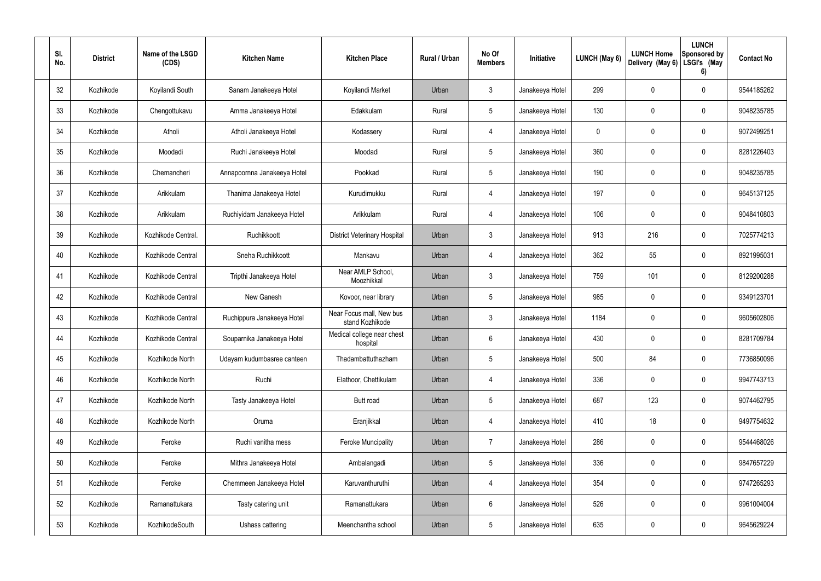| SI.<br>No. | <b>District</b> | Name of the LSGD<br>(CDS) | <b>Kitchen Name</b>         | <b>Kitchen Place</b>                        | Rural / Urban | No Of<br><b>Members</b> | Initiative      | LUNCH (May 6) | <b>LUNCH Home</b><br>Delivery (May 6) | <b>LUNCH</b><br><b>Sponsored by</b><br>LSGI's (May<br>6) | <b>Contact No</b> |
|------------|-----------------|---------------------------|-----------------------------|---------------------------------------------|---------------|-------------------------|-----------------|---------------|---------------------------------------|----------------------------------------------------------|-------------------|
| 32         | Kozhikode       | Koyilandi South           | Sanam Janakeeya Hotel       | Koyilandi Market                            | Urban         | 3                       | Janakeeya Hotel | 299           | 0                                     | 0                                                        | 9544185262        |
| 33         | Kozhikode       | Chengottukavu             | Amma Janakeeya Hotel        | Edakkulam                                   | Rural         | $5\phantom{.0}$         | Janakeeya Hotel | 130           | 0                                     | 0                                                        | 9048235785        |
| 34         | Kozhikode       | Atholi                    | Atholi Janakeeya Hotel      | Kodassery                                   | Rural         | 4                       | Janakeeya Hotel | 0             | 0                                     | 0                                                        | 9072499251        |
| 35         | Kozhikode       | Moodadi                   | Ruchi Janakeeya Hotel       | Moodadi                                     | Rural         | $5\phantom{.0}$         | Janakeeya Hotel | 360           | 0                                     | 0                                                        | 8281226403        |
| 36         | Kozhikode       | Chemancheri               | Annapoornna Janakeeya Hotel | Pookkad                                     | Rural         | $5\phantom{.0}$         | Janakeeya Hotel | 190           | 0                                     | 0                                                        | 9048235785        |
| 37         | Kozhikode       | Arikkulam                 | Thanima Janakeeya Hotel     | Kurudimukku                                 | Rural         | 4                       | Janakeeya Hotel | 197           | 0                                     | 0                                                        | 9645137125        |
| 38         | Kozhikode       | Arikkulam                 | Ruchiyidam Janakeeya Hotel  | Arikkulam                                   | Rural         | 4                       | Janakeeya Hotel | 106           | 0                                     | 0                                                        | 9048410803        |
| 39         | Kozhikode       | Kozhikode Central.        | Ruchikkoott                 | <b>District Veterinary Hospital</b>         | Urban         | 3                       | Janakeeya Hotel | 913           | 216                                   | 0                                                        | 7025774213        |
| 40         | Kozhikode       | Kozhikode Central         | Sneha Ruchikkoott           | Mankavu                                     | Urban         | 4                       | Janakeeya Hotel | 362           | 55                                    | 0                                                        | 8921995031        |
| 41         | Kozhikode       | Kozhikode Central         | Tripthi Janakeeya Hotel     | Near AMLP School,<br>Moozhikkal             | Urban         | 3                       | Janakeeya Hotel | 759           | 101                                   | 0                                                        | 8129200288        |
| 42         | Kozhikode       | Kozhikode Central         | New Ganesh                  | Kovoor, near library                        | Urban         | $5\phantom{.0}$         | Janakeeya Hotel | 985           | 0                                     | 0                                                        | 9349123701        |
| 43         | Kozhikode       | Kozhikode Central         | Ruchippura Janakeeya Hotel  | Near Focus mall, New bus<br>stand Kozhikode | Urban         | 3                       | Janakeeya Hotel | 1184          | 0                                     | 0                                                        | 9605602806        |
| 44         | Kozhikode       | Kozhikode Central         | Souparnika Janakeeya Hotel  | Medical college near chest<br>hospital      | Urban         | 6                       | Janakeeya Hotel | 430           | 0                                     | $\mathbf 0$                                              | 8281709784        |
| 45         | Kozhikode       | Kozhikode North           | Udayam kudumbasree canteen  | Thadambattuthazham                          | Urban         | 5                       | Janakeeya Hotel | 500           | 84                                    | $\pmb{0}$                                                | 7736850096        |
| 46         | Kozhikode       | Kozhikode North           | Ruchi                       | Elathoor, Chettikulam                       | Urban         | 4                       | Janakeeya Hotel | 336           | $\mathbf 0$                           | $\mathsf{0}$                                             | 9947743713        |
| 47         | Kozhikode       | Kozhikode North           | Tasty Janakeeya Hotel       | Butt road                                   | Urban         | $5\phantom{.0}$         | Janakeeya Hotel | 687           | 123                                   | $\mathsf{0}$                                             | 9074462795        |
| 48         | Kozhikode       | Kozhikode North           | Oruma                       | Eranjikkal                                  | Urban         | 4                       | Janakeeya Hotel | 410           | 18                                    | $\mathsf{0}$                                             | 9497754632        |
| 49         | Kozhikode       | Feroke                    | Ruchi vanitha mess          | <b>Feroke Muncipality</b>                   | Urban         | $\overline{7}$          | Janakeeya Hotel | 286           | $\pmb{0}$                             | $\mathsf{0}$                                             | 9544468026        |
| 50         | Kozhikode       | Feroke                    | Mithra Janakeeya Hotel      | Ambalangadi                                 | Urban         | $5\,$                   | Janakeeya Hotel | 336           | $\pmb{0}$                             | $\mathsf{0}$                                             | 9847657229        |
| 51         | Kozhikode       | Feroke                    | Chemmeen Janakeeya Hotel    | Karuvanthuruthi                             | Urban         | $\overline{4}$          | Janakeeya Hotel | 354           | $\pmb{0}$                             | $\mathsf{0}$                                             | 9747265293        |
| 52         | Kozhikode       | Ramanattukara             | Tasty catering unit         | Ramanattukara                               | Urban         | $6\phantom{.}$          | Janakeeya Hotel | 526           | $\mathbf 0$                           | $\mathsf{0}$                                             | 9961004004        |
| 53         | Kozhikode       | KozhikodeSouth            | Ushass cattering            | Meenchantha school                          | Urban         | $\sqrt{5}$              | Janakeeya Hotel | 635           | $\pmb{0}$                             | $\pmb{0}$                                                | 9645629224        |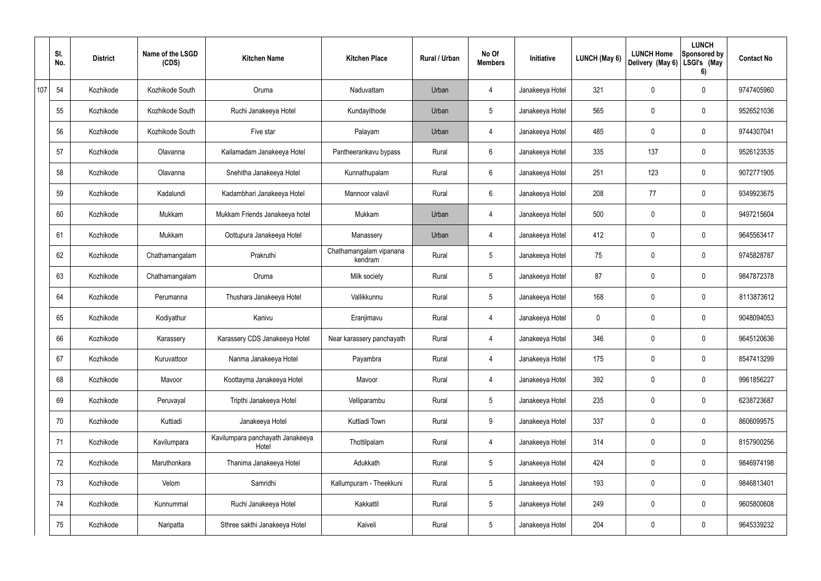|     | SI.<br>No. | <b>District</b> | Name of the LSGD<br>(CDS) | <b>Kitchen Name</b>                       | <b>Kitchen Place</b>               | Rural / Urban | No Of<br><b>Members</b> | Initiative      | LUNCH (May 6) | <b>LUNCH Home</b><br>Delivery (May 6) | <b>LUNCH</b><br>Sponsored by<br>LSGI's (May<br>6) | <b>Contact No</b> |
|-----|------------|-----------------|---------------------------|-------------------------------------------|------------------------------------|---------------|-------------------------|-----------------|---------------|---------------------------------------|---------------------------------------------------|-------------------|
| 107 | 54         | Kozhikode       | Kozhikode South           | Oruma                                     | Naduvattam                         | Urban         | 4                       | Janakeeya Hotel | 321           | 0                                     | $\mathbf 0$                                       | 9747405960        |
|     | 55         | Kozhikode       | Kozhikode South           | Ruchi Janakeeya Hotel                     | Kundayithode                       | Urban         | $5\phantom{.0}$         | Janakeeya Hotel | 565           | 0                                     | $\pmb{0}$                                         | 9526521036        |
|     | 56         | Kozhikode       | Kozhikode South           | Five star                                 | Palayam                            | Urban         | 4                       | Janakeeya Hotel | 485           | 0                                     | $\mathbf 0$                                       | 9744307041        |
|     | 57         | Kozhikode       | Olavanna                  | Kailamadam Janakeeya Hotel                | Pantheerankavu bypass              | Rural         | $6\overline{6}$         | Janakeeya Hotel | 335           | 137                                   | $\pmb{0}$                                         | 9526123535        |
|     | 58         | Kozhikode       | Olavanna                  | Snehitha Janakeeya Hotel                  | Kunnathupalam                      | Rural         | $6\overline{6}$         | Janakeeya Hotel | 251           | 123                                   | $\mathbf 0$                                       | 9072771905        |
|     | 59         | Kozhikode       | Kadalundi                 | Kadambhari Janakeeya Hotel                | Mannoor valavil                    | Rural         | $6\overline{6}$         | Janakeeya Hotel | 208           | 77                                    | $\pmb{0}$                                         | 9349923675        |
|     | 60         | Kozhikode       | Mukkam                    | Mukkam Friends Janakeeya hotel            | Mukkam                             | Urban         | $\overline{4}$          | Janakeeya Hotel | 500           | 0                                     | $\mathbf 0$                                       | 9497215604        |
|     | 61         | Kozhikode       | Mukkam                    | Oottupura Janakeeya Hotel                 | Manassery                          | Urban         | 4                       | Janakeeya Hotel | 412           | 0                                     | $\pmb{0}$                                         | 9645563417        |
|     | 62         | Kozhikode       | Chathamangalam            | Prakruthi                                 | Chathamangalam vipanana<br>kendram | Rural         | $5\,$                   | Janakeeya Hotel | 75            | 0                                     | $\mathbf 0$                                       | 9745828787        |
|     | 63         | Kozhikode       | Chathamangalam            | Oruma                                     | Milk society                       | Rural         | $5\phantom{.0}$         | Janakeeya Hotel | 87            | 0                                     | $\mathbf 0$                                       | 9847872378        |
|     | 64         | Kozhikode       | Perumanna                 | Thushara Janakeeya Hotel                  | Vallikkunnu                        | Rural         | $5\phantom{.0}$         | Janakeeya Hotel | 168           | 0                                     | $\mathbf 0$                                       | 8113873612        |
|     | 65         | Kozhikode       | Kodiyathur                | Kanivu                                    | Eranjimavu                         | Rural         | 4                       | Janakeeya Hotel | 0             | 0                                     | $\mathbf 0$                                       | 9048094053        |
|     | 66         | Kozhikode       | Karassery                 | Karassery CDS Janakeeya Hotel             | Near karassery panchayath          | Rural         | 4                       | Janakeeya Hotel | 346           | 0                                     | $\mathbf 0$                                       | 9645120636        |
|     | 67         | Kozhikode       | Kuruvattoor               | Nanma Janakeeya Hotel                     | Payambra                           | Rural         | $\overline{4}$          | Janakeeya Hotel | 175           | 0                                     | $\pmb{0}$                                         | 8547413299        |
|     | 68         | Kozhikode       | Mavoor                    | Koottayma Janakeeya Hotel                 | Mavoor                             | Rural         | $\overline{4}$          | Janakeeya Hotel | 392           | 0                                     | $\pmb{0}$                                         | 9961856227        |
|     | 69         | Kozhikode       | Peruvayal                 | Tripthi Janakeeya Hotel                   | Velliparambu                       | Rural         | $5\phantom{.0}$         | Janakeeya Hotel | 235           | 0                                     | $\mathbf 0$                                       | 6238723687        |
|     | 70         | Kozhikode       | Kuttiadi                  | Janakeeya Hotel                           | Kuttiadi Town                      | Rural         | 9                       | Janakeeya Hotel | 337           | 0                                     | $\mathbf 0$                                       | 8606099575        |
|     | 71         | Kozhikode       | Kavilumpara               | Kavilumpara panchayath Janakeeya<br>Hotel | Thottilpalam                       | Rural         | $\overline{4}$          | Janakeeya Hotel | 314           | 0                                     | $\mathbf 0$                                       | 8157900256        |
|     | 72         | Kozhikode       | Maruthonkara              | Thanima Janakeeya Hotel                   | Adukkath                           | Rural         | $5\phantom{.0}$         | Janakeeya Hotel | 424           | 0                                     | $\mathbf 0$                                       | 9846974198        |
|     | 73         | Kozhikode       | Velom                     | Samridhi                                  | Kallumpuram - Theekkuni            | Rural         | $5\phantom{.0}$         | Janakeeya Hotel | 193           | 0                                     | $\mathbf 0$                                       | 9846813401        |
|     | 74         | Kozhikode       | Kunnummal                 | Ruchi Janakeeya Hotel                     | Kakkattil                          | Rural         | $5\,$                   | Janakeeya Hotel | 249           | $\pmb{0}$                             | $\pmb{0}$                                         | 9605800608        |
|     | 75         | Kozhikode       | Naripatta                 | Sthree sakthi Janakeeya Hotel             | Kaiveli                            | Rural         | $5\,$                   | Janakeeya Hotel | 204           | 0                                     | $\pmb{0}$                                         | 9645339232        |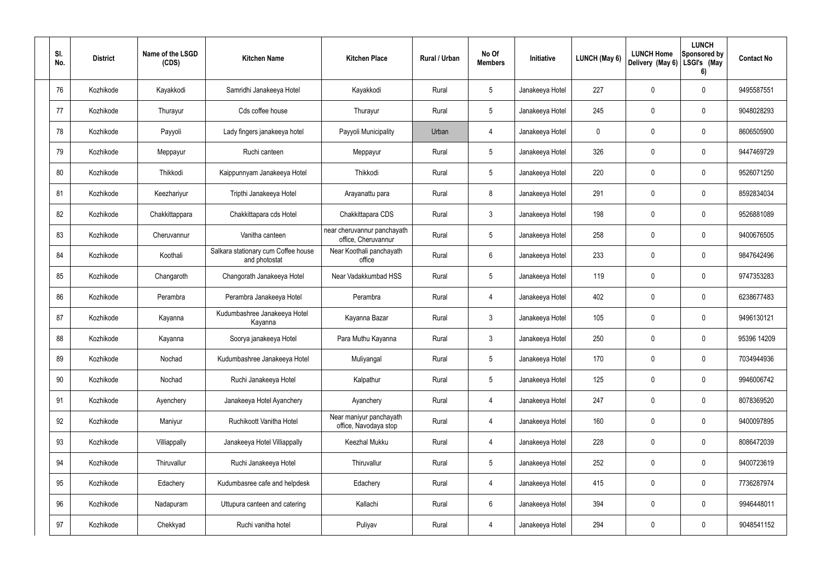| SI.<br>No. | <b>District</b> | Name of the LSGD<br>(CDS) | <b>Kitchen Name</b>                                  | <b>Kitchen Place</b>                               | Rural / Urban | No Of<br><b>Members</b> | Initiative      | LUNCH (May 6) | <b>LUNCH Home</b><br>Delivery (May 6) | <b>LUNCH</b><br>Sponsored by<br>LSGI's (May<br>6) | <b>Contact No</b> |
|------------|-----------------|---------------------------|------------------------------------------------------|----------------------------------------------------|---------------|-------------------------|-----------------|---------------|---------------------------------------|---------------------------------------------------|-------------------|
| 76         | Kozhikode       | Kayakkodi                 | Samridhi Janakeeya Hotel                             | Kayakkodi                                          | Rural         | $5\phantom{.0}$         | Janakeeya Hotel | 227           | 0                                     | $\mathbf 0$                                       | 9495587551        |
| 77         | Kozhikode       | Thurayur                  | Cds coffee house                                     | Thurayur                                           | Rural         | $5\phantom{.0}$         | Janakeeya Hotel | 245           | 0                                     | 0                                                 | 9048028293        |
| 78         | Kozhikode       | Payyoli                   | Lady fingers janakeeya hotel                         | Payyoli Municipality                               | Urban         | 4                       | Janakeeya Hotel | 0             | 0                                     | $\mathbf 0$                                       | 8606505900        |
| 79         | Kozhikode       | Meppayur                  | Ruchi canteen                                        | Meppayur                                           | Rural         | $5\phantom{.0}$         | Janakeeya Hotel | 326           | 0                                     | $\mathbf 0$                                       | 9447469729        |
| 80         | Kozhikode       | Thikkodi                  | Kaippunnyam Janakeeya Hotel                          | Thikkodi                                           | Rural         | $5\phantom{.0}$         | Janakeeya Hotel | 220           | 0                                     | $\mathbf 0$                                       | 9526071250        |
| 81         | Kozhikode       | Keezhariyur               | Tripthi Janakeeya Hotel                              | Arayanattu para                                    | Rural         | 8                       | Janakeeya Hotel | 291           | 0                                     | $\mathbf 0$                                       | 8592834034        |
| 82         | Kozhikode       | Chakkittappara            | Chakkittapara cds Hotel                              | Chakkittapara CDS                                  | Rural         | $\mathbf{3}$            | Janakeeya Hotel | 198           | 0                                     | $\mathbf 0$                                       | 9526881089        |
| 83         | Kozhikode       | Cheruvannur               | Vanitha canteen                                      | near cheruvannur panchayath<br>office, Cheruvannur | Rural         | $5\phantom{.0}$         | Janakeeya Hotel | 258           | 0                                     | $\mathbf 0$                                       | 9400676505        |
| 84         | Kozhikode       | Koothali                  | Salkara stationary cum Coffee house<br>and photostat | Near Koothali panchayath<br>office                 | Rural         | 6                       | Janakeeya Hotel | 233           | 0                                     | $\mathbf 0$                                       | 9847642496        |
| 85         | Kozhikode       | Changaroth                | Changorath Janakeeya Hotel                           | Near Vadakkumbad HSS                               | Rural         | 5                       | Janakeeya Hotel | 119           | 0                                     | $\pmb{0}$                                         | 9747353283        |
| 86         | Kozhikode       | Perambra                  | Perambra Janakeeya Hotel                             | Perambra                                           | Rural         | 4                       | Janakeeya Hotel | 402           | 0                                     | $\pmb{0}$                                         | 6238677483        |
| 87         | Kozhikode       | Kayanna                   | Kudumbashree Janakeeya Hotel<br>Kayanna              | Kayanna Bazar                                      | Rural         | 3                       | Janakeeya Hotel | 105           | 0                                     | $\mathbf 0$                                       | 9496130121        |
| 88         | Kozhikode       | Kayanna                   | Soorya janakeeya Hotel                               | Para Muthu Kayanna                                 | Rural         | 3                       | Janakeeya Hotel | 250           | 0                                     | $\mathbf 0$                                       | 95396 14209       |
| 89         | Kozhikode       | Nochad                    | Kudumbashree Janakeeya Hotel                         | Muliyangal                                         | Rural         | 5                       | Janakeeya Hotel | 170           | 0                                     | $\pmb{0}$                                         | 7034944936        |
| 90         | Kozhikode       | Nochad                    | Ruchi Janakeeya Hotel                                | Kalpathur                                          | Rural         | $\overline{5}$          | Janakeeya Hotel | 125           | $\mathbf 0$                           | $\mathbf 0$                                       | 9946006742        |
| 91         | Kozhikode       | Ayenchery                 | Janakeeya Hotel Ayanchery                            | Ayanchery                                          | Rural         | 4                       | Janakeeya Hotel | 247           | $\mathbf 0$                           | $\mathbf 0$                                       | 8078369520        |
| 92         | Kozhikode       | Maniyur                   | Ruchikoott Vanitha Hotel                             | Near maniyur panchayath<br>office, Navodaya stop   | Rural         | $\overline{4}$          | Janakeeya Hotel | 160           | $\mathbf 0$                           | $\mathsf{0}$                                      | 9400097895        |
| 93         | Kozhikode       | Villiappally              | Janakeeya Hotel Villiappally                         | Keezhal Mukku                                      | Rural         | 4                       | Janakeeya Hotel | 228           | $\pmb{0}$                             | $\mathbf 0$                                       | 8086472039        |
| 94         | Kozhikode       | Thiruvallur               | Ruchi Janakeeya Hotel                                | Thiruvallur                                        | Rural         | $\overline{5}$          | Janakeeya Hotel | 252           | $\mathbf 0$                           | $\mathsf{0}$                                      | 9400723619        |
| 95         | Kozhikode       | Edachery                  | Kudumbasree cafe and helpdesk                        | Edachery                                           | Rural         | 4                       | Janakeeya Hotel | 415           | $\pmb{0}$                             | $\mathsf{0}$                                      | 7736287974        |
| 96         | Kozhikode       | Nadapuram                 | Uttupura canteen and catering                        | Kallachi                                           | Rural         | 6                       | Janakeeya Hotel | 394           | $\mathbf 0$                           | $\mathbf 0$                                       | 9946448011        |
| 97         | Kozhikode       | Chekkyad                  | Ruchi vanitha hotel                                  | Puliyav                                            | Rural         | 4                       | Janakeeya Hotel | 294           | $\pmb{0}$                             | $\pmb{0}$                                         | 9048541152        |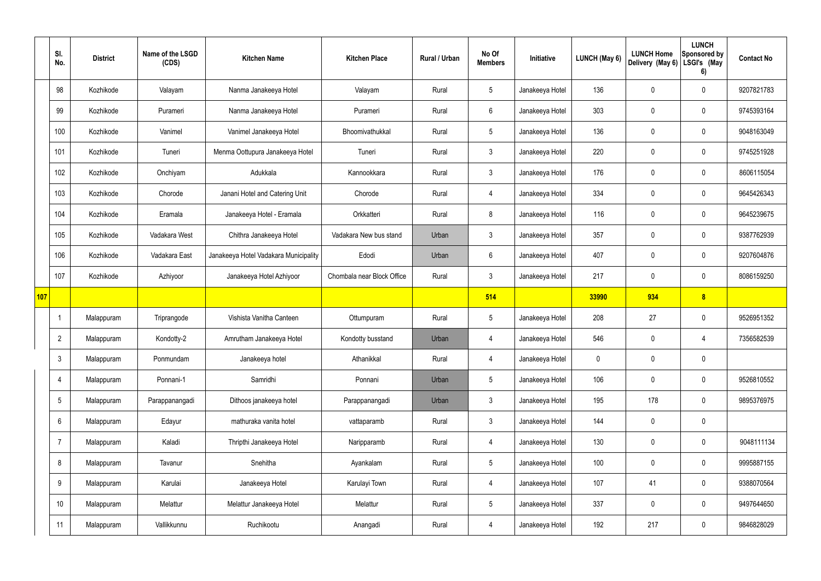|     | SI.<br>No.      | <b>District</b> | Name of the LSGD<br>(CDS) | <b>Kitchen Name</b>                   | <b>Kitchen Place</b>       | Rural / Urban | No Of<br><b>Members</b> | Initiative      | <b>LUNCH (May 6)</b> | <b>LUNCH Home</b><br>Delivery (May 6) | <b>LUNCH</b><br>Sponsored by<br>LSGI's (May<br>6) | <b>Contact No</b> |
|-----|-----------------|-----------------|---------------------------|---------------------------------------|----------------------------|---------------|-------------------------|-----------------|----------------------|---------------------------------------|---------------------------------------------------|-------------------|
|     | 98              | Kozhikode       | Valayam                   | Nanma Janakeeya Hotel                 | Valayam                    | Rural         | $5\overline{)}$         | Janakeeya Hotel | 136                  | $\mathbf 0$                           | $\mathbf 0$                                       | 9207821783        |
|     | 99              | Kozhikode       | Purameri                  | Nanma Janakeeya Hotel                 | Purameri                   | Rural         | $6\overline{6}$         | Janakeeya Hotel | 303                  | $\mathbf 0$                           | $\mathbf 0$                                       | 9745393164        |
|     | 100             | Kozhikode       | Vanimel                   | Vanimel Janakeeya Hotel               | Bhoomivathukkal            | Rural         | $5\overline{)}$         | Janakeeya Hotel | 136                  | $\mathbf 0$                           | $\mathbf 0$                                       | 9048163049        |
|     | 101             | Kozhikode       | Tuneri                    | Menma Oottupura Janakeeya Hotel       | Tuneri                     | Rural         | 3                       | Janakeeya Hotel | 220                  | $\mathbf 0$                           | $\mathbf 0$                                       | 9745251928        |
|     | 102             | Kozhikode       | Onchiyam                  | Adukkala                              | Kannookkara                | Rural         | 3 <sup>5</sup>          | Janakeeya Hotel | 176                  | $\mathbf 0$                           | $\mathbf 0$                                       | 8606115054        |
|     | 103             | Kozhikode       | Chorode                   | Janani Hotel and Catering Unit        | Chorode                    | Rural         | 4                       | Janakeeya Hotel | 334                  | $\mathbf 0$                           | $\mathbf 0$                                       | 9645426343        |
|     | 104             | Kozhikode       | Eramala                   | Janakeeya Hotel - Eramala             | Orkkatteri                 | Rural         | 8                       | Janakeeya Hotel | 116                  | $\mathbf 0$                           | $\mathbf 0$                                       | 9645239675        |
|     | 105             | Kozhikode       | Vadakara West             | Chithra Janakeeya Hotel               | Vadakara New bus stand     | Urban         | $\mathbf{3}$            | Janakeeya Hotel | 357                  | $\mathbf 0$                           | $\mathbf 0$                                       | 9387762939        |
|     | 106             | Kozhikode       | Vadakara East             | Janakeeya Hotel Vadakara Municipality | Edodi                      | Urban         | $6\overline{6}$         | Janakeeya Hotel | 407                  | $\mathbf 0$                           | $\mathbf 0$                                       | 9207604876        |
|     | 107             | Kozhikode       | Azhiyoor                  | Janakeeya Hotel Azhiyoor              | Chombala near Block Office | Rural         | $\mathbf{3}$            | Janakeeya Hotel | 217                  | $\mathbf 0$                           | $\mathbf 0$                                       | 8086159250        |
| 107 |                 |                 |                           |                                       |                            |               | 514                     |                 | 33990                | 934                                   | 8                                                 |                   |
|     |                 | Malappuram      | Triprangode               | Vishista Vanitha Canteen              | Ottumpuram                 | Rural         | $5\overline{)}$         | Janakeeya Hotel | 208                  | 27                                    | $\mathbf 0$                                       | 9526951352        |
|     | $\overline{2}$  | Malappuram      | Kondotty-2                | Amrutham Janakeeya Hotel              | Kondotty busstand          | Urban         | 4                       | Janakeeya Hotel | 546                  | $\mathbf 0$                           | 4                                                 | 7356582539        |
|     | $\mathfrak{Z}$  | Malappuram      | Ponmundam                 | Janakeeya hotel                       | Athanikkal                 | Rural         | $\overline{4}$          | Janakeeya Hotel | $\mathbf 0$          | $\pmb{0}$                             | $\mathbf 0$                                       |                   |
|     | 4               | Malappuram      | Ponnani-1                 | Samridhi                              | Ponnani                    | Urban         | $5\overline{)}$         | Janakeeya Hotel | 106                  | $\pmb{0}$                             | $\mathbf 0$                                       | 9526810552        |
|     | $5\phantom{.0}$ | Malappuram      | Parappanangadi            | Dithoos janakeeya hotel               | Parappanangadi             | Urban         | $3\phantom{.0}$         | Janakeeya Hotel | 195                  | 178                                   | $\mathbf 0$                                       | 9895376975        |
|     | 6               | Malappuram      | Edayur                    | mathuraka vanita hotel                | vattaparamb                | Rural         | $\mathbf{3}$            | Janakeeya Hotel | 144                  | $\pmb{0}$                             | $\mathbf 0$                                       |                   |
|     | $\overline{7}$  | Malappuram      | Kaladi                    | Thripthi Janakeeya Hotel              | Naripparamb                | Rural         | $\overline{4}$          | Janakeeya Hotel | 130                  | $\pmb{0}$                             | $\mathbf 0$                                       | 9048111134        |
|     | 8               | Malappuram      | Tavanur                   | Snehitha                              | Ayankalam                  | Rural         | 5 <sub>5</sub>          | Janakeeya Hotel | 100                  | $\pmb{0}$                             | $\mathbf 0$                                       | 9995887155        |
|     | 9               | Malappuram      | Karulai                   | Janakeeya Hotel                       | Karulayi Town              | Rural         | $\overline{4}$          | Janakeeya Hotel | 107                  | 41                                    | $\mathbf 0$                                       | 9388070564        |
|     | 10 <sup>°</sup> | Malappuram      | Melattur                  | Melattur Janakeeya Hotel              | Melattur                   | Rural         | $5\overline{)}$         | Janakeeya Hotel | 337                  | $\pmb{0}$                             | $\mathbf 0$                                       | 9497644650        |
|     | 11              | Malappuram      | Vallikkunnu               | Ruchikootu                            | Anangadi                   | Rural         | $\overline{4}$          | Janakeeya Hotel | 192                  | 217                                   | $\boldsymbol{0}$                                  | 9846828029        |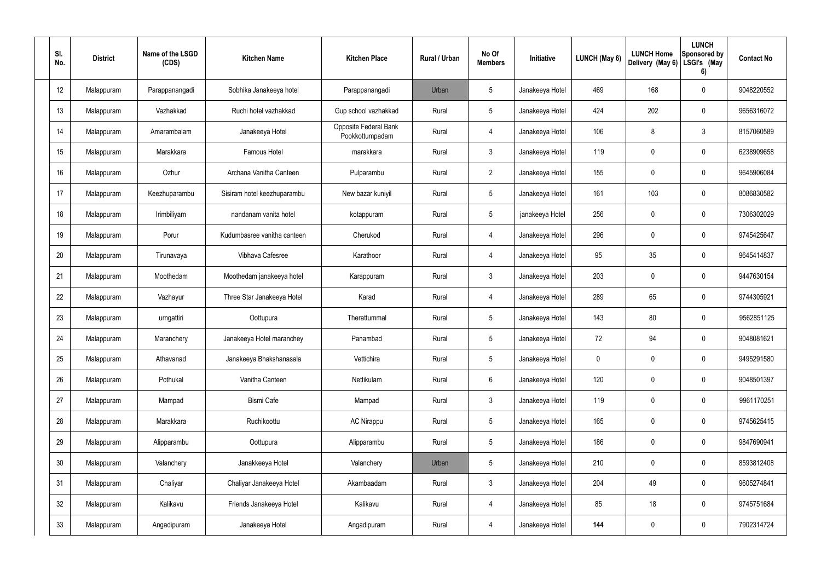| SI.<br>No. | <b>District</b> | Name of the LSGD<br>(CDS) | <b>Kitchen Name</b>         | <b>Kitchen Place</b>                     | <b>Rural / Urban</b> | No Of<br><b>Members</b> | Initiative      | LUNCH (May 6) | <b>LUNCH Home</b><br>Delivery (May 6) | <b>LUNCH</b><br><b>Sponsored by</b><br>LSGI's (May<br>6) | <b>Contact No</b> |
|------------|-----------------|---------------------------|-----------------------------|------------------------------------------|----------------------|-------------------------|-----------------|---------------|---------------------------------------|----------------------------------------------------------|-------------------|
| 12         | Malappuram      | Parappanangadi            | Sobhika Janakeeya hotel     | Parappanangadi                           | Urban                | $5\phantom{.0}$         | Janakeeya Hotel | 469           | 168                                   | $\mathbf 0$                                              | 9048220552        |
| 13         | Malappuram      | Vazhakkad                 | Ruchi hotel vazhakkad       | Gup school vazhakkad                     | Rural                | $5\phantom{.0}$         | Janakeeya Hotel | 424           | 202                                   | $\pmb{0}$                                                | 9656316072        |
| 14         | Malappuram      | Amarambalam               | Janakeeya Hotel             | Opposite Federal Bank<br>Pookkottumpadam | Rural                | $\overline{4}$          | Janakeeya Hotel | 106           | 8                                     | $\mathfrak{Z}$                                           | 8157060589        |
| 15         | Malappuram      | Marakkara                 | Famous Hotel                | marakkara                                | Rural                | $\mathfrak{Z}$          | Janakeeya Hotel | 119           | 0                                     | $\mathbf 0$                                              | 6238909658        |
| 16         | Malappuram      | Ozhur                     | Archana Vanitha Canteen     | Pulparambu                               | Rural                | $2^{\circ}$             | Janakeeya Hotel | 155           | 0                                     | $\mathbf 0$                                              | 9645906084        |
| 17         | Malappuram      | Keezhuparambu             | Sisiram hotel keezhuparambu | New bazar kuniyil                        | Rural                | $5\phantom{.0}$         | Janakeeya Hotel | 161           | 103                                   | $\mathbf 0$                                              | 8086830582        |
| 18         | Malappuram      | Irimbiliyam               | nandanam vanita hotel       | kotappuram                               | Rural                | $5\phantom{.0}$         | janakeeya Hotel | 256           | 0                                     | $\mathbf 0$                                              | 7306302029        |
| 19         | Malappuram      | Porur                     | Kudumbasree vanitha canteen | Cherukod                                 | Rural                | 4                       | Janakeeya Hotel | 296           | 0                                     | $\mathbf 0$                                              | 9745425647        |
| 20         | Malappuram      | Tirunavaya                | Vibhava Cafesree            | Karathoor                                | Rural                | 4                       | Janakeeya Hotel | 95            | 35                                    | $\mathbf 0$                                              | 9645414837        |
| 21         | Malappuram      | Moothedam                 | Moothedam janakeeya hotel   | Karappuram                               | Rural                | $\mathbf{3}$            | Janakeeya Hotel | 203           | 0                                     | $\mathbf 0$                                              | 9447630154        |
| 22         | Malappuram      | Vazhayur                  | Three Star Janakeeya Hotel  | Karad                                    | Rural                | $\overline{4}$          | Janakeeya Hotel | 289           | 65                                    | $\mathbf 0$                                              | 9744305921        |
| 23         | Malappuram      | urngattiri                | Oottupura                   | Therattummal                             | Rural                | $5\phantom{.0}$         | Janakeeya Hotel | 143           | 80                                    | $\mathbf 0$                                              | 9562851125        |
| 24         | Malappuram      | Maranchery                | Janakeeya Hotel maranchey   | Panambad                                 | Rural                | $5\phantom{.0}$         | Janakeeya Hotel | 72            | 94                                    | $\mathbf 0$                                              | 9048081621        |
| 25         | Malappuram      | Athavanad                 | Janakeeya Bhakshanasala     | Vettichira                               | Rural                | $5\phantom{.0}$         | Janakeeya Hotel | $\mathbf 0$   | $\mathbf 0$                           | $\mathbf 0$                                              | 9495291580        |
| 26         | Malappuram      | Pothukal                  | Vanitha Canteen             | Nettikulam                               | Rural                | $6\phantom{.}6$         | Janakeeya Hotel | 120           | $\mathbf 0$                           | $\mathbf 0$                                              | 9048501397        |
| 27         | Malappuram      | Mampad                    | Bismi Cafe                  | Mampad                                   | Rural                | $\mathbf{3}$            | Janakeeya Hotel | 119           | $\pmb{0}$                             | $\mathbf 0$                                              | 9961170251        |
| 28         | Malappuram      | Marakkara                 | Ruchikoottu                 | <b>AC Nirappu</b>                        | Rural                | $5\phantom{.0}$         | Janakeeya Hotel | 165           | $\mathbf 0$                           | $\mathbf 0$                                              | 9745625415        |
| 29         | Malappuram      | Alipparambu               | Oottupura                   | Alipparambu                              | Rural                | $5\phantom{.0}$         | Janakeeya Hotel | 186           | $\pmb{0}$                             | $\mathbf 0$                                              | 9847690941        |
| 30         | Malappuram      | Valanchery                | Janakkeeya Hotel            | Valanchery                               | Urban                | $5\phantom{.0}$         | Janakeeya Hotel | 210           | $\mathbf 0$                           | $\mathbf 0$                                              | 8593812408        |
| 31         | Malappuram      | Chaliyar                  | Chaliyar Janakeeya Hotel    | Akambaadam                               | Rural                | $\mathfrak{Z}$          | Janakeeya Hotel | 204           | 49                                    | $\mathbf 0$                                              | 9605274841        |
| 32         | Malappuram      | Kalikavu                  | Friends Janakeeya Hotel     | Kalikavu                                 | Rural                | $\overline{4}$          | Janakeeya Hotel | 85            | 18                                    | $\mathbf 0$                                              | 9745751684        |
| 33         | Malappuram      | Angadipuram               | Janakeeya Hotel             | Angadipuram                              | Rural                | $\overline{4}$          | Janakeeya Hotel | 144           | 0                                     | $\mathbf 0$                                              | 7902314724        |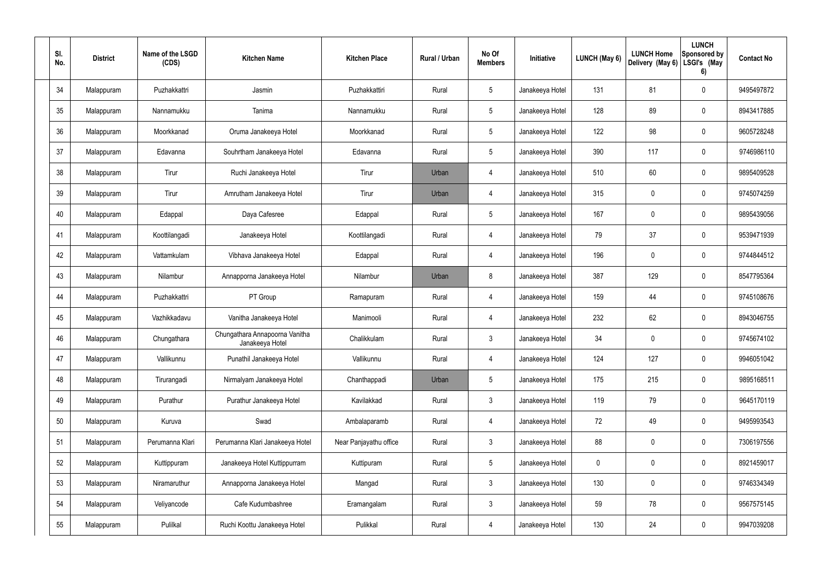| SI.<br>No. | <b>District</b> | Name of the LSGD<br>(CDS) | <b>Kitchen Name</b>                               | <b>Kitchen Place</b>   | Rural / Urban | No Of<br><b>Members</b> | Initiative      | LUNCH (May 6) | <b>LUNCH Home</b><br>Delivery (May 6) | <b>LUNCH</b><br><b>Sponsored by</b><br>LSGI's (May<br>6) | <b>Contact No</b> |
|------------|-----------------|---------------------------|---------------------------------------------------|------------------------|---------------|-------------------------|-----------------|---------------|---------------------------------------|----------------------------------------------------------|-------------------|
| 34         | Malappuram      | Puzhakkattri              | Jasmin                                            | Puzhakkattiri          | Rural         | $\overline{5}$          | Janakeeya Hotel | 131           | 81                                    | $\mathbf 0$                                              | 9495497872        |
| 35         | Malappuram      | Nannamukku                | Tanima                                            | Nannamukku             | Rural         | $5\phantom{.0}$         | Janakeeya Hotel | 128           | 89                                    | 0                                                        | 8943417885        |
| 36         | Malappuram      | Moorkkanad                | Oruma Janakeeya Hotel                             | Moorkkanad             | Rural         | $\overline{5}$          | Janakeeya Hotel | 122           | 98                                    | $\mathbf 0$                                              | 9605728248        |
| 37         | Malappuram      | Edavanna                  | Souhrtham Janakeeya Hotel                         | Edavanna               | Rural         | $5\phantom{.0}$         | Janakeeya Hotel | 390           | 117                                   | 0                                                        | 9746986110        |
| 38         | Malappuram      | Tirur                     | Ruchi Janakeeya Hotel                             | Tirur                  | Urban         | 4                       | Janakeeya Hotel | 510           | 60                                    | $\mathbf 0$                                              | 9895409528        |
| 39         | Malappuram      | Tirur                     | Amrutham Janakeeya Hotel                          | Tirur                  | Urban         | 4                       | Janakeeya Hotel | 315           | 0                                     | 0                                                        | 9745074259        |
| 40         | Malappuram      | Edappal                   | Daya Cafesree                                     | Edappal                | Rural         | $\overline{5}$          | Janakeeya Hotel | 167           | 0                                     | $\mathbf 0$                                              | 9895439056        |
| 41         | Malappuram      | Koottilangadi             | Janakeeya Hotel                                   | Koottilangadi          | Rural         | 4                       | Janakeeya Hotel | 79            | 37                                    | 0                                                        | 9539471939        |
| 42         | Malappuram      | Vattamkulam               | Vibhava Janakeeya Hotel                           | Edappal                | Rural         | 4                       | Janakeeya Hotel | 196           | 0                                     | 0                                                        | 9744844512        |
| 43         | Malappuram      | Nilambur                  | Annapporna Janakeeya Hotel                        | Nilambur               | Urban         | 8                       | Janakeeya Hotel | 387           | 129                                   | $\mathbf 0$                                              | 8547795364        |
| 44         | Malappuram      | Puzhakkattri              | PT Group                                          | Ramapuram              | Rural         | 4                       | Janakeeya Hotel | 159           | 44                                    | 0                                                        | 9745108676        |
| 45         | Malappuram      | Vazhikkadavu              | Vanitha Janakeeya Hotel                           | Manimooli              | Rural         | 4                       | Janakeeya Hotel | 232           | 62                                    | $\pmb{0}$                                                | 8943046755        |
| 46         | Malappuram      | Chungathara               | Chungathara Annapoorna Vanitha<br>Janakeeya Hotel | Chalikkulam            | Rural         | 3                       | Janakeeya Hotel | 34            | 0                                     | $\mathbf 0$                                              | 9745674102        |
| 47         | Malappuram      | Vallikunnu                | Punathil Janakeeya Hotel                          | Vallikunnu             | Rural         | 4                       | Janakeeya Hotel | 124           | 127                                   | $\mathsf{0}$                                             | 9946051042        |
| 48         | Malappuram      | Tirurangadi               | Nirmalyam Janakeeya Hotel                         | Chanthappadi           | Urban         | $5\phantom{.0}$         | Janakeeya Hotel | 175           | 215                                   | $\pmb{0}$                                                | 9895168511        |
| 49         | Malappuram      | Purathur                  | Purathur Janakeeya Hotel                          | Kavilakkad             | Rural         | 3 <sup>1</sup>          | Janakeeya Hotel | 119           | 79                                    | $\mathsf{0}$                                             | 9645170119        |
| 50         | Malappuram      | Kuruva                    | Swad                                              | Ambalaparamb           | Rural         | 4                       | Janakeeya Hotel | 72            | 49                                    | $\pmb{0}$                                                | 9495993543        |
| 51         | Malappuram      | Perumanna Klari           | Perumanna Klari Janakeeya Hotel                   | Near Panjayathu office | Rural         | $3\overline{3}$         | Janakeeya Hotel | 88            | 0                                     | $\pmb{0}$                                                | 7306197556        |
| 52         | Malappuram      | Kuttippuram               | Janakeeya Hotel Kuttippurram                      | Kuttipuram             | Rural         | $5\phantom{.0}$         | Janakeeya Hotel | 0             | $\pmb{0}$                             | $\pmb{0}$                                                | 8921459017        |
| 53         | Malappuram      | Niramaruthur              | Annapporna Janakeeya Hotel                        | Mangad                 | Rural         | $3\overline{3}$         | Janakeeya Hotel | 130           | 0                                     | $\pmb{0}$                                                | 9746334349        |
| 54         | Malappuram      | Veliyancode               | Cafe Kudumbashree                                 | Eramangalam            | Rural         | $\mathfrak{Z}$          | Janakeeya Hotel | 59            | 78                                    | $\mathsf{0}$                                             | 9567575145        |
| 55         | Malappuram      | Pulilkal                  | Ruchi Koottu Janakeeya Hotel                      | Pulikkal               | Rural         | 4                       | Janakeeya Hotel | 130           | 24                                    | $\pmb{0}$                                                | 9947039208        |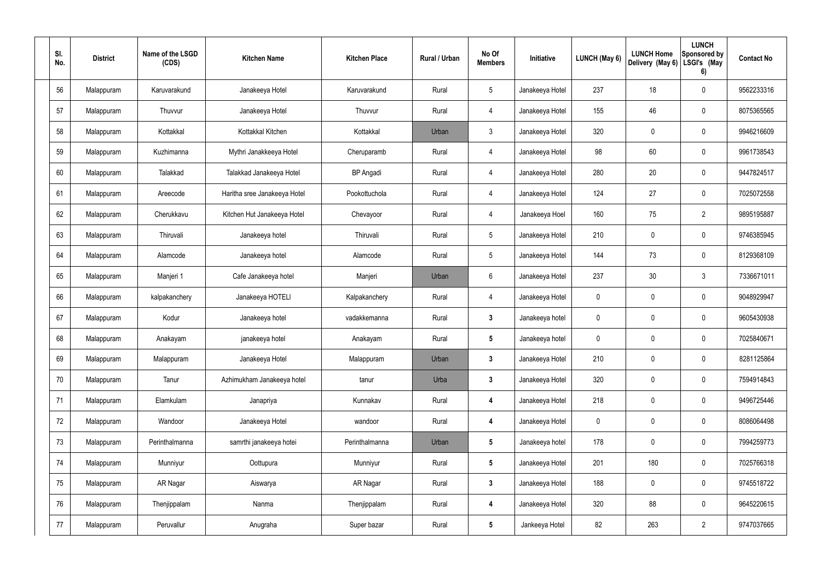| SI.<br>No. | <b>District</b> | Name of the LSGD<br>(CDS) | <b>Kitchen Name</b>          | <b>Kitchen Place</b> | Rural / Urban | No Of<br><b>Members</b> | Initiative      | <b>LUNCH (May 6)</b> | <b>LUNCH Home</b><br>Delivery (May 6) | <b>LUNCH</b><br>Sponsored by<br>LSGI's (May<br>6) | <b>Contact No</b> |
|------------|-----------------|---------------------------|------------------------------|----------------------|---------------|-------------------------|-----------------|----------------------|---------------------------------------|---------------------------------------------------|-------------------|
| 56         | Malappuram      | Karuvarakund              | Janakeeya Hotel              | Karuvarakund         | Rural         | $5\,$                   | Janakeeya Hotel | 237                  | 18                                    | $\boldsymbol{0}$                                  | 9562233316        |
| 57         | Malappuram      | Thuvvur                   | Janakeeya Hotel              | Thuvvur              | Rural         | 4                       | Janakeeya Hotel | 155                  | 46                                    | $\mathbf 0$                                       | 8075365565        |
| 58         | Malappuram      | Kottakkal                 | Kottakkal Kitchen            | Kottakkal            | Urban         | $\mathbf{3}$            | Janakeeya Hotel | 320                  | $\mathbf 0$                           | $\mathbf 0$                                       | 9946216609        |
| 59         | Malappuram      | Kuzhimanna                | Mythri Janakkeeya Hotel      | Cheruparamb          | Rural         | 4                       | Janakeeya Hotel | 98                   | 60                                    | $\mathbf 0$                                       | 9961738543        |
| 60         | Malappuram      | Talakkad                  | Talakkad Janakeeya Hotel     | <b>BP</b> Angadi     | Rural         | 4                       | Janakeeya Hotel | 280                  | 20                                    | $\mathbf 0$                                       | 9447824517        |
| 61         | Malappuram      | Areecode                  | Haritha sree Janakeeya Hotel | Pookottuchola        | Rural         | 4                       | Janakeeya Hotel | 124                  | 27                                    | $\mathbf 0$                                       | 7025072558        |
| 62         | Malappuram      | Cherukkavu                | Kitchen Hut Janakeeya Hotel  | Chevayoor            | Rural         | 4                       | Janakeeya Hoel  | 160                  | 75                                    | $\overline{2}$                                    | 9895195887        |
| 63         | Malappuram      | Thiruvali                 | Janakeeya hotel              | Thiruvali            | Rural         | $5\phantom{.0}$         | Janakeeya Hotel | 210                  | $\mathbf 0$                           | $\mathbf 0$                                       | 9746385945        |
| 64         | Malappuram      | Alamcode                  | Janakeeya hotel              | Alamcode             | Rural         | $5\phantom{.0}$         | Janakeeya Hotel | 144                  | 73                                    | $\mathbf 0$                                       | 8129368109        |
| 65         | Malappuram      | Manjeri 1                 | Cafe Janakeeya hotel         | Manjeri              | Urban         | 6                       | Janakeeya Hotel | 237                  | 30                                    | $\mathbf{3}$                                      | 7336671011        |
| 66         | Malappuram      | kalpakanchery             | Janakeeya HOTELI             | Kalpakanchery        | Rural         | $\overline{4}$          | Janakeeya Hotel | $\mathbf 0$          | 0                                     | $\mathbf 0$                                       | 9048929947        |
| 67         | Malappuram      | Kodur                     | Janakeeya hotel              | vadakkemanna         | Rural         | $\mathbf{3}$            | Janakeeya hotel | $\mathbf 0$          | $\mathbf 0$                           | $\boldsymbol{0}$                                  | 9605430938        |
| 68         | Malappuram      | Anakayam                  | janakeeya hotel              | Anakayam             | Rural         | $5\phantom{.0}$         | Janakeeya hotel | 0                    | $\mathbf 0$                           | $\boldsymbol{0}$                                  | 7025840671        |
| 69         | Malappuram      | Malappuram                | Janakeeya Hotel              | Malappuram           | Urban         | $\mathbf{3}$            | Janakeeya Hotel | 210                  | 0                                     | $\mathbf 0$                                       | 8281125864        |
| 70         | Malappuram      | Tanur                     | Azhimukham Janakeeya hotel   | tanur                | Urba          | $3\phantom{a}$          | Janakeeya Hotel | 320                  | 0                                     | $\mathbf 0$                                       | 7594914843        |
| 71         | Malappuram      | Elamkulam                 | Janapriya                    | Kunnakav             | Rural         | $\overline{\mathbf{4}}$ | Janakeeya Hotel | 218                  | 0                                     | $\mathbf 0$                                       | 9496725446        |
| 72         | Malappuram      | Wandoor                   | Janakeeya Hotel              | wandoor              | Rural         | $\overline{\mathbf{4}}$ | Janakeeya Hotel | $\pmb{0}$            | 0                                     | $\mathbf 0$                                       | 8086064498        |
| 73         | Malappuram      | Perinthalmanna            | samrthi janakeeya hotei      | Perinthalmanna       | Urban         | $5\phantom{.0}$         | Janakeeya hotel | 178                  | $\pmb{0}$                             | $\mathbf 0$                                       | 7994259773        |
| 74         | Malappuram      | Munniyur                  | Oottupura                    | Munniyur             | Rural         | $5\phantom{.0}$         | Janakeeya Hotel | 201                  | 180                                   | $\pmb{0}$                                         | 7025766318        |
| 75         | Malappuram      | AR Nagar                  | Aiswarya                     | AR Nagar             | Rural         | $3\phantom{a}$          | Janakeeya Hotel | 188                  | $\pmb{0}$                             | $\pmb{0}$                                         | 9745518722        |
| 76         | Malappuram      | Thenjippalam              | Nanma                        | Thenjippalam         | Rural         | $\overline{\mathbf{4}}$ | Janakeeya Hotel | 320                  | 88                                    | $\mathbf 0$                                       | 9645220615        |
| 77         | Malappuram      | Peruvallur                | Anugraha                     | Super bazar          | Rural         | $5\phantom{.0}$         | Jankeeya Hotel  | 82                   | 263                                   | $\overline{2}$                                    | 9747037665        |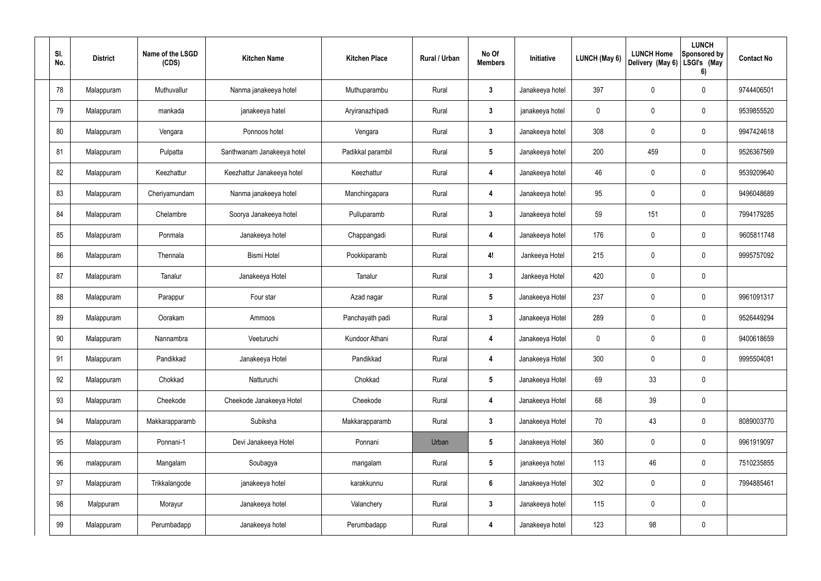| SI.<br>No. | <b>District</b> | Name of the LSGD<br>(CDS) | <b>Kitchen Name</b>        | <b>Kitchen Place</b> | <b>Rural / Urban</b> | No Of<br><b>Members</b> | Initiative      | <b>LUNCH (May 6)</b> | <b>LUNCH Home</b><br>Delivery (May 6) | <b>LUNCH</b><br>Sponsored by<br>LSGI's (May<br>6) | <b>Contact No</b> |
|------------|-----------------|---------------------------|----------------------------|----------------------|----------------------|-------------------------|-----------------|----------------------|---------------------------------------|---------------------------------------------------|-------------------|
| 78         | Malappuram      | Muthuvallur               | Nanma janakeeya hotel      | Muthuparambu         | Rural                | $\boldsymbol{3}$        | Janakeeya hotel | 397                  | 0                                     | 0                                                 | 9744406501        |
| 79         | Malappuram      | mankada                   | janakeeya hatel            | Aryiranazhipadi      | Rural                | $\mathbf{3}$            | janakeeya hotel | $\mathbf 0$          | $\mathbf 0$                           | 0                                                 | 9539855520        |
| 80         | Malappuram      | Vengara                   | Ponnoos hotel              | Vengara              | Rural                | $\mathbf{3}$            | Janakeeya hotel | 308                  | 0                                     | 0                                                 | 9947424618        |
| 81         | Malappuram      | Pulpatta                  | Santhwanam Janakeeya hotel | Padikkal parambil    | Rural                | $5\phantom{.0}$         | Janakeeya hotel | 200                  | 459                                   | 0                                                 | 9526367569        |
| 82         | Malappuram      | Keezhattur                | Keezhattur Janakeeya hotel | Keezhattur           | Rural                | 4                       | Janakeeya hotel | 46                   | 0                                     | 0                                                 | 9539209640        |
| 83         | Malappuram      | Cheriyamundam             | Nanma janakeeya hotel      | Manchingapara        | Rural                | 4                       | Janakeeya hotel | 95                   | $\mathbf 0$                           | 0                                                 | 9496048689        |
| 84         | Malappuram      | Chelambre                 | Soorya Janakeeya hotel     | Pulluparamb          | Rural                | $\mathbf{3}$            | Janakeeya hotel | 59                   | 151                                   | 0                                                 | 7994179285        |
| 85         | Malappuram      | Ponmala                   | Janakeeya hotel            | Chappangadi          | Rural                | $\boldsymbol{4}$        | Janakeeya hotel | 176                  | $\mathbf 0$                           | 0                                                 | 9605811748        |
| 86         | Malappuram      | Thennala                  | <b>Bismi Hotel</b>         | Pookkiparamb         | Rural                | 4!                      | Jankeeya Hotel  | 215                  | 0                                     | 0                                                 | 9995757092        |
| 87         | Malappuram      | Tanalur                   | Janakeeya Hotel            | Tanalur              | Rural                | $\boldsymbol{3}$        | Jankeeya Hotel  | 420                  | $\boldsymbol{0}$                      | 0                                                 |                   |
| 88         | Malappuram      | Parappur                  | Four star                  | Azad nagar           | Rural                | $5\phantom{.0}$         | Janakeeya Hotel | 237                  | $\boldsymbol{0}$                      | 0                                                 | 9961091317        |
| 89         | Malappuram      | Oorakam                   | Ammoos                     | Panchayath padi      | Rural                | $\boldsymbol{3}$        | Janakeeya Hotel | 289                  | $\boldsymbol{0}$                      | 0                                                 | 9526449294        |
| 90         | Malappuram      | Nannambra                 | Veeturuchi                 | Kundoor Athani       | Rural                | 4                       | Janakeeya Hotel | $\mathbf 0$          | $\mathbf 0$                           | 0                                                 | 9400618659        |
| 91         | Malappuram      | Pandikkad                 | Janakeeya Hotel            | Pandikkad            | Rural                | $\overline{4}$          | Janakeeya Hotel | 300                  | $\boldsymbol{0}$                      | 0                                                 | 9995504081        |
| 92         | Malappuram      | Chokkad                   | Natturuchi                 | Chokkad              | Rural                | $5\phantom{.0}$         | Janakeeya Hotel | 69                   | 33                                    | 0                                                 |                   |
| 93         | Malappuram      | Cheekode                  | Cheekode Janakeeya Hotel   | Cheekode             | Rural                | $\overline{\mathbf{4}}$ | Janakeeya Hotel | 68                   | 39                                    | 0                                                 |                   |
| 94         | Malappuram      | Makkarapparamb            | Subiksha                   | Makkarapparamb       | Rural                | $\mathbf{3}$            | Janakeeya Hotel | 70                   | 43                                    | 0                                                 | 8089003770        |
| 95         | Malappuram      | Ponnani-1                 | Devi Janakeeya Hotel       | Ponnani              | Urban                | $5\phantom{.0}$         | Janakeeya Hotel | 360                  | $\boldsymbol{0}$                      | 0                                                 | 9961919097        |
| 96         | malappuram      | Mangalam                  | Soubagya                   | mangalam             | Rural                | $5\phantom{.0}$         | janakeeya hotel | 113                  | 46                                    | 0                                                 | 7510235855        |
| 97         | Malappuram      | Trikkalangode             | janakeeya hotel            | karakkunnu           | Rural                | $6\phantom{1}$          | Janakeeya Hotel | 302                  | $\boldsymbol{0}$                      | 0                                                 | 7994885461        |
| 98         | Malppuram       | Morayur                   | Janakeeya hotel            | Valanchery           | Rural                | $\mathbf{3}$            | Janakeeya hotel | 115                  | $\boldsymbol{0}$                      | 0                                                 |                   |
| 99         | Malappuram      | Perumbadapp               | Janakeeya hotel            | Perumbadapp          | Rural                | 4                       | Janakeeya hotel | 123                  | 98                                    | 0                                                 |                   |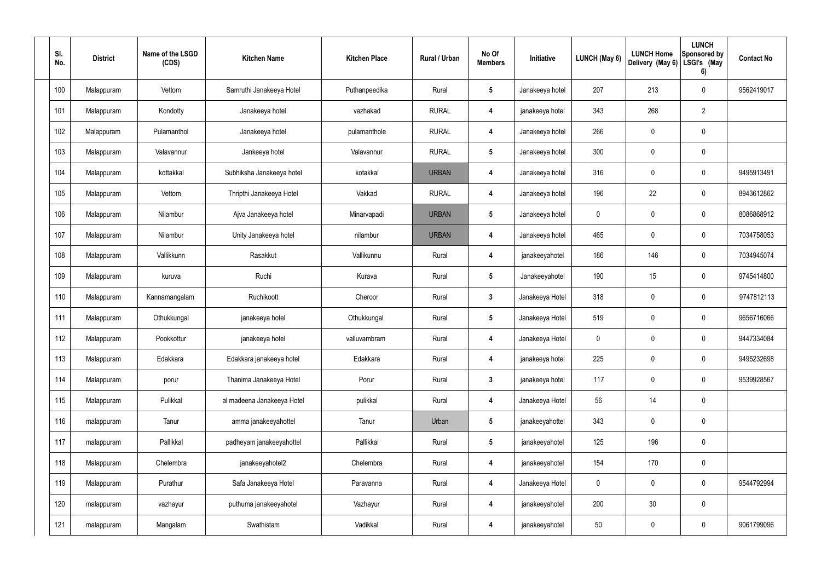| SI.<br>No. | <b>District</b> | Name of the LSGD<br>(CDS) | <b>Kitchen Name</b>        | <b>Kitchen Place</b> | <b>Rural / Urban</b> | No Of<br><b>Members</b> | Initiative      | LUNCH (May 6) | <b>LUNCH Home</b><br>Delivery (May 6) | <b>LUNCH</b><br>Sponsored by<br>LSGI's (May<br>6) | <b>Contact No</b> |
|------------|-----------------|---------------------------|----------------------------|----------------------|----------------------|-------------------------|-----------------|---------------|---------------------------------------|---------------------------------------------------|-------------------|
| 100        | Malappuram      | Vettom                    | Samruthi Janakeeya Hotel   | Puthanpeedika        | Rural                | 5                       | Janakeeya hotel | 207           | 213                                   | 0                                                 | 9562419017        |
| 101        | Malappuram      | Kondotty                  | Janakeeya hotel            | vazhakad             | <b>RURAL</b>         | $\overline{\mathbf{4}}$ | janakeeya hotel | 343           | 268                                   | $\overline{2}$                                    |                   |
| 102        | Malappuram      | Pulamanthol               | Janakeeya hotel            | pulamanthole         | <b>RURAL</b>         | $\overline{\mathbf{4}}$ | Janakeeya hotel | 266           | $\overline{0}$                        | 0                                                 |                   |
| 103        | Malappuram      | Valavannur                | Jankeeya hotel             | Valavannur           | <b>RURAL</b>         | $5\phantom{.0}$         | Janakeeya hotel | 300           | $\overline{0}$                        | 0                                                 |                   |
| 104        | Malappuram      | kottakkal                 | Subhiksha Janakeeya hotel  | kotakkal             | <b>URBAN</b>         | 4                       | Janakeeya hotel | 316           | $\mathbf 0$                           | 0                                                 | 9495913491        |
| 105        | Malappuram      | Vettom                    | Thripthi Janakeeya Hotel   | Vakkad               | <b>RURAL</b>         | 4                       | Janakeeya hotel | 196           | 22                                    | 0                                                 | 8943612862        |
| 106        | Malappuram      | Nilambur                  | Ajva Janakeeya hotel       | Minarvapadi          | <b>URBAN</b>         | $5\phantom{.0}$         | Janakeeya hotel | 0             | $\mathbf 0$                           | 0                                                 | 8086868912        |
| 107        | Malappuram      | Nilambur                  | Unity Janakeeya hotel      | nilambur             | <b>URBAN</b>         | 4                       | Janakeeya hotel | 465           | $\overline{0}$                        | 0                                                 | 7034758053        |
| 108        | Malappuram      | Vallikkunn                | Rasakkut                   | Vallikunnu           | Rural                | 4                       | janakeeyahotel  | 186           | 146                                   | 0                                                 | 7034945074        |
| 109        | Malappuram      | kuruva                    | Ruchi                      | Kurava               | Rural                | 5                       | Janakeeyahotel  | 190           | 15                                    | 0                                                 | 9745414800        |
| 110        | Malappuram      | Kannamangalam             | Ruchikoott                 | Cheroor              | Rural                | $\mathbf{3}$            | Janakeeya Hotel | 318           | $\pmb{0}$                             | 0                                                 | 9747812113        |
| 111        | Malappuram      | Othukkungal               | janakeeya hotel            | Othukkungal          | Rural                | $5\phantom{.0}$         | Janakeeya Hotel | 519           | $\mathbf 0$                           | 0                                                 | 9656716066        |
| 112        | Malappuram      | Pookkottur                | janakeeya hotel            | valluvambram         | Rural                | 4                       | Janakeeya Hotel | 0             | $\mathbf 0$                           | 0                                                 | 9447334084        |
| 113        | Malappuram      | Edakkara                  | Edakkara janakeeya hotel   | Edakkara             | Rural                | 4                       | janakeeya hotel | 225           | $\mathbf 0$                           | 0                                                 | 9495232698        |
| 114        | Malappuram      | porur                     | Thanima Janakeeya Hotel    | Porur                | Rural                | $\mathbf{3}$            | janakeeya hotel | 117           | $\mathbf 0$                           | 0                                                 | 9539928567        |
| 115        | Malappuram      | Pulikkal                  | al madeena Janakeeya Hotel | pulikkal             | Rural                | $\overline{\mathbf{4}}$ | Janakeeya Hotel | 56            | 14                                    | 0                                                 |                   |
| 116        | malappuram      | Tanur                     | amma janakeeyahottel       | Tanur                | Urban                | $5\phantom{.0}$         | janakeeyahottel | 343           | $\mathbf 0$                           | 0                                                 |                   |
| 117        | malappuram      | Pallikkal                 | padheyam janakeeyahottel   | Pallikkal            | Rural                | $5\phantom{.0}$         | janakeeyahotel  | 125           | 196                                   | 0                                                 |                   |
| 118        | Malappuram      | Chelembra                 | janakeeyahotel2            | Chelembra            | Rural                | $\overline{\mathbf{4}}$ | janakeeyahotel  | 154           | 170                                   | $\pmb{0}$                                         |                   |
| 119        | Malappuram      | Purathur                  | Safa Janakeeya Hotel       | Paravanna            | Rural                | $\boldsymbol{4}$        | Janakeeya Hotel | $\mathbf 0$   | $\mathbf 0$                           | 0                                                 | 9544792994        |
| 120        | malappuram      | vazhayur                  | puthuma janakeeyahotel     | Vazhayur             | Rural                | $\boldsymbol{4}$        | janakeeyahotel  | 200           | 30                                    | $\pmb{0}$                                         |                   |
| 121        | malappuram      | Mangalam                  | Swathistam                 | Vadikkal             | Rural                | $\overline{4}$          | janakeeyahotel  | 50            | $\boldsymbol{0}$                      | 0                                                 | 9061799096        |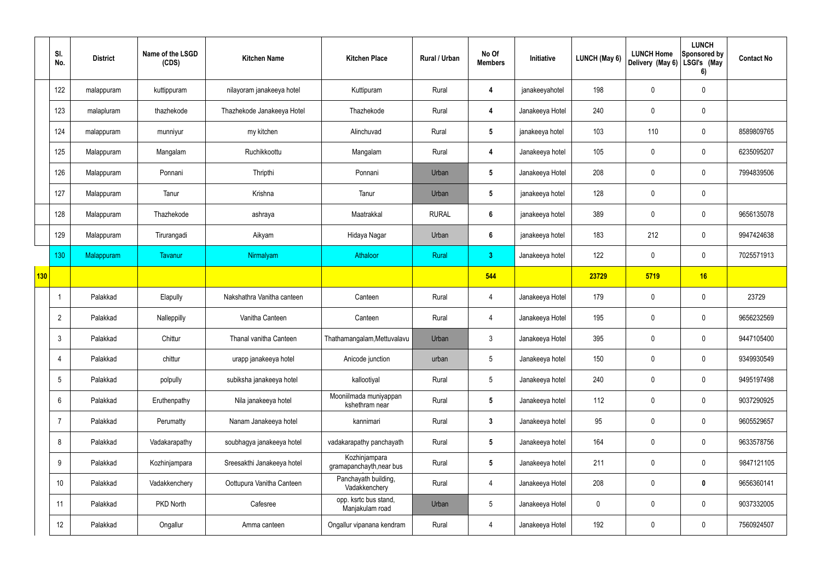|                 | SI.<br>No.      | <b>District</b> | Name of the LSGD<br>(CDS) | <b>Kitchen Name</b>        | <b>Kitchen Place</b>                      | Rural / Urban | No Of<br><b>Members</b> | Initiative      | LUNCH (May 6) | <b>LUNCH Home</b><br>Delivery (May 6) | <b>LUNCH</b><br>Sponsored by<br>LSGI's (May<br>6) | <b>Contact No</b> |
|-----------------|-----------------|-----------------|---------------------------|----------------------------|-------------------------------------------|---------------|-------------------------|-----------------|---------------|---------------------------------------|---------------------------------------------------|-------------------|
|                 | 122             | malappuram      | kuttippuram               | nilayoram janakeeya hotel  | Kuttipuram                                | Rural         | 4                       | janakeeyahotel  | 198           | $\mathbf 0$                           | $\mathbf 0$                                       |                   |
|                 | 123             | malapluram      | thazhekode                | Thazhekode Janakeeya Hotel | Thazhekode                                | Rural         | 4                       | Janakeeya Hotel | 240           | $\mathbf 0$                           | $\pmb{0}$                                         |                   |
|                 | 124             | malappuram      | munniyur                  | my kitchen                 | Alinchuvad                                | Rural         | $5\phantom{.0}$         | janakeeya hotel | 103           | 110                                   | $\mathbf 0$                                       | 8589809765        |
|                 | 125             | Malappuram      | Mangalam                  | Ruchikkoottu               | Mangalam                                  | Rural         | 4                       | Janakeeya hotel | 105           | 0                                     | $\boldsymbol{0}$                                  | 6235095207        |
|                 | 126             | Malappuram      | Ponnani                   | Thripthi                   | Ponnani                                   | Urban         | $5\phantom{.0}$         | Janakeeya Hotel | 208           | 0                                     | $\mathbf 0$                                       | 7994839506        |
|                 | 127             | Malappuram      | Tanur                     | Krishna                    | Tanur                                     | Urban         | $5\phantom{.0}$         | janakeeya hotel | 128           | $\boldsymbol{0}$                      | $\pmb{0}$                                         |                   |
|                 | 128             | Malappuram      | Thazhekode                | ashraya                    | Maatrakkal                                | <b>RURAL</b>  | $6\phantom{1}$          | janakeeya hotel | 389           | 0                                     | $\pmb{0}$                                         | 9656135078        |
|                 | 129             | Malappuram      | Tirurangadi               | Aikyam                     | Hidaya Nagar                              | Urban         | $6\phantom{1}6$         | janakeeya hotel | 183           | 212                                   | $\mathbf 0$                                       | 9947424638        |
|                 | 130             | Malappuram      | Tavanur                   | Nirmalyam                  | Athaloor                                  | Rural         | 3 <sup>2</sup>          | Janakeeya hotel | 122           | $\mathbf 0$                           | $\mathbf 0$                                       | 7025571913        |
| $\frac{1}{130}$ |                 |                 |                           |                            |                                           |               | 544                     |                 | 23729         | 5719                                  | 16                                                |                   |
|                 |                 | Palakkad        | Elapully                  | Nakshathra Vanitha canteen | Canteen                                   | Rural         | $\overline{4}$          | Janakeeya Hotel | 179           | 0                                     | $\boldsymbol{0}$                                  | 23729             |
|                 | $\overline{2}$  | Palakkad        | Nalleppilly               | Vanitha Canteen            | Canteen                                   | Rural         | $\overline{4}$          | Janakeeya Hotel | 195           | $\mathbf 0$                           | $\boldsymbol{0}$                                  | 9656232569        |
|                 | 3               | Palakkad        | Chittur                   | Thanal vanitha Canteen     | Thathamangalam, Mettuvalavu               | Urban         | 3                       | Janakeeya Hotel | 395           | $\mathbf 0$                           | $\mathbf 0$                                       | 9447105400        |
|                 | $\overline{4}$  | Palakkad        | chittur                   | urapp janakeeya hotel      | Anicode junction                          | urban         | $5\phantom{.0}$         | Janakeeya hotel | 150           | 0                                     | $\mathbf 0$                                       | 9349930549        |
|                 | $5\phantom{.0}$ | Palakkad        | polpully                  | subiksha janakeeya hotel   | kallootiyal                               | Rural         | $5\overline{)}$         | Janakeeya hotel | 240           | 0                                     | $\pmb{0}$                                         | 9495197498        |
|                 | 6               | Palakkad        | Eruthenpathy              | Nila janakeeya hotel       | Mooniilmada muniyappan<br>kshethram near  | Rural         | $5\phantom{.0}$         | Janakeeya hotel | 112           | $\pmb{0}$                             | $\pmb{0}$                                         | 9037290925        |
|                 | $\overline{7}$  | Palakkad        | Perumatty                 | Nanam Janakeeya hotel      | kannimari                                 | Rural         | $\mathbf{3}$            | Janakeeya hotel | 95            | 0                                     | $\pmb{0}$                                         | 9605529657        |
|                 | 8               | Palakkad        | Vadakarapathy             | soubhagya janakeeya hotel  | vadakarapathy panchayath                  | Rural         | $5\phantom{.0}$         | Janakeeya hotel | 164           | $\pmb{0}$                             | $\mathbf 0$                                       | 9633578756        |
|                 | 9               | Palakkad        | Kozhinjampara             | Sreesakthi Janakeeya hotel | Kozhinjampara<br>gramapanchayth, near bus | Rural         | $5\phantom{.0}$         | Janakeeya hotel | 211           | 0                                     | $\mathbf 0$                                       | 9847121105        |
|                 | 10 <sup>°</sup> | Palakkad        | Vadakkenchery             | Oottupura Vanitha Canteen  | Panchayath building,<br>Vadakkenchery     | Rural         | $\overline{4}$          | Janakeeya Hotel | 208           | 0                                     | $\mathbf 0$                                       | 9656360141        |
|                 | 11              | Palakkad        | PKD North                 | Cafesree                   | opp. ksrtc bus stand,<br>Manjakulam road  | Urban         | $5\phantom{.0}$         | Janakeeya Hotel | $\pmb{0}$     | 0                                     | $\pmb{0}$                                         | 9037332005        |
|                 | 12              | Palakkad        | Ongallur                  | Amma canteen               | Ongallur vipanana kendram                 | Rural         | $\overline{4}$          | Janakeeya Hotel | 192           | 0                                     | $\pmb{0}$                                         | 7560924507        |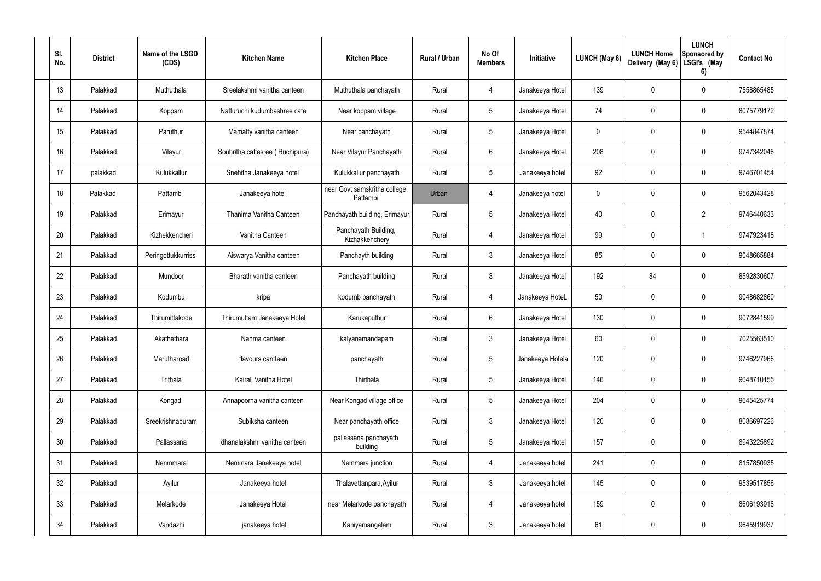| SI.<br>No.      | <b>District</b> | Name of the LSGD<br>(CDS) | <b>Kitchen Name</b>             | <b>Kitchen Place</b>                      | Rural / Urban | No Of<br><b>Members</b> | Initiative       | LUNCH (May 6) | <b>LUNCH Home</b><br>Delivery (May 6) | <b>LUNCH</b><br>Sponsored by<br>LSGI's (May<br>6) | <b>Contact No</b> |
|-----------------|-----------------|---------------------------|---------------------------------|-------------------------------------------|---------------|-------------------------|------------------|---------------|---------------------------------------|---------------------------------------------------|-------------------|
| 13              | Palakkad        | Muthuthala                | Sreelakshmi vanitha canteen     | Muthuthala panchayath                     | Rural         | 4                       | Janakeeya Hotel  | 139           | 0                                     | 0                                                 | 7558865485        |
| 14              | Palakkad        | Koppam                    | Natturuchi kudumbashree cafe    | Near koppam village                       | Rural         | $5\phantom{.0}$         | Janakeeya Hotel  | 74            | 0                                     | 0                                                 | 8075779172        |
| 15              | Palakkad        | Paruthur                  | Mamatty vanitha canteen         | Near panchayath                           | Rural         | $5\phantom{.0}$         | Janakeeya Hotel  | 0             | 0                                     | 0                                                 | 9544847874        |
| 16              | Palakkad        | Vilayur                   | Souhritha caffesree (Ruchipura) | Near Vilayur Panchayath                   | Rural         | 6                       | Janakeeya Hotel  | 208           | 0                                     | 0                                                 | 9747342046        |
| 17              | palakkad        | Kulukkallur               | Snehitha Janakeeya hotel        | Kulukkallur panchayath                    | Rural         | $5\phantom{.0}$         | Janakeeya hotel  | 92            | 0                                     | 0                                                 | 9746701454        |
| 18              | Palakkad        | Pattambi                  | Janakeeya hotel                 | near Govt samskritha college,<br>Pattambi | Urban         | 4                       | Janakeeya hotel  | 0             | 0                                     | 0                                                 | 9562043428        |
| 19              | Palakkad        | Erimayur                  | Thanima Vanitha Canteen         | Panchayath building, Erimayur             | Rural         | $5\phantom{.0}$         | Janakeeya Hotel  | 40            | 0                                     | $\overline{2}$                                    | 9746440633        |
| 20              | Palakkad        | Kizhekkencheri            | Vanitha Canteen                 | Panchayath Building,<br>Kizhakkenchery    | Rural         | 4                       | Janakeeya Hotel  | 99            | 0                                     | 1                                                 | 9747923418        |
| 21              | Palakkad        | Peringottukkurrissi       | Aiswarya Vanitha canteen        | Panchayth building                        | Rural         | 3                       | Janakeeya Hotel  | 85            | 0                                     | $\mathbf 0$                                       | 9048665884        |
| 22              | Palakkad        | Mundoor                   | Bharath vanitha canteen         | Panchayath building                       | Rural         | 3                       | Janakeeya Hotel  | 192           | 84                                    | $\mathbf 0$                                       | 8592830607        |
| 23              | Palakkad        | Kodumbu                   | kripa                           | kodumb panchayath                         | Rural         | 4                       | Janakeeya HoteL  | 50            | 0                                     | $\mathbf 0$                                       | 9048682860        |
| 24              | Palakkad        | Thirumittakode            | Thirumuttam Janakeeya Hotel     | Karukaputhur                              | Rural         | 6                       | Janakeeya Hotel  | 130           | 0                                     | $\mathbf 0$                                       | 9072841599        |
| 25              | Palakkad        | Akathethara               | Nanma canteen                   | kalyanamandapam                           | Rural         | 3                       | Janakeeya Hotel  | 60            | 0                                     | $\mathbf 0$                                       | 7025563510        |
| 26              | Palakkad        | Marutharoad               | flavours cantteen               | panchayath                                | Rural         | 5                       | Janakeeya Hotela | 120           | 0                                     | $\pmb{0}$                                         | 9746227966        |
| 27              | Palakkad        | Trithala                  | Kairali Vanitha Hotel           | Thirthala                                 | Rural         | $\overline{5}$          | Janakeeya Hotel  | 146           | $\mathbf 0$                           | $\mathbf 0$                                       | 9048710155        |
| 28              | Palakkad        | Kongad                    | Annapoorna vanitha canteen      | Near Kongad village office                | Rural         | $5\phantom{.0}$         | Janakeeya Hotel  | 204           | $\mathbf 0$                           | $\mathbf 0$                                       | 9645425774        |
| 29              | Palakkad        | Sreekrishnapuram          | Subiksha canteen                | Near panchayath office                    | Rural         | $\mathfrak{Z}$          | Janakeeya Hotel  | 120           | $\mathbf 0$                           | $\mathsf{0}$                                      | 8086697226        |
| 30 <sup>°</sup> | Palakkad        | Pallassana                | dhanalakshmi vanitha canteen    | pallassana panchayath<br>building         | Rural         | $\overline{5}$          | Janakeeya Hotel  | 157           | $\mathbf 0$                           | $\mathbf 0$                                       | 8943225892        |
| 31              | Palakkad        | Nenmmara                  | Nemmara Janakeeya hotel         | Nemmara junction                          | Rural         | 4                       | Janakeeya hotel  | 241           | $\mathbf 0$                           | $\mathsf{0}$                                      | 8157850935        |
| 32              | Palakkad        | Ayilur                    | Janakeeya hotel                 | Thalavettanpara, Ayilur                   | Rural         | $\mathbf{3}$            | Janakeeya hotel  | 145           | $\pmb{0}$                             | $\mathsf{0}$                                      | 9539517856        |
| 33              | Palakkad        | Melarkode                 | Janakeeya Hotel                 | near Melarkode panchayath                 | Rural         | 4                       | Janakeeya hotel  | 159           | $\mathbf 0$                           | $\mathbf 0$                                       | 8606193918        |
| 34              | Palakkad        | Vandazhi                  | janakeeya hotel                 | Kaniyamangalam                            | Rural         | $\mathbf{3}$            | Janakeeya hotel  | 61            | $\pmb{0}$                             | $\pmb{0}$                                         | 9645919937        |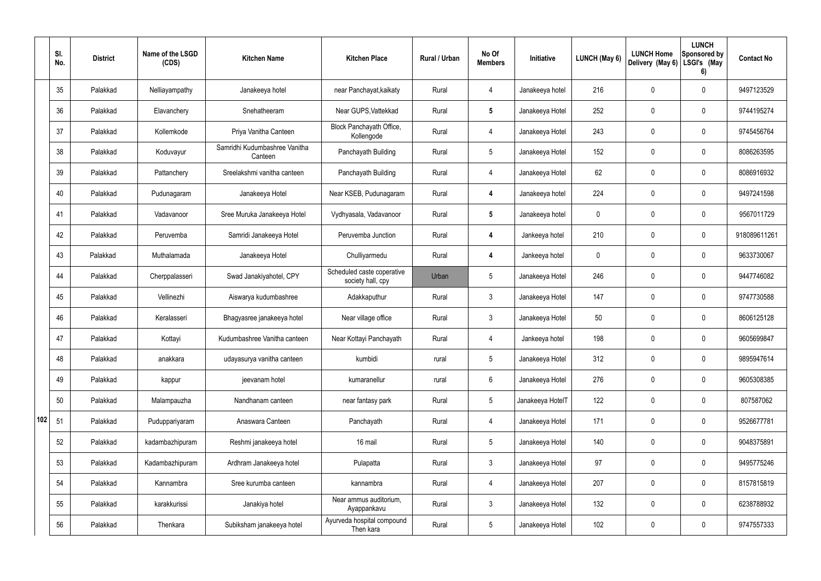|     | SI.<br>No. | <b>District</b> | Name of the LSGD<br>(CDS) | <b>Kitchen Name</b>                      | <b>Kitchen Place</b>                            | <b>Rural / Urban</b> | No Of<br><b>Members</b> | Initiative       | <b>LUNCH (May 6)</b> | <b>LUNCH Home</b><br>Delivery (May 6) | <b>LUNCH</b><br>Sponsored by<br>LSGI's (May<br>6) | <b>Contact No</b> |
|-----|------------|-----------------|---------------------------|------------------------------------------|-------------------------------------------------|----------------------|-------------------------|------------------|----------------------|---------------------------------------|---------------------------------------------------|-------------------|
|     | 35         | Palakkad        | Nelliayampathy            | Janakeeya hotel                          | near Panchayat, kaikaty                         | Rural                | 4                       | Janakeeya hotel  | 216                  | 0                                     | $\mathbf 0$                                       | 9497123529        |
|     | 36         | Palakkad        | Elavanchery               | Snehatheeram                             | Near GUPS, Vattekkad                            | Rural                | $5\phantom{.0}$         | Janakeeya Hotel  | 252                  | 0                                     | $\mathbf 0$                                       | 9744195274        |
|     | 37         | Palakkad        | Kollemkode                | Priya Vanitha Canteen                    | Block Panchayath Office,<br>Kollengode          | Rural                | $\overline{4}$          | Janakeeya Hotel  | 243                  | 0                                     | $\mathbf 0$                                       | 9745456764        |
|     | 38         | Palakkad        | Koduvayur                 | Samridhi Kudumbashree Vanitha<br>Canteen | Panchayath Building                             | Rural                | $5\overline{)}$         | Janakeeya Hotel  | 152                  | 0                                     | $\mathbf 0$                                       | 8086263595        |
|     | 39         | Palakkad        | Pattanchery               | Sreelakshmi vanitha canteen              | Panchayath Building                             | Rural                | 4                       | Janakeeya Hotel  | 62                   | 0                                     | $\mathbf 0$                                       | 8086916932        |
|     | 40         | Palakkad        | Pudunagaram               | Janakeeya Hotel                          | Near KSEB, Pudunagaram                          | Rural                | $\overline{\mathbf{4}}$ | Janakeeya hotel  | 224                  | 0                                     | $\mathbf 0$                                       | 9497241598        |
|     | 41         | Palakkad        | Vadavanoor                | Sree Muruka Janakeeya Hotel              | Vydhyasala, Vadavanoor                          | Rural                | $5\phantom{.0}$         | Janakeeya hotel  | 0                    | 0                                     | $\mathbf 0$                                       | 9567011729        |
|     | 42         | Palakkad        | Peruvemba                 | Samridi Janakeeya Hotel                  | Peruvemba Junction                              | Rural                | $\overline{\mathbf{4}}$ | Jankeeya hotel   | 210                  | 0                                     | $\mathbf 0$                                       | 918089611261      |
|     | 43         | Palakkad        | Muthalamada               | Janakeeya Hotel                          | Chulliyarmedu                                   | Rural                | $\overline{\mathbf{4}}$ | Jankeeya hotel   | 0                    | 0                                     | $\mathbf 0$                                       | 9633730067        |
|     | 44         | Palakkad        | Cherppalasseri            | Swad Janakiyahotel, CPY                  | Scheduled caste coperative<br>society hall, cpy | Urban                | 5                       | Janakeeya Hotel  | 246                  | 0                                     | $\mathbf 0$                                       | 9447746082        |
|     | 45         | Palakkad        | Vellinezhi                | Aiswarya kudumbashree                    | Adakkaputhur                                    | Rural                | $\mathbf{3}$            | Janakeeya Hotel  | 147                  | 0                                     | 0                                                 | 9747730588        |
|     | 46         | Palakkad        | Keralasseri               | Bhagyasree janakeeya hotel               | Near village office                             | Rural                | $\mathbf{3}$            | Janakeeya Hotel  | 50                   | 0                                     | $\mathbf 0$                                       | 8606125128        |
|     | 47         | Palakkad        | Kottayi                   | Kudumbashree Vanitha canteen             | Near Kottayi Panchayath                         | Rural                | 4                       | Jankeeya hotel   | 198                  | 0                                     | 0                                                 | 9605699847        |
|     | 48         | Palakkad        | anakkara                  | udayasurya vanitha canteen               | kumbidi                                         | rural                | $5\phantom{.0}$         | Janakeeya Hotel  | 312                  | $\mathbf 0$                           | $\mathbf 0$                                       | 9895947614        |
|     | 49         | Palakkad        | kappur                    | jeevanam hotel                           | kumaranellur                                    | rural                | $6\overline{6}$         | Janakeeya Hotel  | 276                  | $\mathbf 0$                           | $\mathbf 0$                                       | 9605308385        |
|     | 50         | Palakkad        | Malampauzha               | Nandhanam canteen                        | near fantasy park                               | Rural                | $5\overline{)}$         | Janakeeya HotelT | 122                  | 0                                     | $\pmb{0}$                                         | 807587062         |
| 102 | 51         | Palakkad        | Puduppariyaram            | Anaswara Canteen                         | Panchayath                                      | Rural                | $\overline{4}$          | Janakeeya Hotel  | 171                  | 0                                     | $\mathbf 0$                                       | 9526677781        |
|     | 52         | Palakkad        | kadambazhipuram           | Reshmi janakeeya hotel                   | 16 mail                                         | Rural                | 5 <sup>5</sup>          | Janakeeya Hotel  | 140                  | 0                                     | $\pmb{0}$                                         | 9048375891        |
|     | 53         | Palakkad        | Kadambazhipuram           | Ardhram Janakeeya hotel                  | Pulapatta                                       | Rural                | $\mathbf{3}$            | Janakeeya Hotel  | 97                   | 0                                     | $\mathbf 0$                                       | 9495775246        |
|     | 54         | Palakkad        | Kannambra                 | Sree kurumba canteen                     | kannambra                                       | Rural                | $\overline{4}$          | Janakeeya Hotel  | 207                  | 0                                     | $\mathbf 0$                                       | 8157815819        |
|     | 55         | Palakkad        | karakkurissi              | Janakiya hotel                           | Near ammus auditorium,<br>Ayappankavu           | Rural                | $\mathbf{3}$            | Janakeeya Hotel  | 132                  | 0                                     | $\mathbf 0$                                       | 6238788932        |
|     | 56         | Palakkad        | Thenkara                  | Subiksham janakeeya hotel                | Ayurveda hospital compound<br>Then kara         | Rural                | $5\phantom{.0}$         | Janakeeya Hotel  | 102                  | 0                                     | $\boldsymbol{0}$                                  | 9747557333        |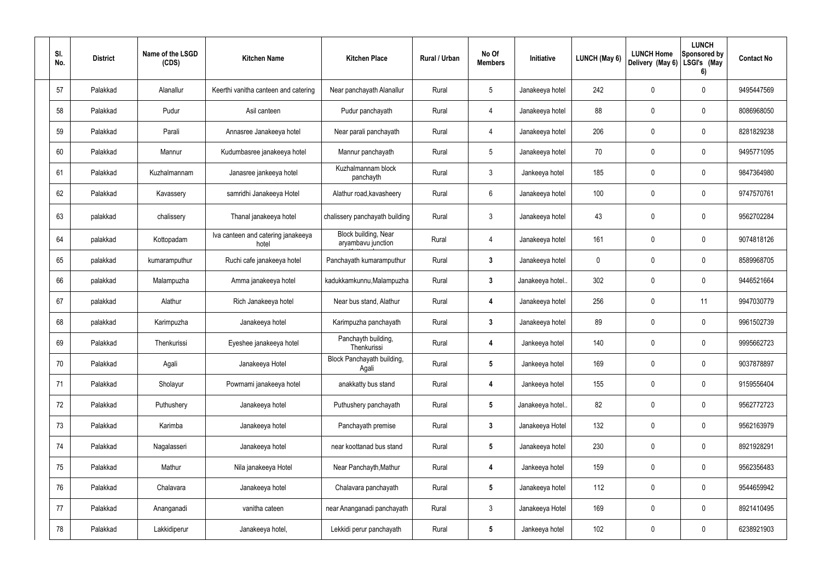| SI.<br>No. | <b>District</b> | Name of the LSGD<br>(CDS) | <b>Kitchen Name</b>                         | <b>Kitchen Place</b>                       | Rural / Urban | No Of<br><b>Members</b> | Initiative       | <b>LUNCH (May 6)</b> | <b>LUNCH Home</b><br>Delivery (May 6) | <b>LUNCH</b><br>Sponsored by<br>LSGI's (May<br>6) | <b>Contact No</b> |
|------------|-----------------|---------------------------|---------------------------------------------|--------------------------------------------|---------------|-------------------------|------------------|----------------------|---------------------------------------|---------------------------------------------------|-------------------|
| 57         | Palakkad        | Alanallur                 | Keerthi vanitha canteen and catering        | Near panchayath Alanallur                  | Rural         | $5\,$                   | Janakeeya hotel  | 242                  | 0                                     | $\mathbf 0$                                       | 9495447569        |
| 58         | Palakkad        | Pudur                     | Asil canteen                                | Pudur panchayath                           | Rural         | 4                       | Janakeeya hotel  | 88                   | 0                                     | $\pmb{0}$                                         | 8086968050        |
| 59         | Palakkad        | Parali                    | Annasree Janakeeya hotel                    | Near parali panchayath                     | Rural         | 4                       | Janakeeya hotel  | 206                  | 0                                     | $\pmb{0}$                                         | 8281829238        |
| 60         | Palakkad        | Mannur                    | Kudumbasree janakeeya hotel                 | Mannur panchayath                          | Rural         | $5\,$                   | Janakeeya hotel  | 70                   | 0                                     | $\pmb{0}$                                         | 9495771095        |
| 61         | Palakkad        | Kuzhalmannam              | Janasree jankeeya hotel                     | Kuzhalmannam block<br>panchayth            | Rural         | $\mathbf{3}$            | Jankeeya hotel   | 185                  | 0                                     | $\pmb{0}$                                         | 9847364980        |
| 62         | Palakkad        | Kavassery                 | samridhi Janakeeya Hotel                    | Alathur road, kavasheery                   | Rural         | $6\overline{6}$         | Janakeeya hotel  | 100                  | 0                                     | $\pmb{0}$                                         | 9747570761        |
| 63         | palakkad        | chalissery                | Thanal janakeeya hotel                      | chalissery panchayath building             | Rural         | $\mathbf{3}$            | Janakeeya hotel  | 43                   | 0                                     | $\pmb{0}$                                         | 9562702284        |
| 64         | palakkad        | Kottopadam                | Iva canteen and catering janakeeya<br>hotel | Block building, Near<br>aryambavu junction | Rural         | 4                       | Janakeeya hotel  | 161                  | 0                                     | $\pmb{0}$                                         | 9074818126        |
| 65         | palakkad        | kumaramputhur             | Ruchi cafe janakeeya hotel                  | Panchayath kumaramputhur                   | Rural         | $\mathbf{3}$            | Janakeeya hotel  | 0                    | 0                                     | $\pmb{0}$                                         | 8589968705        |
| 66         | palakkad        | Malampuzha                | Amma janakeeya hotel                        | kadukkamkunnu, Malampuzha                  | Rural         | $3\phantom{a}$          | Janakeeya hotel. | 302                  | 0                                     | $\pmb{0}$                                         | 9446521664        |
| 67         | palakkad        | Alathur                   | Rich Janakeeya hotel                        | Near bus stand, Alathur                    | Rural         | 4                       | Janakeeya hotel  | 256                  | 0                                     | 11                                                | 9947030779        |
| 68         | palakkad        | Karimpuzha                | Janakeeya hotel                             | Karimpuzha panchayath                      | Rural         | $\mathbf{3}$            | Janakeeya hotel  | 89                   | 0                                     | $\pmb{0}$                                         | 9961502739        |
| 69         | Palakkad        | Thenkurissi               | Eyeshee janakeeya hotel                     | Panchayth building,<br>Thenkurissi         | Rural         | 4                       | Jankeeya hotel   | 140                  | 0                                     | 0                                                 | 9995662723        |
| 70         | Palakkad        | Agali                     | Janakeeya Hotel                             | Block Panchayath building,<br>Agali        | Rural         | $5\phantom{.0}$         | Jankeeya hotel   | 169                  | 0                                     | $\pmb{0}$                                         | 9037878897        |
| 71         | Palakkad        | Sholayur                  | Powrnami janakeeya hotel                    | anakkatty bus stand                        | Rural         | $\overline{\mathbf{4}}$ | Jankeeya hotel   | 155                  | 0                                     | $\pmb{0}$                                         | 9159556404        |
| 72         | Palakkad        | Puthushery                | Janakeeya hotel                             | Puthushery panchayath                      | Rural         | $5\phantom{.0}$         | Janakeeya hotel  | 82                   | 0                                     | $\pmb{0}$                                         | 9562772723        |
| 73         | Palakkad        | Karimba                   | Janakeeya hotel                             | Panchayath premise                         | Rural         | $3\phantom{a}$          | Janakeeya Hotel  | 132                  | 0                                     | $\pmb{0}$                                         | 9562163979        |
| 74         | Palakkad        | Nagalasseri               | Janakeeya hotel                             | near koottanad bus stand                   | Rural         | $5\phantom{.0}$         | Janakeeya hotel  | 230                  | 0                                     | $\boldsymbol{0}$                                  | 8921928291        |
| 75         | Palakkad        | Mathur                    | Nila janakeeya Hotel                        | Near Panchayth, Mathur                     | Rural         | $\overline{\mathbf{4}}$ | Jankeeya hotel   | 159                  | 0                                     | $\pmb{0}$                                         | 9562356483        |
| 76         | Palakkad        | Chalavara                 | Janakeeya hotel                             | Chalavara panchayath                       | Rural         | $5\phantom{.0}$         | Janakeeya hotel  | 112                  | 0                                     | $\pmb{0}$                                         | 9544659942        |
| 77         | Palakkad        | Ananganadi                | vanitha cateen                              | near Ananganadi panchayath                 | Rural         | $\mathbf{3}$            | Janakeeya Hotel  | 169                  | 0                                     | $\pmb{0}$                                         | 8921410495        |
| 78         | Palakkad        | Lakkidiperur              | Janakeeya hotel,                            | Lekkidi perur panchayath                   | Rural         | $5\phantom{.0}$         | Jankeeya hotel   | 102                  | 0                                     | $\boldsymbol{0}$                                  | 6238921903        |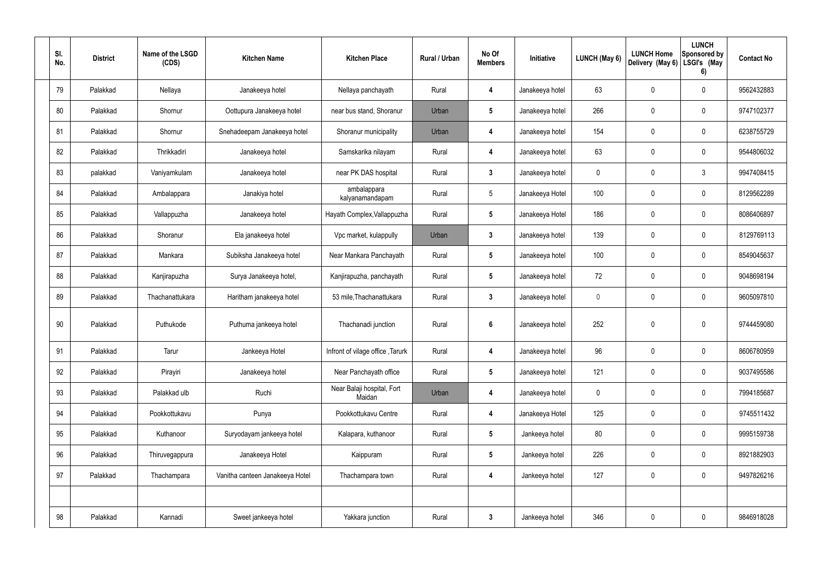| SI.<br>No. | <b>District</b> | Name of the LSGD<br>(CDS) | <b>Kitchen Name</b>             | <b>Kitchen Place</b>                 | Rural / Urban | No Of<br><b>Members</b> | Initiative      | LUNCH (May 6)  | <b>LUNCH Home</b><br>Delivery (May 6) | <b>LUNCH</b><br>Sponsored by<br>LSGI's (May<br>6) | <b>Contact No</b> |
|------------|-----------------|---------------------------|---------------------------------|--------------------------------------|---------------|-------------------------|-----------------|----------------|---------------------------------------|---------------------------------------------------|-------------------|
| 79         | Palakkad        | Nellaya                   | Janakeeya hotel                 | Nellaya panchayath                   | Rural         | 4                       | Janakeeya hotel | 63             | 0                                     | 0                                                 | 9562432883        |
| 80         | Palakkad        | Shornur                   | Oottupura Janakeeya hotel       | near bus stand, Shoranur             | Urban         | 5                       | Janakeeya hotel | 266            | $\mathbf 0$                           | 0                                                 | 9747102377        |
| 81         | Palakkad        | Shornur                   | Snehadeepam Janakeeya hotel     | Shoranur municipality                | Urban         | 4                       | Janakeeya hotel | 154            | $\mathbf 0$                           | 0                                                 | 6238755729        |
| 82         | Palakkad        | Thrikkadiri               | Janakeeya hotel                 | Samskarika nilayam                   | Rural         | $\overline{4}$          | Janakeeya hotel | 63             | $\mathbf 0$                           | 0                                                 | 9544806032        |
| 83         | palakkad        | Vaniyamkulam              | Janakeeya hotel                 | near PK DAS hospital                 | Rural         | $\mathbf{3}$            | Janakeeya hotel | $\mathbf 0$    | $\mathbf 0$                           | $\mathfrak{Z}$                                    | 9947408415        |
| 84         | Palakkad        | Ambalappara               | Janakiya hotel                  | ambalappara<br>kalyanamandapam       | Rural         | 5                       | Janakeeya Hotel | 100            | $\mathbf 0$                           | 0                                                 | 8129562289        |
| 85         | Palakkad        | Vallappuzha               | Janakeeya hotel                 | Hayath Complex, Vallappuzha          | Rural         | $5\phantom{.0}$         | Janakeeya Hotel | 186            | $\mathbf 0$                           | 0                                                 | 8086406897        |
| 86         | Palakkad        | Shoranur                  | Ela janakeeya hotel             | Vpc market, kulappully               | Urban         | $\boldsymbol{3}$        | Janakeeya hotel | 139            | $\mathbf 0$                           | 0                                                 | 8129769113        |
| 87         | Palakkad        | Mankara                   | Subiksha Janakeeya hotel        | Near Mankara Panchayath              | Rural         | $5\phantom{.0}$         | Janakeeya hotel | 100            | 0                                     | 0                                                 | 8549045637        |
| 88         | Palakkad        | Kanjirapuzha              | Surya Janakeeya hotel,          | Kanjirapuzha, panchayath             | Rural         | -5                      | Janakeeya hotel | 72             | $\mathbf 0$                           | 0                                                 | 9048698194        |
| 89         | Palakkad        | Thachanattukara           | Haritham janakeeya hotel        | 53 mile, Thachanattukara             | Rural         | $\mathbf{3}$            | Janakeeya hotel | $\overline{0}$ | $\mathbf 0$                           | 0                                                 | 9605097810        |
| 90         | Palakkad        | Puthukode                 | Puthuma jankeeya hotel          | Thachanadi junction                  | Rural         | $6\phantom{1}6$         | Janakeeya hotel | 252            | $\mathbf 0$                           | 0                                                 | 9744459080        |
| 91         | Palakkad        | Tarur                     | Jankeeya Hotel                  | Infront of vilage office, Tarurk     | Rural         | 4                       | Janakeeya hotel | 96             | $\mathbf 0$                           | 0                                                 | 8606780959        |
| 92         | Palakkad        | Pirayiri                  | Janakeeya hotel                 | Near Panchayath office               | Rural         | $5\phantom{.0}$         | Janakeeya hotel | 121            | $\mathbf 0$                           | 0                                                 | 9037495586        |
| 93         | Palakkad        | Palakkad ulb              | Ruchi                           | Near Balaji hospital, Fort<br>Maidan | Urban         | 4                       | Janakeeya hotel | $\mathbf 0$    | $\boldsymbol{0}$                      | 0                                                 | 7994185687        |
| 94         | Palakkad        | Pookkottukavu             | Punya                           | Pookkottukavu Centre                 | Rural         | $\boldsymbol{4}$        | Janakeeya Hotel | 125            | $\boldsymbol{0}$                      | 0                                                 | 9745511432        |
| 95         | Palakkad        | Kuthanoor                 | Suryodayam jankeeya hotel       | Kalapara, kuthanoor                  | Rural         | $5\overline{)}$         | Jankeeya hotel  | 80             | $\boldsymbol{0}$                      | 0                                                 | 9995159738        |
| 96         | Palakkad        | Thiruvegappura            | Janakeeya Hotel                 | Kaippuram                            | Rural         | $5\phantom{.0}$         | Jankeeya hotel  | 226            | $\mathbf 0$                           | 0                                                 | 8921882903        |
| 97         | Palakkad        | Thachampara               | Vanitha canteen Janakeeya Hotel | Thachampara town                     | Rural         | 4                       | Jankeeya hotel  | 127            | $\pmb{0}$                             | 0                                                 | 9497826216        |
|            |                 |                           |                                 |                                      |               |                         |                 |                |                                       |                                                   |                   |
| 98         | Palakkad        | Kannadi                   | Sweet jankeeya hotel            | Yakkara junction                     | Rural         | $\boldsymbol{3}$        | Jankeeya hotel  | 346            | $\boldsymbol{0}$                      | 0                                                 | 9846918028        |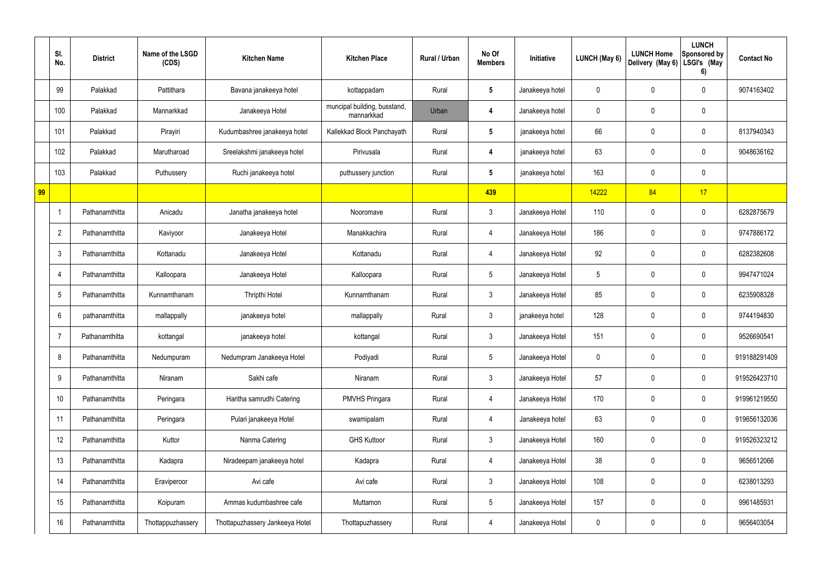|    | SI.<br>No.       | <b>District</b> | Name of the LSGD<br>(CDS) | <b>Kitchen Name</b>             | <b>Kitchen Place</b>                       | Rural / Urban | No Of<br><b>Members</b> | Initiative      | LUNCH (May 6) | <b>LUNCH Home</b><br>Delivery (May 6) | <b>LUNCH</b><br><b>Sponsored by</b><br>LSGI's (May<br>6) | <b>Contact No</b> |
|----|------------------|-----------------|---------------------------|---------------------------------|--------------------------------------------|---------------|-------------------------|-----------------|---------------|---------------------------------------|----------------------------------------------------------|-------------------|
|    | 99               | Palakkad        | Pattithara                | Bavana janakeeya hotel          | kottappadam                                | Rural         | $5\phantom{.0}$         | Janakeeya hotel | 0             | 0                                     | 0                                                        | 9074163402        |
|    | 100              | Palakkad        | Mannarkkad                | Janakeeya Hotel                 | muncipal building, busstand,<br>mannarkkad | Urban         | 4                       | Janakeeya hotel | 0             | 0                                     | $\pmb{0}$                                                |                   |
|    | 101              | Palakkad        | Pirayiri                  | Kudumbashree janakeeya hotel    | Kallekkad Block Panchayath                 | Rural         | $5\phantom{.0}$         | janakeeya hotel | 66            | 0                                     | 0                                                        | 8137940343        |
|    | 102              | Palakkad        | Marutharoad               | Sreelakshmi janakeeya hotel     | Pirivusala                                 | Rural         | 4                       | janakeeya hotel | 63            | 0                                     | 0                                                        | 9048636162        |
|    | 103              | Palakkad        | Puthussery                | Ruchi janakeeya hotel           | puthussery junction                        | Rural         | $5\phantom{.0}$         | janakeeya hotel | 163           | 0                                     | $\pmb{0}$                                                |                   |
| 99 |                  |                 |                           |                                 |                                            |               | 439                     |                 | 14222         | 84                                    | 17                                                       |                   |
|    | $\overline{1}$   | Pathanamthitta  | Anicadu                   | Janatha janakeeya hotel         | Nooromave                                  | Rural         | $\mathfrak{Z}$          | Janakeeya Hotel | 110           | 0                                     | $\pmb{0}$                                                | 6282875679        |
|    | $\overline{2}$   | Pathanamthitta  | Kaviyoor                  | Janakeeya Hotel                 | Manakkachira                               | Rural         | 4                       | Janakeeya Hotel | 186           | $\mathbf 0$                           | $\pmb{0}$                                                | 9747886172        |
|    | $\mathfrak{Z}$   | Pathanamthitta  | Kottanadu                 | Janakeeya Hotel                 | Kottanadu                                  | Rural         | 4                       | Janakeeya Hotel | 92            | 0                                     | $\pmb{0}$                                                | 6282382608        |
|    | $\overline{4}$   | Pathanamthitta  | Kalloopara                | Janakeeya Hotel                 | Kalloopara                                 | Rural         | $5\phantom{.0}$         | Janakeeya Hotel | 5             | 0                                     | $\pmb{0}$                                                | 9947471024        |
|    | $5\phantom{.0}$  | Pathanamthitta  | Kunnamthanam              | Thripthi Hotel                  | Kunnamthanam                               | Rural         | $\mathfrak{Z}$          | Janakeeya Hotel | 85            | 0                                     | $\pmb{0}$                                                | 6235908328        |
|    | $6\phantom{1}$   | pathanamthitta  | mallappally               | janakeeya hotel                 | mallappally                                | Rural         | $\mathfrak{Z}$          | janakeeya hotel | 128           | 0                                     | $\pmb{0}$                                                | 9744194830        |
|    | $\overline{7}$   | Pathanamthitta  | kottangal                 | janakeeya hotel                 | kottangal                                  | Rural         | $\mathfrak{Z}$          | Janakeeya Hotel | 151           | 0                                     | 0                                                        | 9526690541        |
|    | 8                | Pathanamthitta  | Nedumpuram                | Nedumpram Janakeeya Hotel       | Podiyadi                                   | Rural         | $5\phantom{.0}$         | Janakeeya Hotel | 0             | $\mathbf 0$                           | $\mathbf 0$                                              | 919188291409      |
|    | $\boldsymbol{9}$ | Pathanamthitta  | Niranam                   | Sakhi cafe                      | Niranam                                    | Rural         | $\mathbf{3}$            | Janakeeya Hotel | 57            | 0                                     | $\mathsf{0}$                                             | 919526423710      |
|    | 10               | Pathanamthitta  | Peringara                 | Haritha samrudhi Catering       | PMVHS Pringara                             | Rural         | 4                       | Janakeeya Hotel | 170           | $\pmb{0}$                             | $\mathsf{0}$                                             | 919961219550      |
|    | 11               | Pathanamthitta  | Peringara                 | Pulari janakeeya Hotel          | swamipalam                                 | Rural         | 4                       | Janakeeya hotel | 63            | 0                                     | $\mathbf 0$                                              | 919656132036      |
|    | 12               | Pathanamthitta  | Kuttor                    | Nanma Catering                  | <b>GHS Kuttoor</b>                         | Rural         | $\mathfrak{Z}$          | Janakeeya Hotel | 160           | $\mathbf 0$                           | $\mathbf 0$                                              | 919526323212      |
|    | 13               | Pathanamthitta  | Kadapra                   | Niradeepam janakeeya hotel      | Kadapra                                    | Rural         | 4                       | Janakeeya Hotel | 38            | 0                                     | $\mathsf{0}$                                             | 9656512066        |
|    | 14               | Pathanamthitta  | Eraviperoor               | Avi cafe                        | Avi cafe                                   | Rural         | $\mathfrak{Z}$          | Janakeeya Hotel | 108           | $\mathbf 0$                           | $\pmb{0}$                                                | 6238013293        |
|    | 15               | Pathanamthitta  | Koipuram                  | Ammas kudumbashree cafe         | Muttamon                                   | Rural         | $5\phantom{.0}$         | Janakeeya Hotel | 157           | 0                                     | $\mathsf{0}$                                             | 9961485931        |
|    | 16               | Pathanamthitta  | Thottappuzhassery         | Thottapuzhassery Jankeeya Hotel | Thottapuzhassery                           | Rural         | 4                       | Janakeeya Hotel | 0             | 0                                     | $\pmb{0}$                                                | 9656403054        |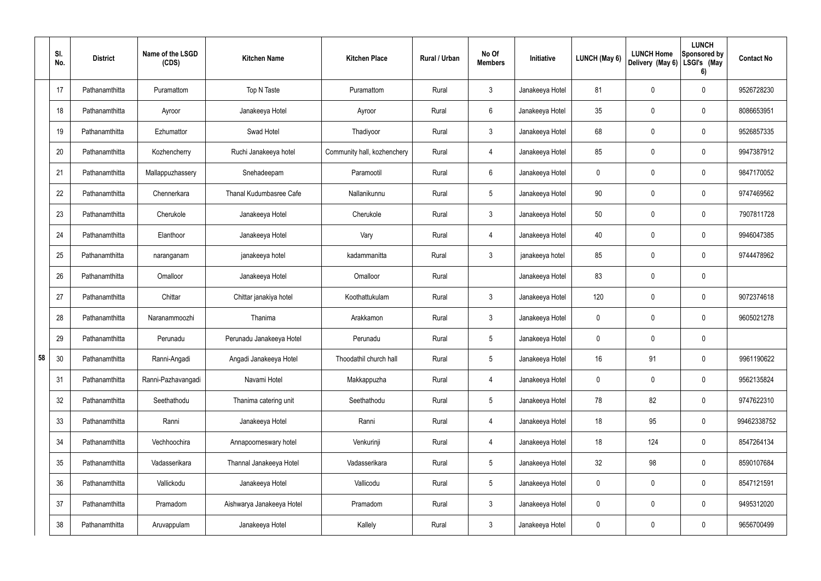|    | SI.<br>No. | <b>District</b> | Name of the LSGD<br>(CDS) | <b>Kitchen Name</b>       | <b>Kitchen Place</b>        | <b>Rural / Urban</b> | No Of<br><b>Members</b> | Initiative      | <b>LUNCH (May 6)</b> | <b>LUNCH Home</b><br>Delivery (May 6) | <b>LUNCH</b><br>Sponsored by<br>LSGI's (May<br>6) | <b>Contact No</b> |
|----|------------|-----------------|---------------------------|---------------------------|-----------------------------|----------------------|-------------------------|-----------------|----------------------|---------------------------------------|---------------------------------------------------|-------------------|
|    | 17         | Pathanamthitta  | Puramattom                | Top N Taste               | Puramattom                  | Rural                | $\mathbf{3}$            | Janakeeya Hotel | 81                   | 0                                     | $\mathbf 0$                                       | 9526728230        |
|    | 18         | Pathanamthitta  | Ayroor                    | Janakeeya Hotel           | Ayroor                      | Rural                | $6\overline{6}$         | Janakeeya Hotel | 35                   | 0                                     | $\boldsymbol{0}$                                  | 8086653951        |
|    | 19         | Pathanamthitta  | Ezhumattor                | Swad Hotel                | Thadiyoor                   | Rural                | $\mathbf{3}$            | Janakeeya Hotel | 68                   | 0                                     | $\mathbf 0$                                       | 9526857335        |
|    | 20         | Pathanamthitta  | Kozhencherry              | Ruchi Janakeeya hotel     | Community hall, kozhenchery | Rural                | 4                       | Janakeeya Hotel | 85                   | 0                                     | $\mathbf 0$                                       | 9947387912        |
|    | 21         | Pathanamthitta  | Mallappuzhassery          | Snehadeepam               | Paramootil                  | Rural                | $6\overline{6}$         | Janakeeya Hotel | 0                    | 0                                     | $\mathbf 0$                                       | 9847170052        |
|    | 22         | Pathanamthitta  | Chennerkara               | Thanal Kudumbasree Cafe   | Nallanikunnu                | Rural                | $5\phantom{.0}$         | Janakeeya Hotel | 90                   | 0                                     | $\mathbf 0$                                       | 9747469562        |
|    | 23         | Pathanamthitta  | Cherukole                 | Janakeeya Hotel           | Cherukole                   | Rural                | 3 <sup>1</sup>          | Janakeeya Hotel | 50                   | 0                                     | $\mathbf 0$                                       | 7907811728        |
|    | 24         | Pathanamthitta  | Elanthoor                 | Janakeeya Hotel           | Vary                        | Rural                | 4                       | Janakeeya Hotel | 40                   | 0                                     | $\boldsymbol{0}$                                  | 9946047385        |
|    | 25         | Pathanamthitta  | naranganam                | janakeeya hotel           | kadammanitta                | Rural                | 3 <sup>1</sup>          | janakeeya hotel | 85                   | 0                                     | $\mathbf 0$                                       | 9744478962        |
|    | 26         | Pathanamthitta  | Omalloor                  | Janakeeya Hotel           | Omalloor                    | Rural                |                         | Janakeeya Hotel | 83                   | 0                                     | $\pmb{0}$                                         |                   |
|    | 27         | Pathanamthitta  | Chittar                   | Chittar janakiya hotel    | Koothattukulam              | Rural                | $\mathbf{3}$            | Janakeeya Hotel | 120                  | 0                                     | $\boldsymbol{0}$                                  | 9072374618        |
|    | 28         | Pathanamthitta  | Naranammoozhi             | Thanima                   | Arakkamon                   | Rural                | $\mathbf{3}$            | Janakeeya Hotel | 0                    | 0                                     | $\mathbf 0$                                       | 9605021278        |
|    | 29         | Pathanamthitta  | Perunadu                  | Perunadu Janakeeya Hotel  | Perunadu                    | Rural                | $5\phantom{.0}$         | Janakeeya Hotel | 0                    | 0                                     | $\mathbf 0$                                       |                   |
| 58 | 30         | Pathanamthitta  | Ranni-Angadi              | Angadi Janakeeya Hotel    | Thoodathil church hall      | Rural                | $5\phantom{.0}$         | Janakeeya Hotel | 16                   | 91                                    | $\pmb{0}$                                         | 9961190622        |
|    | 31         | Pathanamthitta  | Ranni-Pazhavangadi        | Navami Hotel              | Makkappuzha                 | Rural                | 4                       | Janakeeya Hotel | 0                    | 0                                     | $\pmb{0}$                                         | 9562135824        |
|    | 32         | Pathanamthitta  | Seethathodu               | Thanima catering unit     | Seethathodu                 | Rural                | $5\phantom{.0}$         | Janakeeya Hotel | 78                   | 82                                    | $\pmb{0}$                                         | 9747622310        |
|    | 33         | Pathanamthitta  | Ranni                     | Janakeeya Hotel           | Ranni                       | Rural                | 4                       | Janakeeya Hotel | 18                   | 95                                    | $\pmb{0}$                                         | 99462338752       |
|    | 34         | Pathanamthitta  | Vechhoochira              | Annapoorneswary hotel     | Venkurinji                  | Rural                | $\overline{4}$          | Janakeeya Hotel | 18                   | 124                                   | $\pmb{0}$                                         | 8547264134        |
|    | 35         | Pathanamthitta  | Vadasserikara             | Thannal Janakeeya Hotel   | Vadasserikara               | Rural                | $5\,$                   | Janakeeya Hotel | 32                   | 98                                    | $\pmb{0}$                                         | 8590107684        |
|    | 36         | Pathanamthitta  | Vallickodu                | Janakeeya Hotel           | Vallicodu                   | Rural                | $5\phantom{.0}$         | Janakeeya Hotel | 0                    | 0                                     | $\pmb{0}$                                         | 8547121591        |
|    | 37         | Pathanamthitta  | Pramadom                  | Aishwarya Janakeeya Hotel | Pramadom                    | Rural                | $\mathbf{3}$            | Janakeeya Hotel | 0                    | $\mathbf 0$                           | $\pmb{0}$                                         | 9495312020        |
|    | 38         | Pathanamthitta  | Aruvappulam               | Janakeeya Hotel           | Kallely                     | Rural                | $\mathbf{3}$            | Janakeeya Hotel | 0                    | 0                                     | $\pmb{0}$                                         | 9656700499        |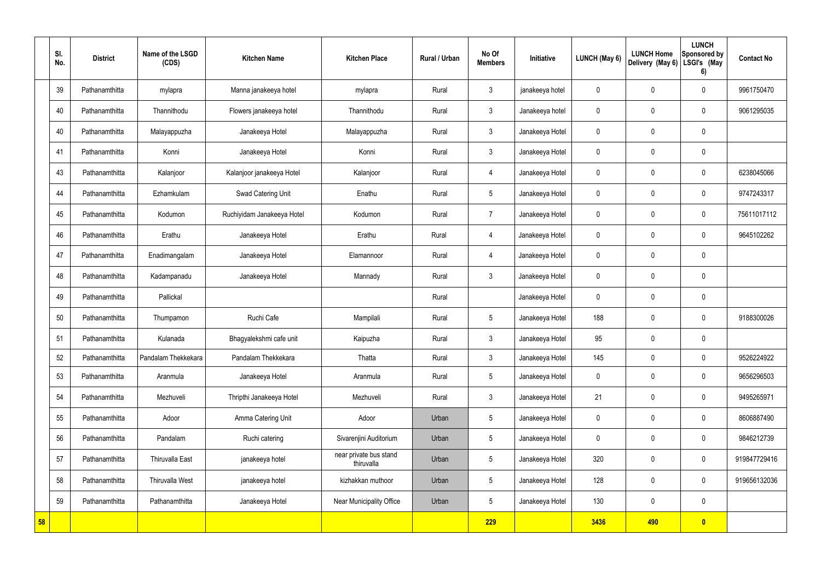|    | SI.<br>No. | <b>District</b> | Name of the LSGD<br>(CDS) | <b>Kitchen Name</b>        | <b>Kitchen Place</b>                 | Rural / Urban | No Of<br><b>Members</b> | Initiative      | <b>LUNCH (May 6)</b> | <b>LUNCH Home</b><br>Delivery (May 6) | <b>LUNCH</b><br>Sponsored by<br>LSGI's (May<br>6) | <b>Contact No</b> |
|----|------------|-----------------|---------------------------|----------------------------|--------------------------------------|---------------|-------------------------|-----------------|----------------------|---------------------------------------|---------------------------------------------------|-------------------|
|    | 39         | Pathanamthitta  | mylapra                   | Manna janakeeya hotel      | mylapra                              | Rural         | $\mathbf{3}$            | janakeeya hotel | $\mathbf 0$          | $\mathbf 0$                           | $\mathbf 0$                                       | 9961750470        |
|    | 40         | Pathanamthitta  | Thannithodu               | Flowers janakeeya hotel    | Thannithodu                          | Rural         | $\mathbf{3}$            | Janakeeya hotel | $\mathbf 0$          | $\mathbf 0$                           | $\mathbf 0$                                       | 9061295035        |
|    | 40         | Pathanamthitta  | Malayappuzha              | Janakeeya Hotel            | Malayappuzha                         | Rural         | $\mathbf{3}$            | Janakeeya Hotel | $\mathbf 0$          | $\mathbf 0$                           | $\mathbf 0$                                       |                   |
|    | 41         | Pathanamthitta  | Konni                     | Janakeeya Hotel            | Konni                                | Rural         | $\mathbf{3}$            | Janakeeya Hotel | $\mathbf 0$          | $\mathbf 0$                           | $\mathbf 0$                                       |                   |
|    | 43         | Pathanamthitta  | Kalanjoor                 | Kalanjoor janakeeya Hotel  | Kalanjoor                            | Rural         | $\overline{4}$          | Janakeeya Hotel | $\mathbf 0$          | $\mathbf 0$                           | $\mathbf 0$                                       | 6238045066        |
|    | 44         | Pathanamthitta  | Ezhamkulam                | Swad Catering Unit         | Enathu                               | Rural         | $5\overline{)}$         | Janakeeya Hotel | $\mathbf 0$          | $\mathbf 0$                           | $\mathbf 0$                                       | 9747243317        |
|    | 45         | Pathanamthitta  | Kodumon                   | Ruchiyidam Janakeeya Hotel | Kodumon                              | Rural         | $\overline{7}$          | Janakeeya Hotel | $\mathbf 0$          | $\mathbf 0$                           | $\mathbf 0$                                       | 75611017112       |
|    | 46         | Pathanamthitta  | Erathu                    | Janakeeya Hotel            | Erathu                               | Rural         | 4                       | Janakeeya Hotel | $\mathbf 0$          | $\mathbf 0$                           | $\mathbf 0$                                       | 9645102262        |
|    | 47         | Pathanamthitta  | Enadimangalam             | Janakeeya Hotel            | Elamannoor                           | Rural         | $\overline{4}$          | Janakeeya Hotel | $\mathbf 0$          | $\mathbf 0$                           | $\mathbf 0$                                       |                   |
|    | 48         | Pathanamthitta  | Kadampanadu               | Janakeeya Hotel            | Mannady                              | Rural         | $\mathbf{3}$            | Janakeeya Hotel | $\mathbf 0$          | $\mathbf 0$                           | $\mathbf 0$                                       |                   |
|    | 49         | Pathanamthitta  | Pallickal                 |                            |                                      | Rural         |                         | Janakeeya Hotel | $\mathbf 0$          | 0                                     | $\mathbf 0$                                       |                   |
|    | 50         | Pathanamthitta  | Thumpamon                 | Ruchi Cafe                 | Mampilali                            | Rural         | $5\overline{)}$         | Janakeeya Hotel | 188                  | $\mathbf 0$                           | $\mathbf 0$                                       | 9188300026        |
|    | 51         | Pathanamthitta  | Kulanada                  | Bhagyalekshmi cafe unit    | Kaipuzha                             | Rural         | $\mathfrak{Z}$          | Janakeeya Hotel | 95                   | $\mathbf 0$                           | $\mathbf 0$                                       |                   |
|    | 52         | Pathanamthitta  | Pandalam Thekkekara       | Pandalam Thekkekara        | Thatta                               | Rural         | $\mathbf{3}$            | Janakeeya Hotel | 145                  | $\pmb{0}$                             | $\mathbf 0$                                       | 9526224922        |
|    | 53         | Pathanamthitta  | Aranmula                  | Janakeeya Hotel            | Aranmula                             | Rural         | $5\phantom{.0}$         | Janakeeya Hotel | $\pmb{0}$            | 0                                     | $\mathbf 0$                                       | 9656296503        |
|    | 54         | Pathanamthitta  | Mezhuveli                 | Thripthi Janakeeya Hotel   | Mezhuveli                            | Rural         | $\mathbf{3}$            | Janakeeya Hotel | 21                   | 0                                     | $\mathbf 0$                                       | 9495265971        |
|    | 55         | Pathanamthitta  | Adoor                     | Amma Catering Unit         | Adoor                                | Urban         | $5\phantom{.0}$         | Janakeeya Hotel | $\pmb{0}$            | 0                                     | $\mathbf 0$                                       | 8606887490        |
|    | 56         | Pathanamthitta  | Pandalam                  | Ruchi catering             | Sivarenjini Auditorium               | Urban         | $\overline{5}$          | Janakeeya Hotel | $\pmb{0}$            | 0                                     | $\mathbf 0$                                       | 9846212739        |
|    | 57         | Pathanamthitta  | Thiruvalla East           | janakeeya hotel            | near private bus stand<br>thiruvalla | Urban         | $5\phantom{.0}$         | Janakeeya Hotel | 320                  | 0                                     | $\mathbf 0$                                       | 919847729416      |
|    | 58         | Pathanamthitta  | <b>Thiruvalla West</b>    | janakeeya hotel            | kizhakkan muthoor                    | Urban         | $5\overline{)}$         | Janakeeya Hotel | 128                  | 0                                     | $\mathbf 0$                                       | 919656132036      |
|    | 59         | Pathanamthitta  | Pathanamthitta            | Janakeeya Hotel            | Near Municipality Office             | Urban         | $5\phantom{.0}$         | Janakeeya Hotel | 130                  | 0                                     | $\mathbf 0$                                       |                   |
| 58 |            |                 |                           |                            |                                      |               | 229                     |                 | 3436                 | 490                                   | $\bullet$                                         |                   |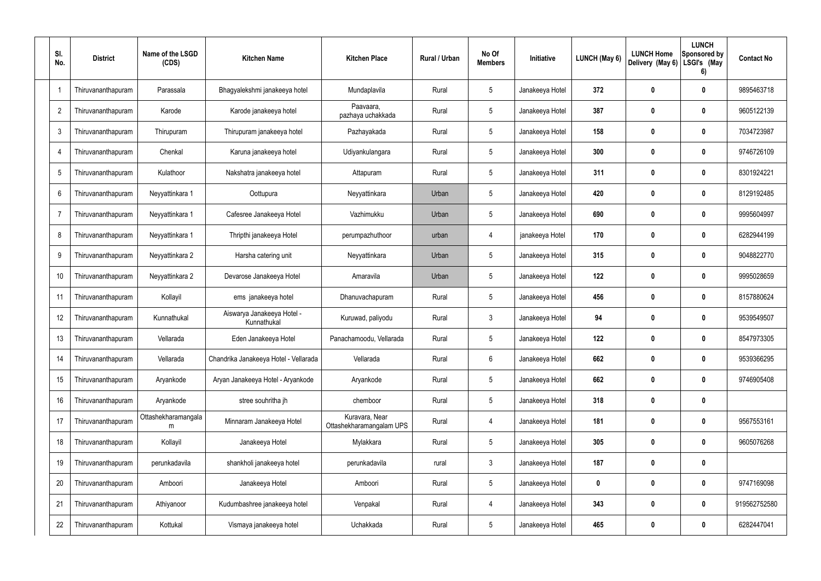| SI.<br>No.     | <b>District</b>    | Name of the LSGD<br>(CDS) | <b>Kitchen Name</b>                     | <b>Kitchen Place</b>                       | Rural / Urban | No Of<br><b>Members</b> | Initiative      | LUNCH (May 6) | <b>LUNCH Home</b><br>Delivery (May 6) | <b>LUNCH</b><br>Sponsored by<br>LSGI's (May<br>6) | <b>Contact No</b> |
|----------------|--------------------|---------------------------|-----------------------------------------|--------------------------------------------|---------------|-------------------------|-----------------|---------------|---------------------------------------|---------------------------------------------------|-------------------|
| -1             | Thiruvananthapuram | Parassala                 | Bhagyalekshmi janakeeya hotel           | Mundaplavila                               | Rural         | $5\phantom{.0}$         | Janakeeya Hotel | 372           | 0                                     | $\mathbf 0$                                       | 9895463718        |
| $\overline{2}$ | Thiruvananthapuram | Karode                    | Karode janakeeya hotel                  | Paavaara,<br>pazhaya uchakkada             | Rural         | $5\phantom{.0}$         | Janakeeya Hotel | 387           | 0                                     | $\mathbf 0$                                       | 9605122139        |
| 3              | Thiruvananthapuram | Thirupuram                | Thirupuram janakeeya hotel              | Pazhayakada                                | Rural         | $5\phantom{.0}$         | Janakeeya Hotel | 158           | 0                                     | $\mathbf 0$                                       | 7034723987        |
| $\overline{4}$ | Thiruvananthapuram | Chenkal                   | Karuna janakeeya hotel                  | Udiyankulangara                            | Rural         | $5\phantom{.0}$         | Janakeeya Hotel | 300           | 0                                     | $\mathbf 0$                                       | 9746726109        |
| 5              | Thiruvananthapuram | Kulathoor                 | Nakshatra janakeeya hotel               | Attapuram                                  | Rural         | $5\phantom{.0}$         | Janakeeya Hotel | 311           | 0                                     | $\mathbf 0$                                       | 8301924221        |
| 6              | Thiruvananthapuram | Neyyattinkara 1           | Oottupura                               | Neyyattinkara                              | Urban         | $5\phantom{.0}$         | Janakeeya Hotel | 420           | 0                                     | $\mathbf 0$                                       | 8129192485        |
| $\overline{7}$ | Thiruvananthapuram | Neyyattinkara 1           | Cafesree Janakeeya Hotel                | Vazhimukku                                 | Urban         | $5\phantom{.0}$         | Janakeeya Hotel | 690           | 0                                     | $\mathbf 0$                                       | 9995604997        |
| 8              | Thiruvananthapuram | Neyyattinkara 1           | Thripthi janakeeya Hotel                | perumpazhuthoor                            | urban         | 4                       | janakeeya Hotel | 170           | 0                                     | $\mathbf 0$                                       | 6282944199        |
| 9              | Thiruvananthapuram | Neyyattinkara 2           | Harsha catering unit                    | Neyyattinkara                              | Urban         | $5\phantom{.0}$         | Janakeeya Hotel | 315           | 0                                     | $\mathbf 0$                                       | 9048822770        |
| 10             | Thiruvananthapuram | Neyyattinkara 2           | Devarose Janakeeya Hotel                | Amaravila                                  | Urban         | $5\phantom{.0}$         | Janakeeya Hotel | 122           | 0                                     | $\mathbf 0$                                       | 9995028659        |
| 11             | Thiruvananthapuram | Kollayil                  | ems janakeeya hotel                     | Dhanuvachapuram                            | Rural         | $5\phantom{.0}$         | Janakeeya Hotel | 456           | $\mathbf 0$                           | $\mathbf 0$                                       | 8157880624        |
| 12             | Thiruvananthapuram | Kunnathukal               | Aiswarya Janakeeya Hotel<br>Kunnathukal | Kuruwad, paliyodu                          | Rural         | $\mathbf{3}$            | Janakeeya Hotel | 94            | 0                                     | $\mathbf 0$                                       | 9539549507        |
| 13             | Thiruvananthapuram | Vellarada                 | Eden Janakeeya Hotel                    | Panachamoodu, Vellarada                    | Rural         | $5\phantom{.0}$         | Janakeeya Hotel | 122           | 0                                     | 0                                                 | 8547973305        |
| 14             | Thiruvananthapuram | Vellarada                 | Chandrika Janakeeya Hotel - Vellarada   | Vellarada                                  | Rural         | 6                       | Janakeeya Hotel | 662           | $\boldsymbol{0}$                      | $\mathbf 0$                                       | 9539366295        |
| 15             | Thiruvananthapuram | Aryankode                 | Aryan Janakeeya Hotel - Aryankode       | Aryankode                                  | Rural         | $5\phantom{.0}$         | Janakeeya Hotel | 662           | $\mathbf 0$                           | $\mathbf 0$                                       | 9746905408        |
| 16             | Thiruvananthapuram | Aryankode                 | stree souhritha jh                      | chemboor                                   | Rural         | $5\phantom{.0}$         | Janakeeya Hotel | 318           | $\boldsymbol{0}$                      | $\pmb{0}$                                         |                   |
| 17             | Thiruvananthapuram | Ottashekharamangala<br>m  | Minnaram Janakeeya Hotel                | Kuravara, Near<br>Ottashekharamangalam UPS | Rural         | $\overline{4}$          | Janakeeya Hotel | 181           | $\mathbf 0$                           | $\pmb{0}$                                         | 9567553161        |
| 18             | Thiruvananthapuram | Kollayil                  | Janakeeya Hotel                         | Mylakkara                                  | Rural         | $5\phantom{.0}$         | Janakeeya Hotel | 305           | $\boldsymbol{0}$                      | $\pmb{0}$                                         | 9605076268        |
| 19             | Thiruvananthapuram | perunkadavila             | shankholi janakeeya hotel               | perunkadavila                              | rural         | $\mathbf{3}$            | Janakeeya Hotel | 187           | $\boldsymbol{0}$                      | $\pmb{0}$                                         |                   |
| 20             | Thiruvananthapuram | Amboori                   | Janakeeya Hotel                         | Amboori                                    | Rural         | $5\phantom{.0}$         | Janakeeya Hotel | 0             | $\boldsymbol{0}$                      | $\pmb{0}$                                         | 9747169098        |
| 21             | Thiruvananthapuram | Athiyanoor                | Kudumbashree janakeeya hotel            | Venpakal                                   | Rural         | 4                       | Janakeeya Hotel | 343           | $\boldsymbol{0}$                      | $\mathbf 0$                                       | 919562752580      |
| 22             | Thiruvananthapuram | Kottukal                  | Vismaya janakeeya hotel                 | Uchakkada                                  | Rural         | $\sqrt{5}$              | Janakeeya Hotel | 465           | $\boldsymbol{0}$                      | $\pmb{0}$                                         | 6282447041        |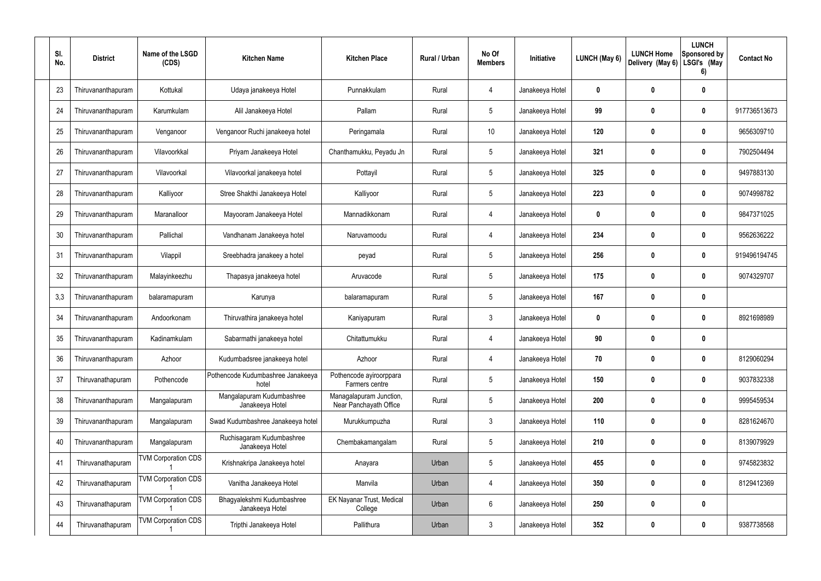| SI.<br>No. | <b>District</b>    | Name of the LSGD<br>(CDS)  | <b>Kitchen Name</b>                           | <b>Kitchen Place</b>                              | Rural / Urban | No Of<br><b>Members</b> | Initiative      | LUNCH (May 6) | <b>LUNCH Home</b><br>Delivery (May 6) | <b>LUNCH</b><br>Sponsored by<br>LSGI's (May<br>6) | <b>Contact No</b> |
|------------|--------------------|----------------------------|-----------------------------------------------|---------------------------------------------------|---------------|-------------------------|-----------------|---------------|---------------------------------------|---------------------------------------------------|-------------------|
| 23         | Thiruvananthapuram | Kottukal                   | Udaya janakeeya Hotel                         | Punnakkulam                                       | Rural         | 4                       | Janakeeya Hotel | $\mathbf{0}$  | $\bf{0}$                              | $\boldsymbol{0}$                                  |                   |
| 24         | Thiruvananthapuram | Karumkulam                 | Alil Janakeeya Hotel                          | Pallam                                            | Rural         | $5\phantom{.0}$         | Janakeeya Hotel | 99            | $\boldsymbol{0}$                      | $\boldsymbol{0}$                                  | 917736513673      |
| 25         | Thiruvananthapuram | Venganoor                  | Venganoor Ruchi janakeeya hotel               | Peringamala                                       | Rural         | 10 <sup>°</sup>         | Janakeeya Hotel | 120           | $\boldsymbol{0}$                      | 0                                                 | 9656309710        |
| 26         | Thiruvananthapuram | Vilavoorkkal               | Priyam Janakeeya Hotel                        | Chanthamukku, Peyadu Jn                           | Rural         | $5\phantom{.0}$         | Janakeeya Hotel | 321           | $\bf{0}$                              | 0                                                 | 7902504494        |
| 27         | Thiruvananthapuram | Vilavoorkal                | Vilavoorkal janakeeya hotel                   | Pottayil                                          | Rural         | $5\phantom{.0}$         | Janakeeya Hotel | 325           | $\boldsymbol{0}$                      | 0                                                 | 9497883130        |
| 28         | Thiruvananthapuram | Kalliyoor                  | Stree Shakthi Janakeeya Hotel                 | Kalliyoor                                         | Rural         | $5\phantom{.0}$         | Janakeeya Hotel | 223           | $\mathbf 0$                           | 0                                                 | 9074998782        |
| 29         | Thiruvananthapuram | Maranalloor                | Mayooram Janakeeya Hotel                      | Mannadikkonam                                     | Rural         | $\overline{4}$          | Janakeeya Hotel | $\mathbf{0}$  | $\bf{0}$                              | 0                                                 | 9847371025        |
| 30         | Thiruvananthapuram | Pallichal                  | Vandhanam Janakeeya hotel                     | Naruvamoodu                                       | Rural         | $\overline{4}$          | Janakeeya Hotel | 234           | $\boldsymbol{0}$                      | 0                                                 | 9562636222        |
| 31         | Thiruvananthapuram | Vilappil                   | Sreebhadra janakeey a hotel                   | peyad                                             | Rural         | $5\phantom{.0}$         | Janakeeya Hotel | 256           | $\boldsymbol{0}$                      | 0                                                 | 919496194745      |
| 32         | Thiruvananthapuram | Malayinkeezhu              | Thapasya janakeeya hotel                      | Aruvacode                                         | Rural         | $5\phantom{.0}$         | Janakeeya Hotel | 175           | $\boldsymbol{0}$                      | 0                                                 | 9074329707        |
| 3,3        | Thiruvananthapuram | balaramapuram              | Karunya                                       | balaramapuram                                     | Rural         | $5\phantom{.0}$         | Janakeeya Hotel | 167           | $\boldsymbol{0}$                      | $\boldsymbol{0}$                                  |                   |
| 34         | Thiruvananthapuram | Andoorkonam                | Thiruvathira janakeeya hotel                  | Kaniyapuram                                       | Rural         | $\mathbf{3}$            | Janakeeya Hotel | $\bf{0}$      | $\boldsymbol{0}$                      | 0                                                 | 8921698989        |
| 35         | Thiruvananthapuram | Kadinamkulam               | Sabarmathi janakeeya hotel                    | Chitattumukku                                     | Rural         | 4                       | Janakeeya Hotel | 90            | $\boldsymbol{0}$                      | 0                                                 |                   |
| 36         | Thiruvananthapuram | Azhoor                     | Kudumbadsree janakeeya hotel                  | Azhoor                                            | Rural         | 4                       | Janakeeya Hotel | 70            | $\mathbf{0}$                          | $\boldsymbol{0}$                                  | 8129060294        |
| 37         | Thiruvanathapuram  | Pothencode                 | Pothencode Kudumbashree Janakeeya<br>hotel    | Pothencode ayiroorppara<br>Farmers centre         | Rural         | $5\phantom{.0}$         | Janakeeya Hotel | 150           | $\boldsymbol{0}$                      | $\pmb{0}$                                         | 9037832338        |
| 38         | Thiruvananthapuram | Mangalapuram               | Mangalapuram Kudumbashree<br>Janakeeya Hotel  | Managalapuram Junction,<br>Near Panchayath Office | Rural         | $5\phantom{.0}$         | Janakeeya Hotel | 200           | $\boldsymbol{0}$                      | $\pmb{0}$                                         | 9995459534        |
| 39         | Thiruvananthapuram | Mangalapuram               | Swad Kudumbashree Janakeeya hotel             | Murukkumpuzha                                     | Rural         | $\mathbf{3}$            | Janakeeya Hotel | 110           | $\mathbf 0$                           | $\pmb{0}$                                         | 8281624670        |
| 40         | Thiruvananthapuram | Mangalapuram               | Ruchisagaram Kudumbashree<br>Janakeeya Hotel  | Chembakamangalam                                  | Rural         | $5\phantom{.0}$         | Janakeeya Hotel | 210           | $\boldsymbol{0}$                      | $\pmb{0}$                                         | 8139079929        |
| 41         | Thiruvanathapuram  | <b>TVM Corporation CDS</b> | Krishnakripa Janakeeya hotel                  | Anayara                                           | Urban         | $5\phantom{.0}$         | Janakeeya Hotel | 455           | $\mathbf 0$                           | $\pmb{0}$                                         | 9745823832        |
| 42         | Thiruvanathapuram  | <b>TVM Corporation CDS</b> | Vanitha Janakeeya Hotel                       | Manvila                                           | Urban         | $\overline{4}$          | Janakeeya Hotel | 350           | $\boldsymbol{0}$                      | $\pmb{0}$                                         | 8129412369        |
| 43         | Thiruvanathapuram  | <b>TVM Corporation CDS</b> | Bhagyalekshmi Kudumbashree<br>Janakeeya Hotel | <b>EK Nayanar Trust, Medical</b><br>College       | Urban         | $6\phantom{1}6$         | Janakeeya Hotel | 250           | $\boldsymbol{0}$                      | $\pmb{0}$                                         |                   |
| 44         | Thiruvanathapuram  | <b>TVM Corporation CDS</b> | Tripthi Janakeeya Hotel                       | Pallithura                                        | Urban         | $\mathfrak{Z}$          | Janakeeya Hotel | 352           | $\boldsymbol{0}$                      | $\boldsymbol{0}$                                  | 9387738568        |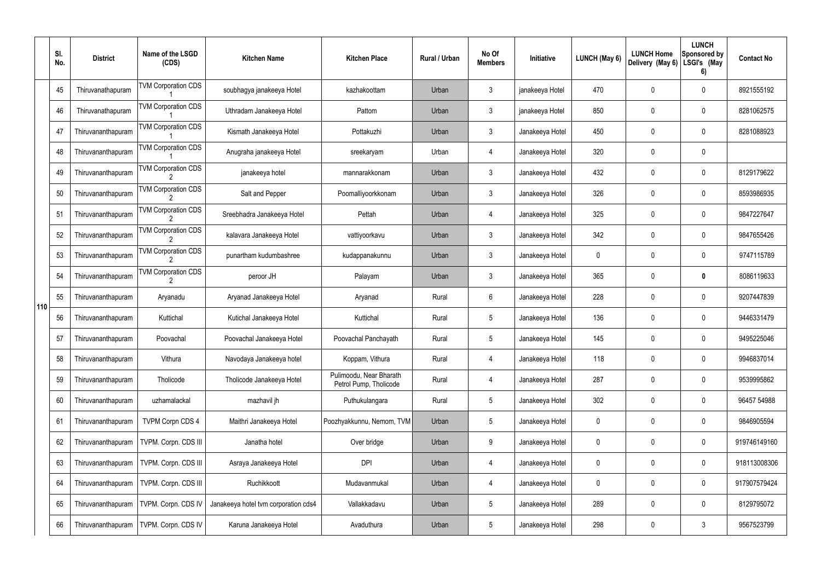|     | SI.<br>No. | <b>District</b>    | Name of the LSGD<br>(CDS)  | <b>Kitchen Name</b>                  | <b>Kitchen Place</b>                              | Rural / Urban | No Of<br><b>Members</b> | Initiative      | LUNCH (May 6) | <b>LUNCH Home</b><br>Delivery (May 6) | <b>LUNCH</b><br>Sponsored by<br>LSGI's (May<br>6) | <b>Contact No</b> |
|-----|------------|--------------------|----------------------------|--------------------------------------|---------------------------------------------------|---------------|-------------------------|-----------------|---------------|---------------------------------------|---------------------------------------------------|-------------------|
|     | 45         | Thiruvanathapuram  | <b>TVM Corporation CDS</b> | soubhagya janakeeya Hotel            | kazhakoottam                                      | Urban         | $\mathbf{3}$            | janakeeya Hotel | 470           | 0                                     | $\mathbf 0$                                       | 8921555192        |
|     | 46         | Thiruvanathapuram  | <b>TVM Corporation CDS</b> | Uthradam Janakeeya Hotel             | Pattom                                            | Urban         | $\mathbf{3}$            | janakeeya Hotel | 850           | 0                                     | $\boldsymbol{0}$                                  | 8281062575        |
|     | 47         | Thiruvananthapuram | <b>TVM Corporation CDS</b> | Kismath Janakeeya Hotel              | Pottakuzhi                                        | Urban         | $\mathbf{3}$            | Janakeeya Hotel | 450           | 0                                     | $\mathbf 0$                                       | 8281088923        |
|     | 48         | Thiruvananthapuram | <b>TVM Corporation CDS</b> | Anugraha janakeeya Hotel             | sreekaryam                                        | Urban         | 4                       | Janakeeya Hotel | 320           | 0                                     | $\mathbf 0$                                       |                   |
|     | 49         | Thiruvananthapuram | <b>TVM Corporation CDS</b> | janakeeya hotel                      | mannarakkonam                                     | Urban         | $\mathbf{3}$            | Janakeeya Hotel | 432           | 0                                     | $\mathbf 0$                                       | 8129179622        |
|     | 50         | Thiruvananthapuram | <b>TVM Corporation CDS</b> | Salt and Pepper                      | Poomalliyoorkkonam                                | Urban         | $\mathbf{3}$            | Janakeeya Hotel | 326           | 0                                     | $\mathbf 0$                                       | 8593986935        |
|     | 51         | Thiruvananthapuram | <b>TVM Corporation CDS</b> | Sreebhadra Janakeeya Hotel           | Pettah                                            | Urban         | 4                       | Janakeeya Hotel | 325           | 0                                     | $\mathbf 0$                                       | 9847227647        |
|     | 52         | Thiruvananthapuram | <b>TVM Corporation CDS</b> | kalavara Janakeeya Hotel             | vattiyoorkavu                                     | Urban         | $\mathbf{3}$            | Janakeeya Hotel | 342           | 0                                     | $\mathbf 0$                                       | 9847655426        |
|     | 53         | Thiruvananthapuram | <b>TVM Corporation CDS</b> | punartham kudumbashree               | kudappanakunnu                                    | Urban         | $\mathbf{3}$            | Janakeeya Hotel | 0             | 0                                     | $\mathbf 0$                                       | 9747115789        |
|     | 54         | Thiruvananthapuram | <b>TVM Corporation CDS</b> | peroor JH                            | Palayam                                           | Urban         | $\mathbf{3}$            | Janakeeya Hotel | 365           | 0                                     | $\bm{0}$                                          | 8086119633        |
| 110 | 55         | Thiruvananthapuram | Aryanadu                   | Aryanad Janakeeya Hotel              | Aryanad                                           | Rural         | 6                       | Janakeeya Hotel | 228           | 0                                     | $\mathbf 0$                                       | 9207447839        |
|     | 56         | Thiruvananthapuram | Kuttichal                  | Kutichal Janakeeya Hotel             | Kuttichal                                         | Rural         | $5\phantom{.0}$         | Janakeeya Hotel | 136           | 0                                     | $\mathbf 0$                                       | 9446331479        |
|     | 57         | Thiruvananthapuram | Poovachal                  | Poovachal Janakeeya Hotel            | Poovachal Panchayath                              | Rural         | $5\phantom{.0}$         | Janakeeya Hotel | 145           | 0                                     | 0                                                 | 9495225046        |
|     | 58         | Thiruvananthapuram | Vithura                    | Navodaya Janakeeya hotel             | Koppam, Vithura                                   | Rural         | 4                       | Janakeeya Hotel | 118           | 0                                     | $\pmb{0}$                                         | 9946837014        |
|     | 59         | Thiruvananthapuram | Tholicode                  | Tholicode Janakeeya Hotel            | Pulimoodu, Near Bharath<br>Petrol Pump, Tholicode | Rural         | 4                       | Janakeeya Hotel | 287           | 0                                     | $\pmb{0}$                                         | 9539995862        |
|     | 60         | Thiruvananthapuram | uzhamalackal               | mazhavil jh                          | Puthukulangara                                    | Rural         | $5\phantom{.0}$         | Janakeeya Hotel | 302           | 0                                     | $\pmb{0}$                                         | 96457 54988       |
|     | 61         | Thiruvananthapuram | <b>TVPM Corpn CDS 4</b>    | Maithri Janakeeya Hotel              | Poozhyakkunnu, Nemom, TVM                         | Urban         | $5\,$                   | Janakeeya Hotel | 0             | 0                                     | $\pmb{0}$                                         | 9846905594        |
|     | 62         | Thiruvananthapuram | TVPM. Corpn. CDS III       | Janatha hotel                        | Over bridge                                       | Urban         | 9                       | Janakeeya Hotel | 0             | 0                                     | $\pmb{0}$                                         | 919746149160      |
|     | 63         | Thiruvananthapuram | TVPM. Corpn. CDS III       | Asraya Janakeeya Hotel               | <b>DPI</b>                                        | Urban         | 4                       | Janakeeya Hotel | 0             | $\mathbf 0$                           | $\pmb{0}$                                         | 918113008306      |
|     | 64         | Thiruvananthapuram | TVPM. Corpn. CDS III       | Ruchikkoott                          | Mudavanmukal                                      | Urban         | 4                       | Janakeeya Hotel | 0             | 0                                     | $\pmb{0}$                                         | 917907579424      |
|     | 65         | Thiruvananthapuram | TVPM. Corpn. CDS IV        | Janakeeya hotel tvm corporation cds4 | Vallakkadavu                                      | Urban         | $\sqrt{5}$              | Janakeeya Hotel | 289           | 0                                     | $\pmb{0}$                                         | 8129795072        |
|     | 66         | Thiruvananthapuram | TVPM. Corpn. CDS IV        | Karuna Janakeeya Hotel               | Avaduthura                                        | Urban         | $5\phantom{.0}$         | Janakeeya Hotel | 298           | 0                                     | $\mathfrak{Z}$                                    | 9567523799        |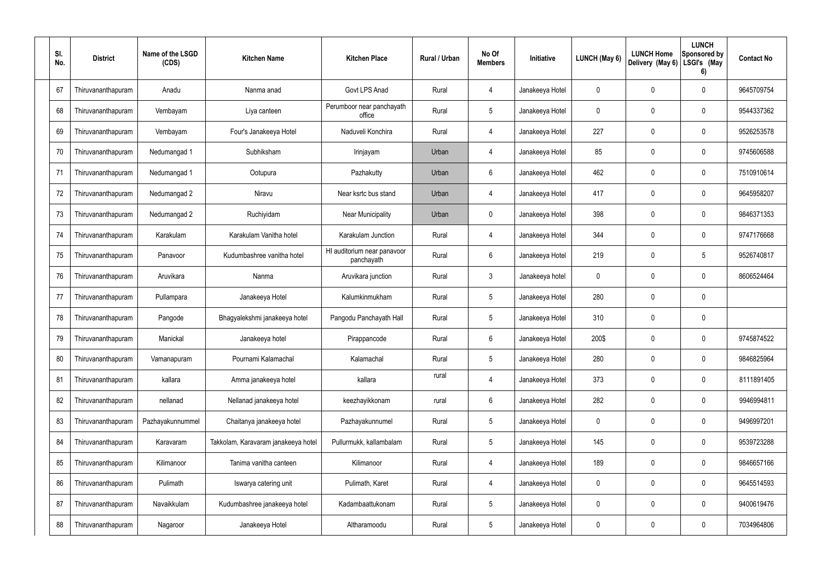| SI.<br>No. | <b>District</b>    | Name of the LSGD<br>(CDS) | <b>Kitchen Name</b>                 | <b>Kitchen Place</b>                      | Rural / Urban | No Of<br><b>Members</b> | Initiative      | LUNCH (May 6)    | <b>LUNCH Home</b><br>Delivery (May 6) | <b>LUNCH</b><br>Sponsored by<br>LSGI's (May<br>6) | <b>Contact No</b> |
|------------|--------------------|---------------------------|-------------------------------------|-------------------------------------------|---------------|-------------------------|-----------------|------------------|---------------------------------------|---------------------------------------------------|-------------------|
| 67         | Thiruvananthapuram | Anadu                     | Nanma anad                          | Govt LPS Anad                             | Rural         | $\overline{4}$          | Janakeeya Hotel | 0                | $\mathbf{0}$                          | 0                                                 | 9645709754        |
| 68         | Thiruvananthapuram | Vembayam                  | Liya canteen                        | Perumboor near panchayath<br>office       | Rural         | $5\phantom{.0}$         | Janakeeya Hotel | 0                | $\mathbf 0$                           | 0                                                 | 9544337362        |
| 69         | Thiruvananthapuram | Vembayam                  | Four's Janakeeya Hotel              | Naduveli Konchira                         | Rural         | $\overline{4}$          | Janakeeya Hotel | 227              | $\mathbf{0}$                          | 0                                                 | 9526253578        |
| 70         | Thiruvananthapuram | Nedumangad 1              | Subhiksham                          | Irinjayam                                 | Urban         | $\overline{4}$          | Janakeeya Hotel | 85               | $\mathbf 0$                           | 0                                                 | 9745606588        |
| 71         | Thiruvananthapuram | Nedumangad 1              | Ootupura                            | Pazhakutty                                | Urban         | $6\phantom{1}6$         | Janakeeya Hotel | 462              | $\mathbf 0$                           | 0                                                 | 7510910614        |
| 72         | Thiruvananthapuram | Nedumangad 2              | Niravu                              | Near ksrtc bus stand                      | Urban         | $\overline{4}$          | Janakeeya Hotel | 417              | $\mathbf 0$                           | 0                                                 | 9645958207        |
| 73         | Thiruvananthapuram | Nedumangad 2              | Ruchiyidam                          | <b>Near Municipality</b>                  | Urban         | $\mathbf 0$             | Janakeeya Hotel | 398              | $\mathbf 0$                           | 0                                                 | 9846371353        |
| 74         | Thiruvananthapuram | Karakulam                 | Karakulam Vanitha hotel             | Karakulam Junction                        | Rural         | $\overline{4}$          | Janakeeya Hotel | 344              | $\mathbf 0$                           | 0                                                 | 9747176668        |
| 75         | Thiruvananthapuram | Panavoor                  | Kudumbashree vanitha hotel          | HI auditorium near panavoor<br>panchayath | Rural         | $6\phantom{.}6$         | Janakeeya Hotel | 219              | $\mathbf 0$                           | 5                                                 | 9526740817        |
| 76         | Thiruvananthapuram | Aruvikara                 | Nanma                               | Aruvikara junction                        | Rural         | $\mathbf{3}$            | Janakeeya hotel | $\mathbf 0$      | $\mathbf 0$                           | 0                                                 | 8606524464        |
| 77         | Thiruvananthapuram | Pullampara                | Janakeeya Hotel                     | Kalumkinmukham                            | Rural         | $5\phantom{.0}$         | Janakeeya Hotel | 280              | $\mathbf 0$                           | 0                                                 |                   |
| 78         | Thiruvananthapuram | Pangode                   | Bhagyalekshmi janakeeya hotel       | Pangodu Panchayath Hall                   | Rural         | $5\phantom{.0}$         | Janakeeya Hotel | 310              | $\mathbf 0$                           | 0                                                 |                   |
| 79         | Thiruvananthapuram | Manickal                  | Janakeeya hotel                     | Pirappancode                              | Rural         | 6                       | Janakeeya Hotel | 200\$            | $\mathbf 0$                           | 0                                                 | 9745874522        |
| 80         | Thiruvananthapuram | Vamanapuram               | Pournami Kalamachal                 | Kalamachal                                | Rural         | $5\phantom{.0}$         | Janakeeya Hotel | 280              | $\mathbf 0$                           | 0                                                 | 9846825964        |
| 81         | Thiruvananthapuram | kallara                   | Amma janakeeya hotel                | kallara                                   | rural         | $\overline{4}$          | Janakeeya Hotel | 373              | $\pmb{0}$                             | 0                                                 | 8111891405        |
| 82         | Thiruvananthapuram | nellanad                  | Nellanad janakeeya hotel            | keezhayikkonam                            | rural         | $6\,$                   | Janakeeya Hotel | 282              | $\pmb{0}$                             | 0                                                 | 9946994811        |
| 83         | Thiruvananthapuram | Pazhayakunnummel          | Chaitanya janakeeya hotel           | Pazhayakunnumel                           | Rural         | $5\phantom{.0}$         | Janakeeya Hotel | $\mathbf 0$      | $\pmb{0}$                             | 0                                                 | 9496997201        |
| 84         | Thiruvananthapuram | Karavaram                 | Takkolam, Karavaram janakeeya hotel | Pullurmukk, kallambalam                   | Rural         | $5\phantom{.0}$         | Janakeeya Hotel | 145              | $\pmb{0}$                             | 0                                                 | 9539723288        |
| 85         | Thiruvananthapuram | Kilimanoor                | Tanima vanitha canteen              | Kilimanoor                                | Rural         | $\overline{4}$          | Janakeeya Hotel | 189              | $\pmb{0}$                             | 0                                                 | 9846657166        |
| 86         | Thiruvananthapuram | Pulimath                  | Iswarya catering unit               | Pulimath, Karet                           | Rural         | 4                       | Janakeeya Hotel | $\mathbf 0$      | $\mathbf 0$                           | 0                                                 | 9645514593        |
| 87         | Thiruvananthapuram | Navaikkulam               | Kudumbashree janakeeya hotel        | Kadambaattukonam                          | Rural         | $\overline{5}$          | Janakeeya Hotel | $\boldsymbol{0}$ | $\pmb{0}$                             | $\mathbf 0$                                       | 9400619476        |
| 88         | Thiruvananthapuram | Nagaroor                  | Janakeeya Hotel                     | Altharamoodu                              | Rural         | $\sqrt{5}$              | Janakeeya Hotel | 0                | $\pmb{0}$                             | 0                                                 | 7034964806        |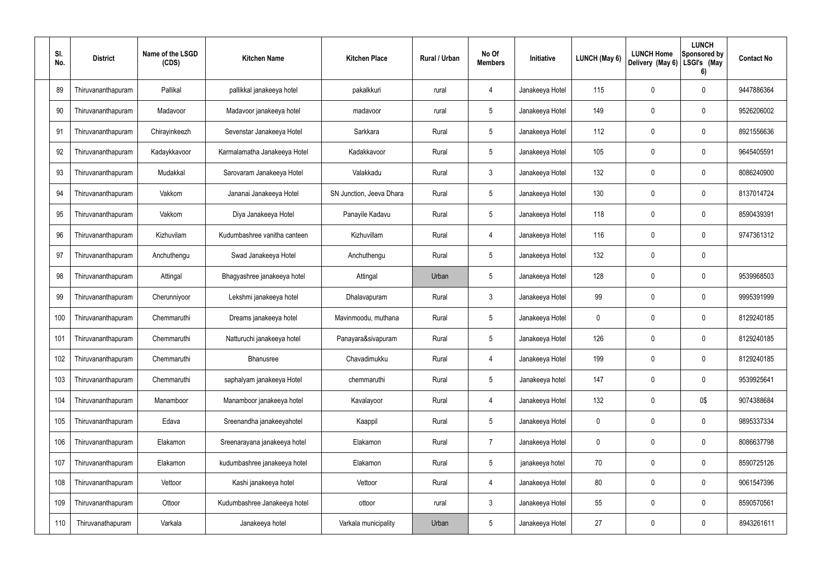| SI.<br>No. | <b>District</b>    | Name of the LSGD<br>(CDS) | <b>Kitchen Name</b>          | <b>Kitchen Place</b>     | Rural / Urban | No Of<br><b>Members</b> | Initiative      | <b>LUNCH (May 6)</b> | <b>LUNCH Home</b><br>Delivery (May 6) | <b>LUNCH</b><br>Sponsored by<br>LSGI's (May<br>6) | <b>Contact No</b> |
|------------|--------------------|---------------------------|------------------------------|--------------------------|---------------|-------------------------|-----------------|----------------------|---------------------------------------|---------------------------------------------------|-------------------|
| 89         | Thiruvananthapuram | Pallikal                  | pallikkal janakeeya hotel    | pakalkkuri               | rural         | 4                       | Janakeeya Hotel | 115                  | 0                                     | $\mathbf 0$                                       | 9447886364        |
| 90         | Thiruvananthapuram | Madavoor                  | Madavoor janakeeya hotel     | madavoor                 | rural         | $5\phantom{.0}$         | Janakeeya Hotel | 149                  | $\mathbf 0$                           | $\mathbf 0$                                       | 9526206002        |
| 91         | Thiruvananthapuram | Chirayinkeezh             | Sevenstar Janakeeya Hotel    | Sarkkara                 | Rural         | $5\phantom{.0}$         | Janakeeya Hotel | 112                  | 0                                     | $\mathbf 0$                                       | 8921556636        |
| 92         | Thiruvananthapuram | Kadaykkavoor              | Karmalamatha Janakeeya Hotel | Kadakkavoor              | Rural         | $5\phantom{.0}$         | Janakeeya Hotel | 105                  | $\mathbf 0$                           | $\mathbf 0$                                       | 9645405591        |
| 93         | Thiruvananthapuram | Mudakkal                  | Sarovaram Janakeeya Hotel    | Valakkadu                | Rural         | $\mathbf{3}$            | Janakeeya Hotel | 132                  | 0                                     | $\mathbf 0$                                       | 8086240900        |
| 94         | Thiruvananthapuram | Vakkom                    | Jananai Janakeeya Hotel      | SN Junction, Jeeva Dhara | Rural         | $5\phantom{.0}$         | Janakeeya Hotel | 130                  | $\mathbf 0$                           | $\mathbf 0$                                       | 8137014724        |
| 95         | Thiruvananthapuram | Vakkom                    | Diya Janakeeya Hotel         | Panayile Kadavu          | Rural         | $5\phantom{.0}$         | Janakeeya Hotel | 118                  | 0                                     | $\mathbf 0$                                       | 8590439391        |
| 96         | Thiruvananthapuram | Kizhuvilam                | Kudumbashree vanitha canteen | Kizhuvillam              | Rural         | 4                       | Janakeeya Hotel | 116                  | 0                                     | $\mathbf 0$                                       | 9747361312        |
| 97         | Thiruvananthapuram | Anchuthengu               | Swad Janakeeya Hotel         | Anchuthengu              | Rural         | $5\phantom{.0}$         | Janakeeya Hotel | 132                  | 0                                     | $\mathbf 0$                                       |                   |
| 98         | Thiruvananthapuram | Attingal                  | Bhagyashree janakeeya hotel  | Attingal                 | Urban         | $5\phantom{.0}$         | Janakeeya Hotel | 128                  | 0                                     | $\mathbf 0$                                       | 9539968503        |
| 99         | Thiruvananthapuram | Cherunniyoor              | Lekshmi janakeeya hotel      | Dhalavapuram             | Rural         | $\mathbf{3}$            | Janakeeya Hotel | 99                   | $\mathbf 0$                           | $\mathbf 0$                                       | 9995391999        |
| 100        | Thiruvananthapuram | Chemmaruthi               | Dreams janakeeya hotel       | Mavinmoodu, muthana      | Rural         | $5\phantom{.0}$         | Janakeeya Hotel | 0                    | $\mathbf 0$                           | $\mathbf 0$                                       | 8129240185        |
| 101        | Thiruvananthapuram | Chemmaruthi               | Natturuchi janakeeya hotel   | Panayara&sivapuram       | Rural         | $5\phantom{.0}$         | Janakeeya Hotel | 126                  | $\mathbf 0$                           | 0                                                 | 8129240185        |
| 102        | Thiruvananthapuram | Chemmaruthi               | Bhanusree                    | Chavadimukku             | Rural         | 4                       | Janakeeya Hotel | 199                  | 0                                     | $\mathbf 0$                                       | 8129240185        |
| 103        | Thiruvananthapuram | Chemmaruthi               | saphalyam janakeeya Hotel    | chemmaruthi              | Rural         | $5\phantom{.0}$         | Janakeeya hotel | 147                  | 0                                     | $\mathbf 0$                                       | 9539925641        |
| 104        | Thiruvananthapuram | Manamboor                 | Manamboor janakeeya hotel    | Kavalayoor               | Rural         | $\overline{4}$          | Janakeeya Hotel | 132                  | 0                                     | 0\$                                               | 9074388684        |
| 105        | Thiruvananthapuram | Edava                     | Sreenandha janakeeyahotel    | Kaappil                  | Rural         | $5\phantom{.0}$         | Janakeeya Hotel | 0                    | 0                                     | $\mathbf 0$                                       | 9895337334        |
| 106        | Thiruvananthapuram | Elakamon                  | Sreenarayana janakeeya hotel | Elakamon                 | Rural         | $\overline{7}$          | Janakeeya Hotel | 0                    | 0                                     | $\mathbf 0$                                       | 8086637798        |
| 107        | Thiruvananthapuram | Elakamon                  | kudumbashree janakeeya hotel | Elakamon                 | Rural         | $5\phantom{.0}$         | janakeeya hotel | 70                   | 0                                     | $\mathbf 0$                                       | 8590725126        |
| 108        | Thiruvananthapuram | Vettoor                   | Kashi janakeeya hotel        | Vettoor                  | Rural         | 4                       | Janakeeya Hotel | 80                   | $\mathbf 0$                           | $\mathbf 0$                                       | 9061547396        |
| 109        | Thiruvananthapuram | Ottoor                    | Kudumbashree Janakeeya hotel | ottoor                   | rural         | $\mathbf{3}$            | Janakeeya Hotel | 55                   | $\mathbf 0$                           | $\mathbf 0$                                       | 8590570561        |
| 110        | Thiruvanathapuram  | Varkala                   | Janakeeya hotel              | Varkala municipality     | Urban         | $5\phantom{.0}$         | Janakeeya Hotel | 27                   | 0                                     | $\overline{0}$                                    | 8943261611        |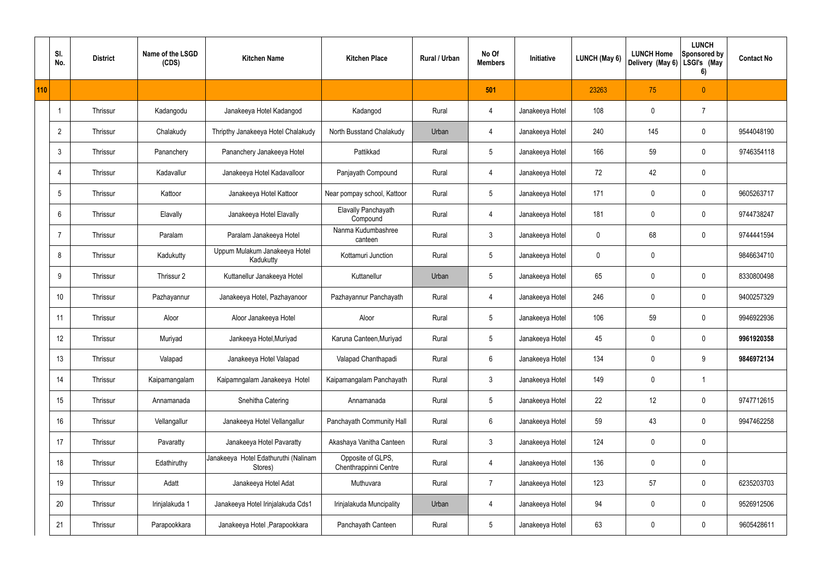|     | SI.<br>No.     | <b>District</b> | Name of the LSGD<br>(CDS) | <b>Kitchen Name</b>                             | <b>Kitchen Place</b>                       | Rural / Urban | No Of<br><b>Members</b> | Initiative      | LUNCH (May 6) | <b>LUNCH Home</b><br>Delivery (May 6) | <b>LUNCH</b><br><b>Sponsored by</b><br>LSGI's (May<br>6) | <b>Contact No</b> |
|-----|----------------|-----------------|---------------------------|-------------------------------------------------|--------------------------------------------|---------------|-------------------------|-----------------|---------------|---------------------------------------|----------------------------------------------------------|-------------------|
| 110 |                |                 |                           |                                                 |                                            |               | 501                     |                 | 23263         | 75                                    | $\pmb{0}$                                                |                   |
|     |                | Thrissur        | Kadangodu                 | Janakeeya Hotel Kadangod                        | Kadangod                                   | Rural         | $\overline{4}$          | Janakeeya Hotel | 108           | $\mathbf 0$                           | $\overline{7}$                                           |                   |
|     | $\overline{2}$ | Thrissur        | Chalakudy                 | Thripthy Janakeeya Hotel Chalakudy              | North Busstand Chalakudy                   | Urban         | $\overline{4}$          | Janakeeya Hotel | 240           | 145                                   | $\pmb{0}$                                                | 9544048190        |
|     | 3              | Thrissur        | Pananchery                | Pananchery Janakeeya Hotel                      | Pattikkad                                  | Rural         | $5\phantom{.0}$         | Janakeeya Hotel | 166           | 59                                    | $\mathbf 0$                                              | 9746354118        |
|     |                | Thrissur        | Kadavallur                | Janakeeya Hotel Kadavalloor                     | Panjayath Compound                         | Rural         | $\overline{4}$          | Janakeeya Hotel | 72            | 42                                    | $\pmb{0}$                                                |                   |
|     | 5              | Thrissur        | Kattoor                   | Janakeeya Hotel Kattoor                         | Near pompay school, Kattoor                | Rural         | $5\phantom{.0}$         | Janakeeya Hotel | 171           | $\mathbf 0$                           | $\pmb{0}$                                                | 9605263717        |
|     | 6              | Thrissur        | Elavally                  | Janakeeya Hotel Elavally                        | <b>Elavally Panchayath</b><br>Compound     | Rural         | $\overline{4}$          | Janakeeya Hotel | 181           | 0                                     | $\pmb{0}$                                                | 9744738247        |
|     |                | Thrissur        | Paralam                   | Paralam Janakeeya Hotel                         | Nanma Kudumbashree<br>canteen              | Rural         | $\mathfrak{Z}$          | Janakeeya Hotel | $\mathbf 0$   | 68                                    | $\mathbf 0$                                              | 9744441594        |
|     | 8              | Thrissur        | Kadukutty                 | Uppum Mulakum Janakeeya Hotel<br>Kadukutty      | Kottamuri Junction                         | Rural         | $5\,$                   | Janakeeya Hotel | $\mathbf 0$   | 0                                     |                                                          | 9846634710        |
|     | 9              | Thrissur        | Thrissur 2                | Kuttanellur Janakeeya Hotel                     | Kuttanellur                                | Urban         | $5\phantom{.0}$         | Janakeeya Hotel | 65            | 0                                     | $\pmb{0}$                                                | 8330800498        |
|     | 10             | Thrissur        | Pazhayannur               | Janakeeya Hotel, Pazhayanoor                    | Pazhayannur Panchayath                     | Rural         | $\overline{4}$          | Janakeeya Hotel | 246           | $\mathbf 0$                           | $\pmb{0}$                                                | 9400257329        |
|     | 11             | Thrissur        | Aloor                     | Aloor Janakeeya Hotel                           | Aloor                                      | Rural         | $5\phantom{.0}$         | Janakeeya Hotel | 106           | 59                                    | $\pmb{0}$                                                | 9946922936        |
|     | 12             | Thrissur        | Muriyad                   | Jankeeya Hotel, Muriyad                         | Karuna Canteen, Muriyad                    | Rural         | $5\phantom{.0}$         | Janakeeya Hotel | 45            | $\mathbf 0$                           | $\mathbf 0$                                              | 9961920358        |
|     | 13             | Thrissur        | Valapad                   | Janakeeya Hotel Valapad                         | Valapad Chanthapadi                        | Rural         | $6\phantom{.}$          | Janakeeya Hotel | 134           | $\mathbf 0$                           | 9                                                        | 9846972134        |
|     | 14             | Thrissur        | Kaipamangalam             | Kaipamngalam Janakeeya Hotel                    | Kaipamangalam Panchayath                   | Rural         | $\mathbf{3}$            | Janakeeya Hotel | 149           | $\mathbf 0$                           | $\mathbf{1}$                                             |                   |
|     | 15             | Thrissur        | Annamanada                | Snehitha Catering                               | Annamanada                                 | Rural         | $5\phantom{.0}$         | Janakeeya Hotel | 22            | 12                                    | $\mathbf 0$                                              | 9747712615        |
|     | 16             | Thrissur        | Vellangallur              | Janakeeya Hotel Vellangallur                    | Panchayath Community Hall                  | Rural         | $6\phantom{.}$          | Janakeeya Hotel | 59            | 43                                    | $\mathbf 0$                                              | 9947462258        |
|     | 17             | Thrissur        | Pavaratty                 | Janakeeya Hotel Pavaratty                       | Akashaya Vanitha Canteen                   | Rural         | 3 <sup>1</sup>          | Janakeeya Hotel | 124           | 0                                     | $\pmb{0}$                                                |                   |
|     | 18             | Thrissur        | Edathiruthy               | Janakeeya Hotel Edathuruthi (Nalinam<br>Stores) | Opposite of GLPS,<br>Chenthrappinni Centre | Rural         | $\overline{4}$          | Janakeeya Hotel | 136           | $\mathbf 0$                           | $\pmb{0}$                                                |                   |
|     | 19             | Thrissur        | Adatt                     | Janakeeya Hotel Adat                            | Muthuvara                                  | Rural         | $\overline{7}$          | Janakeeya Hotel | 123           | 57                                    | $\mathbf 0$                                              | 6235203703        |
|     | 20             | Thrissur        | Irinjalakuda 1            | Janakeeya Hotel Irinjalakuda Cds1               | Irinjalakuda Muncipality                   | Urban         | $\overline{4}$          | Janakeeya Hotel | 94            | $\mathbf 0$                           | $\mathbf 0$                                              | 9526912506        |
|     | 21             | Thrissur        | Parapookkara              | Janakeeya Hotel , Parapookkara                  | Panchayath Canteen                         | Rural         | $5\phantom{.0}$         | Janakeeya Hotel | 63            | 0                                     | $\mathbf 0$                                              | 9605428611        |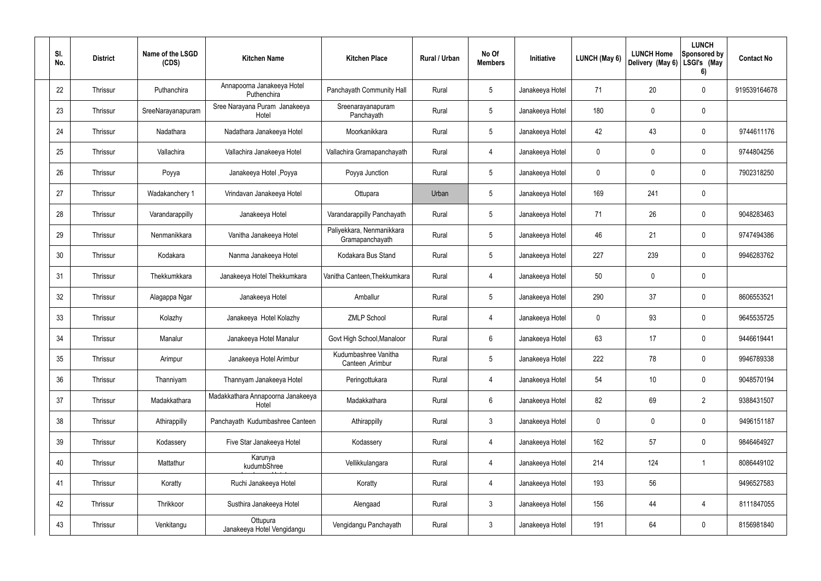| SI.<br>No. | <b>District</b> | Name of the LSGD<br>(CDS) | <b>Kitchen Name</b>                        | <b>Kitchen Place</b>                         | Rural / Urban | No Of<br><b>Members</b> | Initiative      | LUNCH (May 6) | <b>LUNCH Home</b><br>Delivery (May 6) | <b>LUNCH</b><br>Sponsored by<br>LSGI's (May<br>6) | <b>Contact No</b> |
|------------|-----------------|---------------------------|--------------------------------------------|----------------------------------------------|---------------|-------------------------|-----------------|---------------|---------------------------------------|---------------------------------------------------|-------------------|
| 22         | Thrissur        | Puthanchira               | Annapoorna Janakeeya Hotel<br>Puthenchira  | Panchayath Community Hall                    | Rural         | $5\phantom{.0}$         | Janakeeya Hotel | 71            | 20                                    | $\mathbf 0$                                       | 919539164678      |
| 23         | Thrissur        | SreeNarayanapuram         | Sree Narayana Puram Janakeeya<br>Hotel     | Sreenarayanapuram<br>Panchayath              | Rural         | $5\phantom{.0}$         | Janakeeya Hotel | 180           | 0                                     | $\mathbf 0$                                       |                   |
| 24         | Thrissur        | Nadathara                 | Nadathara Janakeeya Hotel                  | Moorkanikkara                                | Rural         | $5\phantom{.0}$         | Janakeeya Hotel | 42            | 43                                    | $\mathbf 0$                                       | 9744611176        |
| 25         | Thrissur        | Vallachira                | Vallachira Janakeeya Hotel                 | Vallachira Gramapanchayath                   | Rural         | $\overline{4}$          | Janakeeya Hotel | 0             | 0                                     | $\mathbf 0$                                       | 9744804256        |
| 26         | Thrissur        | Poyya                     | Janakeeya Hotel , Poyya                    | Poyya Junction                               | Rural         | $5\phantom{.0}$         | Janakeeya Hotel | 0             | 0                                     | $\mathbf 0$                                       | 7902318250        |
| 27         | Thrissur        | Wadakanchery 1            | Vrindavan Janakeeya Hotel                  | Ottupara                                     | Urban         | $5\phantom{.0}$         | Janakeeya Hotel | 169           | 241                                   | $\mathbf 0$                                       |                   |
| 28         | Thrissur        | Varandarappilly           | Janakeeya Hotel                            | Varandarappilly Panchayath                   | Rural         | $5\overline{)}$         | Janakeeya Hotel | 71            | 26                                    | $\mathbf 0$                                       | 9048283463        |
| 29         | Thrissur        | Nenmanikkara              | Vanitha Janakeeya Hotel                    | Paliyekkara, Nenmanikkara<br>Gramapanchayath | Rural         | $5\phantom{.0}$         | Janakeeya Hotel | 46            | 21                                    | $\mathbf 0$                                       | 9747494386        |
| 30         | Thrissur        | Kodakara                  | Nanma Janakeeya Hotel                      | Kodakara Bus Stand                           | Rural         | $5\phantom{.0}$         | Janakeeya Hotel | 227           | 239                                   | $\mathbf 0$                                       | 9946283762        |
| 31         | Thrissur        | Thekkumkkara              | Janakeeya Hotel Thekkumkara                | Vanitha Canteen, Thekkumkara                 | Rural         | $\overline{4}$          | Janakeeya Hotel | 50            | 0                                     | $\pmb{0}$                                         |                   |
| 32         | Thrissur        | Alagappa Ngar             | Janakeeya Hotel                            | Amballur                                     | Rural         | $5\phantom{.0}$         | Janakeeya Hotel | 290           | 37                                    | $\mathbf 0$                                       | 8606553521        |
| 33         | Thrissur        | Kolazhy                   | Janakeeya Hotel Kolazhy                    | <b>ZMLP School</b>                           | Rural         | $\overline{4}$          | Janakeeya Hotel | 0             | 93                                    | $\mathbf 0$                                       | 9645535725        |
| 34         | Thrissur        | Manalur                   | Janakeeya Hotel Manalur                    | Govt High School, Manaloor                   | Rural         | 6                       | Janakeeya Hotel | 63            | 17                                    | $\mathbf 0$                                       | 9446619441        |
| 35         | Thrissur        | Arimpur                   | Janakeeya Hotel Arimbur                    | Kudumbashree Vanitha<br>Canteen, Arimbur     | Rural         | $5\phantom{.0}$         | Janakeeya Hotel | 222           | 78                                    | $\pmb{0}$                                         | 9946789338        |
| 36         | Thrissur        | Thanniyam                 | Thannyam Janakeeya Hotel                   | Peringottukara                               | Rural         | $\overline{4}$          | Janakeeya Hotel | 54            | 10                                    | $\pmb{0}$                                         | 9048570194        |
| 37         | Thrissur        | Madakkathara              | Madakkathara Annapoorna Janakeeya<br>Hotel | Madakkathara                                 | Rural         | $6\,$                   | Janakeeya Hotel | 82            | 69                                    | $\overline{2}$                                    | 9388431507        |
| 38         | Thrissur        | Athirappilly              | Panchayath Kudumbashree Canteen            | Athirappilly                                 | Rural         | $\mathfrak{Z}$          | Janakeeya Hotel | 0             | 0                                     | $\pmb{0}$                                         | 9496151187        |
| 39         | Thrissur        | Kodassery                 | Five Star Janakeeya Hotel                  | Kodassery                                    | Rural         | $\overline{4}$          | Janakeeya Hotel | 162           | 57                                    | $\pmb{0}$                                         | 9846464927        |
| 40         | Thrissur        | Mattathur                 | Karunya<br>kudumbShree                     | Vellikkulangara                              | Rural         | $\overline{4}$          | Janakeeya Hotel | 214           | 124                                   | $\mathbf{1}$                                      | 8086449102        |
| 41         | Thrissur        | Koratty                   | Ruchi Janakeeya Hotel                      | Koratty                                      | Rural         | $\overline{4}$          | Janakeeya Hotel | 193           | 56                                    |                                                   | 9496527583        |
| 42         | Thrissur        | Thrikkoor                 | Susthira Janakeeya Hotel                   | Alengaad                                     | Rural         | $\mathbf{3}$            | Janakeeya Hotel | 156           | 44                                    | $\overline{4}$                                    | 8111847055        |
| 43         | Thrissur        | Venkitangu                | Ottupura<br>Janakeeya Hotel Vengidangu     | Vengidangu Panchayath                        | Rural         | $\mathfrak{Z}$          | Janakeeya Hotel | 191           | 64                                    | $\pmb{0}$                                         | 8156981840        |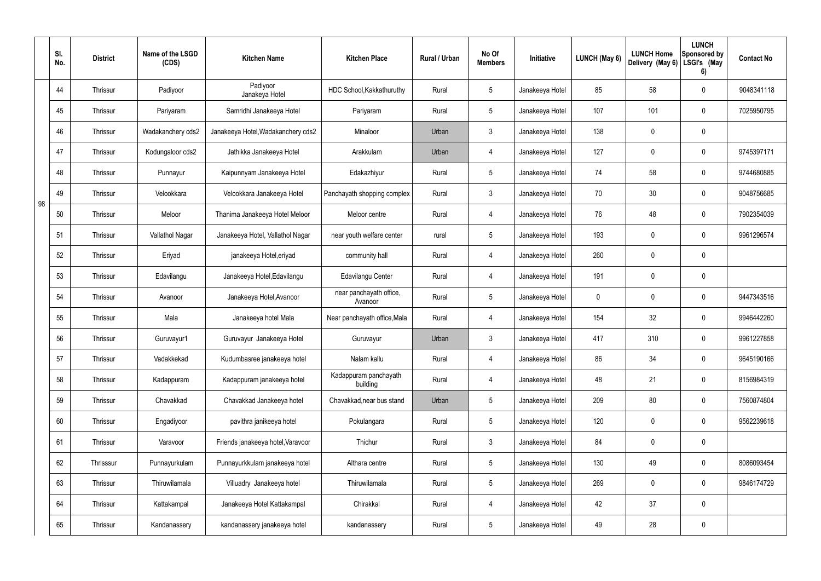|    | SI.<br>No. | <b>District</b> | Name of the LSGD<br>(CDS) | <b>Kitchen Name</b>                | <b>Kitchen Place</b>               | <b>Rural / Urban</b> | No Of<br><b>Members</b> | Initiative      | LUNCH (May 6) | <b>LUNCH Home</b><br>Delivery (May 6) | <b>LUNCH</b><br>Sponsored by<br>LSGI's (May<br>6) | <b>Contact No</b> |
|----|------------|-----------------|---------------------------|------------------------------------|------------------------------------|----------------------|-------------------------|-----------------|---------------|---------------------------------------|---------------------------------------------------|-------------------|
|    | 44         | Thrissur        | Padiyoor                  | Padiyoor<br>Janakeya Hotel         | HDC School, Kakkathuruthy          | Rural                | $5\phantom{.0}$         | Janakeeya Hotel | 85            | 58                                    | $\mathbf 0$                                       | 9048341118        |
|    | 45         | Thrissur        | Pariyaram                 | Samridhi Janakeeya Hotel           | Pariyaram                          | Rural                | $5\phantom{.0}$         | Janakeeya Hotel | 107           | 101                                   | $\mathbf 0$                                       | 7025950795        |
|    | 46         | Thrissur        | Wadakanchery cds2         | Janakeeya Hotel, Wadakanchery cds2 | Minaloor                           | Urban                | $\mathfrak{Z}$          | Janakeeya Hotel | 138           | 0                                     | 0                                                 |                   |
|    | 47         | Thrissur        | Kodungaloor cds2          | Jathikka Janakeeya Hotel           | Arakkulam                          | Urban                | 4                       | Janakeeya Hotel | 127           | 0                                     | 0                                                 | 9745397171        |
|    | 48         | Thrissur        | Punnayur                  | Kaipunnyam Janakeeya Hotel         | Edakazhiyur                        | Rural                | $5\phantom{.0}$         | Janakeeya Hotel | 74            | 58                                    | $\mathbf 0$                                       | 9744680885        |
| 98 | 49         | Thrissur        | Velookkara                | Velookkara Janakeeya Hotel         | Panchayath shopping complex        | Rural                | $\mathfrak{Z}$          | Janakeeya Hotel | 70            | 30                                    | $\mathbf 0$                                       | 9048756685        |
|    | 50         | Thrissur        | Meloor                    | Thanima Janakeeya Hotel Meloor     | Meloor centre                      | Rural                | 4                       | Janakeeya Hotel | 76            | 48                                    | $\mathbf 0$                                       | 7902354039        |
|    | 51         | Thrissur        | Vallathol Nagar           | Janakeeya Hotel, Vallathol Nagar   | near youth welfare center          | rural                | $5\phantom{.0}$         | Janakeeya Hotel | 193           | 0                                     | $\mathbf 0$                                       | 9961296574        |
|    | 52         | Thrissur        | Eriyad                    | janakeeya Hotel, eriyad            | community hall                     | Rural                | 4                       | Janakeeya Hotel | 260           | 0                                     | 0                                                 |                   |
|    | 53         | Thrissur        | Edavilangu                | Janakeeya Hotel, Edavilangu        | Edavilangu Center                  | Rural                | $\overline{4}$          | Janakeeya Hotel | 191           | 0                                     | $\pmb{0}$                                         |                   |
|    | 54         | Thrissur        | Avanoor                   | Janakeeya Hotel, Avanoor           | near panchayath office,<br>Avanoor | Rural                | $5\phantom{.0}$         | Janakeeya Hotel | $\mathbf 0$   | 0                                     | $\pmb{0}$                                         | 9447343516        |
|    | 55         | Thrissur        | Mala                      | Janakeeya hotel Mala               | Near panchayath office, Mala       | Rural                | 4                       | Janakeeya Hotel | 154           | 32                                    | $\pmb{0}$                                         | 9946442260        |
|    | 56         | Thrissur        | Guruvayur1                | Guruvayur Janakeeya Hotel          | Guruvayur                          | Urban                | $\mathbf{3}$            | Janakeeya Hotel | 417           | 310                                   | $\mathbf 0$                                       | 9961227858        |
|    | 57         | Thrissur        | Vadakkekad                | Kudumbasree janakeeya hotel        | Nalam kallu                        | Rural                | 4                       | Janakeeya Hotel | 86            | 34                                    | $\mathbf 0$                                       | 9645190166        |
|    | 58         | Thrissur        | Kadappuram                | Kadappuram janakeeya hotel         | Kadappuram panchayath<br>building  | Rural                | $\overline{4}$          | Janakeeya Hotel | 48            | 21                                    | $\mathbf 0$                                       | 8156984319        |
|    | 59         | Thrissur        | Chavakkad                 | Chavakkad Janakeeya hotel          | Chavakkad, near bus stand          | Urban                | $5\phantom{.0}$         | Janakeeya Hotel | 209           | 80                                    | $\mathbf 0$                                       | 7560874804        |
|    | 60         | Thrissur        | Engadiyoor                | pavithra janikeeya hotel           | Pokulangara                        | Rural                | $5\phantom{.0}$         | Janakeeya Hotel | 120           | $\mathbf 0$                           | $\mathsf{0}$                                      | 9562239618        |
|    | 61         | Thrissur        | Varavoor                  | Friends janakeeya hotel, Varavoor  | Thichur                            | Rural                | $\mathfrak{Z}$          | Janakeeya Hotel | 84            | 0                                     | $\mathsf{0}$                                      |                   |
|    | 62         | Thrisssur       | Punnayurkulam             | Punnayurkkulam janakeeya hotel     | Althara centre                     | Rural                | $5\phantom{.0}$         | Janakeeya Hotel | 130           | 49                                    | $\mathsf{0}$                                      | 8086093454        |
|    | 63         | Thrissur        | Thiruwilamala             | Villuadry Janakeeya hotel          | Thiruwilamala                      | Rural                | $5\phantom{.0}$         | Janakeeya Hotel | 269           | 0                                     | $\mathsf{0}$                                      | 9846174729        |
|    | 64         | Thrissur        | Kattakampal               | Janakeeya Hotel Kattakampal        | Chirakkal                          | Rural                | 4                       | Janakeeya Hotel | 42            | 37                                    | $\mathbf 0$                                       |                   |
|    | 65         | Thrissur        | Kandanassery              | kandanassery janakeeya hotel       | kandanassery                       | Rural                | $5\phantom{.0}$         | Janakeeya Hotel | 49            | 28                                    | $\pmb{0}$                                         |                   |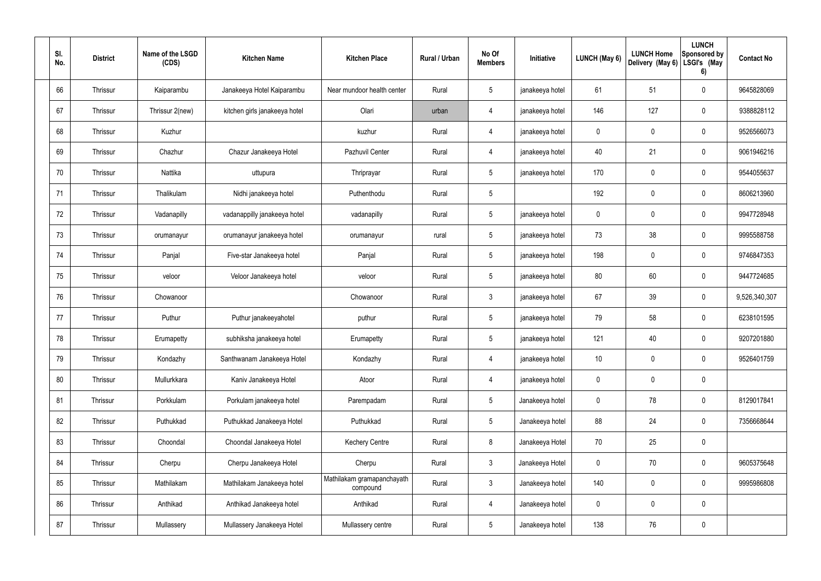| SI.<br>No. | <b>District</b> | Name of the LSGD<br>(CDS) | <b>Kitchen Name</b>           | <b>Kitchen Place</b>                   | Rural / Urban | No Of<br><b>Members</b> | Initiative      | LUNCH (May 6)   | <b>LUNCH Home</b><br>Delivery (May 6) | <b>LUNCH</b><br>Sponsored by<br>LSGI's (May<br>6) | <b>Contact No</b> |
|------------|-----------------|---------------------------|-------------------------------|----------------------------------------|---------------|-------------------------|-----------------|-----------------|---------------------------------------|---------------------------------------------------|-------------------|
| 66         | Thrissur        | Kaiparambu                | Janakeeya Hotel Kaiparambu    | Near mundoor health center             | Rural         | $5\,$                   | janakeeya hotel | 61              | 51                                    | $\mathbf 0$                                       | 9645828069        |
| 67         | Thrissur        | Thrissur 2(new)           | kitchen girls janakeeya hotel | Olari                                  | urban         | 4                       | janakeeya hotel | 146             | 127                                   | $\mathbf 0$                                       | 9388828112        |
| 68         | Thrissur        | Kuzhur                    |                               | kuzhur                                 | Rural         | 4                       | janakeeya hotel | $\mathbf 0$     | $\mathbf 0$                           | $\mathbf 0$                                       | 9526566073        |
| 69         | Thrissur        | Chazhur                   | Chazur Janakeeya Hotel        | Pazhuvil Center                        | Rural         | 4                       | janakeeya hotel | 40              | 21                                    | $\mathbf 0$                                       | 9061946216        |
| 70         | Thrissur        | Nattika                   | uttupura                      | Thriprayar                             | Rural         | $5\phantom{.0}$         | janakeeya hotel | 170             | $\mathbf 0$                           | $\mathbf 0$                                       | 9544055637        |
| 71         | Thrissur        | Thalikulam                | Nidhi janakeeya hotel         | Puthenthodu                            | Rural         | $5\phantom{.0}$         |                 | 192             | $\mathbf 0$                           | $\mathbf 0$                                       | 8606213960        |
| 72         | Thrissur        | Vadanapilly               | vadanappilly janakeeya hotel  | vadanapilly                            | Rural         | $5\phantom{.0}$         | janakeeya hotel | $\mathbf 0$     | $\mathbf 0$                           | $\mathbf 0$                                       | 9947728948        |
| 73         | Thrissur        | orumanayur                | orumanayur janakeeya hotel    | orumanayur                             | rural         | $5\phantom{.0}$         | janakeeya hotel | 73              | 38                                    | $\mathbf 0$                                       | 9995588758        |
| 74         | Thrissur        | Panjal                    | Five-star Janakeeya hotel     | Panjal                                 | Rural         | $5\phantom{.0}$         | janakeeya hotel | 198             | 0                                     | $\mathbf 0$                                       | 9746847353        |
| 75         | Thrissur        | veloor                    | Veloor Janakeeya hotel        | veloor                                 | Rural         | $5\phantom{.0}$         | janakeeya hotel | 80              | 60                                    | $\mathbf 0$                                       | 9447724685        |
| 76         | Thrissur        | Chowanoor                 |                               | Chowanoor                              | Rural         | $\mathbf{3}$            | janakeeya hotel | 67              | 39                                    | $\mathbf 0$                                       | 9,526,340,307     |
| 77         | Thrissur        | Puthur                    | Puthur janakeeyahotel         | puthur                                 | Rural         | $5\phantom{.0}$         | janakeeya hotel | 79              | 58                                    | $\mathbf 0$                                       | 6238101595        |
| 78         | Thrissur        | Erumapetty                | subhiksha janakeeya hotel     | Erumapetty                             | Rural         | $5\phantom{.0}$         | janakeeya hotel | 121             | 40                                    | $\mathbf 0$                                       | 9207201880        |
| 79         | Thrissur        | Kondazhy                  | Santhwanam Janakeeya Hotel    | Kondazhy                               | Rural         | 4                       | janakeeya hotel | 10 <sup>°</sup> | $\mathsf{0}$                          | $\mathbf 0$                                       | 9526401759        |
| 80         | Thrissur        | Mullurkkara               | Kaniv Janakeeya Hotel         | Atoor                                  | Rural         | $\overline{4}$          | janakeeya hotel | $\mathbf 0$     | 0                                     | $\mathbf 0$                                       |                   |
| 81         | Thrissur        | Porkkulam                 | Porkulam janakeeya hotel      | Parempadam                             | Rural         | $5\overline{)}$         | Janakeeya hotel | $\pmb{0}$       | 78                                    | $\mathbf 0$                                       | 8129017841        |
| 82         | Thrissur        | Puthukkad                 | Puthukkad Janakeeya Hotel     | Puthukkad                              | Rural         | $5\phantom{.0}$         | Janakeeya hotel | 88              | 24                                    | $\mathbf 0$                                       | 7356668644        |
| 83         | Thrissur        | Choondal                  | Choondal Janakeeya Hotel      | <b>Kechery Centre</b>                  | Rural         | $\bf 8$                 | Janakeeya Hotel | 70              | 25                                    | $\mathbf 0$                                       |                   |
| 84         | Thrissur        | Cherpu                    | Cherpu Janakeeya Hotel        | Cherpu                                 | Rural         | $\mathfrak{Z}$          | Janakeeya Hotel | $\mathbf 0$     | 70                                    | $\mathbf 0$                                       | 9605375648        |
| 85         | Thrissur        | Mathilakam                | Mathilakam Janakeeya hotel    | Mathilakam gramapanchayath<br>compound | Rural         | $\mathfrak{Z}$          | Janakeeya hotel | 140             | $\pmb{0}$                             | $\mathbf 0$                                       | 9995986808        |
| 86         | Thrissur        | Anthikad                  | Anthikad Janakeeya hotel      | Anthikad                               | Rural         | $\overline{4}$          | Janakeeya hotel | $\mathbf 0$     | 0                                     | $\mathbf 0$                                       |                   |
| 87         | Thrissur        | Mullassery                | Mullassery Janakeeya Hotel    | Mullassery centre                      | Rural         | $5\phantom{.0}$         | Janakeeya hotel | 138             | 76                                    | $\mathbf 0$                                       |                   |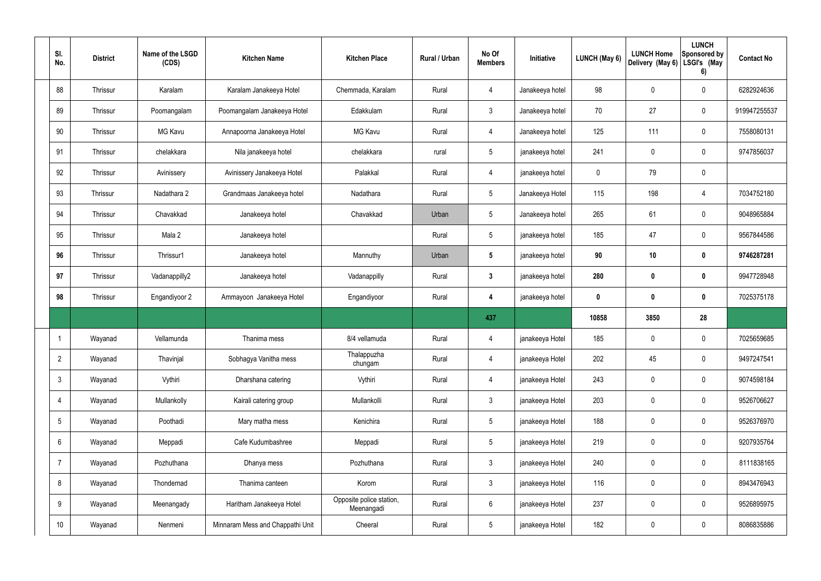| SI.<br>No.      | <b>District</b> | Name of the LSGD<br>(CDS) | <b>Kitchen Name</b>              | <b>Kitchen Place</b>                   | Rural / Urban | No Of<br><b>Members</b> | Initiative      | LUNCH (May 6) | <b>LUNCH Home</b><br>Delivery (May 6) | <b>LUNCH</b><br>Sponsored by<br>LSGI's (May<br>6) | <b>Contact No</b> |
|-----------------|-----------------|---------------------------|----------------------------------|----------------------------------------|---------------|-------------------------|-----------------|---------------|---------------------------------------|---------------------------------------------------|-------------------|
| 88              | Thrissur        | Karalam                   | Karalam Janakeeya Hotel          | Chemmada, Karalam                      | Rural         | $\overline{4}$          | Janakeeya hotel | 98            | $\mathbf 0$                           | $\mathbf 0$                                       | 6282924636        |
| 89              | Thrissur        | Poomangalam               | Poomangalam Janakeeya Hotel      | Edakkulam                              | Rural         | $\mathbf{3}$            | Janakeeya hotel | 70            | 27                                    | $\mathbf 0$                                       | 919947255537      |
| 90              | Thrissur        | MG Kavu                   | Annapoorna Janakeeya Hotel       | <b>MG Kavu</b>                         | Rural         | 4                       | Janakeeya hotel | 125           | 111                                   | $\mathbf 0$                                       | 7558080131        |
| 91              | Thrissur        | chelakkara                | Nila janakeeya hotel             | chelakkara                             | rural         | $5\overline{)}$         | janakeeya hotel | 241           | $\mathbf 0$                           | $\mathbf 0$                                       | 9747856037        |
| 92              | Thrissur        | Avinissery                | Avinissery Janakeeya Hotel       | Palakkal                               | Rural         | 4                       | janakeeya hotel | $\mathbf 0$   | 79                                    | $\mathbf 0$                                       |                   |
| 93              | Thrissur        | Nadathara 2               | Grandmaas Janakeeya hotel        | Nadathara                              | Rural         | $5\overline{)}$         | Janakeeya Hotel | 115           | 198                                   | 4                                                 | 7034752180        |
| 94              | Thrissur        | Chavakkad                 | Janakeeya hotel                  | Chavakkad                              | Urban         | $5\overline{)}$         | Janakeeya hotel | 265           | 61                                    | $\mathbf 0$                                       | 9048965884        |
| 95              | Thrissur        | Mala 2                    | Janakeeya hotel                  |                                        | Rural         | $5\overline{)}$         | janakeeya hotel | 185           | 47                                    | $\mathbf 0$                                       | 9567844586        |
| 96              | Thrissur        | Thrissur1                 | Janakeeya hotel                  | Mannuthy                               | Urban         | $5\phantom{.0}$         | janakeeya hotel | 90            | 10                                    | $\mathbf 0$                                       | 9746287281        |
| 97              | Thrissur        | Vadanappilly2             | Janakeeya hotel                  | Vadanappilly                           | Rural         | $3\phantom{a}$          | janakeeya hotel | 280           | $\pmb{0}$                             | $\mathbf 0$                                       | 9947728948        |
| 98              | Thrissur        | Engandiyoor 2             | Ammayoon Janakeeya Hotel         | Engandiyoor                            | Rural         | 4                       | janakeeya hotel | $\mathbf 0$   | $\pmb{0}$                             | $\mathbf 0$                                       | 7025375178        |
|                 |                 |                           |                                  |                                        |               | 437                     |                 | 10858         | 3850                                  | 28                                                |                   |
|                 | Wayanad         | Vellamunda                | Thanima mess                     | 8/4 vellamuda                          | Rural         | 4                       | janakeeya Hotel | 185           | $\mathbf 0$                           | $\mathbf 0$                                       | 7025659685        |
| $\overline{2}$  | Wayanad         | Thavinjal                 | Sobhagya Vanitha mess            | Thalappuzha<br>chungam                 | Rural         | $\overline{4}$          | janakeeya Hotel | 202           | 45                                    | $\mathbf 0$                                       | 9497247541        |
| $\mathfrak{Z}$  | Wayanad         | Vythiri                   | Dharshana catering               | Vythiri                                | Rural         | $\overline{4}$          | janakeeya Hotel | 243           | $\pmb{0}$                             | $\mathbf 0$                                       | 9074598184        |
| 4               | Wayanad         | Mullankolly               | Kairali catering group           | Mullankolli                            | Rural         | $\mathbf{3}$            | janakeeya Hotel | 203           | $\pmb{0}$                             | $\mathbf 0$                                       | 9526706627        |
| $5\phantom{.0}$ | Wayanad         | Poothadi                  | Mary matha mess                  | Kenichira                              | Rural         | $5\overline{)}$         | janakeeya Hotel | 188           | $\pmb{0}$                             | $\mathbf 0$                                       | 9526376970        |
| 6               | Wayanad         | Meppadi                   | Cafe Kudumbashree                | Meppadi                                | Rural         | $5\overline{)}$         | janakeeya Hotel | 219           | $\pmb{0}$                             | $\mathbf 0$                                       | 9207935764        |
| $\overline{7}$  | Wayanad         | Pozhuthana                | Dhanya mess                      | Pozhuthana                             | Rural         | $\mathbf{3}$            | janakeeya Hotel | 240           | $\pmb{0}$                             | $\mathbf 0$                                       | 8111838165        |
| 8               | Wayanad         | Thondernad                | Thanima canteen                  | Korom                                  | Rural         | $\mathbf{3}$            | janakeeya Hotel | 116           | $\pmb{0}$                             | $\mathbf 0$                                       | 8943476943        |
| 9               | Wayanad         | Meenangady                | Haritham Janakeeya Hotel         | Opposite police station,<br>Meenangadi | Rural         | $6\overline{6}$         | janakeeya Hotel | 237           | $\pmb{0}$                             | $\mathbf 0$                                       | 9526895975        |
| 10              | Wayanad         | Nenmeni                   | Minnaram Mess and Chappathi Unit | Cheeral                                | Rural         | 5 <sub>5</sub>          | janakeeya Hotel | 182           | $\pmb{0}$                             | $\boldsymbol{0}$                                  | 8086835886        |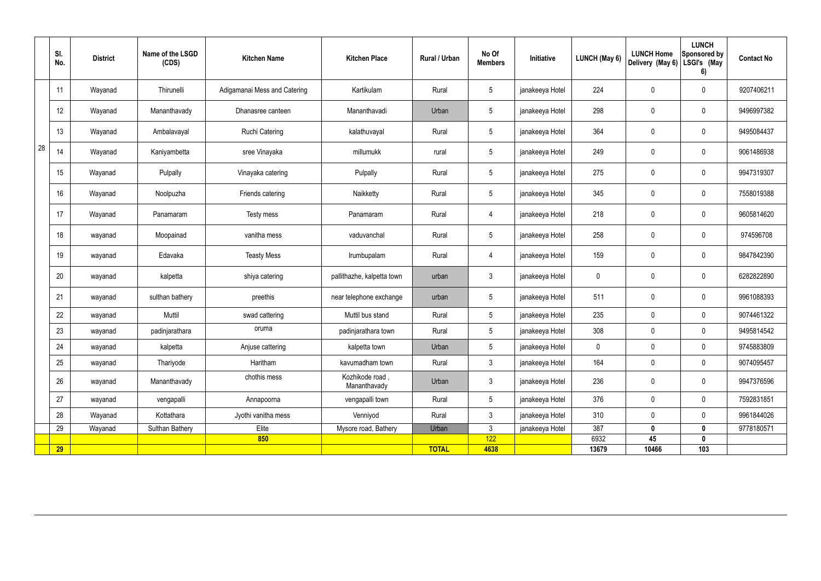|    | SI.<br>No. | <b>District</b> | Name of the LSGD<br>(CDS) | <b>Kitchen Name</b>          | <b>Kitchen Place</b>            | Rural / Urban | No Of<br><b>Members</b> | Initiative      | <b>LUNCH (May 6)</b> | <b>LUNCH Home</b><br>Delivery (May 6) | <b>LUNCH</b><br><b>Sponsored by</b><br>LSGI's (May<br>6) | <b>Contact No</b> |
|----|------------|-----------------|---------------------------|------------------------------|---------------------------------|---------------|-------------------------|-----------------|----------------------|---------------------------------------|----------------------------------------------------------|-------------------|
|    | 11         | Wayanad         | Thirunelli                | Adigamanai Mess and Catering | Kartikulam                      | Rural         | $5\phantom{.0}$         | janakeeya Hotel | 224                  | 0                                     | $\boldsymbol{0}$                                         | 9207406211        |
|    | 12         | Wayanad         | Mananthavady              | Dhanasree canteen            | Mananthavadi                    | Urban         | $5\phantom{.0}$         | janakeeya Hotel | 298                  | 0                                     | $\pmb{0}$                                                | 9496997382        |
|    | 13         | Wayanad         | Ambalavayal               | Ruchi Catering               | kalathuvayal                    | Rural         | $5\phantom{.0}$         | janakeeya Hotel | 364                  | 0                                     | $\pmb{0}$                                                | 9495084437        |
| 28 | 14         | Wayanad         | Kaniyambetta              | sree Vinayaka                | millumukk                       | rural         | $5\,$                   | janakeeya Hotel | 249                  | 0                                     | $\pmb{0}$                                                | 9061486938        |
|    | 15         | Wayanad         | Pulpally                  | Vinayaka catering            | Pulpally                        | Rural         | $5\phantom{.0}$         | janakeeya Hotel | 275                  | 0                                     | $\pmb{0}$                                                | 9947319307        |
|    | 16         | Wayanad         | Noolpuzha                 | Friends catering             | Naikketty                       | Rural         | $5\phantom{.0}$         | janakeeya Hotel | 345                  | 0                                     | $\pmb{0}$                                                | 7558019388        |
|    | 17         | Wayanad         | Panamaram                 | Testy mess                   | Panamaram                       | Rural         | 4                       | janakeeya Hotel | 218                  | 0                                     | $\pmb{0}$                                                | 9605814620        |
|    | 18         | wayanad         | Moopainad                 | vanitha mess                 | vaduvanchal                     | Rural         | $5\phantom{.0}$         | janakeeya Hotel | 258                  | 0                                     | $\pmb{0}$                                                | 974596708         |
|    | 19         | wayanad         | Edavaka                   | <b>Teasty Mess</b>           | Irumbupalam                     | Rural         | 4                       | janakeeya Hotel | 159                  | 0                                     | $\boldsymbol{0}$                                         | 9847842390        |
|    | 20         | wayanad         | kalpetta                  | shiya catering               | pallithazhe, kalpetta town      | urban         | $\mathfrak{Z}$          | janakeeya Hotel | 0                    | 0                                     | $\pmb{0}$                                                | 6282822890        |
|    | 21         | wayanad         | sulthan bathery           | preethis                     | near telephone exchange         | urban         | $5\,$                   | janakeeya Hotel | 511                  | 0                                     | $\boldsymbol{0}$                                         | 9961088393        |
|    | 22         | wayanad         | Muttil                    | swad cattering               | Muttil bus stand                | Rural         | 5 <sup>5</sup>          | janakeeya Hotel | 235                  | $\mathbf 0$                           | $\mathbf 0$                                              | 9074461322        |
|    | 23         | wayanad         | padinjarathara            | oruma                        | padinjarathara town             | Rural         | $5\phantom{.0}$         | janakeeya Hotel | 308                  | 0                                     | $\mathbf 0$                                              | 9495814542        |
|    | 24         | wayanad         | kalpetta                  | Anjuse cattering             | kalpetta town                   | Urban         | $5\phantom{.0}$         | janakeeya Hotel | $\mathbf 0$          | $\pmb{0}$                             | $\pmb{0}$                                                | 9745883809        |
|    | 25         | wayanad         | Thariyode                 | Haritham                     | kavumadham town                 | Rural         | $\mathbf{3}$            | janakeeya Hotel | 164                  | $\pmb{0}$                             | $\mathbf 0$                                              | 9074095457        |
|    | 26         | wayanad         | Mananthavady              | chothis mess                 | Kozhikode road,<br>Mananthavady | Urban         | $\mathbf{3}$            | janakeeya Hotel | 236                  | $\pmb{0}$                             | $\pmb{0}$                                                | 9947376596        |
|    | 27         | wayanad         | vengapalli                | Annapoorna                   | vengapalli town                 | Rural         | $5\phantom{.0}$         | janakeeya Hotel | 376                  | 0                                     | $\mathbf 0$                                              | 7592831851        |
|    | 28         | Wayanad         | Kottathara                | Jyothi vanitha mess          | Venniyod                        | Rural         | 3 <sup>7</sup>          | janakeeya Hotel | 310                  | 0                                     | $\mathbf 0$                                              | 9961844026        |
|    | 29         | Wayanad         | Sulthan Bathery           | Elite                        | Mysore road, Bathery            | Urban         | $\mathfrak{Z}$          | janakeeya Hotel | 387                  | $\mathbf 0$                           | $\bm{0}$                                                 | 9778180571        |
|    |            |                 |                           | 850                          |                                 |               | 122                     |                 | 6932                 | 45                                    | $\mathbf{0}$                                             |                   |
|    | 29         |                 |                           |                              |                                 | <b>TOTAL</b>  | 4638                    |                 | 13679                | 10466                                 | 103                                                      |                   |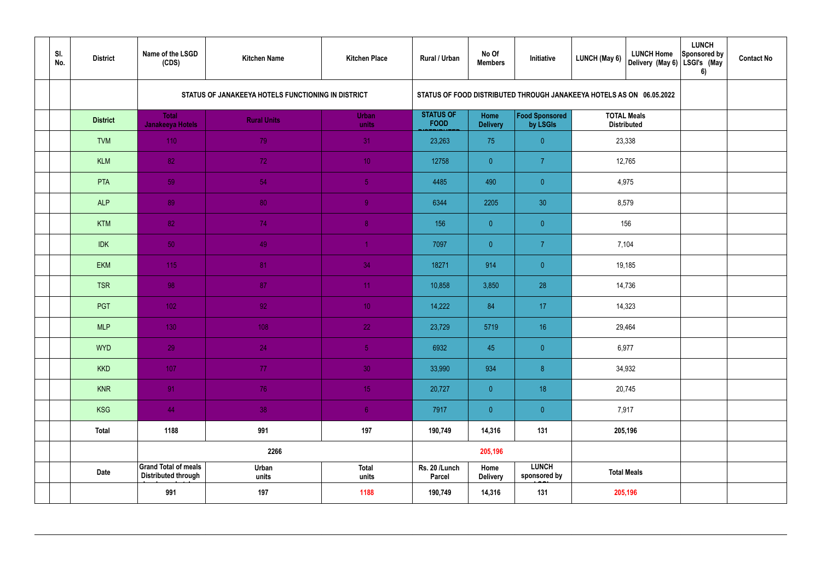| SI.<br>No. | <b>District</b> | Name of the LSGD<br>(CDS)                                 | <b>Kitchen Name</b>                                | <b>Kitchen Place</b>  | Rural / Urban                   | No Of<br><b>Members</b>        | Initiative                                                           | LUNCH (May 6)      | <b>LUNCH Home</b><br>Delivery (May 6) | <b>LUNCH</b><br>Sponsored by<br>LSGI's (May<br>6) | <b>Contact No</b> |
|------------|-----------------|-----------------------------------------------------------|----------------------------------------------------|-----------------------|---------------------------------|--------------------------------|----------------------------------------------------------------------|--------------------|---------------------------------------|---------------------------------------------------|-------------------|
|            |                 |                                                           | STATUS OF JANAKEEYA HOTELS FUNCTIONING IN DISTRICT |                       |                                 |                                | STATUS OF FOOD DISTRIBUTED THROUGH JANAKEEYA HOTELS AS ON 06.05.2022 |                    |                                       |                                                   |                   |
|            | <b>District</b> | <b>Total</b><br><b>Janakeeya Hotels</b>                   | <b>Rural Units</b>                                 | <b>Urban</b><br>units | <b>STATUS OF</b><br><b>FOOD</b> | <b>Home</b><br><b>Delivery</b> | Food Sponsored<br>by LSGIs                                           | <b>TOTAL Meals</b> | <b>Distributed</b>                    |                                                   |                   |
|            | <b>TVM</b>      | 110                                                       | 79                                                 | 31                    | 23,263                          | 75                             | $\overline{0}$                                                       |                    | 23,338                                |                                                   |                   |
|            | <b>KLM</b>      | 82                                                        | 72                                                 | 10 <sup>°</sup>       | 12758                           | $\overline{0}$                 | $\overline{7}$                                                       |                    | 12,765                                |                                                   |                   |
|            | PTA             | 59                                                        | 54                                                 | 5 <sub>o</sub>        | 4485                            | 490                            | $\overline{0}$                                                       |                    | 4,975                                 |                                                   |                   |
|            | <b>ALP</b>      | 89                                                        | 80                                                 | $\overline{9}$        | 6344                            | 2205                           | 30                                                                   | 8,579              |                                       |                                                   |                   |
|            | <b>KTM</b>      | 82                                                        | 74                                                 | 8 <sup>°</sup>        | 156                             | $\overline{0}$                 | $\overline{0}$                                                       |                    | 156                                   |                                                   |                   |
|            | <b>IDK</b>      | 50                                                        | 49                                                 | $\blacktriangleleft$  | 7097                            | $\overline{0}$                 | $\overline{7}$                                                       | 7,104              |                                       |                                                   |                   |
|            | <b>EKM</b>      | 115                                                       | 81                                                 | 34                    | 18271                           | 914                            | $\overline{0}$                                                       |                    | 19,185                                |                                                   |                   |
|            | <b>TSR</b>      | 98                                                        | 87                                                 | 11                    | 10,858                          | 3,850                          | 28                                                                   |                    | 14,736                                |                                                   |                   |
|            | <b>PGT</b>      | $102$                                                     | 92                                                 | 10 <sup>°</sup>       | 14,222                          | 84                             | 17                                                                   |                    | 14,323                                |                                                   |                   |
|            | <b>MLP</b>      | 130                                                       | 108                                                | 22                    | 23,729                          | 5719                           | 16                                                                   |                    | 29,464                                |                                                   |                   |
|            | <b>WYD</b>      | 29                                                        | 24                                                 | $\overline{5}$        | 6932                            | 45                             | $\overline{0}$                                                       | 6,977              |                                       |                                                   |                   |
|            | <b>KKD</b>      | 107                                                       | 77                                                 | 30 <sup>°</sup>       | 33,990                          | 934                            | 8                                                                    |                    | 34,932                                |                                                   |                   |
|            | <b>KNR</b>      | 91                                                        | 76                                                 | 15 <sub>1</sub>       | 20,727                          | $\overline{0}$                 | 18                                                                   |                    | 20,745                                |                                                   |                   |
|            | <b>KSG</b>      | 44                                                        | 38                                                 | 6 <sup>1</sup>        | 7917                            | $\overline{0}$                 | $\pmb{0}$                                                            | 7,917              |                                       |                                                   |                   |
|            | <b>Total</b>    | 1188                                                      | 991                                                | 197                   | 190,749                         | 14,316                         | 131                                                                  |                    | 205,196                               |                                                   |                   |
|            |                 |                                                           | 2266                                               |                       |                                 | 205,196                        |                                                                      |                    |                                       |                                                   |                   |
|            | <b>Date</b>     | <b>Grand Total of meals</b><br><b>Distributed through</b> | Urban<br>units                                     | <b>Total</b><br>units | Rs. 20 /Lunch<br><b>Parcel</b>  | Home<br><b>Delivery</b>        | <b>LUNCH</b><br>sponsored by                                         |                    | <b>Total Meals</b>                    |                                                   |                   |
|            |                 | 991                                                       | 197                                                | 1188                  | 190,749                         | 14,316                         | 131                                                                  |                    | 205,196                               |                                                   |                   |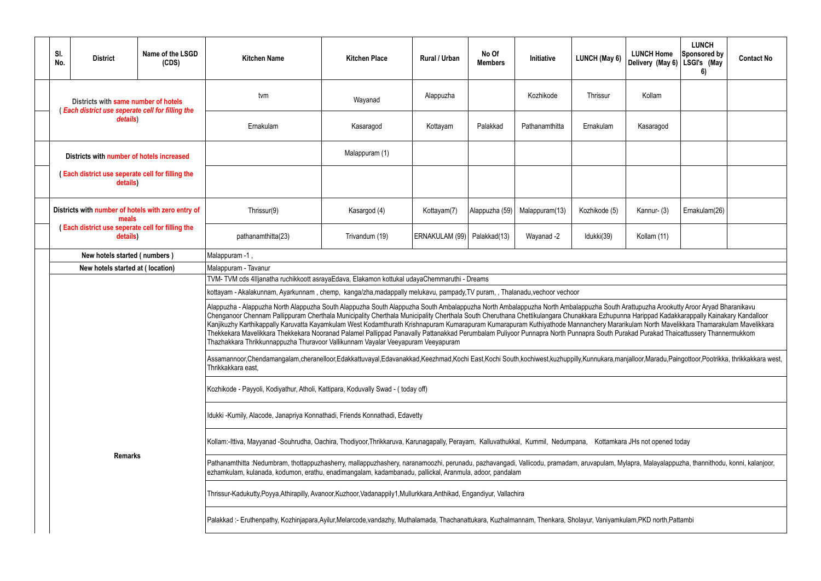| <b>LUNCH Home</b><br>Delivery (May 6)                                                                                                                                                                    | <b>LUNCH</b><br><b>Sponsored by</b><br>LSGI's (May<br>6) | <b>Contact No</b>                                          |  |  |  |  |  |  |
|----------------------------------------------------------------------------------------------------------------------------------------------------------------------------------------------------------|----------------------------------------------------------|------------------------------------------------------------|--|--|--|--|--|--|
| Kollam                                                                                                                                                                                                   |                                                          |                                                            |  |  |  |  |  |  |
| Kasaragod                                                                                                                                                                                                |                                                          |                                                            |  |  |  |  |  |  |
|                                                                                                                                                                                                          |                                                          |                                                            |  |  |  |  |  |  |
|                                                                                                                                                                                                          |                                                          |                                                            |  |  |  |  |  |  |
| Kannur-(3)                                                                                                                                                                                               | Ernakulam(26)                                            |                                                            |  |  |  |  |  |  |
| Kollam (11)                                                                                                                                                                                              |                                                          |                                                            |  |  |  |  |  |  |
|                                                                                                                                                                                                          |                                                          |                                                            |  |  |  |  |  |  |
|                                                                                                                                                                                                          |                                                          |                                                            |  |  |  |  |  |  |
|                                                                                                                                                                                                          |                                                          |                                                            |  |  |  |  |  |  |
| Arattupuzha Arookutty Aroor Aryad Bharanikavu<br>nna Harippad Kadakkarappally Kainakary Kandalloor<br>arikulam North Mavelikkara Thamarakulam Mavelikkara<br>urakad Purakad Thaicattussery Thannermukkom |                                                          |                                                            |  |  |  |  |  |  |
|                                                                                                                                                                                                          |                                                          | anjalloor,Maradu,Paingottoor,Pootrikka, thrikkakkara west, |  |  |  |  |  |  |
|                                                                                                                                                                                                          |                                                          |                                                            |  |  |  |  |  |  |
|                                                                                                                                                                                                          |                                                          |                                                            |  |  |  |  |  |  |
| ira JHs not opened today                                                                                                                                                                                 |                                                          |                                                            |  |  |  |  |  |  |
| Aylapra, Malayalappuzha, thannithodu, konni, kalanjoor,                                                                                                                                                  |                                                          |                                                            |  |  |  |  |  |  |
|                                                                                                                                                                                                          |                                                          |                                                            |  |  |  |  |  |  |
| kulam,PKD north,Pattambi                                                                                                                                                                                 |                                                          |                                                            |  |  |  |  |  |  |

| SI.<br>No. | <b>District</b>                                                                                | Name of the LSGD<br>(CDS) | <b>Kitchen Name</b>                                                                                                                                                                                                                                                                                                                                                                                                                                                                                                                                                                                                                                                                                                                                                                                                 | <b>Kitchen Place</b> | Rural / Urban                 | No Of<br><b>Members</b> | Initiative     | LUNCH (May 6) | <b>LUNCH Home</b><br>Delivery (May 6) | <b>LUNCH</b><br>Sponsored by<br>LSGI's (May<br>6) | <b>Contact No</b> |  |  |
|------------|------------------------------------------------------------------------------------------------|---------------------------|---------------------------------------------------------------------------------------------------------------------------------------------------------------------------------------------------------------------------------------------------------------------------------------------------------------------------------------------------------------------------------------------------------------------------------------------------------------------------------------------------------------------------------------------------------------------------------------------------------------------------------------------------------------------------------------------------------------------------------------------------------------------------------------------------------------------|----------------------|-------------------------------|-------------------------|----------------|---------------|---------------------------------------|---------------------------------------------------|-------------------|--|--|
|            | Districts with same number of hotels<br><b>Each district use seperate cell for filling the</b> |                           | tvm                                                                                                                                                                                                                                                                                                                                                                                                                                                                                                                                                                                                                                                                                                                                                                                                                 | Wayanad              | Alappuzha                     |                         | Kozhikode      | Thrissur      | Kollam                                |                                                   |                   |  |  |
|            | details)                                                                                       |                           | Ernakulam                                                                                                                                                                                                                                                                                                                                                                                                                                                                                                                                                                                                                                                                                                                                                                                                           | Kasaragod            | Kottayam                      | Palakkad                | Pathanamthitta | Ernakulam     | Kasaragod                             |                                                   |                   |  |  |
|            | Districts with number of hotels increased                                                      |                           |                                                                                                                                                                                                                                                                                                                                                                                                                                                                                                                                                                                                                                                                                                                                                                                                                     | Malappuram (1)       |                               |                         |                |               |                                       |                                                   |                   |  |  |
|            | Each district use seperate cell for filling the<br>details)                                    |                           |                                                                                                                                                                                                                                                                                                                                                                                                                                                                                                                                                                                                                                                                                                                                                                                                                     |                      |                               |                         |                |               |                                       |                                                   |                   |  |  |
|            | Districts with number of hotels with zero entry of<br>meals                                    |                           | Thrissur(9)                                                                                                                                                                                                                                                                                                                                                                                                                                                                                                                                                                                                                                                                                                                                                                                                         | Kasargod (4)         | Kottayam(7)                   | Alappuzha (59)          | Malappuram(13) | Kozhikode (5) | Kannur- (3)                           | Ernakulam(26)                                     |                   |  |  |
|            | <b>Each district use seperate cell for filling the</b><br>details)                             |                           | pathanamthitta(23)                                                                                                                                                                                                                                                                                                                                                                                                                                                                                                                                                                                                                                                                                                                                                                                                  | Trivandum (19)       | ERNAKULAM (99)   Palakkad(13) |                         | Wayanad -2     | Idukki(39)    | Kollam (11)                           |                                                   |                   |  |  |
|            |                                                                                                |                           | Malappuram -1,                                                                                                                                                                                                                                                                                                                                                                                                                                                                                                                                                                                                                                                                                                                                                                                                      |                      |                               |                         |                |               |                                       |                                                   |                   |  |  |
|            |                                                                                                |                           | Malappuram - Tavanur                                                                                                                                                                                                                                                                                                                                                                                                                                                                                                                                                                                                                                                                                                                                                                                                |                      |                               |                         |                |               |                                       |                                                   |                   |  |  |
|            | New hotels started (numbers)<br>New hotels started at (location)                               |                           | TVM-TVM cds 4IIjanatha ruchikkoott asrayaEdava, Elakamon kottukal udayaChemmaruthi - Dreams                                                                                                                                                                                                                                                                                                                                                                                                                                                                                                                                                                                                                                                                                                                         |                      |                               |                         |                |               |                                       |                                                   |                   |  |  |
|            |                                                                                                |                           | kottayam - Akalakunnam, Ayarkunnam, chemp, kanga/zha,madappally melukavu, pampady, TV puram,, Thalanadu, vechoor vechoor                                                                                                                                                                                                                                                                                                                                                                                                                                                                                                                                                                                                                                                                                            |                      |                               |                         |                |               |                                       |                                                   |                   |  |  |
|            |                                                                                                |                           | Alappuzha - Alappuzha North Alappuzha South Alappuzha South Alappuzha South Ambalappuzha North Ambalappuzha South Arattupuzha Arookutty Aroor Aryad Bharanikavu<br>Chenganoor Chennam Pallippuram Cherthala Municipality Cherthala Municipality Cherthala South Cheruthana Chettikulangara Chunakkara Ezhupunna Harippad Kadakkarappally Kainakary Kandalloor<br>Kanjikuzhy Karthikappally Karuvatta Kayamkulam West Kodamthurath Krishnapuram Kumarapuram Kuthiwathode Mannanchery Mararikulam North Mavelikkara Thamarakulam Mavelikkara<br>Thekkekara Mavelikkara Thekkekara Nooranad Palamel Pallippad Panavally Pattanakkad Perumbalam Puliyoor Punnapra North Punnapra South Purakad Purakad Thaicattussery Thannermukkom<br>Thazhakkara Thrikkunnappuzha Thuravoor Vallikunnam Vayalar Veeyapuram Veeyapuram |                      |                               |                         |                |               |                                       |                                                   |                   |  |  |
|            |                                                                                                |                           | Assamannoor,Chendamangalam,cheranelloor,Edakkattuvayal,Edavanakkad,Keezhmad,Kochi East,Kochi South,kochiwest,kuzhuppilly,Kunnukara,manjalloor,Maradu,Paingottoor,Pootrikka, thrikkakkara west,<br>Thrikkakkara east,                                                                                                                                                                                                                                                                                                                                                                                                                                                                                                                                                                                                |                      |                               |                         |                |               |                                       |                                                   |                   |  |  |
|            |                                                                                                |                           | Kozhikode - Payyoli, Kodiyathur, Atholi, Kattipara, Koduvally Swad - (today off)                                                                                                                                                                                                                                                                                                                                                                                                                                                                                                                                                                                                                                                                                                                                    |                      |                               |                         |                |               |                                       |                                                   |                   |  |  |
|            |                                                                                                |                           | Idukki -Kumily, Alacode, Janapriya Konnathadi, Friends Konnathadi, Edavetty                                                                                                                                                                                                                                                                                                                                                                                                                                                                                                                                                                                                                                                                                                                                         |                      |                               |                         |                |               |                                       |                                                   |                   |  |  |
|            |                                                                                                |                           | Kollam:-Ittiva, Mayyanad -Souhrudha, Oachira, Thodiyoor,Thrikkaruva, Karunagapally, Perayam, Kalluvathukkal, Kummil, Nedumpana, Kottamkara JHs not opened today                                                                                                                                                                                                                                                                                                                                                                                                                                                                                                                                                                                                                                                     |                      |                               |                         |                |               |                                       |                                                   |                   |  |  |
|            | <b>Remarks</b>                                                                                 |                           | Pathanamthitta :Nedumbram, thottappuzhasherry, mallappuzhashery, naranamoozhi, perunadu, pazhavangadi, Vallicodu, pramadam, aruvapulam, Mylapra, Malayalappuzha, thannithodu, konni, kalanjoor,<br>ezhamkulam, kulanada, kodumon, erathu, enadimangalam, kadambanadu, pallickal, Aranmula, adoor, pandalam                                                                                                                                                                                                                                                                                                                                                                                                                                                                                                          |                      |                               |                         |                |               |                                       |                                                   |                   |  |  |
|            |                                                                                                |                           | Thrissur-Kadukutty,Poyya,Athirapilly, Avanoor,Kuzhoor,Vadanappily1,Mullurkkara,Anthikad, Engandiyur, Vallachira                                                                                                                                                                                                                                                                                                                                                                                                                                                                                                                                                                                                                                                                                                     |                      |                               |                         |                |               |                                       |                                                   |                   |  |  |
|            |                                                                                                |                           | Palakkad:- Eruthenpathy, Kozhinjapara,Ayilur,Melarcode,vandazhy, Muthalamada, Thachanattukara, Kuzhalmannam, Thenkara, Sholayur, Vaniyamkulam,PKD north,Pattambi                                                                                                                                                                                                                                                                                                                                                                                                                                                                                                                                                                                                                                                    |                      |                               |                         |                |               |                                       |                                                   |                   |  |  |